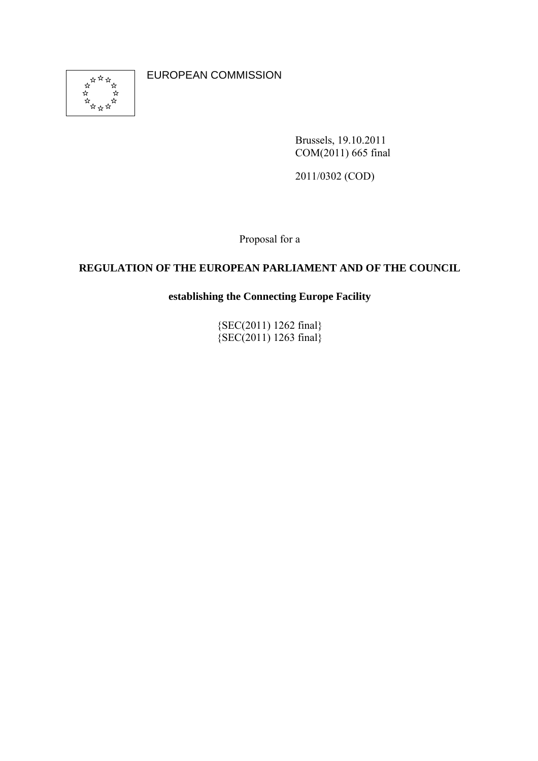

EUROPEAN COMMISSION

Brussels, 19.10.2011 COM(2011) 665 final

2011/0302 (COD)

Proposal for a

## **REGULATION OF THE EUROPEAN PARLIAMENT AND OF THE COUNCIL**

**establishing the Connecting Europe Facility** 

{SEC(2011) 1262 final}  $\{SEC(2011) 1263 \text{ final}\}$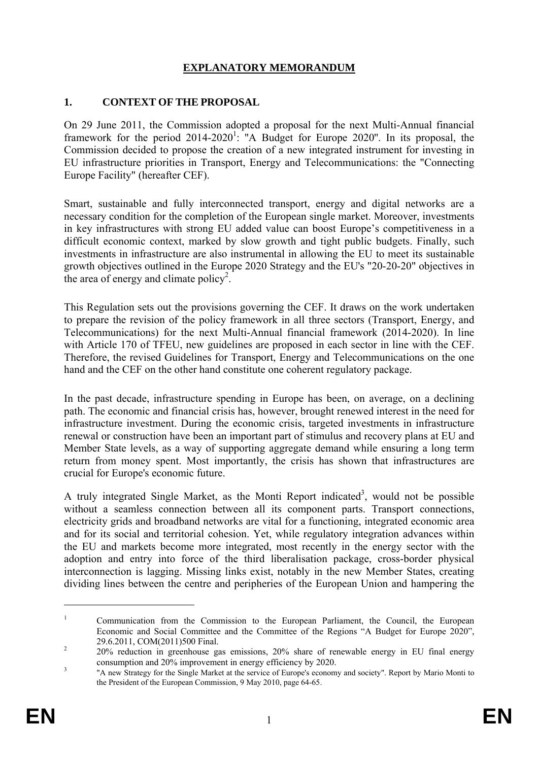## **EXPLANATORY MEMORANDUM**

## **1. CONTEXT OF THE PROPOSAL**

On 29 June 2011, the Commission adopted a proposal for the next Multi-Annual financial framework for the period  $2014-2020$ <sup>1</sup>: "A Budget for Europe 2020". In its proposal, the Commission decided to propose the creation of a new integrated instrument for investing in EU infrastructure priorities in Transport, Energy and Telecommunications: the "Connecting Europe Facility" (hereafter CEF).

Smart, sustainable and fully interconnected transport, energy and digital networks are a necessary condition for the completion of the European single market. Moreover, investments in key infrastructures with strong EU added value can boost Europe's competitiveness in a difficult economic context, marked by slow growth and tight public budgets. Finally, such investments in infrastructure are also instrumental in allowing the EU to meet its sustainable growth objectives outlined in the Europe 2020 Strategy and the EU's "20-20-20" objectives in the area of energy and climate policy<sup>2</sup>.

This Regulation sets out the provisions governing the CEF. It draws on the work undertaken to prepare the revision of the policy framework in all three sectors (Transport, Energy, and Telecommunications) for the next Multi-Annual financial framework (2014-2020). In line with Article 170 of TFEU, new guidelines are proposed in each sector in line with the CEF. Therefore, the revised Guidelines for Transport, Energy and Telecommunications on the one hand and the CEF on the other hand constitute one coherent regulatory package.

In the past decade, infrastructure spending in Europe has been, on average, on a declining path. The economic and financial crisis has, however, brought renewed interest in the need for infrastructure investment. During the economic crisis, targeted investments in infrastructure renewal or construction have been an important part of stimulus and recovery plans at EU and Member State levels, as a way of supporting aggregate demand while ensuring a long term return from money spent. Most importantly, the crisis has shown that infrastructures are crucial for Europe's economic future.

A truly integrated Single Market, as the Monti Report indicated<sup>3</sup>, would not be possible without a seamless connection between all its component parts. Transport connections, electricity grids and broadband networks are vital for a functioning, integrated economic area and for its social and territorial cohesion. Yet, while regulatory integration advances within the EU and markets become more integrated, most recently in the energy sector with the adoption and entry into force of the third liberalisation package, cross-border physical interconnection is lagging. Missing links exist, notably in the new Member States, creating dividing lines between the centre and peripheries of the European Union and hampering the

1

<sup>1</sup> Communication from the Commission to the European Parliament, the Council, the European Economic and Social Committee and the Committee of the Regions "A Budget for Europe 2020", 29.6.2011, COM(2011)500 Final.

 <sup>20%</sup> reduction in greenhouse gas emissions, 20% share of renewable energy in EU final energy consumption and 20% improvement in energy efficiency by 2020.

 <sup>&</sup>quot;A new Strategy for the Single Market at the service of Europe's economy and society". Report by Mario Monti to the President of the European Commission, 9 May 2010, page 64-65.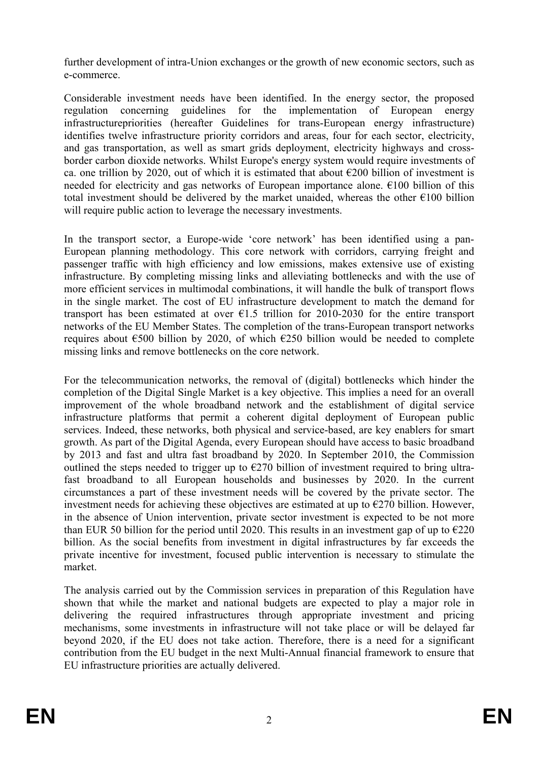further development of intra-Union exchanges or the growth of new economic sectors, such as e-commerce.

Considerable investment needs have been identified. In the energy sector, the proposed regulation concerning guidelines for the implementation of European energy infrastructurepriorities (hereafter Guidelines for trans-European energy infrastructure) identifies twelve infrastructure priority corridors and areas, four for each sector, electricity, and gas transportation, as well as smart grids deployment, electricity highways and crossborder carbon dioxide networks. Whilst Europe's energy system would require investments of ca. one trillion by 2020, out of which it is estimated that about  $\epsilon$ 200 billion of investment is needed for electricity and gas networks of European importance alone. €100 billion of this total investment should be delivered by the market unaided, whereas the other  $E100$  billion will require public action to leverage the necessary investments.

In the transport sector, a Europe-wide 'core network' has been identified using a pan-European planning methodology. This core network with corridors, carrying freight and passenger traffic with high efficiency and low emissions, makes extensive use of existing infrastructure. By completing missing links and alleviating bottlenecks and with the use of more efficient services in multimodal combinations, it will handle the bulk of transport flows in the single market. The cost of EU infrastructure development to match the demand for transport has been estimated at over  $\epsilon$ 1.5 trillion for 2010-2030 for the entire transport networks of the EU Member States. The completion of the trans-European transport networks requires about  $\epsilon$ 500 billion by 2020, of which  $\epsilon$ 250 billion would be needed to complete missing links and remove bottlenecks on the core network.

For the telecommunication networks, the removal of (digital) bottlenecks which hinder the completion of the Digital Single Market is a key objective. This implies a need for an overall improvement of the whole broadband network and the establishment of digital service infrastructure platforms that permit a coherent digital deployment of European public services. Indeed, these networks, both physical and service-based, are key enablers for smart growth. As part of the Digital Agenda, every European should have access to basic broadband by 2013 and fast and ultra fast broadband by 2020. In September 2010, the Commission outlined the steps needed to trigger up to  $E$ 270 billion of investment required to bring ultrafast broadband to all European households and businesses by 2020. In the current circumstances a part of these investment needs will be covered by the private sector. The investment needs for achieving these objectives are estimated at up to  $\epsilon$ 270 billion. However, in the absence of Union intervention, private sector investment is expected to be not more than EUR 50 billion for the period until 2020. This results in an investment gap of up to  $\epsilon$ 220 billion. As the social benefits from investment in digital infrastructures by far exceeds the private incentive for investment, focused public intervention is necessary to stimulate the market.

The analysis carried out by the Commission services in preparation of this Regulation have shown that while the market and national budgets are expected to play a major role in delivering the required infrastructures through appropriate investment and pricing mechanisms, some investments in infrastructure will not take place or will be delayed far beyond 2020, if the EU does not take action. Therefore, there is a need for a significant contribution from the EU budget in the next Multi-Annual financial framework to ensure that EU infrastructure priorities are actually delivered.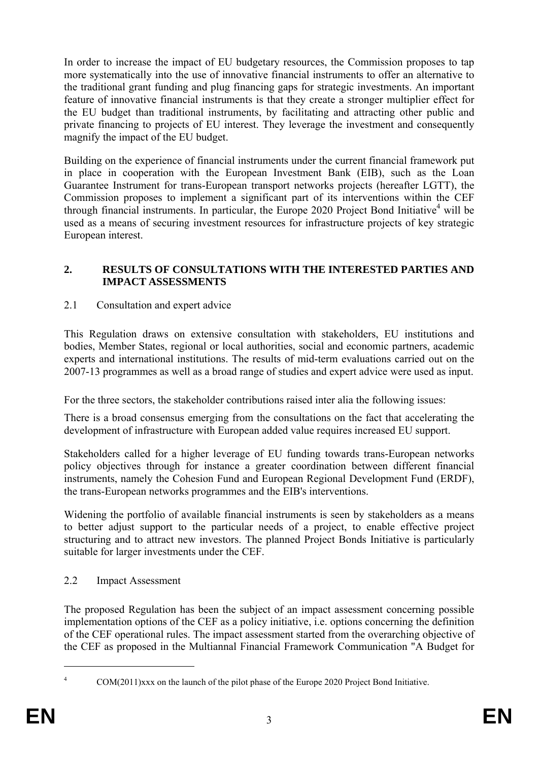In order to increase the impact of EU budgetary resources, the Commission proposes to tap more systematically into the use of innovative financial instruments to offer an alternative to the traditional grant funding and plug financing gaps for strategic investments. An important feature of innovative financial instruments is that they create a stronger multiplier effect for the EU budget than traditional instruments, by facilitating and attracting other public and private financing to projects of EU interest. They leverage the investment and consequently magnify the impact of the EU budget.

Building on the experience of financial instruments under the current financial framework put in place in cooperation with the European Investment Bank (EIB), such as the Loan Guarantee Instrument for trans-European transport networks projects (hereafter LGTT), the Commission proposes to implement a significant part of its interventions within the CEF through financial instruments. In particular, the Europe 2020 Project Bond Initiative<sup>4</sup> will be used as a means of securing investment resources for infrastructure projects of key strategic European interest.

## **2. RESULTS OF CONSULTATIONS WITH THE INTERESTED PARTIES AND IMPACT ASSESSMENTS**

## 2.1 Consultation and expert advice

This Regulation draws on extensive consultation with stakeholders, EU institutions and bodies, Member States, regional or local authorities, social and economic partners, academic experts and international institutions. The results of mid-term evaluations carried out on the 2007-13 programmes as well as a broad range of studies and expert advice were used as input.

For the three sectors, the stakeholder contributions raised inter alia the following issues:

There is a broad consensus emerging from the consultations on the fact that accelerating the development of infrastructure with European added value requires increased EU support.

Stakeholders called for a higher leverage of EU funding towards trans-European networks policy objectives through for instance a greater coordination between different financial instruments, namely the Cohesion Fund and European Regional Development Fund (ERDF), the trans-European networks programmes and the EIB's interventions.

Widening the portfolio of available financial instruments is seen by stakeholders as a means to better adjust support to the particular needs of a project, to enable effective project structuring and to attract new investors. The planned Project Bonds Initiative is particularly suitable for larger investments under the CEF.

## 2.2 Impact Assessment

The proposed Regulation has been the subject of an impact assessment concerning possible implementation options of the CEF as a policy initiative, i.e. options concerning the definition of the CEF operational rules. The impact assessment started from the overarching objective of the CEF as proposed in the Multiannal Financial Framework Communication "A Budget for

<sup>1</sup> 4

COM(2011)xxx on the launch of the pilot phase of the Europe 2020 Project Bond Initiative.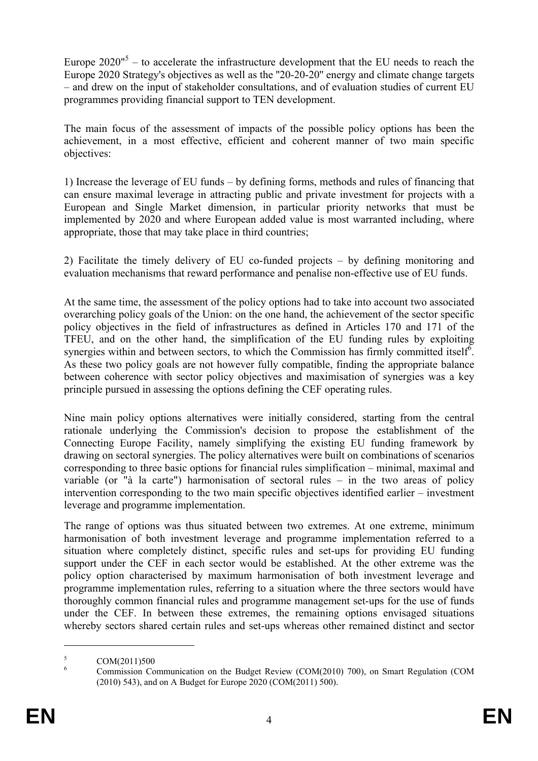Europe  $2020^{\text{m}}$  – to accelerate the infrastructure development that the EU needs to reach the Europe 2020 Strategy's objectives as well as the ''20-20-20'' energy and climate change targets – and drew on the input of stakeholder consultations, and of evaluation studies of current EU programmes providing financial support to TEN development.

The main focus of the assessment of impacts of the possible policy options has been the achievement, in a most effective, efficient and coherent manner of two main specific objectives:

1) Increase the leverage of EU funds – by defining forms, methods and rules of financing that can ensure maximal leverage in attracting public and private investment for projects with a European and Single Market dimension, in particular priority networks that must be implemented by 2020 and where European added value is most warranted including, where appropriate, those that may take place in third countries;

2) Facilitate the timely delivery of EU co-funded projects – by defining monitoring and evaluation mechanisms that reward performance and penalise non-effective use of EU funds.

At the same time, the assessment of the policy options had to take into account two associated overarching policy goals of the Union: on the one hand, the achievement of the sector specific policy objectives in the field of infrastructures as defined in Articles 170 and 171 of the TFEU, and on the other hand, the simplification of the EU funding rules by exploiting synergies within and between sectors, to which the Commission has firmly committed itself<sup>6</sup>. As these two policy goals are not however fully compatible, finding the appropriate balance between coherence with sector policy objectives and maximisation of synergies was a key principle pursued in assessing the options defining the CEF operating rules.

Nine main policy options alternatives were initially considered, starting from the central rationale underlying the Commission's decision to propose the establishment of the Connecting Europe Facility, namely simplifying the existing EU funding framework by drawing on sectoral synergies. The policy alternatives were built on combinations of scenarios corresponding to three basic options for financial rules simplification – minimal, maximal and variable (or "à la carte") harmonisation of sectoral rules – in the two areas of policy intervention corresponding to the two main specific objectives identified earlier – investment leverage and programme implementation.

The range of options was thus situated between two extremes. At one extreme, minimum harmonisation of both investment leverage and programme implementation referred to a situation where completely distinct, specific rules and set-ups for providing EU funding support under the CEF in each sector would be established. At the other extreme was the policy option characterised by maximum harmonisation of both investment leverage and programme implementation rules, referring to a situation where the three sectors would have thoroughly common financial rules and programme management set-ups for the use of funds under the CEF. In between these extremes, the remaining options envisaged situations whereby sectors shared certain rules and set-ups whereas other remained distinct and sector

<u>.</u>

<sup>5</sup> COM(2011)500

<sup>6</sup> Commission Communication on the Budget Review (COM(2010) 700), on Smart Regulation (COM (2010) 543), and on A Budget for Europe 2020 (COM(2011) 500).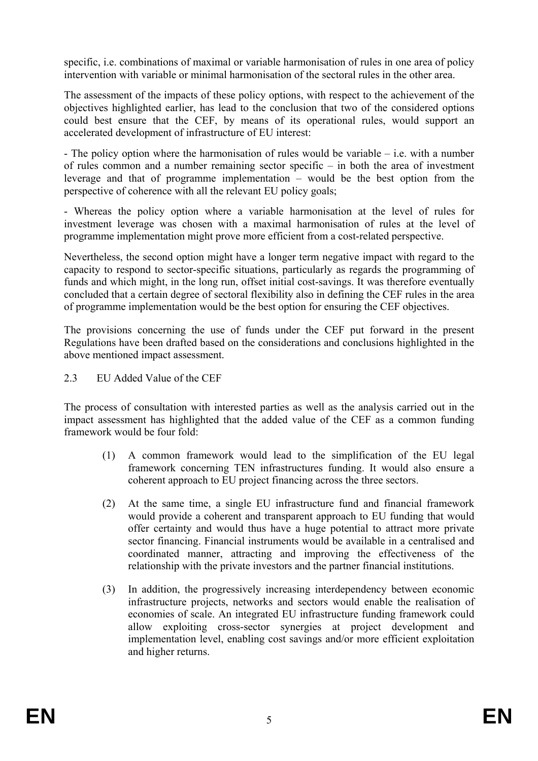specific, i.e. combinations of maximal or variable harmonisation of rules in one area of policy intervention with variable or minimal harmonisation of the sectoral rules in the other area.

The assessment of the impacts of these policy options, with respect to the achievement of the objectives highlighted earlier, has lead to the conclusion that two of the considered options could best ensure that the CEF, by means of its operational rules, would support an accelerated development of infrastructure of EU interest:

- The policy option where the harmonisation of rules would be variable  $-$  i.e. with a number of rules common and a number remaining sector specific – in both the area of investment leverage and that of programme implementation – would be the best option from the perspective of coherence with all the relevant EU policy goals;

- Whereas the policy option where a variable harmonisation at the level of rules for investment leverage was chosen with a maximal harmonisation of rules at the level of programme implementation might prove more efficient from a cost-related perspective.

Nevertheless, the second option might have a longer term negative impact with regard to the capacity to respond to sector-specific situations, particularly as regards the programming of funds and which might, in the long run, offset initial cost-savings. It was therefore eventually concluded that a certain degree of sectoral flexibility also in defining the CEF rules in the area of programme implementation would be the best option for ensuring the CEF objectives.

The provisions concerning the use of funds under the CEF put forward in the present Regulations have been drafted based on the considerations and conclusions highlighted in the above mentioned impact assessment.

2.3 EU Added Value of the CEF

The process of consultation with interested parties as well as the analysis carried out in the impact assessment has highlighted that the added value of the CEF as a common funding framework would be four fold:

- (1) A common framework would lead to the simplification of the EU legal framework concerning TEN infrastructures funding. It would also ensure a coherent approach to EU project financing across the three sectors.
- (2) At the same time, a single EU infrastructure fund and financial framework would provide a coherent and transparent approach to EU funding that would offer certainty and would thus have a huge potential to attract more private sector financing. Financial instruments would be available in a centralised and coordinated manner, attracting and improving the effectiveness of the relationship with the private investors and the partner financial institutions.
- (3) In addition, the progressively increasing interdependency between economic infrastructure projects, networks and sectors would enable the realisation of economies of scale. An integrated EU infrastructure funding framework could allow exploiting cross-sector synergies at project development and implementation level, enabling cost savings and/or more efficient exploitation and higher returns.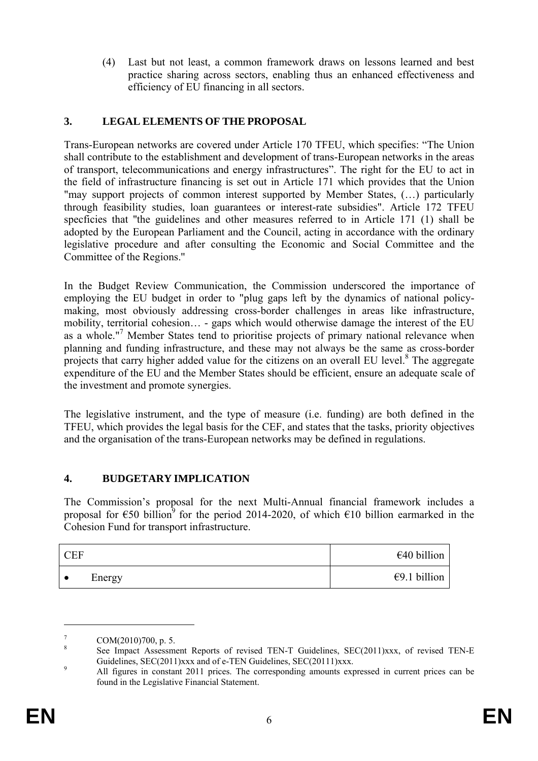(4) Last but not least, a common framework draws on lessons learned and best practice sharing across sectors, enabling thus an enhanced effectiveness and efficiency of EU financing in all sectors.

## **3. LEGAL ELEMENTS OF THE PROPOSAL**

Trans-European networks are covered under Article 170 TFEU, which specifies: "The Union shall contribute to the establishment and development of trans-European networks in the areas of transport, telecommunications and energy infrastructures". The right for the EU to act in the field of infrastructure financing is set out in Article 171 which provides that the Union "may support projects of common interest supported by Member States, (…) particularly through feasibility studies, loan guarantees or interest-rate subsidies". Article 172 TFEU specficies that ''the guidelines and other measures referred to in Article 171 (1) shall be adopted by the European Parliament and the Council, acting in accordance with the ordinary legislative procedure and after consulting the Economic and Social Committee and the Committee of the Regions.''

In the Budget Review Communication, the Commission underscored the importance of employing the EU budget in order to "plug gaps left by the dynamics of national policymaking, most obviously addressing cross-border challenges in areas like infrastructure, mobility, territorial cohesion… - gaps which would otherwise damage the interest of the EU as a whole."<sup>7</sup> Member States tend to prioritise projects of primary national relevance when planning and funding infrastructure, and these may not always be the same as cross-border projects that carry higher added value for the citizens on an overall EU level.<sup>8</sup> The aggregate expenditure of the EU and the Member States should be efficient, ensure an adequate scale of the investment and promote synergies.

The legislative instrument, and the type of measure (i.e. funding) are both defined in the TFEU, which provides the legal basis for the CEF, and states that the tasks, priority objectives and the organisation of the trans-European networks may be defined in regulations.

## **4. BUDGETARY IMPLICATION**

The Commission's proposal for the next Multi-Annual financial framework includes a proposal for  $\epsilon$ 50 billion<sup>9</sup> for the period 2014-2020, of which  $\epsilon$ 10 billion earmarked in the Cohesion Fund for transport infrastructure.

| <b>CEF</b> |        | €40 billion  |
|------------|--------|--------------|
| $\bullet$  | Energy | €9.1 billion |

1

<sup>7</sup> COM(2010)700, p. 5.

<sup>8</sup> See Impact Assessment Reports of revised TEN-T Guidelines, SEC(2011)xxx, of revised TEN-E Guidelines,  $SEC(2011)$ xxx and of e-TEN Guidelines,  $SEC(2011)$ xxx.

All figures in constant 2011 prices. The corresponding amounts expressed in current prices can be found in the Legislative Financial Statement.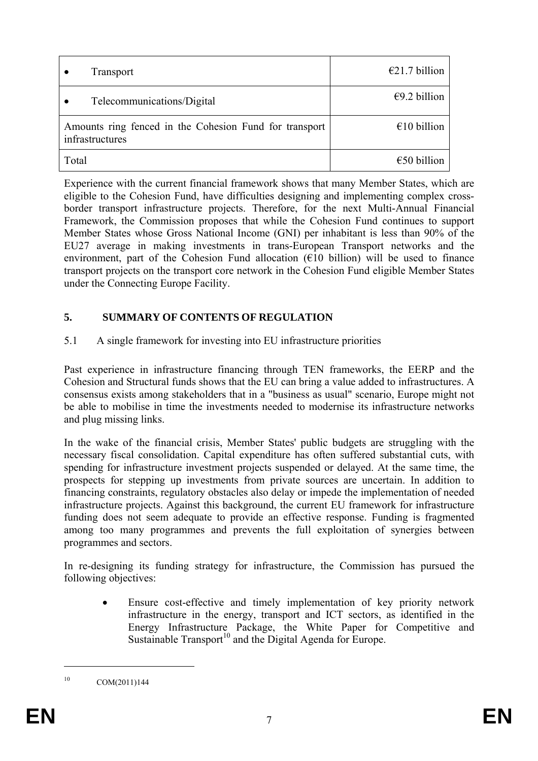| <b>Transport</b>                                                          | $\epsilon$ 21.7 billion |
|---------------------------------------------------------------------------|-------------------------|
| Telecommunications/Digital                                                | €9.2 billion            |
| Amounts ring fenced in the Cohesion Fund for transport<br>infrastructures | €10 billion             |
| Total                                                                     | $\epsilon$ 50 billion   |

Experience with the current financial framework shows that many Member States, which are eligible to the Cohesion Fund, have difficulties designing and implementing complex crossborder transport infrastructure projects. Therefore, for the next Multi-Annual Financial Framework, the Commission proposes that while the Cohesion Fund continues to support Member States whose Gross National Income (GNI) per inhabitant is less than 90% of the EU27 average in making investments in trans-European Transport networks and the environment, part of the Cohesion Fund allocation  $(E10 \text{ billion})$  will be used to finance transport projects on the transport core network in the Cohesion Fund eligible Member States under the Connecting Europe Facility.

## **5. SUMMARY OF CONTENTS OF REGULATION**

5.1 A single framework for investing into EU infrastructure priorities

Past experience in infrastructure financing through TEN frameworks, the EERP and the Cohesion and Structural funds shows that the EU can bring a value added to infrastructures. A consensus exists among stakeholders that in a "business as usual" scenario, Europe might not be able to mobilise in time the investments needed to modernise its infrastructure networks and plug missing links.

In the wake of the financial crisis, Member States' public budgets are struggling with the necessary fiscal consolidation. Capital expenditure has often suffered substantial cuts, with spending for infrastructure investment projects suspended or delayed. At the same time, the prospects for stepping up investments from private sources are uncertain. In addition to financing constraints, regulatory obstacles also delay or impede the implementation of needed infrastructure projects. Against this background, the current EU framework for infrastructure funding does not seem adequate to provide an effective response. Funding is fragmented among too many programmes and prevents the full exploitation of synergies between programmes and sectors.

In re-designing its funding strategy for infrastructure, the Commission has pursued the following objectives:

• Ensure cost-effective and timely implementation of key priority network infrastructure in the energy, transport and ICT sectors, as identified in the Energy Infrastructure Package, the White Paper for Competitive and Sustainable Transport<sup>10</sup> and the Digital Agenda for Europe.

1

<sup>10</sup> COM(2011)144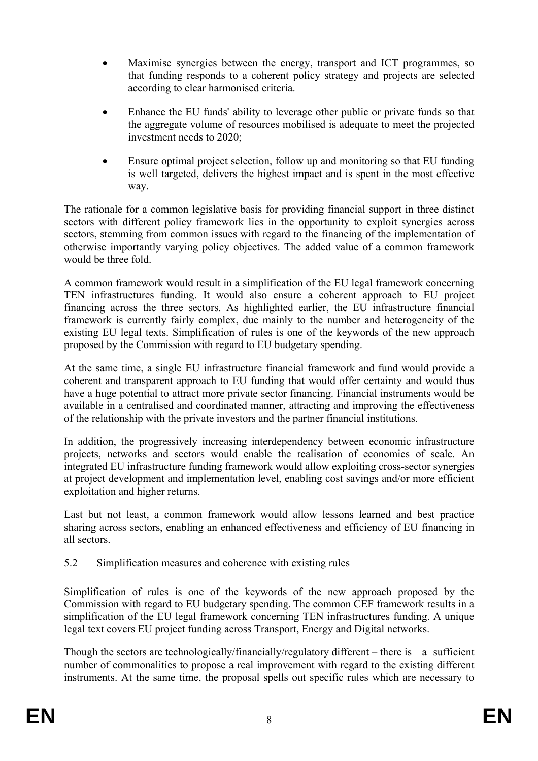- Maximise synergies between the energy, transport and ICT programmes, so that funding responds to a coherent policy strategy and projects are selected according to clear harmonised criteria.
- Enhance the EU funds' ability to leverage other public or private funds so that the aggregate volume of resources mobilised is adequate to meet the projected investment needs to 2020;
- Ensure optimal project selection, follow up and monitoring so that EU funding is well targeted, delivers the highest impact and is spent in the most effective way.

The rationale for a common legislative basis for providing financial support in three distinct sectors with different policy framework lies in the opportunity to exploit synergies across sectors, stemming from common issues with regard to the financing of the implementation of otherwise importantly varying policy objectives. The added value of a common framework would be three fold.

A common framework would result in a simplification of the EU legal framework concerning TEN infrastructures funding. It would also ensure a coherent approach to EU project financing across the three sectors. As highlighted earlier, the EU infrastructure financial framework is currently fairly complex, due mainly to the number and heterogeneity of the existing EU legal texts. Simplification of rules is one of the keywords of the new approach proposed by the Commission with regard to EU budgetary spending.

At the same time, a single EU infrastructure financial framework and fund would provide a coherent and transparent approach to EU funding that would offer certainty and would thus have a huge potential to attract more private sector financing. Financial instruments would be available in a centralised and coordinated manner, attracting and improving the effectiveness of the relationship with the private investors and the partner financial institutions.

In addition, the progressively increasing interdependency between economic infrastructure projects, networks and sectors would enable the realisation of economies of scale. An integrated EU infrastructure funding framework would allow exploiting cross-sector synergies at project development and implementation level, enabling cost savings and/or more efficient exploitation and higher returns.

Last but not least, a common framework would allow lessons learned and best practice sharing across sectors, enabling an enhanced effectiveness and efficiency of EU financing in all sectors.

5.2 Simplification measures and coherence with existing rules

Simplification of rules is one of the keywords of the new approach proposed by the Commission with regard to EU budgetary spending. The common CEF framework results in a simplification of the EU legal framework concerning TEN infrastructures funding. A unique legal text covers EU project funding across Transport, Energy and Digital networks.

Though the sectors are technologically/financially/regulatory different – there is a sufficient number of commonalities to propose a real improvement with regard to the existing different instruments. At the same time, the proposal spells out specific rules which are necessary to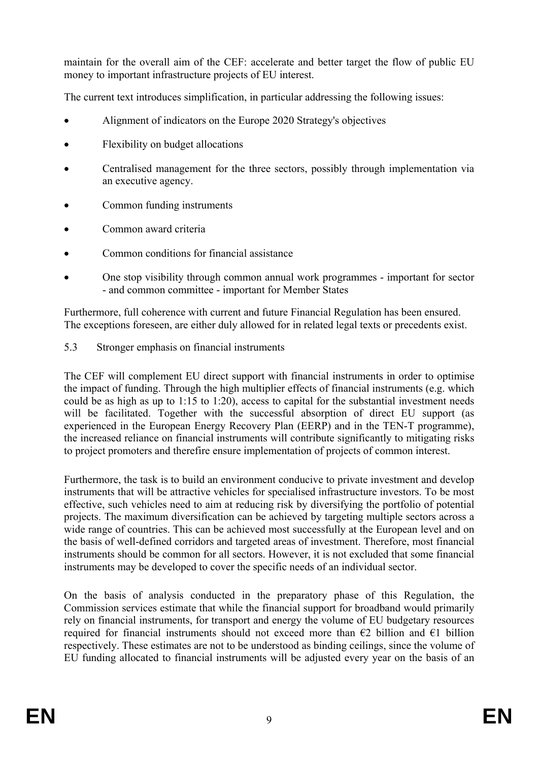maintain for the overall aim of the CEF: accelerate and better target the flow of public EU money to important infrastructure projects of EU interest.

The current text introduces simplification, in particular addressing the following issues:

- Alignment of indicators on the Europe 2020 Strategy's objectives
- Flexibility on budget allocations
- Centralised management for the three sectors, possibly through implementation via an executive agency.
- Common funding instruments
- Common award criteria
- Common conditions for financial assistance
- One stop visibility through common annual work programmes important for sector - and common committee - important for Member States

Furthermore, full coherence with current and future Financial Regulation has been ensured. The exceptions foreseen, are either duly allowed for in related legal texts or precedents exist.

5.3 Stronger emphasis on financial instruments

The CEF will complement EU direct support with financial instruments in order to optimise the impact of funding. Through the high multiplier effects of financial instruments (e.g. which could be as high as up to 1:15 to 1:20), access to capital for the substantial investment needs will be facilitated. Together with the successful absorption of direct EU support (as experienced in the European Energy Recovery Plan (EERP) and in the TEN-T programme), the increased reliance on financial instruments will contribute significantly to mitigating risks to project promoters and therefire ensure implementation of projects of common interest.

Furthermore, the task is to build an environment conducive to private investment and develop instruments that will be attractive vehicles for specialised infrastructure investors. To be most effective, such vehicles need to aim at reducing risk by diversifying the portfolio of potential projects. The maximum diversification can be achieved by targeting multiple sectors across a wide range of countries. This can be achieved most successfully at the European level and on the basis of well-defined corridors and targeted areas of investment. Therefore, most financial instruments should be common for all sectors. However, it is not excluded that some financial instruments may be developed to cover the specific needs of an individual sector.

On the basis of analysis conducted in the preparatory phase of this Regulation, the Commission services estimate that while the financial support for broadband would primarily rely on financial instruments, for transport and energy the volume of EU budgetary resources required for financial instruments should not exceed more than  $\epsilon$ 2 billion and  $\epsilon$ 1 billion respectively. These estimates are not to be understood as binding ceilings, since the volume of EU funding allocated to financial instruments will be adjusted every year on the basis of an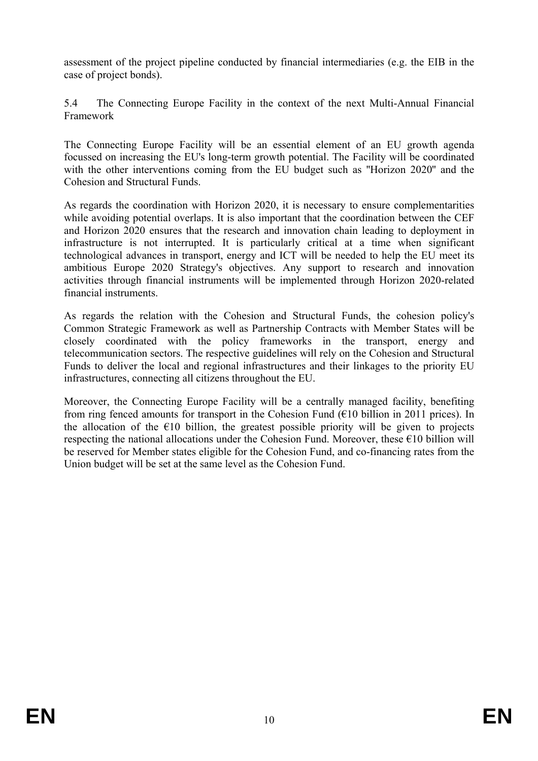assessment of the project pipeline conducted by financial intermediaries (e.g. the EIB in the case of project bonds).

5.4 The Connecting Europe Facility in the context of the next Multi-Annual Financial Framework

The Connecting Europe Facility will be an essential element of an EU growth agenda focussed on increasing the EU's long-term growth potential. The Facility will be coordinated with the other interventions coming from the EU budget such as ''Horizon 2020'' and the Cohesion and Structural Funds.

As regards the coordination with Horizon 2020, it is necessary to ensure complementarities while avoiding potential overlaps. It is also important that the coordination between the CEF and Horizon 2020 ensures that the research and innovation chain leading to deployment in infrastructure is not interrupted. It is particularly critical at a time when significant technological advances in transport, energy and ICT will be needed to help the EU meet its ambitious Europe 2020 Strategy's objectives. Any support to research and innovation activities through financial instruments will be implemented through Horizon 2020-related financial instruments.

As regards the relation with the Cohesion and Structural Funds, the cohesion policy's Common Strategic Framework as well as Partnership Contracts with Member States will be closely coordinated with the policy frameworks in the transport, energy and telecommunication sectors. The respective guidelines will rely on the Cohesion and Structural Funds to deliver the local and regional infrastructures and their linkages to the priority EU infrastructures, connecting all citizens throughout the EU.

Moreover, the Connecting Europe Facility will be a centrally managed facility, benefiting from ring fenced amounts for transport in the Cohesion Fund  $(E10$  billion in 2011 prices). In the allocation of the  $\epsilon$ 10 billion, the greatest possible priority will be given to projects respecting the national allocations under the Cohesion Fund. Moreover, these  $\epsilon$ 10 billion will be reserved for Member states eligible for the Cohesion Fund, and co-financing rates from the Union budget will be set at the same level as the Cohesion Fund.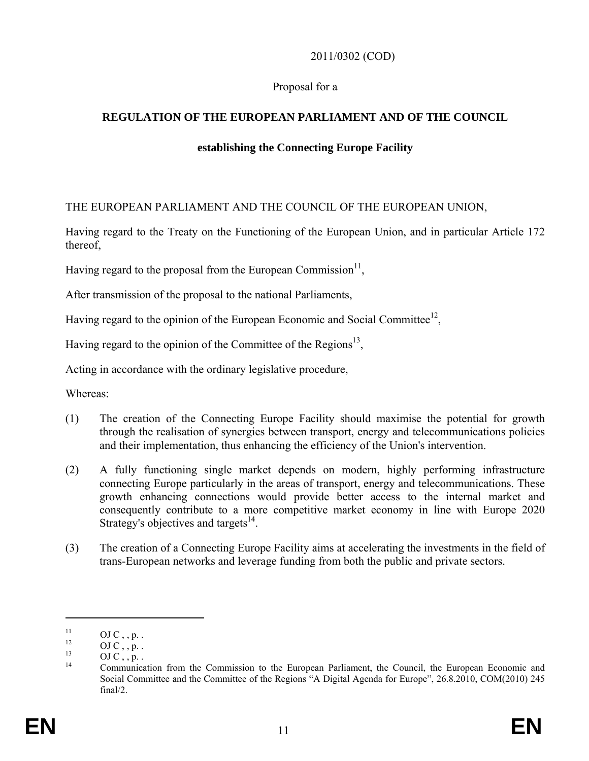## 2011/0302 (COD)

### Proposal for a

## **REGULATION OF THE EUROPEAN PARLIAMENT AND OF THE COUNCIL**

## **establishing the Connecting Europe Facility**

## THE EUROPEAN PARLIAMENT AND THE COUNCIL OF THE EUROPEAN UNION,

Having regard to the Treaty on the Functioning of the European Union, and in particular Article 172 thereof,

Having regard to the proposal from the European Commission<sup>11</sup>,

After transmission of the proposal to the national Parliaments,

Having regard to the opinion of the European Economic and Social Committee<sup>12</sup>,

Having regard to the opinion of the Committee of the Regions<sup>13</sup>,

Acting in accordance with the ordinary legislative procedure,

Whereas:

- (1) The creation of the Connecting Europe Facility should maximise the potential for growth through the realisation of synergies between transport, energy and telecommunications policies and their implementation, thus enhancing the efficiency of the Union's intervention.
- (2) A fully functioning single market depends on modern, highly performing infrastructure connecting Europe particularly in the areas of transport, energy and telecommunications. These growth enhancing connections would provide better access to the internal market and consequently contribute to a more competitive market economy in line with Europe 2020 Strategy's objectives and targets $^{14}$ .
- (3) The creation of a Connecting Europe Facility aims at accelerating the investments in the field of trans-European networks and leverage funding from both the public and private sectors.

 $^{11}_{12}$  OJ C, , p. .

 $^{12}$  OJ C, , p. .

 $\frac{13}{14}$  OJ C, , p.

<sup>14</sup> Communication from the Commission to the European Parliament, the Council, the European Economic and Social Committee and the Committee of the Regions "A Digital Agenda for Europe", 26.8.2010, COM(2010) 245 final/2.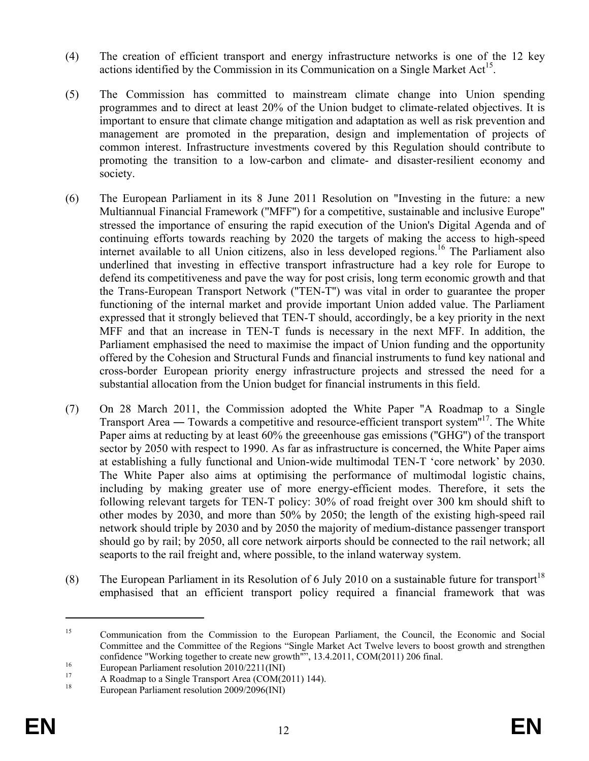- (4) The creation of efficient transport and energy infrastructure networks is one of the 12 key actions identified by the Commission in its Communication on a Single Market  $Act^{15}$ .
- (5) The Commission has committed to mainstream climate change into Union spending programmes and to direct at least 20% of the Union budget to climate-related objectives. It is important to ensure that climate change mitigation and adaptation as well as risk prevention and management are promoted in the preparation, design and implementation of projects of common interest. Infrastructure investments covered by this Regulation should contribute to promoting the transition to a low-carbon and climate- and disaster-resilient economy and society.
- (6) The European Parliament in its 8 June 2011 Resolution on "Investing in the future: a new Multiannual Financial Framework (''MFF'') for a competitive, sustainable and inclusive Europe" stressed the importance of ensuring the rapid execution of the Union's Digital Agenda and of continuing efforts towards reaching by 2020 the targets of making the access to high-speed internet available to all Union citizens, also in less developed regions.<sup>16</sup> The Parliament also underlined that investing in effective transport infrastructure had a key role for Europe to defend its competitiveness and pave the way for post crisis, long term economic growth and that the Trans-European Transport Network (''TEN-T'') was vital in order to guarantee the proper functioning of the internal market and provide important Union added value. The Parliament expressed that it strongly believed that TEN-T should, accordingly, be a key priority in the next MFF and that an increase in TEN-T funds is necessary in the next MFF. In addition, the Parliament emphasised the need to maximise the impact of Union funding and the opportunity offered by the Cohesion and Structural Funds and financial instruments to fund key national and cross-border European priority energy infrastructure projects and stressed the need for a substantial allocation from the Union budget for financial instruments in this field.
- (7) On 28 March 2011, the Commission adopted the White Paper ''A Roadmap to a Single Transport Area — Towards a competitive and resource-efficient transport system<sup>"17</sup>. The White Paper aims at reducting by at least 60% the greeenhouse gas emissions (''GHG'') of the transport sector by 2050 with respect to 1990. As far as infrastructure is concerned, the White Paper aims at establishing a fully functional and Union-wide multimodal TEN-T 'core network' by 2030. The White Paper also aims at optimising the performance of multimodal logistic chains, including by making greater use of more energy-efficient modes. Therefore, it sets the following relevant targets for TEN-T policy: 30% of road freight over 300 km should shift to other modes by 2030, and more than 50% by 2050; the length of the existing high-speed rail network should triple by 2030 and by 2050 the majority of medium-distance passenger transport should go by rail; by 2050, all core network airports should be connected to the rail network; all seaports to the rail freight and, where possible, to the inland waterway system.
- (8) The European Parliament in its Resolution of 6 July 2010 on a sustainable future for transport<sup>18</sup> emphasised that an efficient transport policy required a financial framework that was

<sup>&</sup>lt;sup>15</sup> Communication from the Commission to the European Parliament, the Council, the Economic and Social Committee and the Committee of the Regions "Single Market Act Twelve levers to boost growth and strengthen confidence "Working together to create new growth"", 13.4.2011, COM(2011) 206 final.<br>
European Parliament resolution 2010/2211(INI)<br>
A Roadmap to a Single Transport Area (COM(2011) 144).<br>
European Parliament resolution 200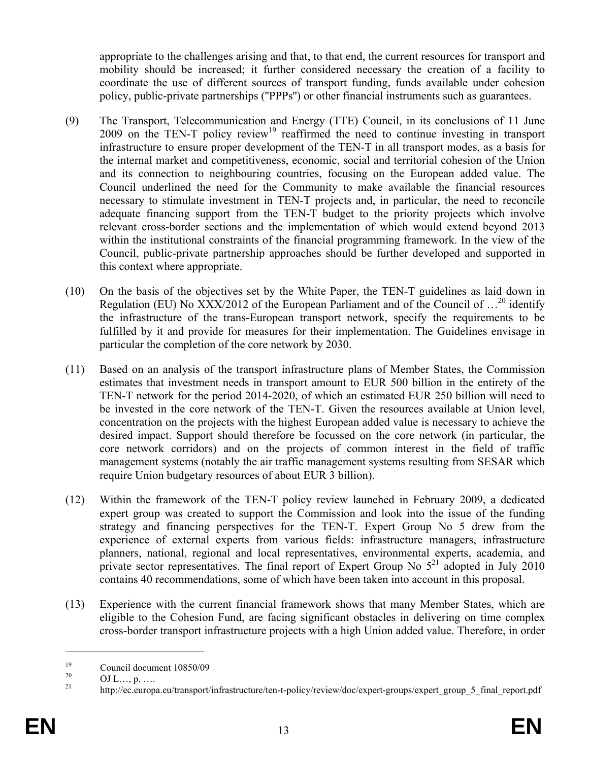appropriate to the challenges arising and that, to that end, the current resources for transport and mobility should be increased; it further considered necessary the creation of a facility to coordinate the use of different sources of transport funding, funds available under cohesion policy, public-private partnerships (''PPPs'') or other financial instruments such as guarantees.

- (9) The Transport, Telecommunication and Energy (TTE) Council, in its conclusions of 11 June 2009 on the TEN-T policy review<sup>19</sup> reaffirmed the need to continue investing in transport infrastructure to ensure proper development of the TEN-T in all transport modes, as a basis for the internal market and competitiveness, economic, social and territorial cohesion of the Union and its connection to neighbouring countries, focusing on the European added value. The Council underlined the need for the Community to make available the financial resources necessary to stimulate investment in TEN-T projects and, in particular, the need to reconcile adequate financing support from the TEN-T budget to the priority projects which involve relevant cross-border sections and the implementation of which would extend beyond 2013 within the institutional constraints of the financial programming framework. In the view of the Council, public-private partnership approaches should be further developed and supported in this context where appropriate.
- (10) On the basis of the objectives set by the White Paper, the TEN-T guidelines as laid down in Regulation (EU) No XXX/2012 of the European Parliament and of the Council of  $\ldots^{20}$  identify the infrastructure of the trans-European transport network, specify the requirements to be fulfilled by it and provide for measures for their implementation. The Guidelines envisage in particular the completion of the core network by 2030.
- (11) Based on an analysis of the transport infrastructure plans of Member States, the Commission estimates that investment needs in transport amount to EUR 500 billion in the entirety of the TEN-T network for the period 2014-2020, of which an estimated EUR 250 billion will need to be invested in the core network of the TEN-T. Given the resources available at Union level, concentration on the projects with the highest European added value is necessary to achieve the desired impact. Support should therefore be focussed on the core network (in particular, the core network corridors) and on the projects of common interest in the field of traffic management systems (notably the air traffic management systems resulting from SESAR which require Union budgetary resources of about EUR 3 billion).
- (12) Within the framework of the TEN-T policy review launched in February 2009, a dedicated expert group was created to support the Commission and look into the issue of the funding strategy and financing perspectives for the TEN-T. Expert Group No 5 drew from the experience of external experts from various fields: infrastructure managers, infrastructure planners, national, regional and local representatives, environmental experts, academia, and private sector representatives. The final report of Expert Group No  $5<sup>21</sup>$  adopted in July 2010 contains 40 recommendations, some of which have been taken into account in this proposal.
- (13) Experience with the current financial framework shows that many Member States, which are eligible to the Cohesion Fund, are facing significant obstacles in delivering on time complex cross-border transport infrastructure projects with a high Union added value. Therefore, in order

 $\frac{19}{20}$  Council document 10850/09

 $\frac{20}{21}$  OJ L…, p. ….

http://ec.europa.eu/transport/infrastructure/ten-t-policy/review/doc/expert-groups/expert\_group\_5\_final\_report.pdf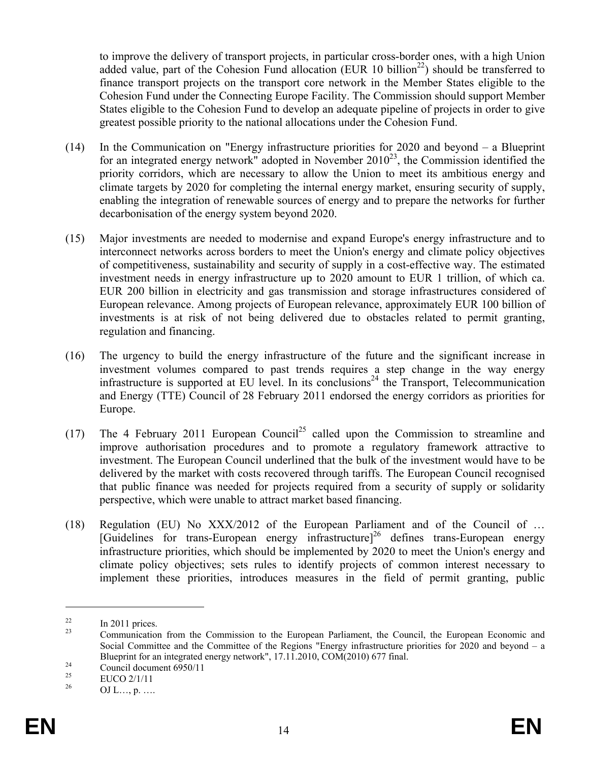to improve the delivery of transport projects, in particular cross-border ones, with a high Union added value, part of the Cohesion Fund allocation (EUR 10 billion<sup>22</sup>) should be transferred to finance transport projects on the transport core network in the Member States eligible to the Cohesion Fund under the Connecting Europe Facility. The Commission should support Member States eligible to the Cohesion Fund to develop an adequate pipeline of projects in order to give greatest possible priority to the national allocations under the Cohesion Fund.

- (14) In the Communication on "Energy infrastructure priorities for 2020 and beyond a Blueprint for an integrated energy network" adopted in November  $2010^{23}$ , the Commission identified the priority corridors, which are necessary to allow the Union to meet its ambitious energy and climate targets by 2020 for completing the internal energy market, ensuring security of supply, enabling the integration of renewable sources of energy and to prepare the networks for further decarbonisation of the energy system beyond 2020.
- (15) Major investments are needed to modernise and expand Europe's energy infrastructure and to interconnect networks across borders to meet the Union's energy and climate policy objectives of competitiveness, sustainability and security of supply in a cost-effective way. The estimated investment needs in energy infrastructure up to 2020 amount to EUR 1 trillion, of which ca. EUR 200 billion in electricity and gas transmission and storage infrastructures considered of European relevance. Among projects of European relevance, approximately EUR 100 billion of investments is at risk of not being delivered due to obstacles related to permit granting, regulation and financing.
- (16) The urgency to build the energy infrastructure of the future and the significant increase in investment volumes compared to past trends requires a step change in the way energy infrastructure is supported at EU level. In its conclusions<sup>24</sup> the Transport, Telecommunication and Energy (TTE) Council of 28 February 2011 endorsed the energy corridors as priorities for Europe.
- (17) The 4 February 2011 European Council<sup>25</sup> called upon the Commission to streamline and improve authorisation procedures and to promote a regulatory framework attractive to investment. The European Council underlined that the bulk of the investment would have to be delivered by the market with costs recovered through tariffs. The European Council recognised that public finance was needed for projects required from a security of supply or solidarity perspective, which were unable to attract market based financing.
- (18) Regulation (EU) No XXX/2012 of the European Parliament and of the Council of …  $[Guidelines]$  for trans-European energy infrastructure<sup> $]$ 26</sup> defines trans-European energy infrastructure priorities, which should be implemented by 2020 to meet the Union's energy and climate policy objectives; sets rules to identify projects of common interest necessary to implement these priorities, introduces measures in the field of permit granting, public

 $\frac{22}{23}$  In 2011 prices.

<sup>23</sup> Communication from the Commission to the European Parliament, the Council, the European Economic and Social Committee and the Committee of the Regions "Energy infrastructure priorities for 2020 and beyond – a Blueprint for an integrated energy network", 17.11.2010, COM(2010) 677 final.<br>  $\frac{^{24}}{^{25}}$  Council document 6950/11

 $^{25}$  EUCO 2/1/11

 $\mathrm{OJ}$  L…, p. ….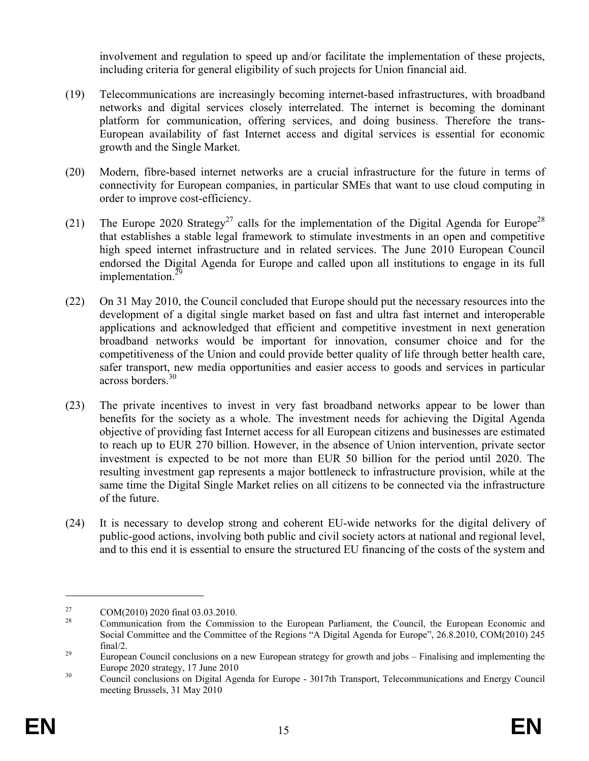involvement and regulation to speed up and/or facilitate the implementation of these projects, including criteria for general eligibility of such projects for Union financial aid.

- (19) Telecommunications are increasingly becoming internet-based infrastructures, with broadband networks and digital services closely interrelated. The internet is becoming the dominant platform for communication, offering services, and doing business. Therefore the trans-European availability of fast Internet access and digital services is essential for economic growth and the Single Market.
- (20) Modern, fibre-based internet networks are a crucial infrastructure for the future in terms of connectivity for European companies, in particular SMEs that want to use cloud computing in order to improve cost-efficiency.
- (21) The Europe 2020 Strategy<sup>27</sup> calls for the implementation of the Digital Agenda for Europe<sup>28</sup> that establishes a stable legal framework to stimulate investments in an open and competitive high speed internet infrastructure and in related services. The June 2010 European Council endorsed the Digital Agenda for Europe and called upon all institutions to engage in its full implementation.<sup>29</sup>
- (22) On 31 May 2010, the Council concluded that Europe should put the necessary resources into the development of a digital single market based on fast and ultra fast internet and interoperable applications and acknowledged that efficient and competitive investment in next generation broadband networks would be important for innovation, consumer choice and for the competitiveness of the Union and could provide better quality of life through better health care, safer transport, new media opportunities and easier access to goods and services in particular across borders.<sup>30</sup>
- (23) The private incentives to invest in very fast broadband networks appear to be lower than benefits for the society as a whole. The investment needs for achieving the Digital Agenda objective of providing fast Internet access for all European citizens and businesses are estimated to reach up to EUR 270 billion. However, in the absence of Union intervention, private sector investment is expected to be not more than EUR 50 billion for the period until 2020. The resulting investment gap represents a major bottleneck to infrastructure provision, while at the same time the Digital Single Market relies on all citizens to be connected via the infrastructure of the future.
- (24) It is necessary to develop strong and coherent EU-wide networks for the digital delivery of public-good actions, involving both public and civil society actors at national and regional level, and to this end it is essential to ensure the structured EU financing of the costs of the system and

 $27$  COM(2010) 2020 final 03.03.2010.<br><sup>28</sup> Communication from the Commission to the European Parliament, the Council, the European Economic and Social Committee and the Committee of the Regions "A Digital Agenda for Europe", 26.8.2010, COM(2010) 245 final/2.<br><sup>29</sup> European Council conclusions on a new European strategy for growth and jobs – Finalising and implementing the

Europe 2020 strategy, 17 June 2010<br><sup>30</sup> Council conclusions on Digital Agenda for Europe - 3017th Transport, Telecommunications and Energy Council

meeting Brussels, 31 May 2010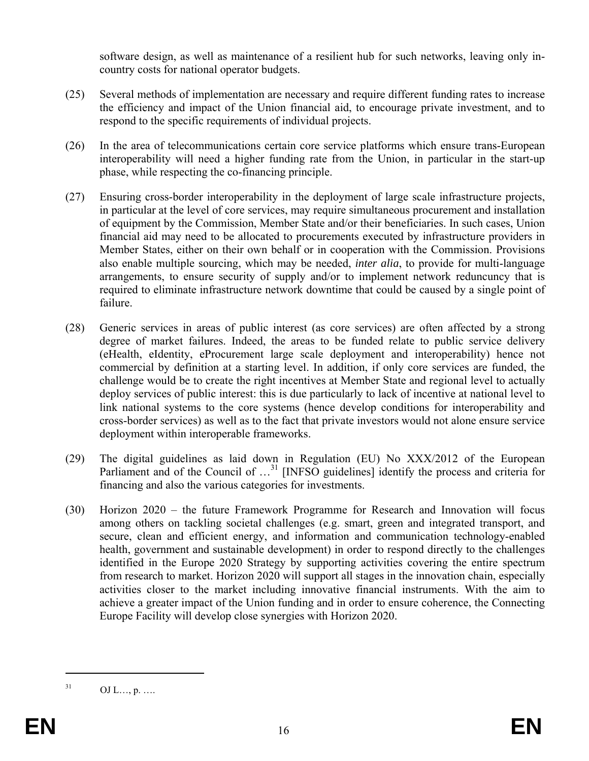software design, as well as maintenance of a resilient hub for such networks, leaving only incountry costs for national operator budgets.

- (25) Several methods of implementation are necessary and require different funding rates to increase the efficiency and impact of the Union financial aid, to encourage private investment, and to respond to the specific requirements of individual projects.
- (26) In the area of telecommunications certain core service platforms which ensure trans-European interoperability will need a higher funding rate from the Union, in particular in the start-up phase, while respecting the co-financing principle.
- (27) Ensuring cross-border interoperability in the deployment of large scale infrastructure projects, in particular at the level of core services, may require simultaneous procurement and installation of equipment by the Commission, Member State and/or their beneficiaries. In such cases, Union financial aid may need to be allocated to procurements executed by infrastructure providers in Member States, either on their own behalf or in cooperation with the Commission. Provisions also enable multiple sourcing, which may be needed, *inter alia*, to provide for multi-language arrangements, to ensure security of supply and/or to implement network reduncuncy that is required to eliminate infrastructure network downtime that could be caused by a single point of failure.
- (28) Generic services in areas of public interest (as core services) are often affected by a strong degree of market failures. Indeed, the areas to be funded relate to public service delivery (eHealth, eIdentity, eProcurement large scale deployment and interoperability) hence not commercial by definition at a starting level. In addition, if only core services are funded, the challenge would be to create the right incentives at Member State and regional level to actually deploy services of public interest: this is due particularly to lack of incentive at national level to link national systems to the core systems (hence develop conditions for interoperability and cross-border services) as well as to the fact that private investors would not alone ensure service deployment within interoperable frameworks.
- (29) The digital guidelines as laid down in Regulation (EU) No XXX/2012 of the European Parliament and of the Council of ...<sup>31</sup> [INFSO guidelines] identify the process and criteria for financing and also the various categories for investments.
- (30) Horizon 2020 the future Framework Programme for Research and Innovation will focus among others on tackling societal challenges (e.g. smart, green and integrated transport, and secure, clean and efficient energy, and information and communication technology-enabled health, government and sustainable development) in order to respond directly to the challenges identified in the Europe 2020 Strategy by supporting activities covering the entire spectrum from research to market. Horizon 2020 will support all stages in the innovation chain, especially activities closer to the market including innovative financial instruments. With the aim to achieve a greater impact of the Union funding and in order to ensure coherence, the Connecting Europe Facility will develop close synergies with Horizon 2020.

 $31$  OJ L…, p. ….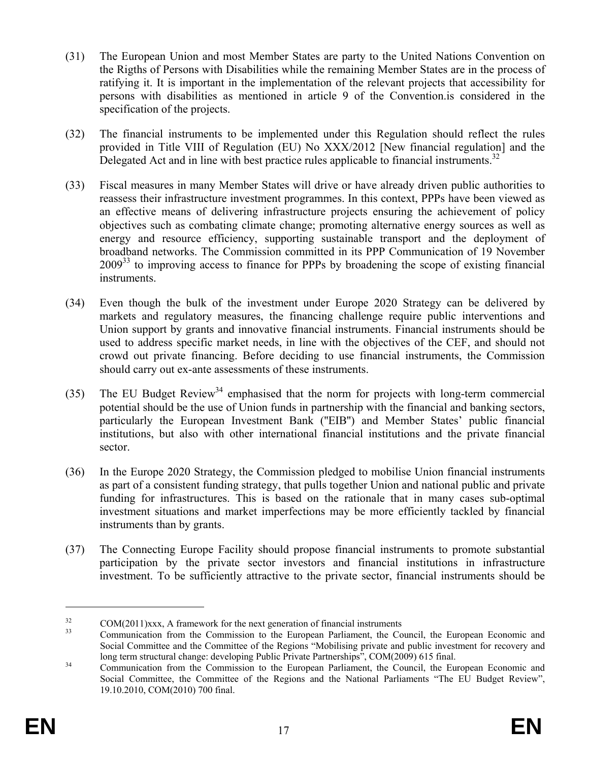- (31) The European Union and most Member States are party to the United Nations Convention on the Rigths of Persons with Disabilities while the remaining Member States are in the process of ratifying it. It is important in the implementation of the relevant projects that accessibility for persons with disabilities as mentioned in article 9 of the Convention.is considered in the specification of the projects.
- (32) The financial instruments to be implemented under this Regulation should reflect the rules provided in Title VIII of Regulation (EU) No XXX/2012 [New financial regulation] and the Delegated Act and in line with best practice rules applicable to financial instruments.<sup>32</sup>
- (33) Fiscal measures in many Member States will drive or have already driven public authorities to reassess their infrastructure investment programmes. In this context, PPPs have been viewed as an effective means of delivering infrastructure projects ensuring the achievement of policy objectives such as combating climate change; promoting alternative energy sources as well as energy and resource efficiency, supporting sustainable transport and the deployment of broadband networks. The Commission committed in its PPP Communication of 19 November 200933 to improving access to finance for PPPs by broadening the scope of existing financial instruments.
- (34) Even though the bulk of the investment under Europe 2020 Strategy can be delivered by markets and regulatory measures, the financing challenge require public interventions and Union support by grants and innovative financial instruments. Financial instruments should be used to address specific market needs, in line with the objectives of the CEF, and should not crowd out private financing. Before deciding to use financial instruments, the Commission should carry out ex-ante assessments of these instruments.
- (35) The EU Budget Review<sup>34</sup> emphasised that the norm for projects with long-term commercial potential should be the use of Union funds in partnership with the financial and banking sectors, particularly the European Investment Bank (''EIB'') and Member States' public financial institutions, but also with other international financial institutions and the private financial sector.
- (36) In the Europe 2020 Strategy, the Commission pledged to mobilise Union financial instruments as part of a consistent funding strategy, that pulls together Union and national public and private funding for infrastructures. This is based on the rationale that in many cases sub-optimal investment situations and market imperfections may be more efficiently tackled by financial instruments than by grants.
- (37) The Connecting Europe Facility should propose financial instruments to promote substantial participation by the private sector investors and financial institutions in infrastructure investment. To be sufficiently attractive to the private sector, financial instruments should be

 $\frac{32}{33}$  COM(2011)xxx, A framework for the next generation of financial instruments<br>Communication from the Communication to the European Perliament, the Co

<sup>33</sup> Communication from the Commission to the European Parliament, the Council, the European Economic and Social Committee and the Committee of the Regions "Mobilising private and public investment for recovery and

long term structural change: developing Public Private Partnerships", COM(2009) 615 final. 34 Communication from the Commission to the European Parliament, the Council, the European Economic and Social Committee, the Committee of the Regions and the National Parliaments "The EU Budget Review", 19.10.2010, COM(2010) 700 final.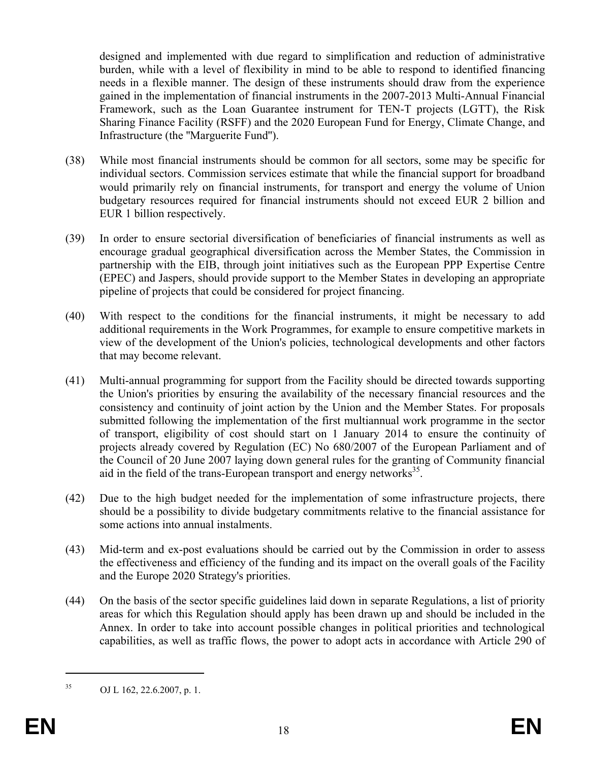designed and implemented with due regard to simplification and reduction of administrative burden, while with a level of flexibility in mind to be able to respond to identified financing needs in a flexible manner. The design of these instruments should draw from the experience gained in the implementation of financial instruments in the 2007-2013 Multi-Annual Financial Framework, such as the Loan Guarantee instrument for TEN-T projects (LGTT), the Risk Sharing Finance Facility (RSFF) and the 2020 European Fund for Energy, Climate Change, and Infrastructure (the ''Marguerite Fund'').

- (38) While most financial instruments should be common for all sectors, some may be specific for individual sectors. Commission services estimate that while the financial support for broadband would primarily rely on financial instruments, for transport and energy the volume of Union budgetary resources required for financial instruments should not exceed EUR 2 billion and EUR 1 billion respectively.
- (39) In order to ensure sectorial diversification of beneficiaries of financial instruments as well as encourage gradual geographical diversification across the Member States, the Commission in partnership with the EIB, through joint initiatives such as the European PPP Expertise Centre (EPEC) and Jaspers, should provide support to the Member States in developing an appropriate pipeline of projects that could be considered for project financing.
- (40) With respect to the conditions for the financial instruments, it might be necessary to add additional requirements in the Work Programmes, for example to ensure competitive markets in view of the development of the Union's policies, technological developments and other factors that may become relevant.
- (41) Multi-annual programming for support from the Facility should be directed towards supporting the Union's priorities by ensuring the availability of the necessary financial resources and the consistency and continuity of joint action by the Union and the Member States. For proposals submitted following the implementation of the first multiannual work programme in the sector of transport, eligibility of cost should start on 1 January 2014 to ensure the continuity of projects already covered by Regulation (EC) No 680/2007 of the European Parliament and of the Council of 20 June 2007 laying down general rules for the granting of Community financial aid in the field of the trans-European transport and energy networks $^{35}$ .
- (42) Due to the high budget needed for the implementation of some infrastructure projects, there should be a possibility to divide budgetary commitments relative to the financial assistance for some actions into annual instalments.
- (43) Mid-term and ex-post evaluations should be carried out by the Commission in order to assess the effectiveness and efficiency of the funding and its impact on the overall goals of the Facility and the Europe 2020 Strategy's priorities.
- (44) On the basis of the sector specific guidelines laid down in separate Regulations, a list of priority areas for which this Regulation should apply has been drawn up and should be included in the Annex. In order to take into account possible changes in political priorities and technological capabilities, as well as traffic flows, the power to adopt acts in accordance with Article 290 of

<sup>35</sup> OJ L 162, 22.6.2007, p. 1.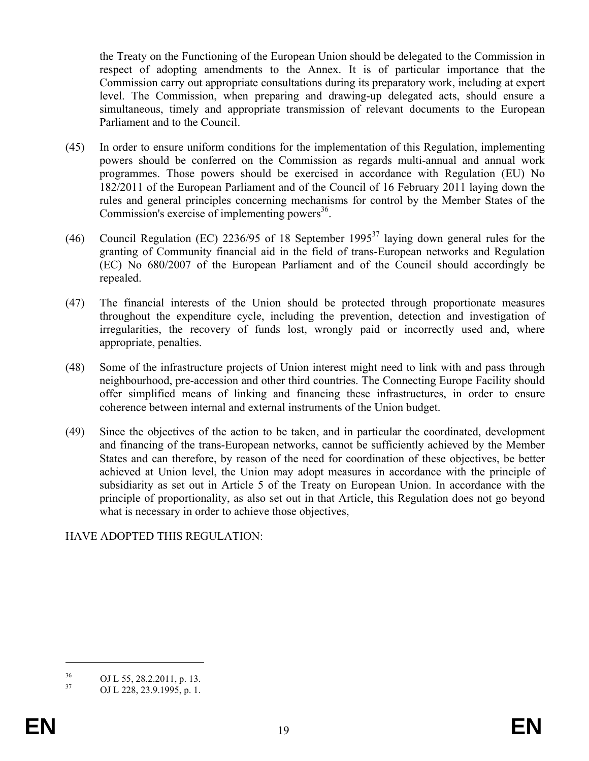the Treaty on the Functioning of the European Union should be delegated to the Commission in respect of adopting amendments to the Annex. It is of particular importance that the Commission carry out appropriate consultations during its preparatory work, including at expert level. The Commission, when preparing and drawing-up delegated acts, should ensure a simultaneous, timely and appropriate transmission of relevant documents to the European Parliament and to the Council.

- (45) In order to ensure uniform conditions for the implementation of this Regulation, implementing powers should be conferred on the Commission as regards multi-annual and annual work programmes. Those powers should be exercised in accordance with Regulation (EU) No 182/2011 of the European Parliament and of the Council of 16 February 2011 laying down the rules and general principles concerning mechanisms for control by the Member States of the Commission's exercise of implementing powers $^{36}$ .
- (46) Council Regulation (EC) 2236/95 of 18 September 199537 laying down general rules for the granting of Community financial aid in the field of trans-European networks and Regulation (EC) No 680/2007 of the European Parliament and of the Council should accordingly be repealed.
- (47) The financial interests of the Union should be protected through proportionate measures throughout the expenditure cycle, including the prevention, detection and investigation of irregularities, the recovery of funds lost, wrongly paid or incorrectly used and, where appropriate, penalties.
- (48) Some of the infrastructure projects of Union interest might need to link with and pass through neighbourhood, pre-accession and other third countries. The Connecting Europe Facility should offer simplified means of linking and financing these infrastructures, in order to ensure coherence between internal and external instruments of the Union budget.
- (49) Since the objectives of the action to be taken, and in particular the coordinated, development and financing of the trans-European networks, cannot be sufficiently achieved by the Member States and can therefore, by reason of the need for coordination of these objectives, be better achieved at Union level, the Union may adopt measures in accordance with the principle of subsidiarity as set out in Article 5 of the Treaty on European Union. In accordance with the principle of proportionality, as also set out in that Article, this Regulation does not go beyond what is necessary in order to achieve those objectives,

HAVE ADOPTED THIS REGULATION:

 $^{36}$  OJ L 55, 28.2.2011, p. 13.<br> $^{37}$  OJ L 229, 22.9.1005, p. 1

OJ L 228, 23.9.1995, p. 1.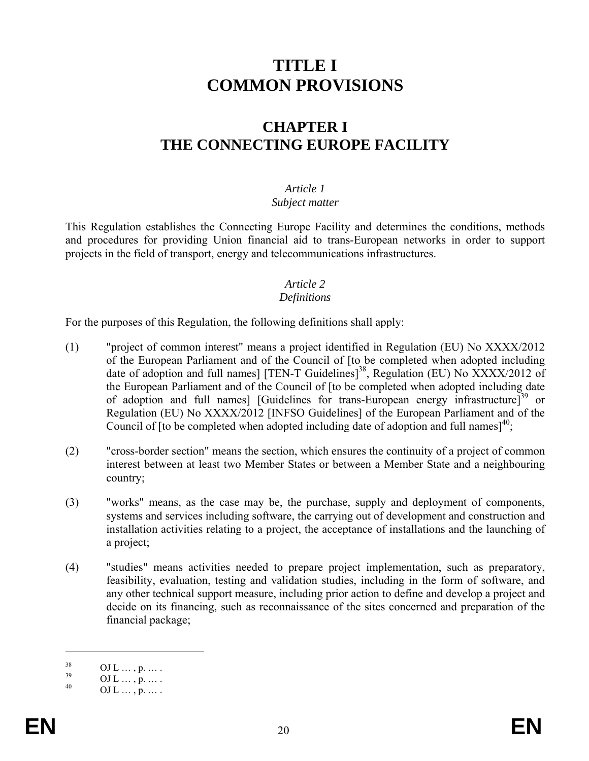# **TITLE I COMMON PROVISIONS**

## **CHAPTER I THE CONNECTING EUROPE FACILITY**

## *Article 1*

#### *Subject matter*

This Regulation establishes the Connecting Europe Facility and determines the conditions, methods and procedures for providing Union financial aid to trans-European networks in order to support projects in the field of transport, energy and telecommunications infrastructures.

### *Article 2*

#### *Definitions*

For the purposes of this Regulation, the following definitions shall apply:

- (1) "project of common interest" means a project identified in Regulation (EU) No XXXX/2012 of the European Parliament and of the Council of [to be completed when adopted including date of adoption and full names] [TEN-T Guidelines]<sup>38</sup>, Regulation (EU) No XXXX/2012 of the European Parliament and of the Council of [to be completed when adopted including date of adoption and full names] [Guidelines for trans-European energy infrastructure]<sup>39</sup> or Regulation (EU) No XXXX/2012 [INFSO Guidelines] of the European Parliament and of the Council of [to be completed when adopted including date of adoption and full names] $40$ ;
- (2) "cross-border section" means the section, which ensures the continuity of a project of common interest between at least two Member States or between a Member State and a neighbouring country;
- (3) "works" means, as the case may be, the purchase, supply and deployment of components, systems and services including software, the carrying out of development and construction and installation activities relating to a project, the acceptance of installations and the launching of a project;
- (4) "studies" means activities needed to prepare project implementation, such as preparatory, feasibility, evaluation, testing and validation studies, including in the form of software, and any other technical support measure, including prior action to define and develop a project and decide on its financing, such as reconnaissance of the sites concerned and preparation of the financial package;

 $\frac{38}{39}$  OJ L ..., p. ....

 $\frac{39}{40}$  OJ L ..., p. ....

 $\mathrm{OJ L}$   $\dots$  , p.  $\dots$  .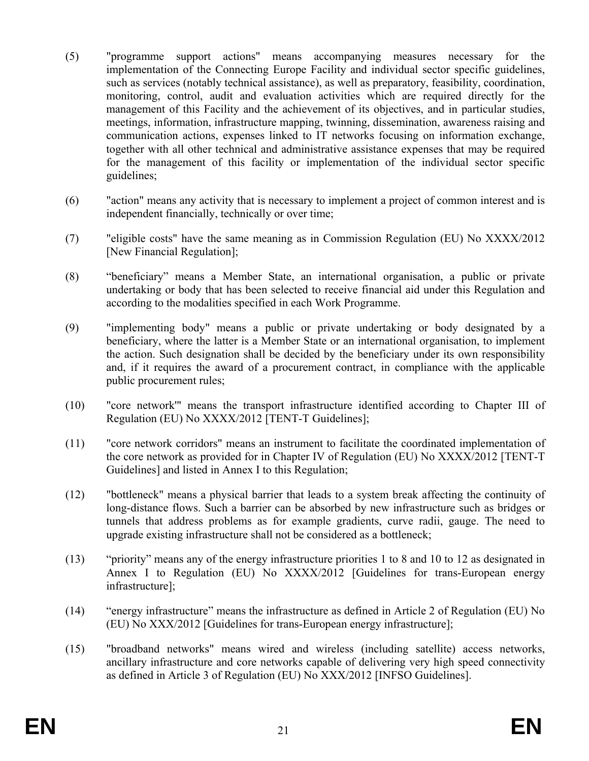- (5) "programme support actions" means accompanying measures necessary for the implementation of the Connecting Europe Facility and individual sector specific guidelines, such as services (notably technical assistance), as well as preparatory, feasibility, coordination, monitoring, control, audit and evaluation activities which are required directly for the management of this Facility and the achievement of its objectives, and in particular studies, meetings, information, infrastructure mapping, twinning, dissemination, awareness raising and communication actions, expenses linked to IT networks focusing on information exchange, together with all other technical and administrative assistance expenses that may be required for the management of this facility or implementation of the individual sector specific guidelines;
- (6) "action" means any activity that is necessary to implement a project of common interest and is independent financially, technically or over time;
- (7) "eligible costs" have the same meaning as in Commission Regulation (EU) No XXXX/2012 [New Financial Regulation];
- (8) "beneficiary" means a Member State, an international organisation, a public or private undertaking or body that has been selected to receive financial aid under this Regulation and according to the modalities specified in each Work Programme.
- (9) "implementing body" means a public or private undertaking or body designated by a beneficiary, where the latter is a Member State or an international organisation, to implement the action. Such designation shall be decided by the beneficiary under its own responsibility and, if it requires the award of a procurement contract, in compliance with the applicable public procurement rules;
- (10) "core network'" means the transport infrastructure identified according to Chapter III of Regulation (EU) No XXXX/2012 [TENT-T Guidelines];
- (11) "core network corridors" means an instrument to facilitate the coordinated implementation of the core network as provided for in Chapter IV of Regulation (EU) No XXXX/2012 [TENT-T Guidelines] and listed in Annex I to this Regulation;
- (12) "bottleneck" means a physical barrier that leads to a system break affecting the continuity of long-distance flows. Such a barrier can be absorbed by new infrastructure such as bridges or tunnels that address problems as for example gradients, curve radii, gauge. The need to upgrade existing infrastructure shall not be considered as a bottleneck;
- (13) "priority" means any of the energy infrastructure priorities 1 to 8 and 10 to 12 as designated in Annex I to Regulation (EU) No XXXX/2012 [Guidelines for trans-European energy infrastructure];
- (14) "energy infrastructure" means the infrastructure as defined in Article 2 of Regulation (EU) No (EU) No XXX/2012 [Guidelines for trans-European energy infrastructure];
- (15) "broadband networks" means wired and wireless (including satellite) access networks, ancillary infrastructure and core networks capable of delivering very high speed connectivity as defined in Article 3 of Regulation (EU) No XXX/2012 [INFSO Guidelines].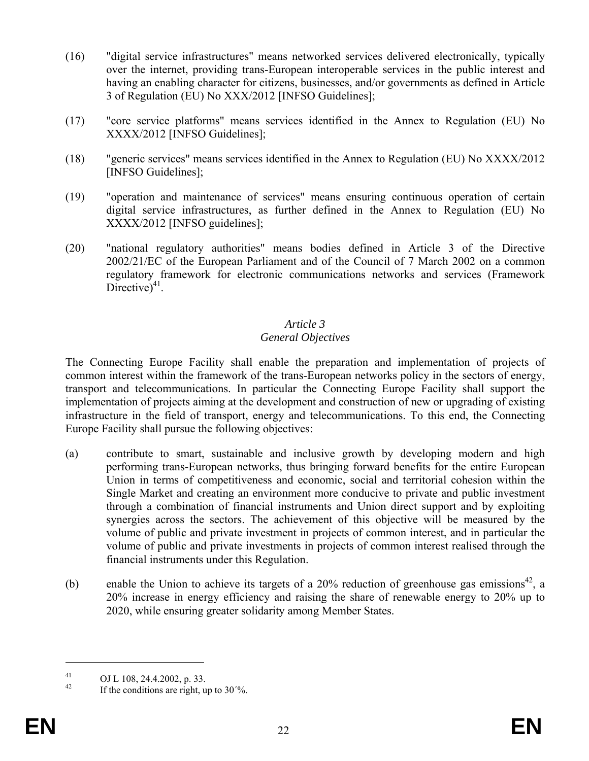- (16) "digital service infrastructures" means networked services delivered electronically, typically over the internet, providing trans-European interoperable services in the public interest and having an enabling character for citizens, businesses, and/or governments as defined in Article 3 of Regulation (EU) No XXX/2012 [INFSO Guidelines];
- (17) "core service platforms" means services identified in the Annex to Regulation (EU) No XXXX/2012 [INFSO Guidelines];
- (18) "generic services" means services identified in the Annex to Regulation (EU) No XXXX/2012 [INFSO Guidelines];
- (19) "operation and maintenance of services" means ensuring continuous operation of certain digital service infrastructures, as further defined in the Annex to Regulation (EU) No XXXX/2012 [INFSO guidelines];
- (20) "national regulatory authorities" means bodies defined in Article 3 of the Directive 2002/21/EC of the European Parliament and of the Council of 7 March 2002 on a common regulatory framework for electronic communications networks and services (Framework Directive) $41$ .

### *General Objectives*

The Connecting Europe Facility shall enable the preparation and implementation of projects of common interest within the framework of the trans-European networks policy in the sectors of energy, transport and telecommunications. In particular the Connecting Europe Facility shall support the implementation of projects aiming at the development and construction of new or upgrading of existing infrastructure in the field of transport, energy and telecommunications. To this end, the Connecting Europe Facility shall pursue the following objectives:

- (a) contribute to smart, sustainable and inclusive growth by developing modern and high performing trans-European networks, thus bringing forward benefits for the entire European Union in terms of competitiveness and economic, social and territorial cohesion within the Single Market and creating an environment more conducive to private and public investment through a combination of financial instruments and Union direct support and by exploiting synergies across the sectors. The achievement of this objective will be measured by the volume of public and private investment in projects of common interest, and in particular the volume of public and private investments in projects of common interest realised through the financial instruments under this Regulation.
- (b) enable the Union to achieve its targets of a 20% reduction of greenhouse gas emissions<sup>42</sup>, a 20% increase in energy efficiency and raising the share of renewable energy to 20% up to 2020, while ensuring greater solidarity among Member States.

 $^{41}_{42}$  OJ L 108, 24.4.2002, p. 33.

If the conditions are right, up to  $30\%$ .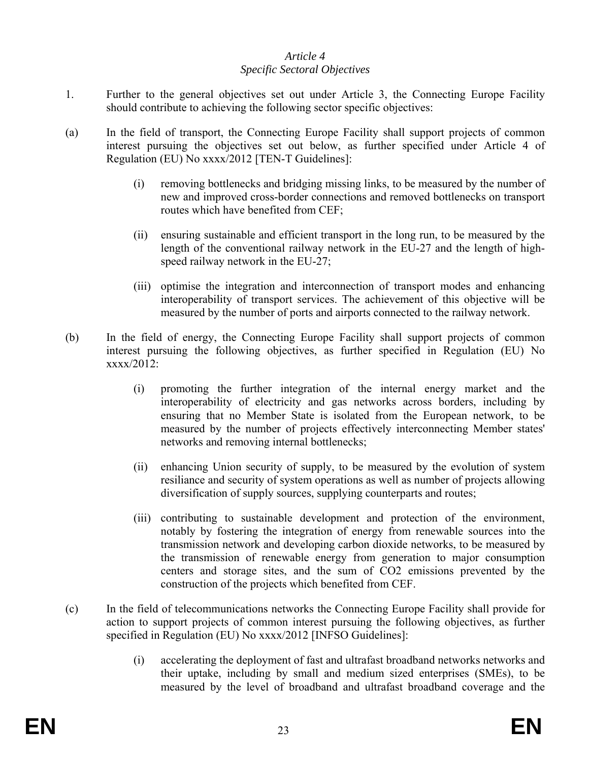#### *Article 4 Specific Sectoral Objectives*

- 1. Further to the general objectives set out under Article 3, the Connecting Europe Facility should contribute to achieving the following sector specific objectives:
- (a) In the field of transport, the Connecting Europe Facility shall support projects of common interest pursuing the objectives set out below, as further specified under Article 4 of Regulation (EU) No xxxx/2012 [TEN-T Guidelines]:
	- (i) removing bottlenecks and bridging missing links, to be measured by the number of new and improved cross-border connections and removed bottlenecks on transport routes which have benefited from CEF;
	- (ii) ensuring sustainable and efficient transport in the long run, to be measured by the length of the conventional railway network in the EU-27 and the length of highspeed railway network in the EU-27;
	- (iii) optimise the integration and interconnection of transport modes and enhancing interoperability of transport services. The achievement of this objective will be measured by the number of ports and airports connected to the railway network.
- (b) In the field of energy, the Connecting Europe Facility shall support projects of common interest pursuing the following objectives, as further specified in Regulation (EU) No xxxx/2012:
	- (i) promoting the further integration of the internal energy market and the interoperability of electricity and gas networks across borders, including by ensuring that no Member State is isolated from the European network, to be measured by the number of projects effectively interconnecting Member states' networks and removing internal bottlenecks;
	- (ii) enhancing Union security of supply, to be measured by the evolution of system resiliance and security of system operations as well as number of projects allowing diversification of supply sources, supplying counterparts and routes;
	- (iii) contributing to sustainable development and protection of the environment, notably by fostering the integration of energy from renewable sources into the transmission network and developing carbon dioxide networks, to be measured by the transmission of renewable energy from generation to major consumption centers and storage sites, and the sum of CO2 emissions prevented by the construction of the projects which benefited from CEF.
- (c) In the field of telecommunications networks the Connecting Europe Facility shall provide for action to support projects of common interest pursuing the following objectives, as further specified in Regulation (EU) No xxxx/2012 [INFSO Guidelines]:
	- (i) accelerating the deployment of fast and ultrafast broadband networks networks and their uptake, including by small and medium sized enterprises (SMEs), to be measured by the level of broadband and ultrafast broadband coverage and the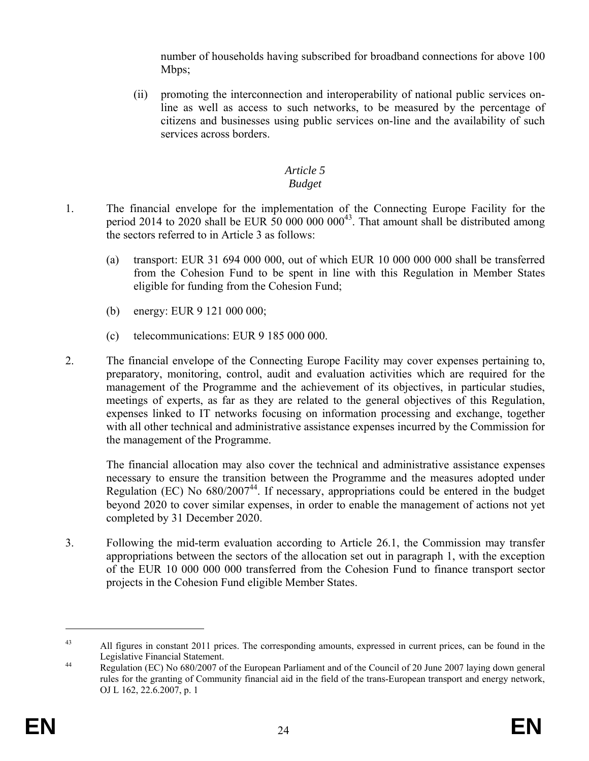number of households having subscribed for broadband connections for above 100 Mbps;

(ii) promoting the interconnection and interoperability of national public services online as well as access to such networks, to be measured by the percentage of citizens and businesses using public services on-line and the availability of such services across borders.

## *Article 5*

## *Budget*

- 1. The financial envelope for the implementation of the Connecting Europe Facility for the period 2014 to 2020 shall be EUR 50 000 000  $000^{43}$ . That amount shall be distributed among the sectors referred to in Article 3 as follows:
	- (a) transport: EUR 31 694 000 000, out of which EUR 10 000 000 000 shall be transferred from the Cohesion Fund to be spent in line with this Regulation in Member States eligible for funding from the Cohesion Fund;
	- (b) energy: EUR 9 121 000 000;
	- (c) telecommunications: EUR 9 185 000 000.
- 2. The financial envelope of the Connecting Europe Facility may cover expenses pertaining to, preparatory, monitoring, control, audit and evaluation activities which are required for the management of the Programme and the achievement of its objectives, in particular studies, meetings of experts, as far as they are related to the general objectives of this Regulation, expenses linked to IT networks focusing on information processing and exchange, together with all other technical and administrative assistance expenses incurred by the Commission for the management of the Programme.

The financial allocation may also cover the technical and administrative assistance expenses necessary to ensure the transition between the Programme and the measures adopted under Regulation (EC) No  $680/2007<sup>44</sup>$ . If necessary, appropriations could be entered in the budget beyond 2020 to cover similar expenses, in order to enable the management of actions not yet completed by 31 December 2020.

3. Following the mid-term evaluation according to Article 26.1, the Commission may transfer appropriations between the sectors of the allocation set out in paragraph 1, with the exception of the EUR 10 000 000 000 transferred from the Cohesion Fund to finance transport sector projects in the Cohesion Fund eligible Member States.

<sup>&</sup>lt;sup>43</sup> All figures in constant 2011 prices. The corresponding amounts, expressed in current prices, can be found in the

Legislative Financial Statement.<br><sup>44</sup> Regulation (EC) No 680/2007 of the European Parliament and of the Council of 20 June 2007 laying down general rules for the granting of Community financial aid in the field of the trans-European transport and energy network, OJ L 162, 22.6.2007, p. 1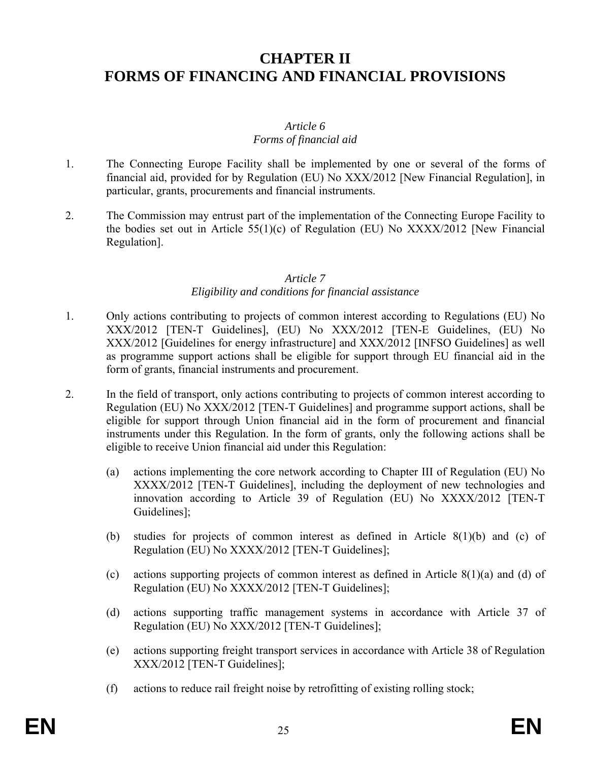## **CHAPTER II FORMS OF FINANCING AND FINANCIAL PROVISIONS**

## *Article 6*

## *Forms of financial aid*

- 1. The Connecting Europe Facility shall be implemented by one or several of the forms of financial aid, provided for by Regulation (EU) No XXX/2012 [New Financial Regulation], in particular, grants, procurements and financial instruments.
- 2. The Commission may entrust part of the implementation of the Connecting Europe Facility to the bodies set out in Article 55(1)(c) of Regulation (EU) No XXXX/2012 [New Financial Regulation].

## *Article 7 Eligibility and conditions for financial assistance*

- 1. Only actions contributing to projects of common interest according to Regulations (EU) No XXX/2012 [TEN-T Guidelines], (EU) No XXX/2012 [TEN-E Guidelines, (EU) No XXX/2012 [Guidelines for energy infrastructure] and XXX/2012 [INFSO Guidelines] as well as programme support actions shall be eligible for support through EU financial aid in the form of grants, financial instruments and procurement.
- 2. In the field of transport, only actions contributing to projects of common interest according to Regulation (EU) No XXX/2012 [TEN-T Guidelines] and programme support actions, shall be eligible for support through Union financial aid in the form of procurement and financial instruments under this Regulation. In the form of grants, only the following actions shall be eligible to receive Union financial aid under this Regulation:
	- (a) actions implementing the core network according to Chapter III of Regulation (EU) No XXXX/2012 [TEN-T Guidelines], including the deployment of new technologies and innovation according to Article 39 of Regulation (EU) No XXXX/2012 [TEN-T Guidelines];
	- (b) studies for projects of common interest as defined in Article 8(1)(b) and (c) of Regulation (EU) No XXXX/2012 [TEN-T Guidelines];
	- (c) actions supporting projects of common interest as defined in Article 8(1)(a) and (d) of Regulation (EU) No XXXX/2012 [TEN-T Guidelines];
	- (d) actions supporting traffic management systems in accordance with Article 37 of Regulation (EU) No XXX/2012 [TEN-T Guidelines];
	- (e) actions supporting freight transport services in accordance with Article 38 of Regulation XXX/2012 [TEN-T Guidelines];
	- (f) actions to reduce rail freight noise by retrofitting of existing rolling stock;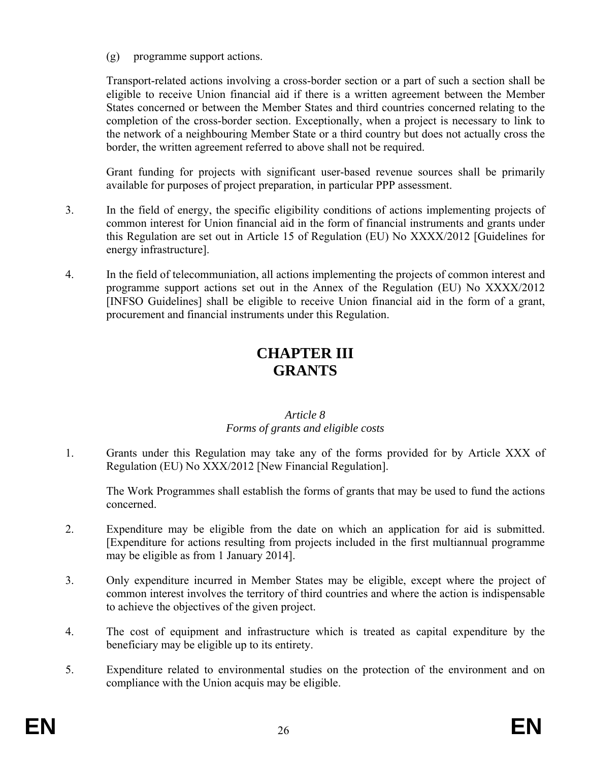(g) programme support actions.

Transport-related actions involving a cross-border section or a part of such a section shall be eligible to receive Union financial aid if there is a written agreement between the Member States concerned or between the Member States and third countries concerned relating to the completion of the cross-border section. Exceptionally, when a project is necessary to link to the network of a neighbouring Member State or a third country but does not actually cross the border, the written agreement referred to above shall not be required.

Grant funding for projects with significant user-based revenue sources shall be primarily available for purposes of project preparation, in particular PPP assessment.

- 3. In the field of energy, the specific eligibility conditions of actions implementing projects of common interest for Union financial aid in the form of financial instruments and grants under this Regulation are set out in Article 15 of Regulation (EU) No XXXX/2012 [Guidelines for energy infrastructure].
- 4. In the field of telecommuniation, all actions implementing the projects of common interest and programme support actions set out in the Annex of the Regulation (EU) No XXXX/2012 [INFSO Guidelines] shall be eligible to receive Union financial aid in the form of a grant, procurement and financial instruments under this Regulation.

## **CHAPTER III GRANTS**

### *Article 8 Forms of grants and eligible costs*

1. Grants under this Regulation may take any of the forms provided for by Article XXX of Regulation (EU) No XXX/2012 [New Financial Regulation].

The Work Programmes shall establish the forms of grants that may be used to fund the actions concerned.

- 2. Expenditure may be eligible from the date on which an application for aid is submitted. [Expenditure for actions resulting from projects included in the first multiannual programme may be eligible as from 1 January 2014].
- 3. Only expenditure incurred in Member States may be eligible, except where the project of common interest involves the territory of third countries and where the action is indispensable to achieve the objectives of the given project.
- 4. The cost of equipment and infrastructure which is treated as capital expenditure by the beneficiary may be eligible up to its entirety.
- 5. Expenditure related to environmental studies on the protection of the environment and on compliance with the Union acquis may be eligible.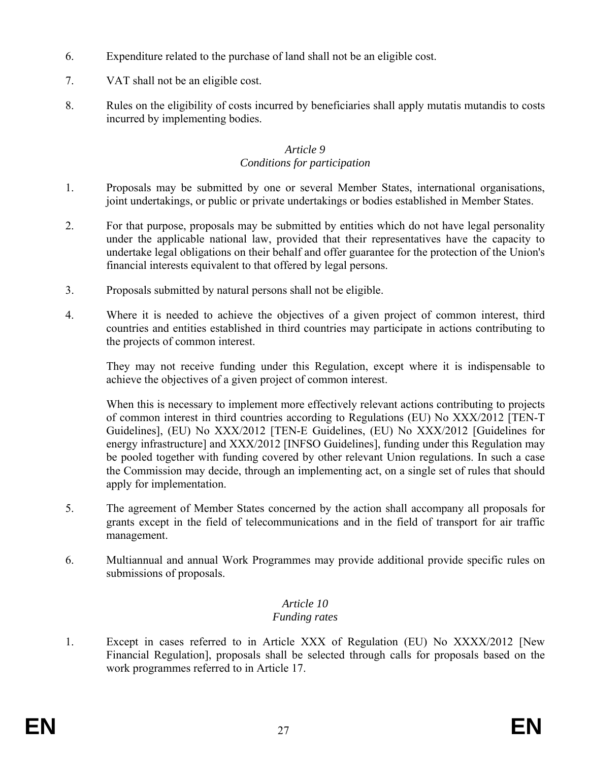- 6. Expenditure related to the purchase of land shall not be an eligible cost.
- 7. VAT shall not be an eligible cost.
- 8. Rules on the eligibility of costs incurred by beneficiaries shall apply mutatis mutandis to costs incurred by implementing bodies.

#### *Article 9 Conditions for participation*

- 1. Proposals may be submitted by one or several Member States, international organisations, joint undertakings, or public or private undertakings or bodies established in Member States.
- 2. For that purpose, proposals may be submitted by entities which do not have legal personality under the applicable national law, provided that their representatives have the capacity to undertake legal obligations on their behalf and offer guarantee for the protection of the Union's financial interests equivalent to that offered by legal persons.
- 3. Proposals submitted by natural persons shall not be eligible.
- 4. Where it is needed to achieve the objectives of a given project of common interest, third countries and entities established in third countries may participate in actions contributing to the projects of common interest.

They may not receive funding under this Regulation, except where it is indispensable to achieve the objectives of a given project of common interest.

When this is necessary to implement more effectively relevant actions contributing to projects of common interest in third countries according to Regulations (EU) No XXX/2012 [TEN-T Guidelines], (EU) No XXX/2012 [TEN-E Guidelines, (EU) No XXX/2012 [Guidelines for energy infrastructure] and XXX/2012 [INFSO Guidelines], funding under this Regulation may be pooled together with funding covered by other relevant Union regulations. In such a case the Commission may decide, through an implementing act, on a single set of rules that should apply for implementation.

- 5. The agreement of Member States concerned by the action shall accompany all proposals for grants except in the field of telecommunications and in the field of transport for air traffic management.
- 6. Multiannual and annual Work Programmes may provide additional provide specific rules on submissions of proposals.

## *Article 10*

## *Funding rates*

1. Except in cases referred to in Article XXX of Regulation (EU) No XXXX/2012 [New Financial Regulation], proposals shall be selected through calls for proposals based on the work programmes referred to in Article 17.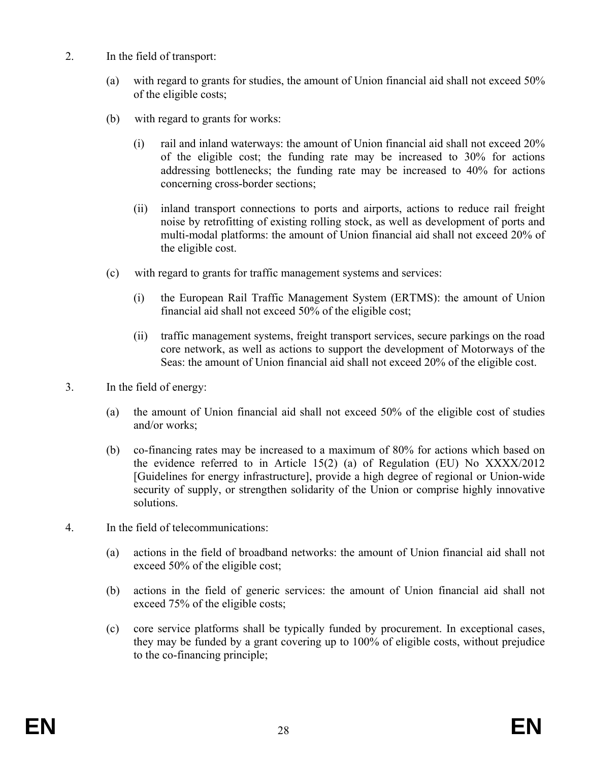- 2. In the field of transport:
	- (a) with regard to grants for studies, the amount of Union financial aid shall not exceed 50% of the eligible costs;
	- (b) with regard to grants for works:
		- (i) rail and inland waterways: the amount of Union financial aid shall not exceed 20% of the eligible cost; the funding rate may be increased to 30% for actions addressing bottlenecks; the funding rate may be increased to 40% for actions concerning cross-border sections;
		- (ii) inland transport connections to ports and airports, actions to reduce rail freight noise by retrofitting of existing rolling stock, as well as development of ports and multi-modal platforms: the amount of Union financial aid shall not exceed 20% of the eligible cost.
	- (c) with regard to grants for traffic management systems and services:
		- (i) the European Rail Traffic Management System (ERTMS): the amount of Union financial aid shall not exceed 50% of the eligible cost;
		- (ii) traffic management systems, freight transport services, secure parkings on the road core network, as well as actions to support the development of Motorways of the Seas: the amount of Union financial aid shall not exceed 20% of the eligible cost.
- 3. In the field of energy:
	- (a) the amount of Union financial aid shall not exceed 50% of the eligible cost of studies and/or works;
	- (b) co-financing rates may be increased to a maximum of 80% for actions which based on the evidence referred to in Article 15(2) (a) of Regulation (EU) No XXXX/2012 [Guidelines for energy infrastructure], provide a high degree of regional or Union-wide security of supply, or strengthen solidarity of the Union or comprise highly innovative solutions.
- 4. In the field of telecommunications:
	- (a) actions in the field of broadband networks: the amount of Union financial aid shall not exceed 50% of the eligible cost;
	- (b) actions in the field of generic services: the amount of Union financial aid shall not exceed 75% of the eligible costs;
	- (c) core service platforms shall be typically funded by procurement. In exceptional cases, they may be funded by a grant covering up to 100% of eligible costs, without prejudice to the co-financing principle;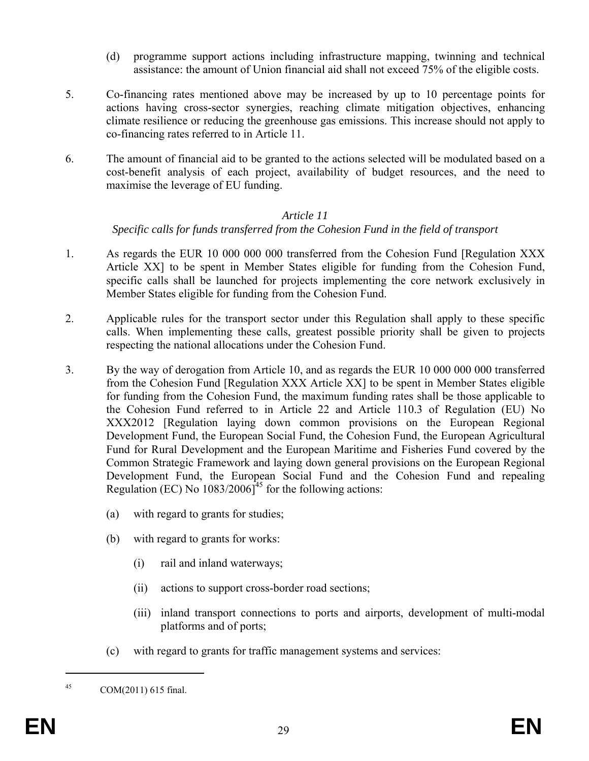- (d) programme support actions including infrastructure mapping, twinning and technical assistance: the amount of Union financial aid shall not exceed 75% of the eligible costs.
- 5. Co-financing rates mentioned above may be increased by up to 10 percentage points for actions having cross-sector synergies, reaching climate mitigation objectives, enhancing climate resilience or reducing the greenhouse gas emissions. This increase should not apply to co-financing rates referred to in Article 11.
- 6. The amount of financial aid to be granted to the actions selected will be modulated based on a cost-benefit analysis of each project, availability of budget resources, and the need to maximise the leverage of EU funding.

## *Specific calls for funds transferred from the Cohesion Fund in the field of transport*

- 1. As regards the EUR 10 000 000 000 transferred from the Cohesion Fund [Regulation XXX Article XX] to be spent in Member States eligible for funding from the Cohesion Fund, specific calls shall be launched for projects implementing the core network exclusively in Member States eligible for funding from the Cohesion Fund.
- 2. Applicable rules for the transport sector under this Regulation shall apply to these specific calls. When implementing these calls, greatest possible priority shall be given to projects respecting the national allocations under the Cohesion Fund.
- 3. By the way of derogation from Article 10, and as regards the EUR 10 000 000 000 transferred from the Cohesion Fund [Regulation XXX Article XX] to be spent in Member States eligible for funding from the Cohesion Fund, the maximum funding rates shall be those applicable to the Cohesion Fund referred to in Article 22 and Article 110.3 of Regulation (EU) No XXX2012 [Regulation laying down common provisions on the European Regional Development Fund, the European Social Fund, the Cohesion Fund, the European Agricultural Fund for Rural Development and the European Maritime and Fisheries Fund covered by the Common Strategic Framework and laying down general provisions on the European Regional Development Fund, the European Social Fund and the Cohesion Fund and repealing Regulation (EC) No  $1083/2006$ <sup>45</sup> for the following actions:
	- (a) with regard to grants for studies;
	- (b) with regard to grants for works:
		- (i) rail and inland waterways;
		- (ii) actions to support cross-border road sections;
		- (iii) inland transport connections to ports and airports, development of multi-modal platforms and of ports;
	- (c) with regard to grants for traffic management systems and services:

<sup>45</sup> COM(2011) 615 final.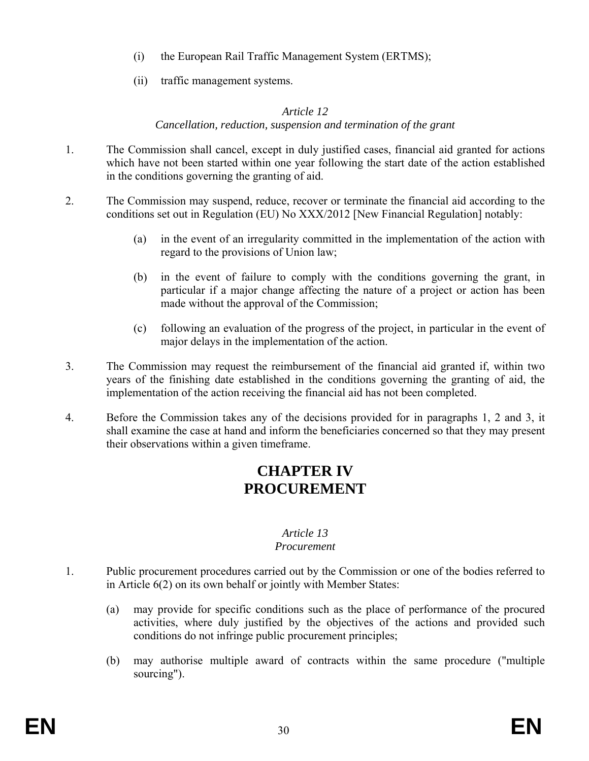- (i) the European Rail Traffic Management System (ERTMS);
- (ii) traffic management systems.

## *Article 12 Cancellation, reduction, suspension and termination of the grant*

- 1. The Commission shall cancel, except in duly justified cases, financial aid granted for actions which have not been started within one year following the start date of the action established in the conditions governing the granting of aid.
- 2. The Commission may suspend, reduce, recover or terminate the financial aid according to the conditions set out in Regulation (EU) No XXX/2012 [New Financial Regulation] notably:
	- (a) in the event of an irregularity committed in the implementation of the action with regard to the provisions of Union law;
	- (b) in the event of failure to comply with the conditions governing the grant, in particular if a major change affecting the nature of a project or action has been made without the approval of the Commission;
	- (c) following an evaluation of the progress of the project, in particular in the event of major delays in the implementation of the action.
- 3. The Commission may request the reimbursement of the financial aid granted if, within two years of the finishing date established in the conditions governing the granting of aid, the implementation of the action receiving the financial aid has not been completed.
- 4. Before the Commission takes any of the decisions provided for in paragraphs 1, 2 and 3, it shall examine the case at hand and inform the beneficiaries concerned so that they may present their observations within a given timeframe.

## **CHAPTER IV PROCUREMENT**

#### *Article 13 Procurement*

- 1. Public procurement procedures carried out by the Commission or one of the bodies referred to in Article 6(2) on its own behalf or jointly with Member States:
	- (a) may provide for specific conditions such as the place of performance of the procured activities, where duly justified by the objectives of the actions and provided such conditions do not infringe public procurement principles;
	- (b) may authorise multiple award of contracts within the same procedure ("multiple sourcing").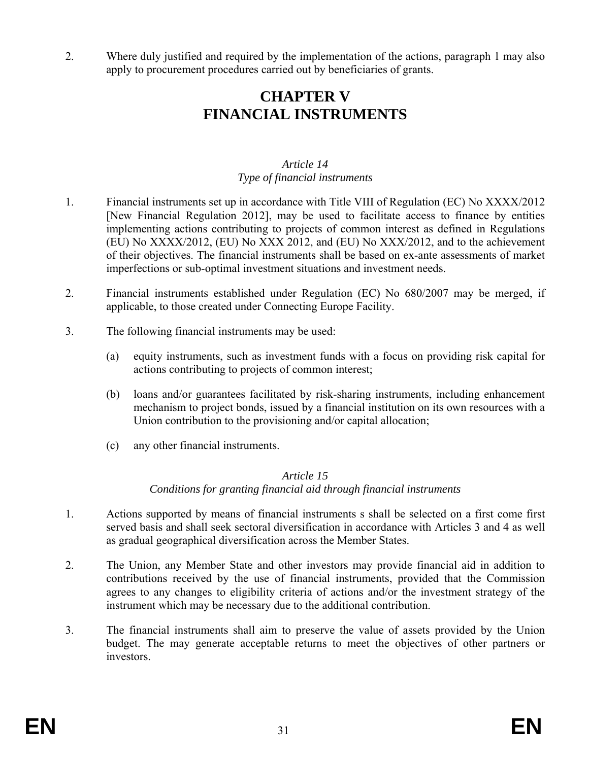2. Where duly justified and required by the implementation of the actions, paragraph 1 may also apply to procurement procedures carried out by beneficiaries of grants.

## **CHAPTER V FINANCIAL INSTRUMENTS**

### *Article 14 Type of financial instruments*

- 1. Financial instruments set up in accordance with Title VIII of Regulation (EC) No XXXX/2012 [New Financial Regulation 2012], may be used to facilitate access to finance by entities implementing actions contributing to projects of common interest as defined in Regulations (EU) No XXXX/2012, (EU) No XXX 2012, and (EU) No XXX/2012, and to the achievement of their objectives. The financial instruments shall be based on ex-ante assessments of market imperfections or sub-optimal investment situations and investment needs.
- 2. Financial instruments established under Regulation (EC) No 680/2007 may be merged, if applicable, to those created under Connecting Europe Facility.
- 3. The following financial instruments may be used:
	- (a) equity instruments, such as investment funds with a focus on providing risk capital for actions contributing to projects of common interest;
	- (b) loans and/or guarantees facilitated by risk-sharing instruments, including enhancement mechanism to project bonds, issued by a financial institution on its own resources with a Union contribution to the provisioning and/or capital allocation;
	- (c) any other financial instruments.

## *Article 15 Conditions for granting financial aid through financial instruments*

- 1. Actions supported by means of financial instruments s shall be selected on a first come first served basis and shall seek sectoral diversification in accordance with Articles 3 and 4 as well as gradual geographical diversification across the Member States.
- 2. The Union, any Member State and other investors may provide financial aid in addition to contributions received by the use of financial instruments, provided that the Commission agrees to any changes to eligibility criteria of actions and/or the investment strategy of the instrument which may be necessary due to the additional contribution.
- 3. The financial instruments shall aim to preserve the value of assets provided by the Union budget. The may generate acceptable returns to meet the objectives of other partners or investors.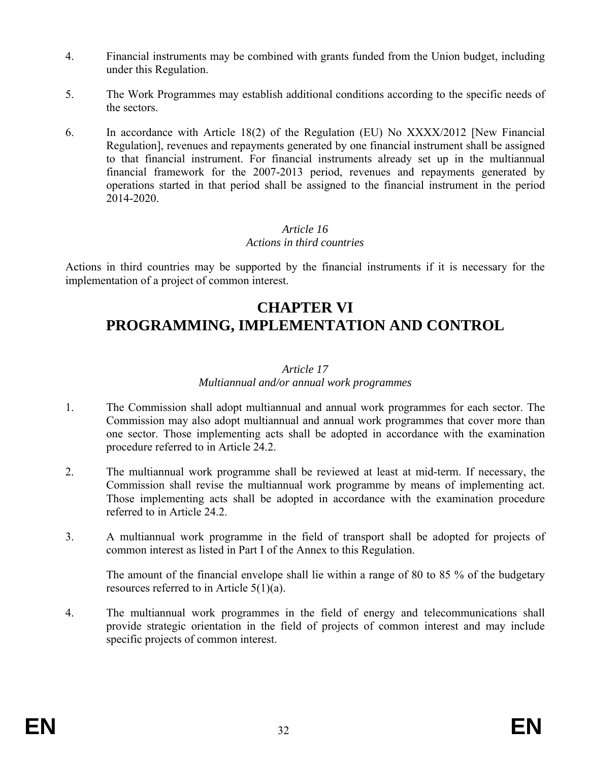- 4. Financial instruments may be combined with grants funded from the Union budget, including under this Regulation.
- 5. The Work Programmes may establish additional conditions according to the specific needs of the sectors.
- 6. In accordance with Article 18(2) of the Regulation (EU) No XXXX/2012 [New Financial Regulation], revenues and repayments generated by one financial instrument shall be assigned to that financial instrument. For financial instruments already set up in the multiannual financial framework for the 2007-2013 period, revenues and repayments generated by operations started in that period shall be assigned to the financial instrument in the period 2014-2020.

## *Actions in third countries*

Actions in third countries may be supported by the financial instruments if it is necessary for the implementation of a project of common interest.

## **CHAPTER VI PROGRAMMING, IMPLEMENTATION AND CONTROL**

## *Article 17*

#### *Multiannual and/or annual work programmes*

- 1. The Commission shall adopt multiannual and annual work programmes for each sector. The Commission may also adopt multiannual and annual work programmes that cover more than one sector. Those implementing acts shall be adopted in accordance with the examination procedure referred to in Article 24.2.
- 2. The multiannual work programme shall be reviewed at least at mid-term. If necessary, the Commission shall revise the multiannual work programme by means of implementing act. Those implementing acts shall be adopted in accordance with the examination procedure referred to in Article 24.2.
- 3. A multiannual work programme in the field of transport shall be adopted for projects of common interest as listed in Part I of the Annex to this Regulation.

The amount of the financial envelope shall lie within a range of 80 to 85 % of the budgetary resources referred to in Article 5(1)(a).

4. The multiannual work programmes in the field of energy and telecommunications shall provide strategic orientation in the field of projects of common interest and may include specific projects of common interest.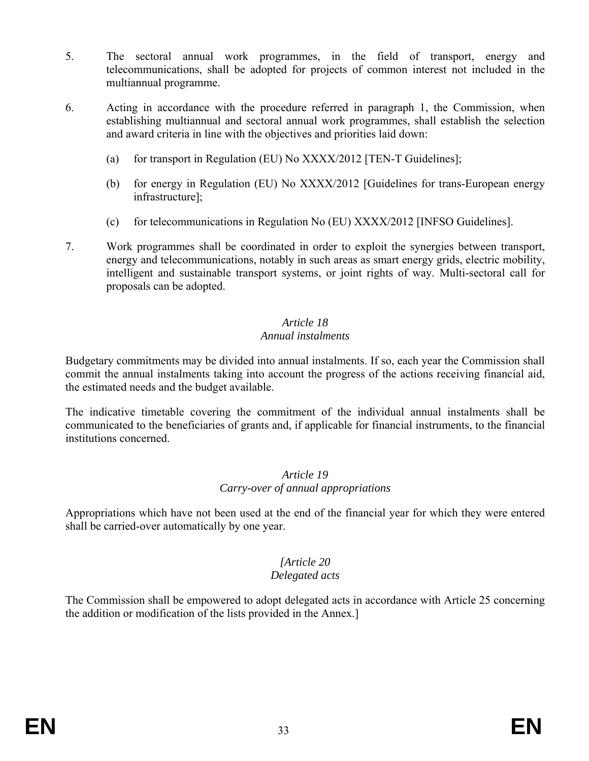- 5. The sectoral annual work programmes, in the field of transport, energy and telecommunications, shall be adopted for projects of common interest not included in the multiannual programme.
- 6. Acting in accordance with the procedure referred in paragraph 1, the Commission, when establishing multiannual and sectoral annual work programmes, shall establish the selection and award criteria in line with the objectives and priorities laid down:
	- (a) for transport in Regulation (EU) No XXXX/2012 [TEN-T Guidelines];
	- (b) for energy in Regulation (EU) No XXXX/2012 [Guidelines for trans-European energy infrastructure];
	- (c) for telecommunications in Regulation No (EU) XXXX/2012 [INFSO Guidelines].
- 7. Work programmes shall be coordinated in order to exploit the synergies between transport, energy and telecommunications, notably in such areas as smart energy grids, electric mobility, intelligent and sustainable transport systems, or joint rights of way. Multi-sectoral call for proposals can be adopted.

## *Annual instalments*

Budgetary commitments may be divided into annual instalments. If so, each year the Commission shall commit the annual instalments taking into account the progress of the actions receiving financial aid, the estimated needs and the budget available.

The indicative timetable covering the commitment of the individual annual instalments shall be communicated to the beneficiaries of grants and, if applicable for financial instruments, to the financial institutions concerned.

### *Article 19 Carry-over of annual appropriations*

Appropriations which have not been used at the end of the financial year for which they were entered shall be carried-over automatically by one year.

## *[Article 20*

## *Delegated acts*

The Commission shall be empowered to adopt delegated acts in accordance with Article 25 concerning the addition or modification of the lists provided in the Annex.]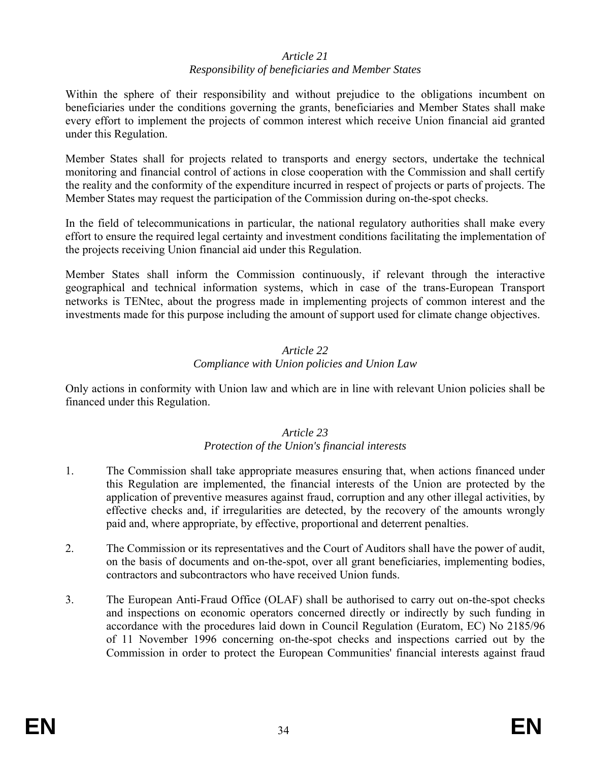### *Responsibility of beneficiaries and Member States*

Within the sphere of their responsibility and without prejudice to the obligations incumbent on beneficiaries under the conditions governing the grants, beneficiaries and Member States shall make every effort to implement the projects of common interest which receive Union financial aid granted under this Regulation.

Member States shall for projects related to transports and energy sectors, undertake the technical monitoring and financial control of actions in close cooperation with the Commission and shall certify the reality and the conformity of the expenditure incurred in respect of projects or parts of projects. The Member States may request the participation of the Commission during on-the-spot checks.

In the field of telecommunications in particular, the national regulatory authorities shall make every effort to ensure the required legal certainty and investment conditions facilitating the implementation of the projects receiving Union financial aid under this Regulation.

Member States shall inform the Commission continuously, if relevant through the interactive geographical and technical information systems, which in case of the trans-European Transport networks is TENtec, about the progress made in implementing projects of common interest and the investments made for this purpose including the amount of support used for climate change objectives.

### *Article 22 Compliance with Union policies and Union Law*

Only actions in conformity with Union law and which are in line with relevant Union policies shall be financed under this Regulation.

### *Article 23 Protection of the Union's financial interests*

- 1. The Commission shall take appropriate measures ensuring that, when actions financed under this Regulation are implemented, the financial interests of the Union are protected by the application of preventive measures against fraud, corruption and any other illegal activities, by effective checks and, if irregularities are detected, by the recovery of the amounts wrongly paid and, where appropriate, by effective, proportional and deterrent penalties.
- 2. The Commission or its representatives and the Court of Auditors shall have the power of audit, on the basis of documents and on-the-spot, over all grant beneficiaries, implementing bodies, contractors and subcontractors who have received Union funds.
- 3. The European Anti-Fraud Office (OLAF) shall be authorised to carry out on-the-spot checks and inspections on economic operators concerned directly or indirectly by such funding in accordance with the procedures laid down in Council Regulation (Euratom, EC) No 2185/96 of 11 November 1996 concerning on-the-spot checks and inspections carried out by the Commission in order to protect the European Communities' financial interests against fraud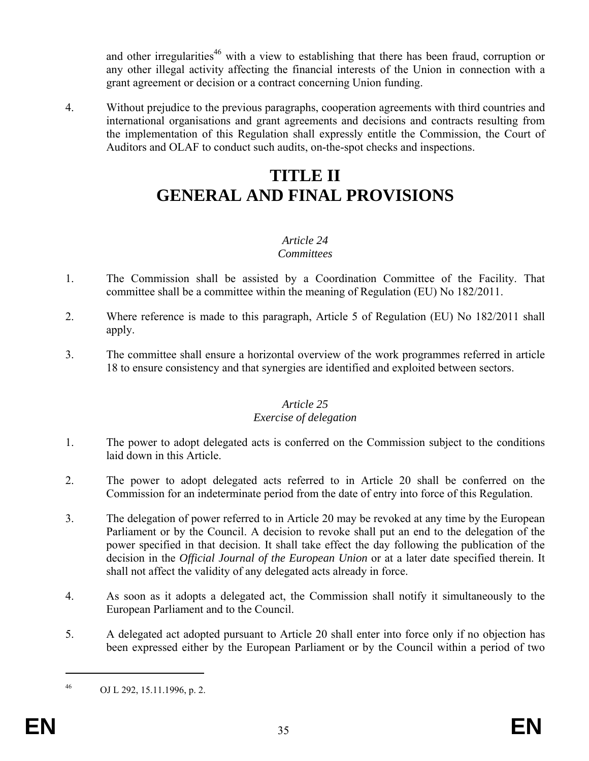and other irregularities<sup>46</sup> with a view to establishing that there has been fraud, corruption or any other illegal activity affecting the financial interests of the Union in connection with a grant agreement or decision or a contract concerning Union funding.

4. Without prejudice to the previous paragraphs, cooperation agreements with third countries and international organisations and grant agreements and decisions and contracts resulting from the implementation of this Regulation shall expressly entitle the Commission, the Court of Auditors and OLAF to conduct such audits, on-the-spot checks and inspections.

# **TITLE II GENERAL AND FINAL PROVISIONS**

## *Article 24*

## *Committees*

- 1. The Commission shall be assisted by a Coordination Committee of the Facility. That committee shall be a committee within the meaning of Regulation (EU) No 182/2011.
- 2. Where reference is made to this paragraph, Article 5 of Regulation (EU) No 182/2011 shall apply.
- 3. The committee shall ensure a horizontal overview of the work programmes referred in article 18 to ensure consistency and that synergies are identified and exploited between sectors.

## *Article 25*

## *Exercise of delegation*

- 1. The power to adopt delegated acts is conferred on the Commission subject to the conditions laid down in this Article.
- 2. The power to adopt delegated acts referred to in Article 20 shall be conferred on the Commission for an indeterminate period from the date of entry into force of this Regulation.
- 3. The delegation of power referred to in Article 20 may be revoked at any time by the European Parliament or by the Council. A decision to revoke shall put an end to the delegation of the power specified in that decision. It shall take effect the day following the publication of the decision in the *Official Journal of the European Union* or at a later date specified therein. It shall not affect the validity of any delegated acts already in force.
- 4. As soon as it adopts a delegated act, the Commission shall notify it simultaneously to the European Parliament and to the Council.
- 5. A delegated act adopted pursuant to Article 20 shall enter into force only if no objection has been expressed either by the European Parliament or by the Council within a period of two

<sup>46</sup> OJ L 292, 15.11.1996, p. 2.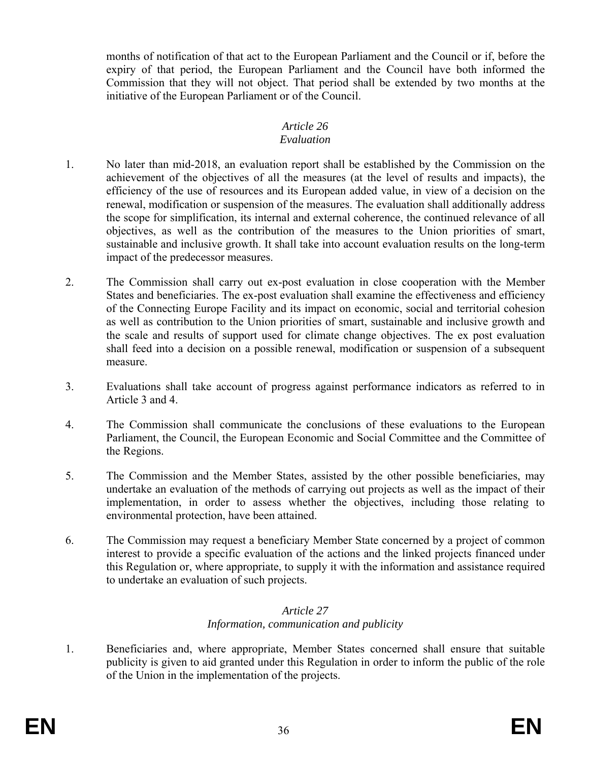months of notification of that act to the European Parliament and the Council or if, before the expiry of that period, the European Parliament and the Council have both informed the Commission that they will not object. That period shall be extended by two months at the initiative of the European Parliament or of the Council.

#### *Article 26 Evaluation*

- 1. No later than mid-2018, an evaluation report shall be established by the Commission on the achievement of the objectives of all the measures (at the level of results and impacts), the efficiency of the use of resources and its European added value, in view of a decision on the renewal, modification or suspension of the measures. The evaluation shall additionally address the scope for simplification, its internal and external coherence, the continued relevance of all objectives, as well as the contribution of the measures to the Union priorities of smart, sustainable and inclusive growth. It shall take into account evaluation results on the long-term impact of the predecessor measures.
- 2. The Commission shall carry out ex-post evaluation in close cooperation with the Member States and beneficiaries. The ex-post evaluation shall examine the effectiveness and efficiency of the Connecting Europe Facility and its impact on economic, social and territorial cohesion as well as contribution to the Union priorities of smart, sustainable and inclusive growth and the scale and results of support used for climate change objectives. The ex post evaluation shall feed into a decision on a possible renewal, modification or suspension of a subsequent measure.
- 3. Evaluations shall take account of progress against performance indicators as referred to in Article 3 and 4.
- 4. The Commission shall communicate the conclusions of these evaluations to the European Parliament, the Council, the European Economic and Social Committee and the Committee of the Regions.
- 5. The Commission and the Member States, assisted by the other possible beneficiaries, may undertake an evaluation of the methods of carrying out projects as well as the impact of their implementation, in order to assess whether the objectives, including those relating to environmental protection, have been attained.
- 6. The Commission may request a beneficiary Member State concerned by a project of common interest to provide a specific evaluation of the actions and the linked projects financed under this Regulation or, where appropriate, to supply it with the information and assistance required to undertake an evaluation of such projects.

## *Article 27 Information, communication and publicity*

1. Beneficiaries and, where appropriate, Member States concerned shall ensure that suitable publicity is given to aid granted under this Regulation in order to inform the public of the role of the Union in the implementation of the projects.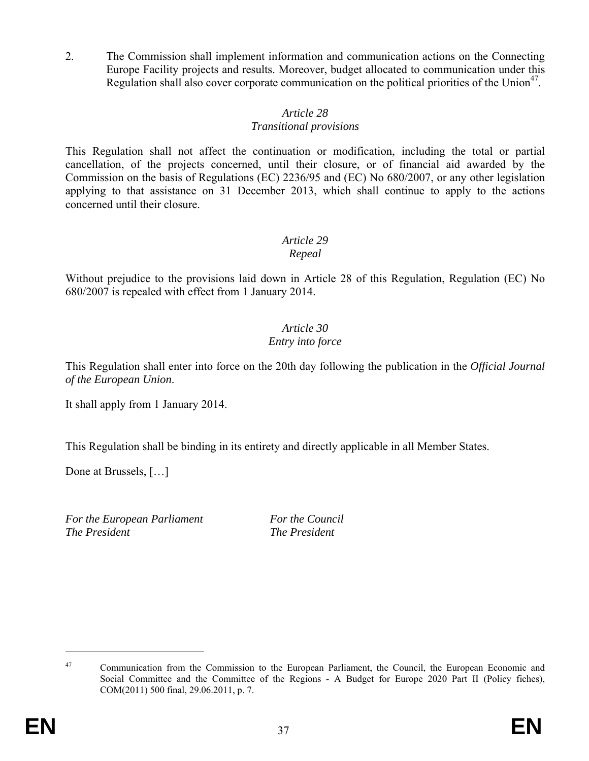2. The Commission shall implement information and communication actions on the Connecting Europe Facility projects and results. Moreover, budget allocated to communication under this Regulation shall also cover corporate communication on the political priorities of the Union<sup>47</sup>.

#### *Article 28*

#### *Transitional provisions*

This Regulation shall not affect the continuation or modification, including the total or partial cancellation, of the projects concerned, until their closure, or of financial aid awarded by the Commission on the basis of Regulations (EC) 2236/95 and (EC) No 680/2007, or any other legislation applying to that assistance on 31 December 2013, which shall continue to apply to the actions concerned until their closure.

#### *Article 29 Repeal*

Without prejudice to the provisions laid down in Article 28 of this Regulation, Regulation (EC) No 680/2007 is repealed with effect from 1 January 2014.

#### *Article 30 Entry into force*

This Regulation shall enter into force on the 20th day following the publication in the *Official Journal of the European Union*.

It shall apply from 1 January 2014.

This Regulation shall be binding in its entirety and directly applicable in all Member States.

Done at Brussels, […]

For the European Parliament **For the Council** *The President The President* 

<sup>&</sup>lt;sup>47</sup> Communication from the Commission to the European Parliament, the Council, the European Economic and Social Committee and the Committee of the Regions - A Budget for Europe 2020 Part II (Policy fiches), COM(2011) 500 final, 29.06.2011, p. 7.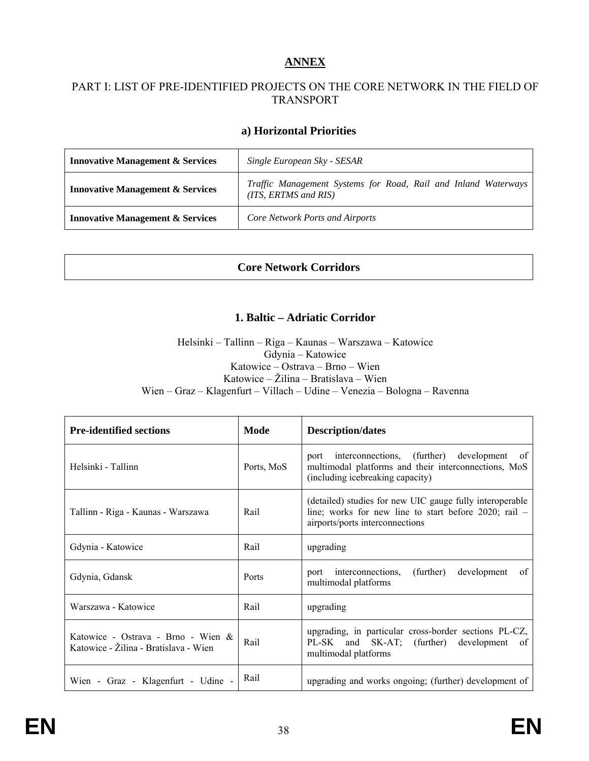## **ANNEX**

## PART I: LIST OF PRE-IDENTIFIED PROJECTS ON THE CORE NETWORK IN THE FIELD OF TRANSPORT

#### **a) Horizontal Priorities**

| <b>Innovative Management &amp; Services</b> | Single European Sky - SESAR                                                            |
|---------------------------------------------|----------------------------------------------------------------------------------------|
| <b>Innovative Management &amp; Services</b> | Traffic Management Systems for Road, Rail and Inland Waterways<br>(ITS, ERTMS and RIS) |
| <b>Innovative Management &amp; Services</b> | <b>Core Network Ports and Airports</b>                                                 |

#### **Core Network Corridors**

#### **1. Baltic – Adriatic Corridor**

Helsinki – Tallinn – Riga – Kaunas – Warszawa – Katowice Gdynia – Katowice Katowice – Ostrava – Brno – Wien Katowice – Žilina – Bratislava – Wien Wien – Graz – Klagenfurt – Villach – Udine – Venezia – Bologna – Ravenna

| <b>Pre-identified sections</b>                                              | Mode       | <b>Description/dates</b>                                                                                                                             |
|-----------------------------------------------------------------------------|------------|------------------------------------------------------------------------------------------------------------------------------------------------------|
| Helsinki - Tallinn                                                          | Ports, MoS | port interconnections, (further) development<br>of<br>multimodal platforms and their interconnections, MoS<br>(including icebreaking capacity)       |
| Tallinn - Riga - Kaunas - Warszawa                                          | Rail       | (detailed) studies for new UIC gauge fully interoperable<br>line; works for new line to start before 2020; rail -<br>airports/ports interconnections |
| Gdynia - Katowice                                                           | Rail       | upgrading                                                                                                                                            |
| Gdynia, Gdansk                                                              | Ports      | (further)<br>port interconnections,<br>development<br>0f<br>multimodal platforms                                                                     |
| Warszawa - Katowice                                                         | Rail       | upgrading                                                                                                                                            |
| Katowice - Ostrava - Brno - Wien &<br>Katowice - Žilina - Bratislava - Wien | Rail       | upgrading, in particular cross-border sections PL-CZ,<br>PL-SK and SK-AT; (further) development of<br>multimodal platforms                           |
| Wien - Graz - Klagenfurt - Udine -                                          | Rail       | upgrading and works ongoing; (further) development of                                                                                                |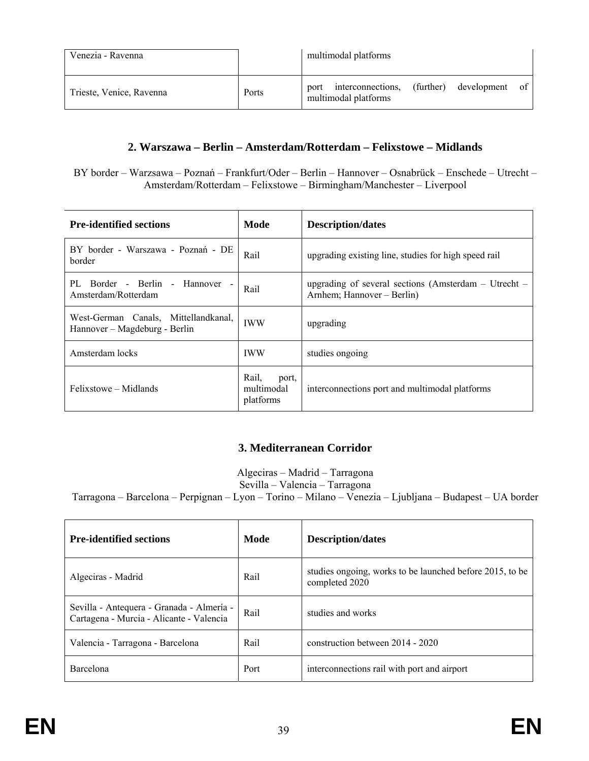| Venezia - Ravenna        |       | multimodal platforms                              |           |             |      |
|--------------------------|-------|---------------------------------------------------|-----------|-------------|------|
| Trieste, Venice, Ravenna | Ports | interconnections,<br>port<br>multimodal platforms | (further) | development | of i |

#### **2. Warszawa – Berlin – Amsterdam/Rotterdam – Felixstowe – Midlands**

BY border – Warzsawa – Poznań – Frankfurt/Oder – Berlin – Hannover – Osnabrück – Enschede – Utrecht – Amsterdam/Rotterdam – Felixstowe – Birmingham/Manchester – Liverpool

| <b>Pre-identified sections</b>                                        | Mode                                      | <b>Description/dates</b>                                                               |
|-----------------------------------------------------------------------|-------------------------------------------|----------------------------------------------------------------------------------------|
| BY border - Warszawa - Poznań - DE<br>border                          | Rail                                      | upgrading existing line, studies for high speed rail                                   |
| Border - Berlin - Hannover -<br>PL.<br>Amsterdam/Rotterdam            | Rail                                      | upgrading of several sections (Amsterdam $-$ Utrecht $-$<br>Arnhem; Hannover – Berlin) |
| West-German Canals, Mittellandkanal,<br>Hannover - Magdeburg - Berlin | <b>IWW</b>                                | upgrading                                                                              |
| Amsterdam locks                                                       | <b>IWW</b>                                | studies ongoing                                                                        |
| Felixstowe – Midlands                                                 | Rail.<br>port,<br>multimodal<br>platforms | interconnections port and multimodal platforms                                         |

# **3. Mediterranean Corridor**

Algeciras – Madrid – Tarragona

Sevilla – Valencia – Tarragona

Tarragona – Barcelona – Perpignan – Lyon – Torino – Milano – Venezia – Ljubljana – Budapest – UA border

| <b>Pre-identified sections</b>                                                        | Mode | <b>Description/dates</b>                                                   |
|---------------------------------------------------------------------------------------|------|----------------------------------------------------------------------------|
| Algeciras - Madrid                                                                    | Rail | studies ongoing, works to be launched before 2015, to be<br>completed 2020 |
| Sevilla - Antequera - Granada - Almería -<br>Cartagena - Murcia - Alicante - Valencia | Rail | studies and works                                                          |
| Valencia - Tarragona - Barcelona                                                      | Rail | construction between 2014 - 2020                                           |
| Barcelona                                                                             | Port | interconnections rail with port and airport                                |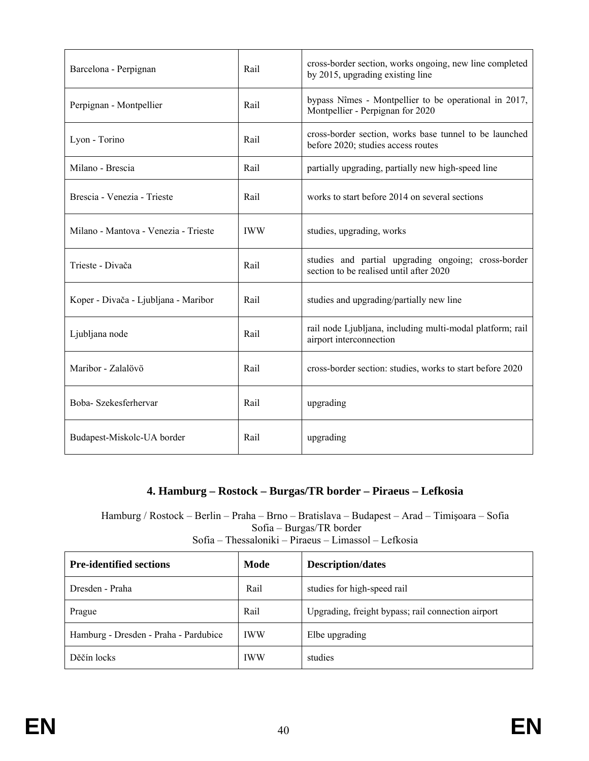| Barcelona - Perpignan                | Rail       | cross-border section, works ongoing, new line completed<br>by 2015, upgrading existing line    |
|--------------------------------------|------------|------------------------------------------------------------------------------------------------|
| Perpignan - Montpellier              | Rail       | bypass Nîmes - Montpellier to be operational in 2017,<br>Montpellier - Perpignan for 2020      |
| Lyon - Torino                        | Rail       | cross-border section, works base tunnel to be launched<br>before 2020; studies access routes   |
| Milano - Brescia                     | Rail       | partially upgrading, partially new high-speed line                                             |
| Brescia - Venezia - Trieste          | Rail       | works to start before 2014 on several sections                                                 |
| Milano - Mantova - Venezia - Trieste | <b>IWW</b> | studies, upgrading, works                                                                      |
| Trieste - Divača                     | Rail       | studies and partial upgrading ongoing; cross-border<br>section to be realised until after 2020 |
| Koper - Divača - Ljubljana - Maribor | Rail       | studies and upgrading/partially new line                                                       |
| Ljubljana node                       | Rail       | rail node Ljubljana, including multi-modal platform; rail<br>airport interconnection           |
| Maribor - Zalalövö                   | Rail       | cross-border section: studies, works to start before 2020                                      |
| Boba-Szekesferhervar                 | Rail       | upgrading                                                                                      |
| Budapest-Miskolc-UA border           | Rail       | upgrading                                                                                      |

#### **4. Hamburg – Rostock – Burgas/TR border – Piraeus – Lefkosia**

Hamburg / Rostock – Berlin – Praha – Brno – Bratislava – Budapest – Arad – Timişoara – Sofia Sofia – Burgas/TR border Sofia – Thessaloniki – Piraeus – Limassol – Lefkosia

| <b>Pre-identified sections</b>        | Mode       | <b>Description/dates</b>                           |
|---------------------------------------|------------|----------------------------------------------------|
| Dresden - Praha                       | Rail       | studies for high-speed rail                        |
| Prague                                | Rail       | Upgrading, freight bypass; rail connection airport |
| Hamburg - Dresden - Praha - Pardubice | <b>IWW</b> | Elbe upgrading                                     |
| Děčín locks                           | <b>IWW</b> | studies                                            |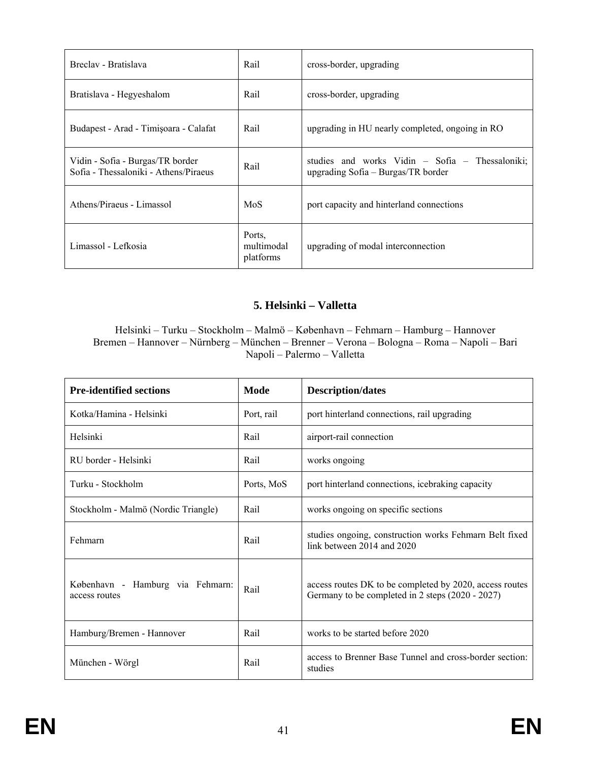| Breclay - Bratislava                                                      | Rail                              | cross-border, upgrading                                                               |
|---------------------------------------------------------------------------|-----------------------------------|---------------------------------------------------------------------------------------|
| Bratislava - Hegyeshalom                                                  | Rail                              | cross-border, upgrading                                                               |
| Budapest - Arad - Timişoara - Calafat                                     | Rail                              | upgrading in HU nearly completed, ongoing in RO                                       |
| Vidin - Sofia - Burgas/TR border<br>Sofia - Thessaloniki - Athens/Piraeus | Rail                              | studies and works Vidin – Sofia – Thessaloniki:<br>upgrading Sofia - Burgas/TR border |
| Athens/Piraeus - Limassol                                                 | MoS                               | port capacity and hinterland connections                                              |
| Limassol - Lefkosia                                                       | Ports.<br>multimodal<br>platforms | upgrading of modal interconnection                                                    |

#### **5. Helsinki – Valletta**

Helsinki – Turku – Stockholm – Malmö – København – Fehmarn – Hamburg – Hannover Bremen – Hannover – Nürnberg – München – Brenner – Verona – Bologna – Roma – Napoli – Bari Napoli – Palermo – Valletta

| <b>Pre-identified sections</b>                    | Mode       | <b>Description/dates</b>                                                                                    |
|---------------------------------------------------|------------|-------------------------------------------------------------------------------------------------------------|
| Kotka/Hamina - Helsinki                           | Port, rail | port hinterland connections, rail upgrading                                                                 |
| Helsinki                                          | Rail       | airport-rail connection                                                                                     |
| RU border - Helsinki                              | Rail       | works ongoing                                                                                               |
| Turku - Stockholm                                 | Ports, MoS | port hinterland connections, icebraking capacity                                                            |
| Stockholm - Malmö (Nordic Triangle)               | Rail       | works ongoing on specific sections                                                                          |
| Fehmarn                                           | Rail       | studies ongoing, construction works Fehmarn Belt fixed<br>link between 2014 and 2020                        |
| København - Hamburg via Fehmarn:<br>access routes | Rail       | access routes DK to be completed by 2020, access routes<br>Germany to be completed in 2 steps (2020 - 2027) |
| Hamburg/Bremen - Hannover                         | Rail       | works to be started before 2020                                                                             |
| München - Wörgl                                   | Rail       | access to Brenner Base Tunnel and cross-border section:<br>studies                                          |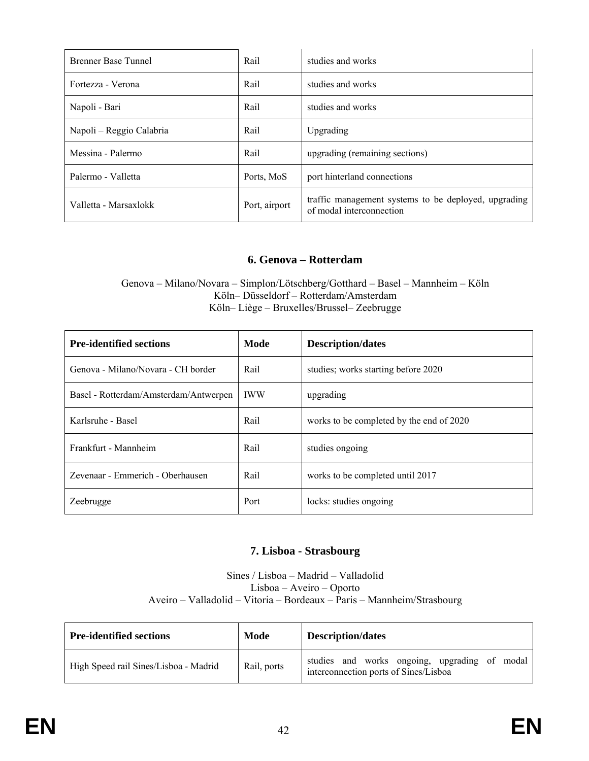| <b>Brenner Base Tunnel</b> | Rail          | studies and works                                                                |
|----------------------------|---------------|----------------------------------------------------------------------------------|
| Fortezza - Verona          | Rail          | studies and works                                                                |
| Napoli - Bari              | Rail          | studies and works                                                                |
| Napoli – Reggio Calabria   | Rail          | Upgrading                                                                        |
| Messina - Palermo          | Rail          | upgrading (remaining sections)                                                   |
| Palermo - Valletta         | Ports, MoS    | port hinterland connections                                                      |
| Valletta - Marsaxlokk      | Port, airport | traffic management systems to be deployed, upgrading<br>of modal interconnection |

#### **6. Genova – Rotterdam**

Genova – Milano/Novara – Simplon/Lötschberg/Gotthard – Basel – Mannheim – Köln Köln– Düsseldorf – Rotterdam/Amsterdam Köln– Liège – Bruxelles/Brussel– Zeebrugge

| <b>Pre-identified sections</b>        | Mode       | <b>Description/dates</b>                 |
|---------------------------------------|------------|------------------------------------------|
| Genova - Milano/Novara - CH border    | Rail       | studies; works starting before 2020      |
| Basel - Rotterdam/Amsterdam/Antwerpen | <b>IWW</b> | upgrading                                |
| Karlsruhe - Basel                     | Rail       | works to be completed by the end of 2020 |
| Frankfurt - Mannheim                  | Rail       | studies ongoing                          |
| Zevenaar - Emmerich - Oberhausen      | Rail       | works to be completed until 2017         |
| Zeebrugge                             | Port       | locks: studies ongoing                   |

#### **7. Lisboa - Strasbourg**

Sines / Lisboa – Madrid – Valladolid Lisboa – Aveiro – Oporto Aveiro – Valladolid – Vitoria – Bordeaux – Paris – Mannheim/Strasbourg

| <b>Pre-identified sections</b>        | Mode        | <b>Description/dates</b>                                                               |
|---------------------------------------|-------------|----------------------------------------------------------------------------------------|
| High Speed rail Sines/Lisboa - Madrid | Rail, ports | studies and works ongoing, upgrading of modal<br>interconnection ports of Sines/Lisboa |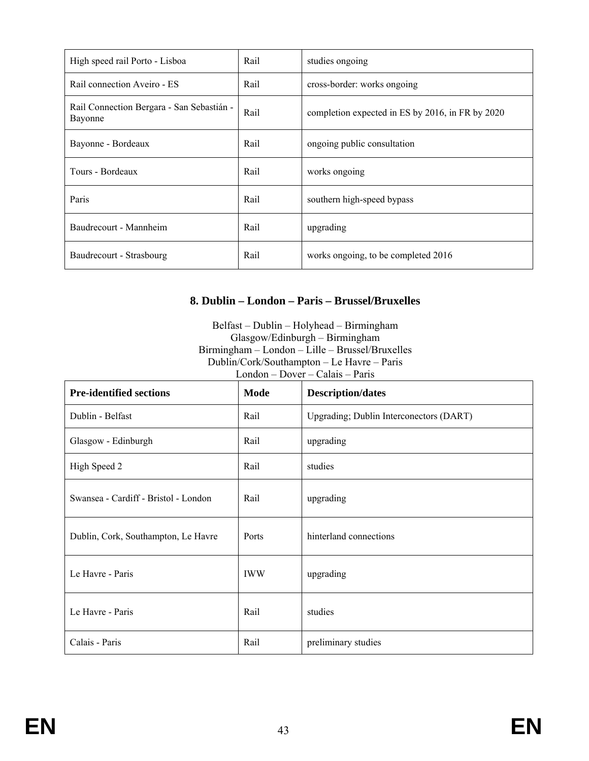| High speed rail Porto - Lisboa                       | Rail | studies ongoing                                  |  |
|------------------------------------------------------|------|--------------------------------------------------|--|
| Rail connection Aveiro - ES                          | Rail | cross-border: works ongoing                      |  |
| Rail Connection Bergara - San Sebastián -<br>Bayonne | Rail | completion expected in ES by 2016, in FR by 2020 |  |
| Bayonne - Bordeaux                                   | Rail | ongoing public consultation                      |  |
| Tours - Bordeaux                                     | Rail | works ongoing                                    |  |
| Paris                                                | Rail | southern high-speed bypass                       |  |
| Baudrecourt - Mannheim                               | Rail | upgrading                                        |  |
| Baudrecourt - Strasbourg                             | Rail | works ongoing, to be completed 2016              |  |

#### **8. Dublin – London – Paris – Brussel/Bruxelles**

Belfast – Dublin – Holyhead – Birmingham Glasgow/Edinburgh – Birmingham Birmingham – London – Lille – Brussel/Bruxelles Dublin/Cork/Southampton – Le Havre – Paris London – Dover – Calais – Paris

| <b>Pre-identified sections</b>       | Mode       | <b>Description/dates</b>                |  |
|--------------------------------------|------------|-----------------------------------------|--|
| Dublin - Belfast                     | Rail       | Upgrading; Dublin Interconectors (DART) |  |
| Glasgow - Edinburgh                  | Rail       | upgrading                               |  |
| High Speed 2                         | Rail       | studies                                 |  |
| Swansea - Cardiff - Bristol - London | Rail       | upgrading                               |  |
| Dublin, Cork, Southampton, Le Havre  | Ports      | hinterland connections                  |  |
| Le Havre - Paris                     | <b>IWW</b> | upgrading                               |  |
| Le Havre - Paris                     | Rail       | studies                                 |  |
| Calais - Paris                       | Rail       | preliminary studies                     |  |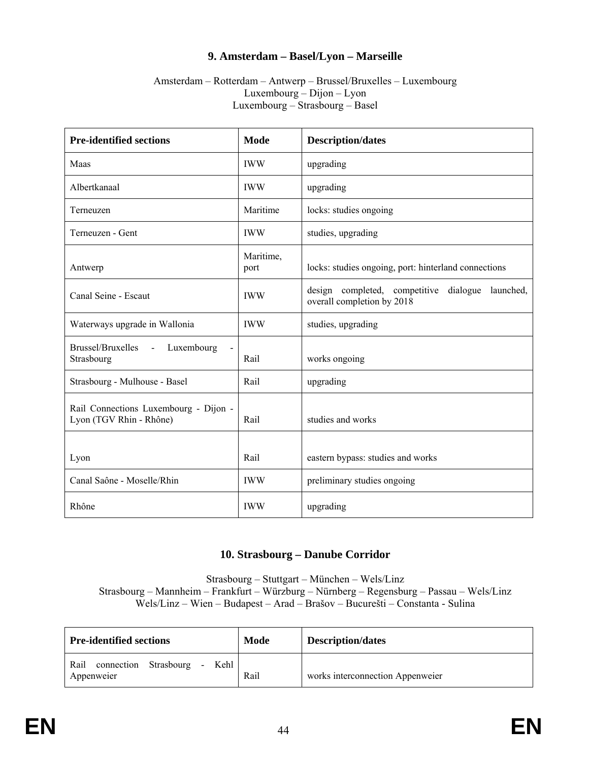#### **9. Amsterdam – Basel/Lyon – Marseille**

#### Amsterdam – Rotterdam – Antwerp – Brussel/Bruxelles – Luxembourg Luxembourg – Dijon – Lyon Luxembourg – Strasbourg – Basel

| <b>Pre-identified sections</b>                                                    | Mode              | <b>Description/dates</b>                                                          |  |  |
|-----------------------------------------------------------------------------------|-------------------|-----------------------------------------------------------------------------------|--|--|
| Maas                                                                              | <b>IWW</b>        | upgrading                                                                         |  |  |
| Albertkanaal                                                                      | <b>IWW</b>        | upgrading                                                                         |  |  |
| Terneuzen                                                                         | Maritime          | locks: studies ongoing                                                            |  |  |
| Terneuzen - Gent                                                                  | <b>IWW</b>        | studies, upgrading                                                                |  |  |
| Antwerp                                                                           | Maritime,<br>port | locks: studies ongoing, port: hinterland connections                              |  |  |
| Canal Seine - Escaut                                                              | <b>IWW</b>        | design completed, competitive dialogue<br>launched.<br>overall completion by 2018 |  |  |
| Waterways upgrade in Wallonia                                                     | <b>IWW</b>        | studies, upgrading                                                                |  |  |
| Brussel/Bruxelles<br>Luxembourg<br>$\pm$ 10 $\pm$<br>$\blacksquare$<br>Strasbourg | Rail              | works ongoing                                                                     |  |  |
| Strasbourg - Mulhouse - Basel                                                     | Rail              | upgrading                                                                         |  |  |
| Rail Connections Luxembourg - Dijon -<br>Lyon (TGV Rhin - Rhône)                  | Rail              | studies and works                                                                 |  |  |
| Lyon                                                                              | Rail              | eastern bypass: studies and works                                                 |  |  |
| Canal Saône - Moselle/Rhin                                                        | <b>IWW</b>        | preliminary studies ongoing                                                       |  |  |
| Rhône                                                                             | <b>IWW</b>        | upgrading                                                                         |  |  |

## **10. Strasbourg – Danube Corridor**

Strasbourg – Stuttgart – München – Wels/Linz Strasbourg – Mannheim – Frankfurt – Würzburg – Nürnberg – Regensburg – Passau – Wels/Linz Wels/Linz – Wien – Budapest – Arad – Brašov – Bucurešti – Constanta - Sulina

| <b>Pre-identified sections</b>                                         | Mode | <b>Description/dates</b>         |
|------------------------------------------------------------------------|------|----------------------------------|
| connection Strasbourg<br>Rail<br>Kehl<br>$\sim 10^{-11}$<br>Appenweier | Rail | works interconnection Appenweier |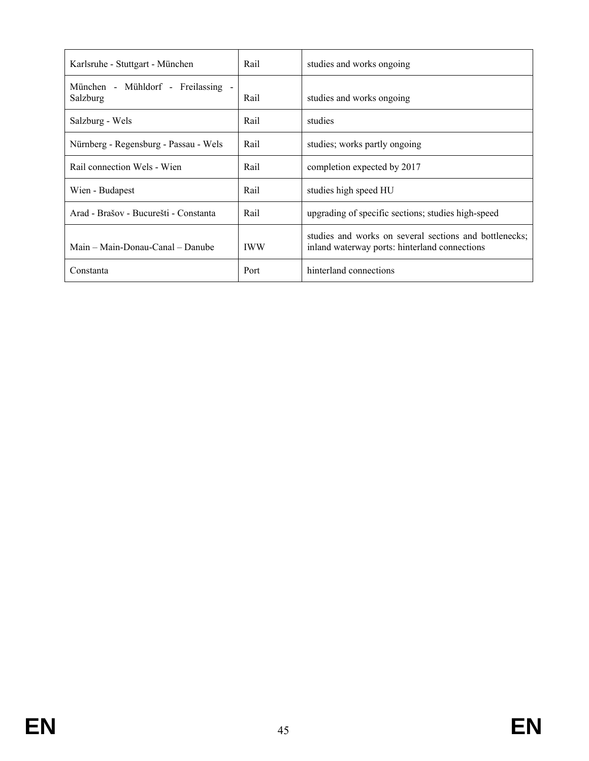| Karlsruhe - Stuttgart - München                | Rail       | studies and works ongoing                                                                               |
|------------------------------------------------|------------|---------------------------------------------------------------------------------------------------------|
| München - Mühldorf - Freilassing -<br>Salzburg | Rail       | studies and works ongoing                                                                               |
| Salzburg - Wels                                | Rail       | studies                                                                                                 |
| Nürnberg - Regensburg - Passau - Wels          | Rail       | studies; works partly ongoing                                                                           |
| Rail connection Wels - Wien                    | Rail       | completion expected by 2017                                                                             |
| Wien - Budapest                                | Rail       | studies high speed HU                                                                                   |
| Arad - Brašov - Bucurešti - Constanta          | Rail       | upgrading of specific sections; studies high-speed                                                      |
| Main – Main-Donau-Canal – Danube               | <b>IWW</b> | studies and works on several sections and bottlenecks;<br>inland waterway ports: hinterland connections |
| Constanta                                      | Port       | hinterland connections                                                                                  |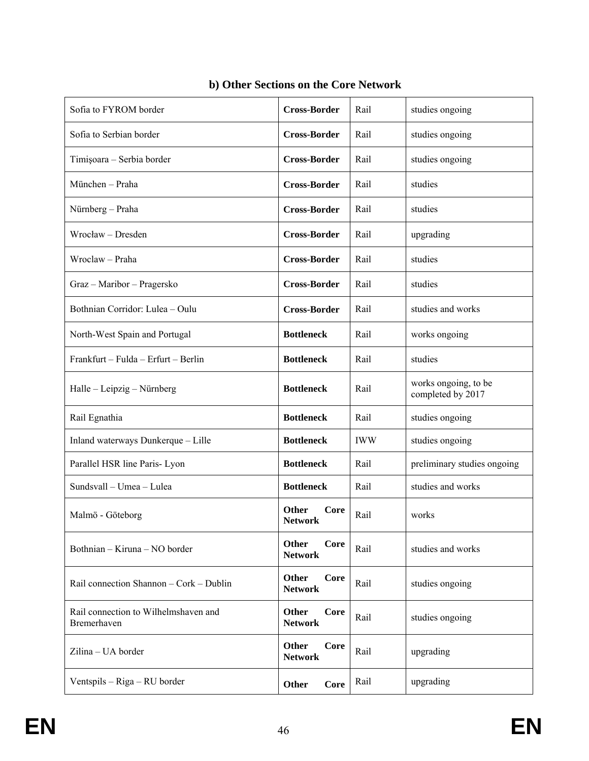| Sofia to FYROM border                               | <b>Cross-Border</b>                           | Rail       | studies ongoing                           |
|-----------------------------------------------------|-----------------------------------------------|------------|-------------------------------------------|
| Sofia to Serbian border                             | <b>Cross-Border</b>                           | Rail       | studies ongoing                           |
| Timișoara - Serbia border                           | <b>Cross-Border</b>                           | Rail       | studies ongoing                           |
| München – Praha                                     | <b>Cross-Border</b>                           | Rail       | studies                                   |
| Nürnberg – Praha                                    | <b>Cross-Border</b>                           | Rail       | studies                                   |
| Wrocław – Dresden                                   | <b>Cross-Border</b>                           | Rail       | upgrading                                 |
| Wroclaw - Praha                                     | <b>Cross-Border</b>                           | Rail       | studies                                   |
| Graz - Maribor - Pragersko                          | <b>Cross-Border</b>                           | Rail       | studies                                   |
| Bothnian Corridor: Lulea - Oulu                     | <b>Cross-Border</b>                           | Rail       | studies and works                         |
| North-West Spain and Portugal                       | <b>Bottleneck</b>                             | Rail       | works ongoing                             |
| Frankfurt - Fulda - Erfurt - Berlin                 | <b>Bottleneck</b>                             | Rail       | studies                                   |
| Halle – Leipzig – Nürnberg                          | <b>Bottleneck</b>                             | Rail       | works ongoing, to be<br>completed by 2017 |
| Rail Egnathia                                       | <b>Bottleneck</b>                             | Rail       | studies ongoing                           |
| Inland waterways Dunkerque - Lille                  | <b>Bottleneck</b>                             | <b>IWW</b> | studies ongoing                           |
| Parallel HSR line Paris- Lyon                       | <b>Bottleneck</b>                             | Rail       | preliminary studies ongoing               |
| Sundsvall - Umea - Lulea                            | <b>Bottleneck</b>                             | Rail       | studies and works                         |
| Malmö - Göteborg                                    | Other<br>Core<br><b>Network</b>               | Rail       | works                                     |
| Bothnian - Kiruna - NO border                       | Other<br><b>Core</b><br><b>Network</b>        | Rail       | studies and works                         |
| Rail connection Shannon - Cork - Dublin             | <b>Other</b><br><b>Core</b><br><b>Network</b> | Rail       | studies ongoing                           |
| Rail connection to Wilhelmshaven and<br>Bremerhaven | <b>Other</b><br>Core<br><b>Network</b>        | Rail       | studies ongoing                           |
| Zilina - UA border                                  | Other<br><b>Core</b><br><b>Network</b>        | Rail       | upgrading                                 |
| Ventspils – Riga – RU border                        | <b>Core</b><br>Other                          | Rail       | upgrading                                 |

# **b) Other Sections on the Core Network**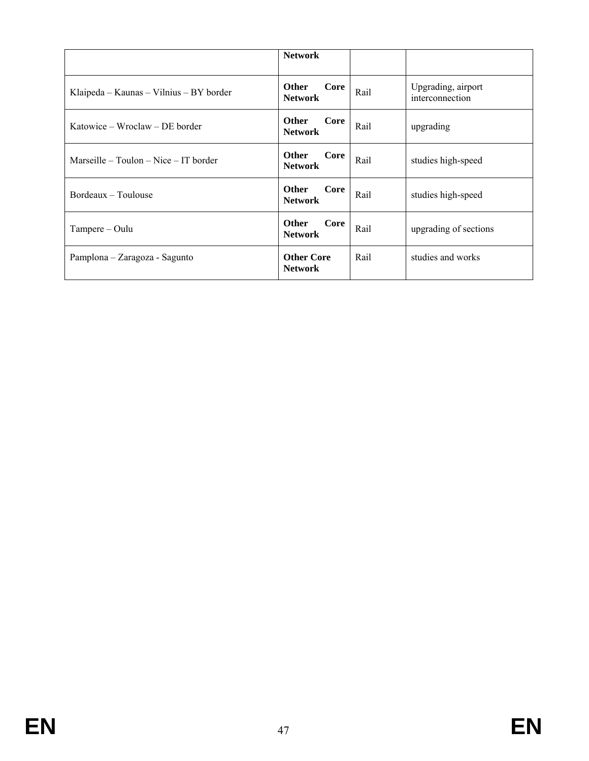|                                         | <b>Network</b>                         |      |                                       |
|-----------------------------------------|----------------------------------------|------|---------------------------------------|
| Klaipeda – Kaunas – Vilnius – BY border | <b>Other</b><br>Core<br><b>Network</b> | Rail | Upgrading, airport<br>interconnection |
| Katowice – Wroclaw – DE border          | <b>Other</b><br>Core<br><b>Network</b> | Rail | upgrading                             |
| $Marseille - Toulon - Nice - IT border$ | <b>Other</b><br>Core<br><b>Network</b> | Rail | studies high-speed                    |
| Bordeaux – Toulouse                     | <b>Other</b><br>Core<br><b>Network</b> | Rail | studies high-speed                    |
| Tampere - Oulu                          | <b>Other</b><br>Core<br><b>Network</b> | Rail | upgrading of sections                 |
| Pamplona – Zaragoza - Sagunto           | <b>Other Core</b><br><b>Network</b>    | Rail | studies and works                     |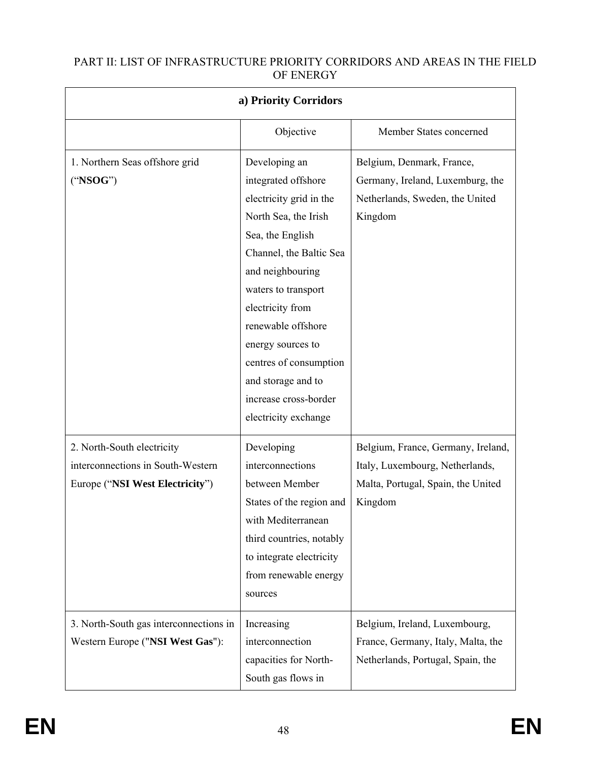# PART II: LIST OF INFRASTRUCTURE PRIORITY CORRIDORS AND AREAS IN THE FIELD OF ENERGY

|                                                                                                    | a) Priority Corridors                                                                                                                                                                                                                                                                                                                             |                                                                                                                        |
|----------------------------------------------------------------------------------------------------|---------------------------------------------------------------------------------------------------------------------------------------------------------------------------------------------------------------------------------------------------------------------------------------------------------------------------------------------------|------------------------------------------------------------------------------------------------------------------------|
|                                                                                                    | Objective                                                                                                                                                                                                                                                                                                                                         | Member States concerned                                                                                                |
| 1. Northern Seas offshore grid<br>("NSOG")                                                         | Developing an<br>integrated offshore<br>electricity grid in the<br>North Sea, the Irish<br>Sea, the English<br>Channel, the Baltic Sea<br>and neighbouring<br>waters to transport<br>electricity from<br>renewable offshore<br>energy sources to<br>centres of consumption<br>and storage and to<br>increase cross-border<br>electricity exchange | Belgium, Denmark, France,<br>Germany, Ireland, Luxemburg, the<br>Netherlands, Sweden, the United<br>Kingdom            |
| 2. North-South electricity<br>interconnections in South-Western<br>Europe ("NSI West Electricity") | Developing<br>interconnections<br>between Member<br>States of the region and<br>with Mediterranean<br>third countries, notably<br>to integrate electricity<br>from renewable energy<br>sources                                                                                                                                                    | Belgium, France, Germany, Ireland,<br>Italy, Luxembourg, Netherlands,<br>Malta, Portugal, Spain, the United<br>Kingdom |
| 3. North-South gas interconnections in<br>Western Europe ("NSI West Gas"):                         | Increasing<br>interconnection<br>capacities for North-<br>South gas flows in                                                                                                                                                                                                                                                                      | Belgium, Ireland, Luxembourg,<br>France, Germany, Italy, Malta, the<br>Netherlands, Portugal, Spain, the               |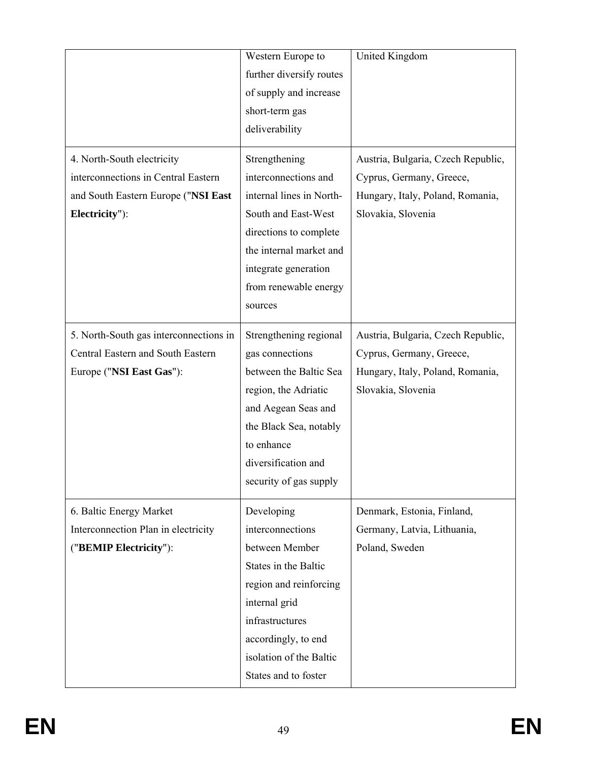|                                                                                                                            | Western Europe to<br>further diversify routes<br>of supply and increase<br>short-term gas<br>deliverability                                                                                                      | <b>United Kingdom</b>                                                                                                    |
|----------------------------------------------------------------------------------------------------------------------------|------------------------------------------------------------------------------------------------------------------------------------------------------------------------------------------------------------------|--------------------------------------------------------------------------------------------------------------------------|
| 4. North-South electricity<br>interconnections in Central Eastern<br>and South Eastern Europe ("NSI East<br>Electricity"): | Strengthening<br>interconnections and<br>internal lines in North-<br>South and East-West<br>directions to complete<br>the internal market and<br>integrate generation<br>from renewable energy<br>sources        | Austria, Bulgaria, Czech Republic,<br>Cyprus, Germany, Greece,<br>Hungary, Italy, Poland, Romania,<br>Slovakia, Slovenia |
| 5. North-South gas interconnections in<br>Central Eastern and South Eastern<br>Europe ("NSI East Gas"):                    | Strengthening regional<br>gas connections<br>between the Baltic Sea<br>region, the Adriatic<br>and Aegean Seas and<br>the Black Sea, notably<br>to enhance<br>diversification and<br>security of gas supply      | Austria, Bulgaria, Czech Republic,<br>Cyprus, Germany, Greece,<br>Hungary, Italy, Poland, Romania,<br>Slovakia, Slovenia |
| 6. Baltic Energy Market<br>Interconnection Plan in electricity<br>("BEMIP Electricity"):                                   | Developing<br>interconnections<br>between Member<br>States in the Baltic<br>region and reinforcing<br>internal grid<br>infrastructures<br>accordingly, to end<br>isolation of the Baltic<br>States and to foster | Denmark, Estonia, Finland,<br>Germany, Latvia, Lithuania,<br>Poland, Sweden                                              |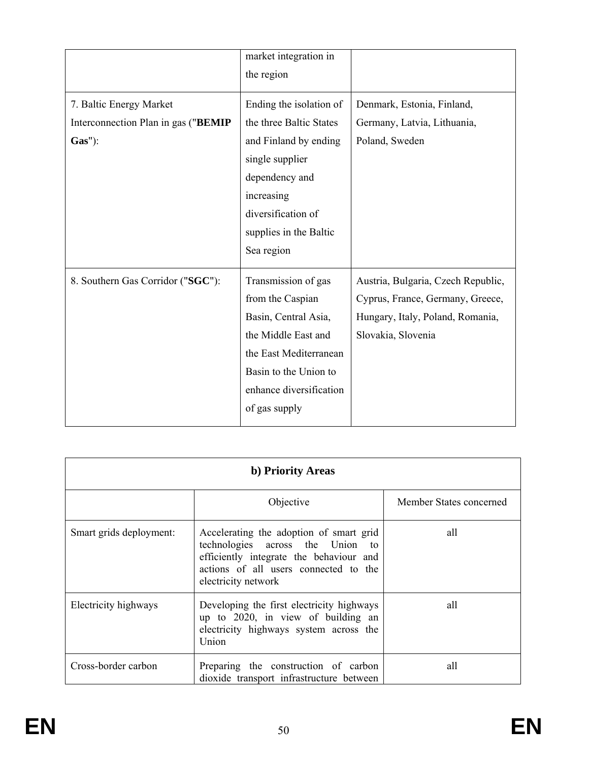|                                                                            | market integration in<br>the region                                                                                                                                                          |                                                                                                                                  |
|----------------------------------------------------------------------------|----------------------------------------------------------------------------------------------------------------------------------------------------------------------------------------------|----------------------------------------------------------------------------------------------------------------------------------|
| 7. Baltic Energy Market<br>Interconnection Plan in gas ("BEMIP<br>$Gas"$ : | Ending the isolation of<br>the three Baltic States<br>and Finland by ending<br>single supplier<br>dependency and<br>increasing<br>diversification of<br>supplies in the Baltic<br>Sea region | Denmark, Estonia, Finland,<br>Germany, Latvia, Lithuania,<br>Poland, Sweden                                                      |
| 8. Southern Gas Corridor ("SGC"):                                          | Transmission of gas<br>from the Caspian<br>Basin, Central Asia,<br>the Middle East and<br>the East Mediterranean<br>Basin to the Union to<br>enhance diversification<br>of gas supply        | Austria, Bulgaria, Czech Republic,<br>Cyprus, France, Germany, Greece,<br>Hungary, Italy, Poland, Romania,<br>Slovakia, Slovenia |

| b) Priority Areas       |                                                                                                                                                                                        |                         |  |
|-------------------------|----------------------------------------------------------------------------------------------------------------------------------------------------------------------------------------|-------------------------|--|
|                         | Objective                                                                                                                                                                              | Member States concerned |  |
| Smart grids deployment: | Accelerating the adoption of smart grid<br>technologies across the Union to<br>efficiently integrate the behaviour and<br>actions of all users connected to the<br>electricity network | all                     |  |
| Electricity highways    | Developing the first electricity highways<br>up to 2020, in view of building an<br>electricity highways system across the<br>Union                                                     | all                     |  |
| Cross-border carbon     | Preparing the construction of carbon<br>dioxide transport infrastructure between                                                                                                       | all                     |  |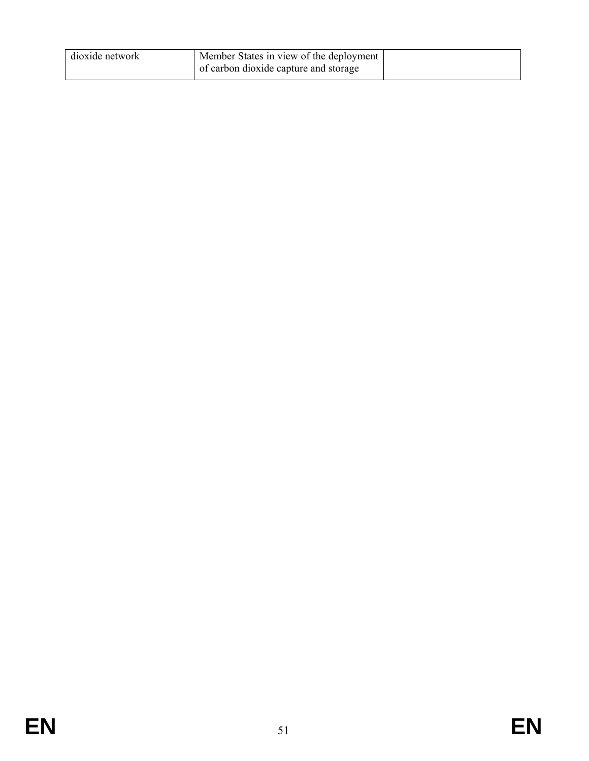| dioxide network | Member States in view of the deployment |  |
|-----------------|-----------------------------------------|--|
|                 | of carbon dioxide capture and storage   |  |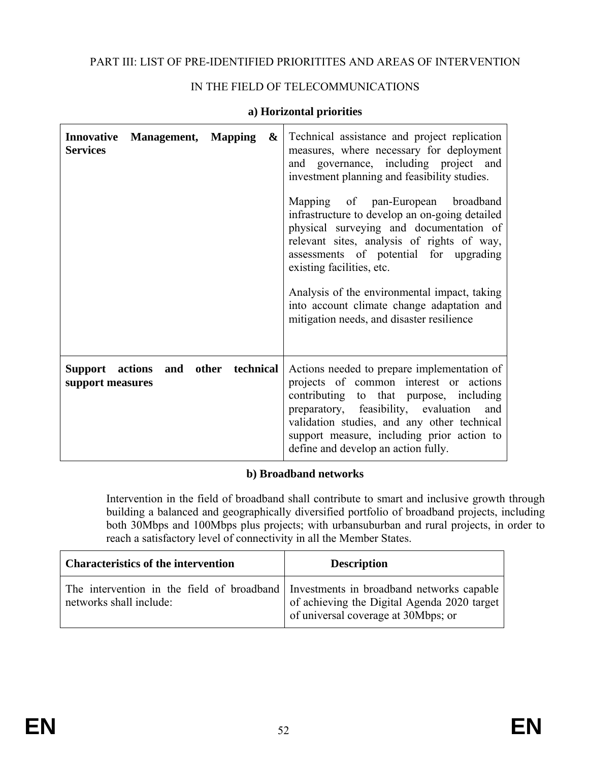## PART III: LIST OF PRE-IDENTIFIED PRIORITITES AND AREAS OF INTERVENTION

# IN THE FIELD OF TELECOMMUNICATIONS

| <b>Services</b>                     | <b>Innovative Management, Mapping</b> | $\mathbf{\&}$ | Technical assistance and project replication<br>measures, where necessary for deployment<br>and governance, including project and<br>investment planning and feasibility studies.<br>Mapping of pan-European broadband<br>infrastructure to develop an on-going detailed<br>physical surveying and documentation of<br>relevant sites, analysis of rights of way,<br>assessments of potential for upgrading<br>existing facilities, etc.<br>Analysis of the environmental impact, taking<br>into account climate change adaptation and<br>mitigation needs, and disaster resilience |
|-------------------------------------|---------------------------------------|---------------|-------------------------------------------------------------------------------------------------------------------------------------------------------------------------------------------------------------------------------------------------------------------------------------------------------------------------------------------------------------------------------------------------------------------------------------------------------------------------------------------------------------------------------------------------------------------------------------|
| Support actions<br>support measures | and other                             | technical     | Actions needed to prepare implementation of<br>projects of common interest or actions<br>contributing to that purpose, including<br>preparatory, feasibility, evaluation<br>and<br>validation studies, and any other technical<br>support measure, including prior action to<br>define and develop an action fully.                                                                                                                                                                                                                                                                 |

## **a) Horizontal priorities**

#### **b) Broadband networks**

Intervention in the field of broadband shall contribute to smart and inclusive growth through building a balanced and geographically diversified portfolio of broadband projects, including both 30Mbps and 100Mbps plus projects; with urbansuburban and rural projects, in order to reach a satisfactory level of connectivity in all the Member States.

| <b>Characteristics of the intervention</b>                                           | <b>Description</b>                          |
|--------------------------------------------------------------------------------------|---------------------------------------------|
| The intervention in the field of broadband Investments in broadband networks capable | of achieving the Digital Agenda 2020 target |
| networks shall include:                                                              | of universal coverage at 30Mbps; or         |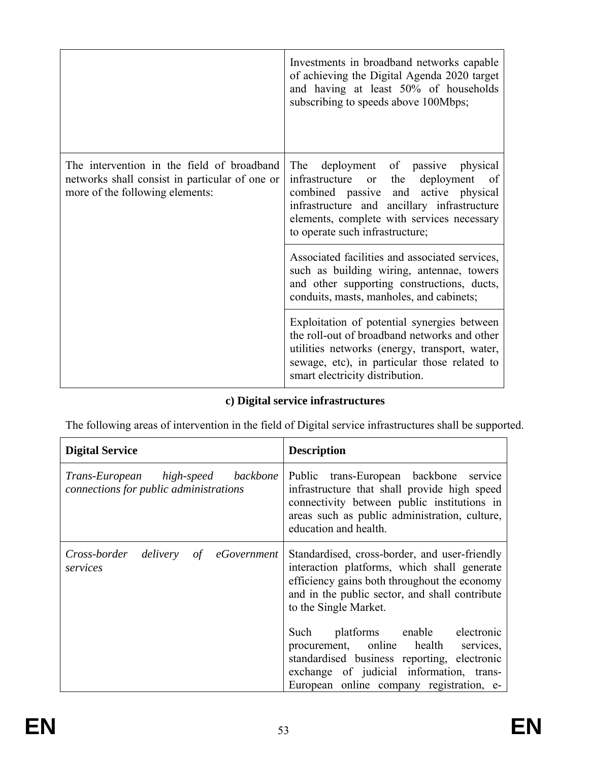|                                                                                                                                 | Investments in broadband networks capable.<br>of achieving the Digital Agenda 2020 target<br>and having at least 50% of households<br>subscribing to speeds above 100Mbps;                                                                              |  |
|---------------------------------------------------------------------------------------------------------------------------------|---------------------------------------------------------------------------------------------------------------------------------------------------------------------------------------------------------------------------------------------------------|--|
| The intervention in the field of broadband<br>networks shall consist in particular of one or<br>more of the following elements: | deployment of passive physical<br>The<br>infrastructure or<br>the deployment of<br>combined passive and active physical<br>infrastructure and ancillary infrastructure<br>elements, complete with services necessary<br>to operate such infrastructure; |  |
|                                                                                                                                 | Associated facilities and associated services,<br>such as building wiring, antennae, towers<br>and other supporting constructions, ducts,<br>conduits, masts, manholes, and cabinets;                                                                   |  |
|                                                                                                                                 | Exploitation of potential synergies between<br>the roll-out of broadband networks and other<br>utilities networks (energy, transport, water,<br>sewage, etc), in particular those related to<br>smart electricity distribution.                         |  |

# **c) Digital service infrastructures**

The following areas of intervention in the field of Digital service infrastructures shall be supported.

| <b>Digital Service</b>                                                       | <b>Description</b>                                                                                                                                                                                                      |  |
|------------------------------------------------------------------------------|-------------------------------------------------------------------------------------------------------------------------------------------------------------------------------------------------------------------------|--|
| Trans-European high-speed backbone<br>connections for public administrations | Public trans-European backbone service<br>infrastructure that shall provide high speed<br>connectivity between public institutions in<br>areas such as public administration, culture,<br>education and health.         |  |
| Cross-border delivery<br>of<br>eGovernment<br>services                       | Standardised, cross-border, and user-friendly<br>interaction platforms, which shall generate<br>efficiency gains both throughout the economy<br>and in the public sector, and shall contribute<br>to the Single Market. |  |
|                                                                              | Such platforms enable electronic<br>procurement, online health services,<br>standardised business reporting, electronic<br>exchange of judicial information, trans-<br>European online company registration, e-         |  |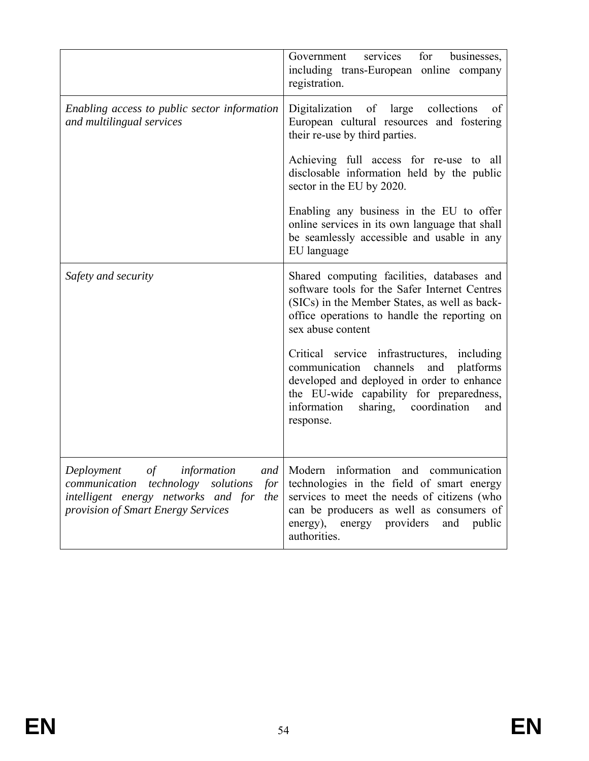|                                                                                                                                                                      | services<br>for<br>Government<br>businesses,<br>including trans-European online company<br>registration.                                                                                                                                        |  |
|----------------------------------------------------------------------------------------------------------------------------------------------------------------------|-------------------------------------------------------------------------------------------------------------------------------------------------------------------------------------------------------------------------------------------------|--|
| Enabling access to public sector information<br>and multilingual services                                                                                            | Digitalization of large collections<br>of<br>European cultural resources and fostering<br>their re-use by third parties.                                                                                                                        |  |
|                                                                                                                                                                      | Achieving full access for re-use to all<br>disclosable information held by the public<br>sector in the EU by 2020.                                                                                                                              |  |
|                                                                                                                                                                      | Enabling any business in the EU to offer<br>online services in its own language that shall<br>be seamlessly accessible and usable in any<br>EU language                                                                                         |  |
| Safety and security                                                                                                                                                  | Shared computing facilities, databases and<br>software tools for the Safer Internet Centres<br>(SICs) in the Member States, as well as back-<br>office operations to handle the reporting on<br>sex abuse content                               |  |
|                                                                                                                                                                      | Critical service infrastructures, including<br>communication channels<br>platforms<br>and<br>developed and deployed in order to enhance<br>the EU-wide capability for preparedness,<br>sharing, coordination<br>information<br>and<br>response. |  |
| Deployment<br>of information<br>and<br>communication technology solutions<br>for<br>intelligent energy networks and for<br>the<br>provision of Smart Energy Services | Modern information and communication<br>technologies in the field of smart energy<br>services to meet the needs of citizens (who<br>can be producers as well as consumers of<br>energy providers<br>energy),<br>and<br>public<br>authorities.   |  |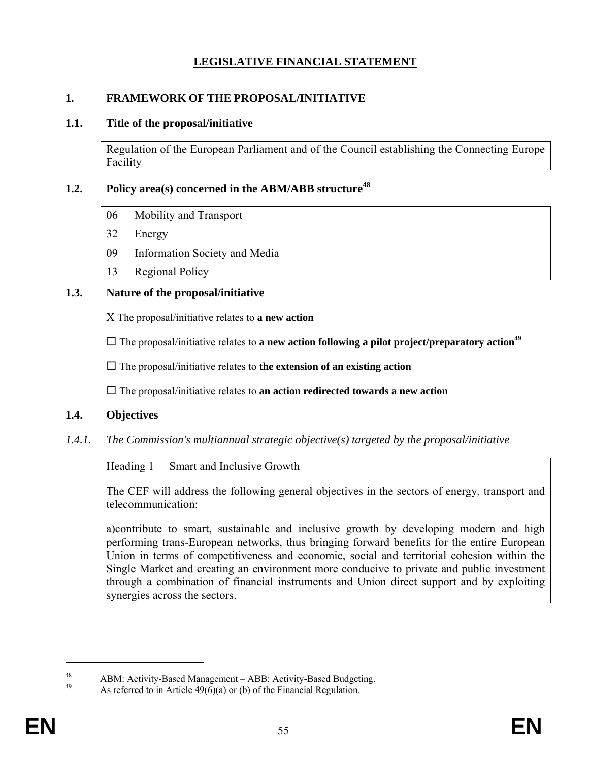# **LEGISLATIVE FINANCIAL STATEMENT**

### **1. FRAMEWORK OF THE PROPOSAL/INITIATIVE**

#### **1.1. Title of the proposal/initiative**

Regulation of the European Parliament and of the Council establishing the Connecting Europe Facility

# **1.2. Policy area(s) concerned in the ABM/ABB structure<sup>48</sup>**

- 06 Mobility and Transport
- 32 Energy
- 09 Information Society and Media
- 13 Regional Policy

## **1.3. Nature of the proposal/initiative**

X The proposal/initiative relates to **a new action** 

 $\Box$  The proposal/initiative relates to **a new action following a pilot project/preparatory action**<sup>49</sup>

The proposal/initiative relates to **the extension of an existing action**

The proposal/initiative relates to **an action redirected towards a new action**

# **1.4. Objectives**

*1.4.1. The Commission's multiannual strategic objective(s) targeted by the proposal/initiative* 

Heading 1 Smart and Inclusive Growth

The CEF will address the following general objectives in the sectors of energy, transport and telecommunication:

a)contribute to smart, sustainable and inclusive growth by developing modern and high performing trans-European networks, thus bringing forward benefits for the entire European Union in terms of competitiveness and economic, social and territorial cohesion within the Single Market and creating an environment more conducive to private and public investment through a combination of financial instruments and Union direct support and by exploiting synergies across the sectors.

<sup>48</sup> ABM: Activity-Based Management – ABB: Activity-Based Budgeting.

As referred to in Article  $49(6)(a)$  or (b) of the Financial Regulation.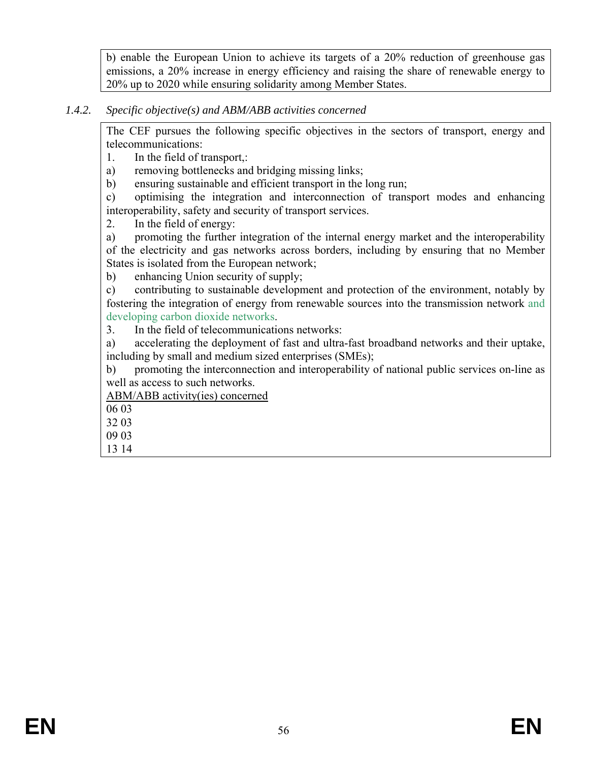b) enable the European Union to achieve its targets of a 20% reduction of greenhouse gas emissions, a 20% increase in energy efficiency and raising the share of renewable energy to 20% up to 2020 while ensuring solidarity among Member States.

## *1.4.2. Specific objective(s) and ABM/ABB activities concerned*

The CEF pursues the following specific objectives in the sectors of transport, energy and telecommunications:

- 1. In the field of transport,:
- a) removing bottlenecks and bridging missing links;
- b) ensuring sustainable and efficient transport in the long run;

c) optimising the integration and interconnection of transport modes and enhancing interoperability, safety and security of transport services.

2. In the field of energy:

a) promoting the further integration of the internal energy market and the interoperability of the electricity and gas networks across borders, including by ensuring that no Member States is isolated from the European network;

b) enhancing Union security of supply;

c) contributing to sustainable development and protection of the environment, notably by fostering the integration of energy from renewable sources into the transmission network and developing carbon dioxide networks.

3. In the field of telecommunications networks:

a) accelerating the deployment of fast and ultra-fast broadband networks and their uptake, including by small and medium sized enterprises (SMEs);

b) promoting the interconnection and interoperability of national public services on-line as well as access to such networks.

ABM/ABB activity(ies) concerned

06 03

32 03

09 03

13 14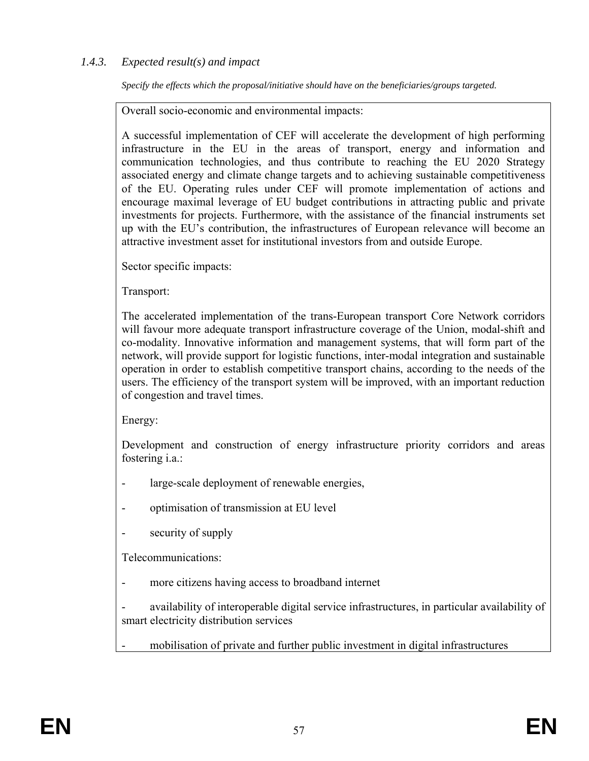# *1.4.3. Expected result(s) and impact*

*Specify the effects which the proposal/initiative should have on the beneficiaries/groups targeted.* 

Overall socio-economic and environmental impacts:

A successful implementation of CEF will accelerate the development of high performing infrastructure in the EU in the areas of transport, energy and information and communication technologies, and thus contribute to reaching the EU 2020 Strategy associated energy and climate change targets and to achieving sustainable competitiveness of the EU. Operating rules under CEF will promote implementation of actions and encourage maximal leverage of EU budget contributions in attracting public and private investments for projects. Furthermore, with the assistance of the financial instruments set up with the EU's contribution, the infrastructures of European relevance will become an attractive investment asset for institutional investors from and outside Europe.

Sector specific impacts:

Transport:

The accelerated implementation of the trans-European transport Core Network corridors will favour more adequate transport infrastructure coverage of the Union, modal-shift and co-modality. Innovative information and management systems, that will form part of the network, will provide support for logistic functions, inter-modal integration and sustainable operation in order to establish competitive transport chains, according to the needs of the users. The efficiency of the transport system will be improved, with an important reduction of congestion and travel times.

Energy:

Development and construction of energy infrastructure priority corridors and areas fostering i.a.:

- large-scale deployment of renewable energies,
- optimisation of transmission at EU level
- security of supply

Telecommunications:

more citizens having access to broadband internet

availability of interoperable digital service infrastructures, in particular availability of smart electricity distribution services

mobilisation of private and further public investment in digital infrastructures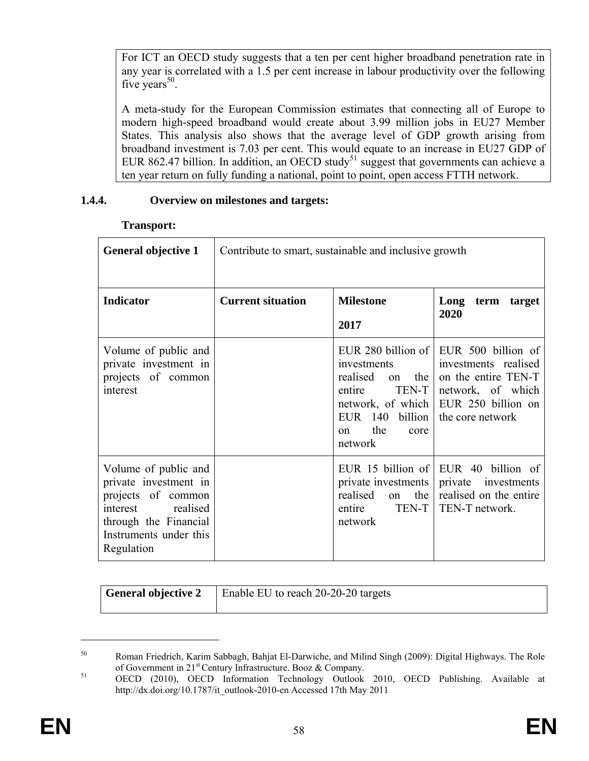For ICT an OECD study suggests that a ten per cent higher broadband penetration rate in any year is correlated with a 1.5 per cent increase in labour productivity over the following five years<sup>50</sup>.

A meta-study for the European Commission estimates that connecting all of Europe to modern high-speed broadband would create about 3.99 million jobs in EU27 Member States. This analysis also shows that the average level of GDP growth arising from broadband investment is 7.03 per cent. This would equate to an increase in EU27 GDP of EUR 862.47 billion. In addition, an OECD study<sup>51</sup> suggest that governments can achieve a ten year return on fully funding a national, point to point, open access FTTH network.

## **1.4.4. Overview on milestones and targets:**

| <b>General objective 1</b>                                                                                                                                   | Contribute to smart, sustainable and inclusive growth |                                                                                                                                         |                                                                                                                                                     |
|--------------------------------------------------------------------------------------------------------------------------------------------------------------|-------------------------------------------------------|-----------------------------------------------------------------------------------------------------------------------------------------|-----------------------------------------------------------------------------------------------------------------------------------------------------|
| <b>Indicator</b>                                                                                                                                             | <b>Current situation</b>                              | <b>Milestone</b><br>2017                                                                                                                | Long term<br>target<br>2020                                                                                                                         |
| Volume of public and<br>private investment in<br>projects of common<br>interest                                                                              |                                                       | investments<br>realised<br>the 1<br>$\Omega$<br>TEN-T<br>entire<br>network, of which<br>EUR 140 billion<br>the<br>core<br>on<br>network | EUR 280 billion of EUR 500 billion of<br>investments realised<br>on the entire TEN-T<br>network, of which<br>EUR 250 billion on<br>the core network |
| Volume of public and<br>private investment in<br>projects of common<br>interest<br>realised<br>through the Financial<br>Instruments under this<br>Regulation |                                                       | private investments<br>realised<br>the  <br>on<br>TEN-T<br>entire<br>network                                                            | EUR 15 billion of EUR 40 billion of<br>private investments<br>realised on the entire<br>TEN-T network.                                              |

#### **Transport:**

**General objective 2** | Enable EU to reach 20-20-20 targets

<sup>50</sup> Roman Friedrich, Karim Sabbagh, Bahjat El-Darwiche, and Milind Singh (2009): Digital Highways. The Role of Government in 21<sup>st</sup> Century Infrastructure. Booz & Company.<br><sup>51</sup> OECD (2010), OECD Information Technology Outlook 2010, OECD Publishing. Available at

http://dx.doi.org/10.1787/it\_outlook-2010-en Accessed 17th May 2011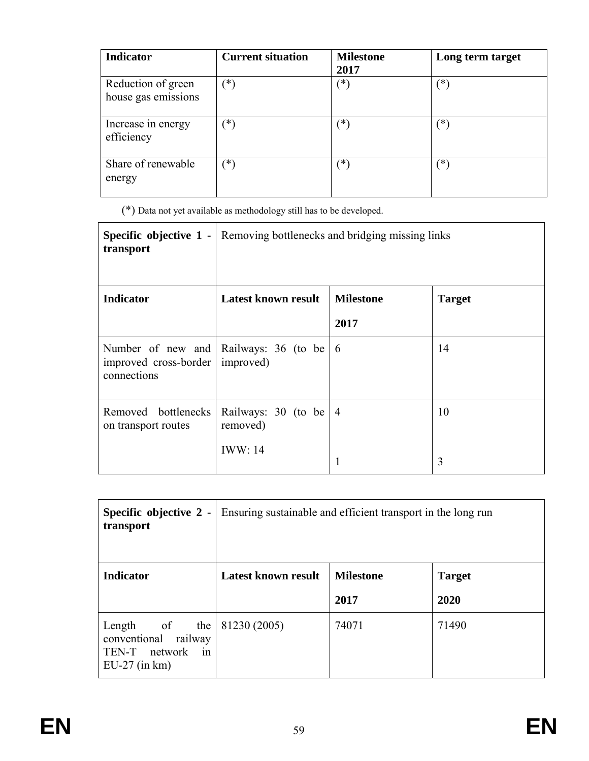| <b>Indicator</b>                          | <b>Current situation</b> | <b>Milestone</b><br>2017 | Long term target |
|-------------------------------------------|--------------------------|--------------------------|------------------|
| Reduction of green<br>house gas emissions | $\left( * \right)$       | ′*)                      | ′*`              |
| Increase in energy<br>efficiency          | ั*`                      | ั*)                      | ′*`              |
| Share of renewable<br>energy              | $\left( * \right)$       | ั*)                      | ′*`              |

(\*) Data not yet available as methodology still has to be developed.

| Specific objective 1 -<br>transport                                           | Removing bottlenecks and bridging missing links |                  |               |
|-------------------------------------------------------------------------------|-------------------------------------------------|------------------|---------------|
| <b>Indicator</b>                                                              | <b>Latest known result</b>                      | <b>Milestone</b> | <b>Target</b> |
|                                                                               |                                                 | 2017             |               |
| Number of new and Railways: 36 (to be<br>improved cross-border<br>connections | improved)                                       | 6                | 14            |
| Removed bottlenecks<br>on transport routes                                    | Railways: 30 (to be $ 4$<br>removed)            |                  | 10            |
|                                                                               | <b>IWW: 14</b>                                  |                  | 3             |

| Specific objective 2 -<br>transport                                                        | Ensuring sustainable and efficient transport in the long run |                  |               |
|--------------------------------------------------------------------------------------------|--------------------------------------------------------------|------------------|---------------|
| Indicator                                                                                  | <b>Latest known result</b>                                   | <b>Milestone</b> | <b>Target</b> |
|                                                                                            |                                                              | 2017             | 2020          |
| the  <br>of<br>Length<br>conventional railway<br>TEN-T<br>network<br>1n<br>$EU-27$ (in km) | 81230 (2005)                                                 | 74071            | 71490         |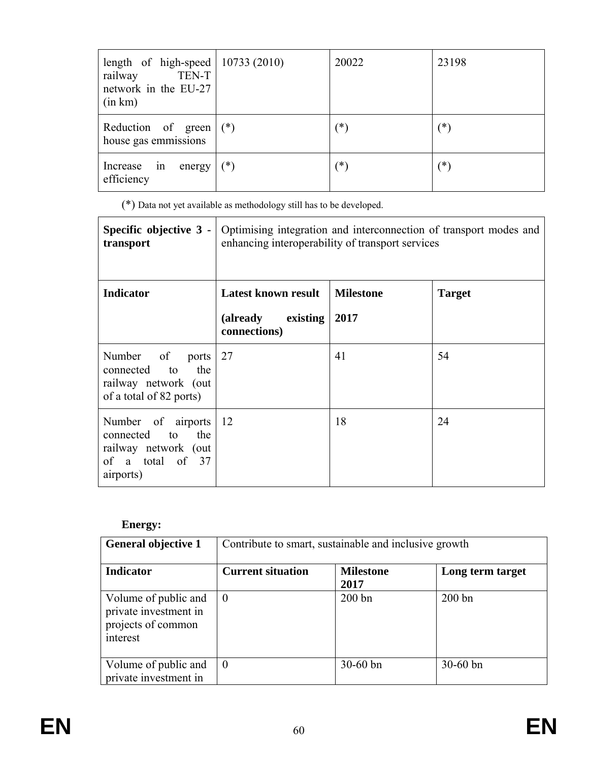| length of high-speed   $10733(2010)$<br>TEN-T<br>railway<br>network in the EU-27<br>(in km) |       | 20022    | 23198    |
|---------------------------------------------------------------------------------------------|-------|----------|----------|
| Reduction of green<br>house gas emmissions                                                  | $(*)$ | $(\ast)$ | $(\ast)$ |
| Increase in<br>energy<br>efficiency                                                         | $(*)$ | $(*)$    | $(\ast)$ |

(\*) Data not yet available as methodology still has to be developed.

| Specific objective 3 -<br>transport                                                                   | Optimising integration and interconnection of transport modes and<br>enhancing interoperability of transport services |                  |               |
|-------------------------------------------------------------------------------------------------------|-----------------------------------------------------------------------------------------------------------------------|------------------|---------------|
| <b>Indicator</b>                                                                                      | <b>Latest known result</b>                                                                                            | <b>Milestone</b> | <b>Target</b> |
|                                                                                                       | existing<br>(already<br>connections)                                                                                  | 2017             |               |
| Number of<br>ports<br>the<br>connected<br>to<br>railway network (out<br>of a total of 82 ports)       | 27                                                                                                                    | 41               | 54            |
| Number of airports<br>the<br>connected<br>to<br>railway network (out<br>of a total of 37<br>airports) | -12                                                                                                                   | 18               | 24            |

# **Energy:**

| <b>General objective 1</b>                                                      | Contribute to smart, sustainable and inclusive growth |                          |                  |  |
|---------------------------------------------------------------------------------|-------------------------------------------------------|--------------------------|------------------|--|
| <b>Indicator</b>                                                                | <b>Current situation</b>                              | <b>Milestone</b><br>2017 | Long term target |  |
| Volume of public and<br>private investment in<br>projects of common<br>interest | $\overline{0}$                                        | $200$ bn                 | 200bn            |  |
| Volume of public and<br>private investment in                                   | $\overline{0}$                                        | $30-60$ bn               | $30-60$ bn       |  |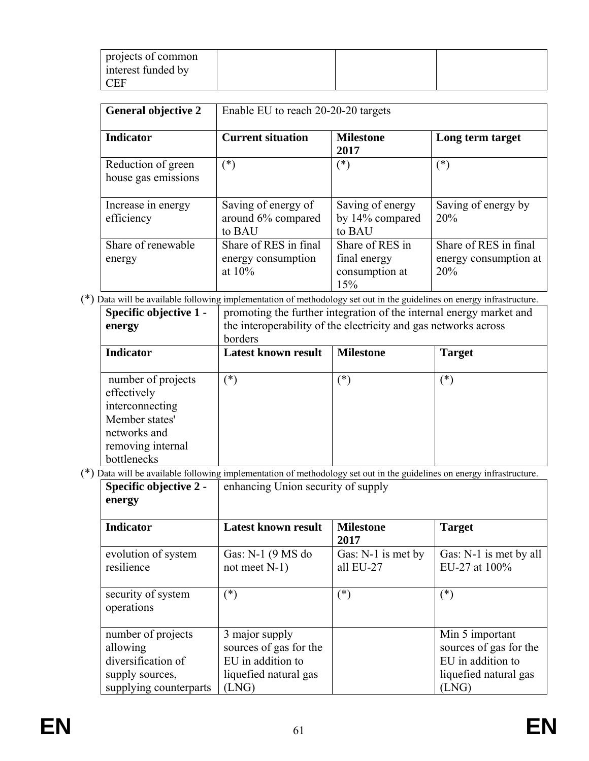| projects of common |  |  |
|--------------------|--|--|
| interest funded by |  |  |
| <b>CEF</b>         |  |  |

| <b>General objective 2</b>                | Enable EU to reach 20-20-20 targets                      |                                                          |                                                       |  |
|-------------------------------------------|----------------------------------------------------------|----------------------------------------------------------|-------------------------------------------------------|--|
| <b>Indicator</b>                          | <b>Current situation</b>                                 | <b>Milestone</b><br>2017                                 | Long term target                                      |  |
| Reduction of green<br>house gas emissions | $(*)$                                                    | $(*)$                                                    | $(\ast)$                                              |  |
| Increase in energy<br>efficiency          | Saving of energy of<br>around 6% compared<br>to BAU      | Saving of energy<br>by 14% compared<br>to BAU            | Saving of energy by<br>20%                            |  |
| Share of renewable<br>energy              | Share of RES in final<br>energy consumption<br>at $10\%$ | Share of RES in<br>final energy<br>consumption at<br>15% | Share of RES in final<br>energy consumption at<br>20% |  |

(\*) Data will be available following implementation of methodology set out in the guidelines on energy infrastructure.

| Specific objective 1 -<br>energy                                                                                           | promoting the further integration of the internal energy market and<br>the interoperability of the electricity and gas networks across<br>borders |                  |               |
|----------------------------------------------------------------------------------------------------------------------------|---------------------------------------------------------------------------------------------------------------------------------------------------|------------------|---------------|
| <b>Indicator</b>                                                                                                           | <b>Latest known result</b>                                                                                                                        | <b>Milestone</b> | <b>Target</b> |
| number of projects<br>effectively<br>interconnecting<br>Member states'<br>networks and<br>removing internal<br>bottlenecks | $(\ast)$                                                                                                                                          | ′*)              | $(\ast)$      |

(\*) Data will be available following implementation of methodology set out in the guidelines on energy infrastructure.

| Specific objective 2 -<br>energy          |                  | enhancing Union security of supply |                                 |                                           |
|-------------------------------------------|------------------|------------------------------------|---------------------------------|-------------------------------------------|
| <b>Indicator</b>                          |                  | <b>Latest known result</b>         | <b>Milestone</b><br>2017        | <b>Target</b>                             |
| evolution of system<br>resilience         | not meet $N-1$ ) | Gas: N-1 (9 MS do                  | Gas: N-1 is met by<br>all EU-27 | Gas: N-1 is met by all<br>EU-27 at 100%   |
| security of system<br>operations          | $(*)$            |                                    | $(*)$                           | $(*)$                                     |
| number of projects<br>allowing            | 3 major supply   | sources of gas for the             |                                 | Min 5 important<br>sources of gas for the |
| diversification of                        |                  | EU in addition to                  |                                 | EU in addition to                         |
| supply sources,<br>supplying counterparts | (LNG)            | liquefied natural gas              |                                 | liquefied natural gas<br>(LNG)            |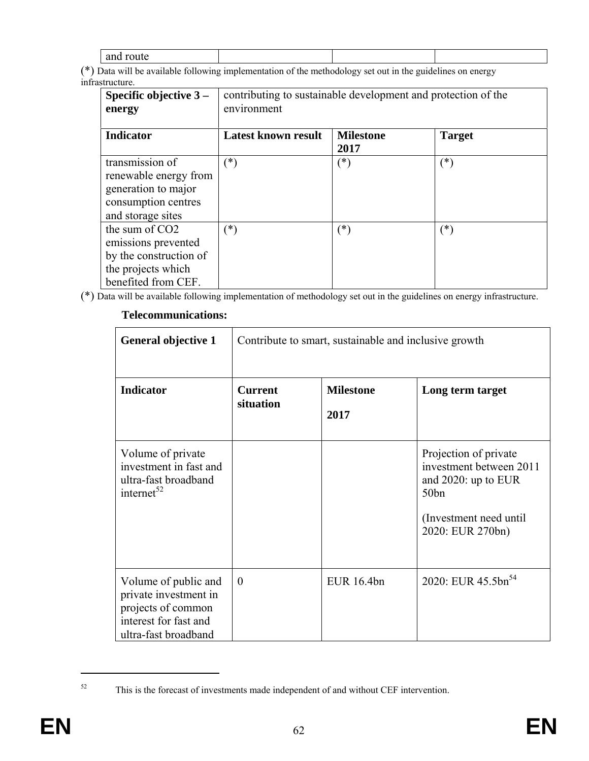| $unc$ iver |       |             |  |
|------------|-------|-------------|--|
| .<br>.     | .<br> | .<br>$\sim$ |  |

(\*) Data will be available following implementation of the methodology set out in the guidelines on energy infrastructure.

| Specific objective $3-$<br>energy                                                                                        | contributing to sustainable development and protection of the<br>environment |                          |               |
|--------------------------------------------------------------------------------------------------------------------------|------------------------------------------------------------------------------|--------------------------|---------------|
| <b>Indicator</b>                                                                                                         | <b>Latest known result</b>                                                   | <b>Milestone</b><br>2017 | <b>Target</b> |
| transmission of<br>renewable energy from<br>generation to major<br>consumption centres<br>and storage sites              | ั*)                                                                          | $(\ast)$                 | $(\ast)$      |
| the sum of CO <sub>2</sub><br>emissions prevented<br>by the construction of<br>the projects which<br>benefited from CEF. | $(\ast)$                                                                     | $(\ast)$                 | $(\ast)$      |

(\*) Data will be available following implementation of methodology set out in the guidelines on energy infrastructure.

#### **Telecommunications:**

| <b>General objective 1</b>                                                                                           | Contribute to smart, sustainable and inclusive growth |                          |                                                                                                                                |  |
|----------------------------------------------------------------------------------------------------------------------|-------------------------------------------------------|--------------------------|--------------------------------------------------------------------------------------------------------------------------------|--|
| <b>Indicator</b>                                                                                                     | <b>Current</b><br>situation                           | <b>Milestone</b><br>2017 | Long term target                                                                                                               |  |
| Volume of private<br>investment in fast and<br>ultra-fast broadband<br>internet <sup>52</sup>                        |                                                       |                          | Projection of private<br>investment between 2011<br>and 2020: up to EUR<br>50bn<br>(Investment need until)<br>2020: EUR 270bn) |  |
| Volume of public and<br>private investment in<br>projects of common<br>interest for fast and<br>ultra-fast broadband | $\theta$                                              | <b>EUR 16.4bn</b>        | 2020: EUR 45.5bn <sup>54</sup>                                                                                                 |  |

<sup>&</sup>lt;sup>52</sup> This is the forecast of investments made independent of and without CEF intervention.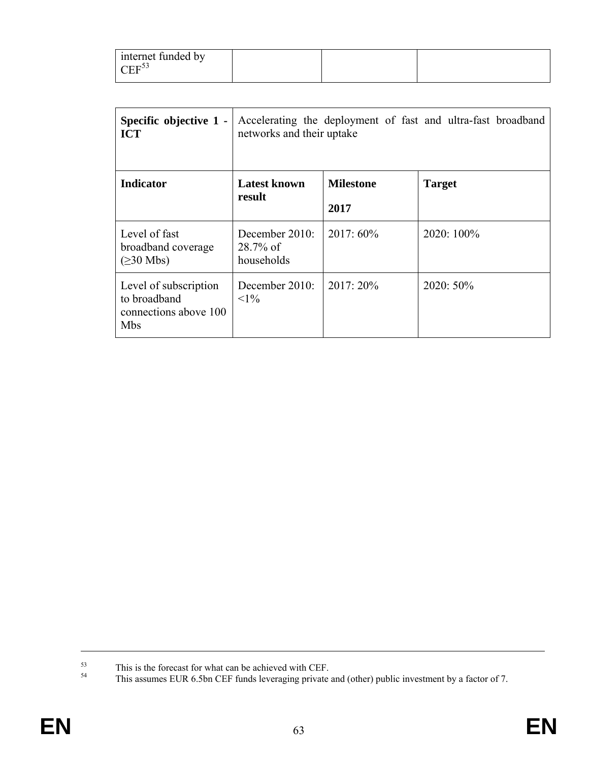| internet funded by<br>$T_{\rm HF}^{53}$ |  |  |
|-----------------------------------------|--|--|
|                                         |  |  |

| Specific objective 1 -<br><b>ICT</b>                                  | networks and their uptake                      |                          | Accelerating the deployment of fast and ultra-fast broadband |
|-----------------------------------------------------------------------|------------------------------------------------|--------------------------|--------------------------------------------------------------|
| <b>Indicator</b>                                                      | <b>Latest known</b><br>result                  | <b>Milestone</b><br>2017 | <b>Target</b>                                                |
| Level of fast<br>broadband coverage<br>$(\geq 30$ Mbs)                | December $2010$ :<br>$28.7\%$ of<br>households | $2017:60\%$              | 2020: 100%                                                   |
| Level of subscription<br>to broadband<br>connections above 100<br>Mbs | December $2010$ :<br>$<1\%$                    | $2017:20\%$              | $2020:50\%$                                                  |

 $^{53}$  This is the forecast for what can be achieved with CEF.<br> $^{54}$  This assumes EUP 6.5bp CEF funds layers arguments

This assumes EUR 6.5bn CEF funds leveraging private and (other) public investment by a factor of 7.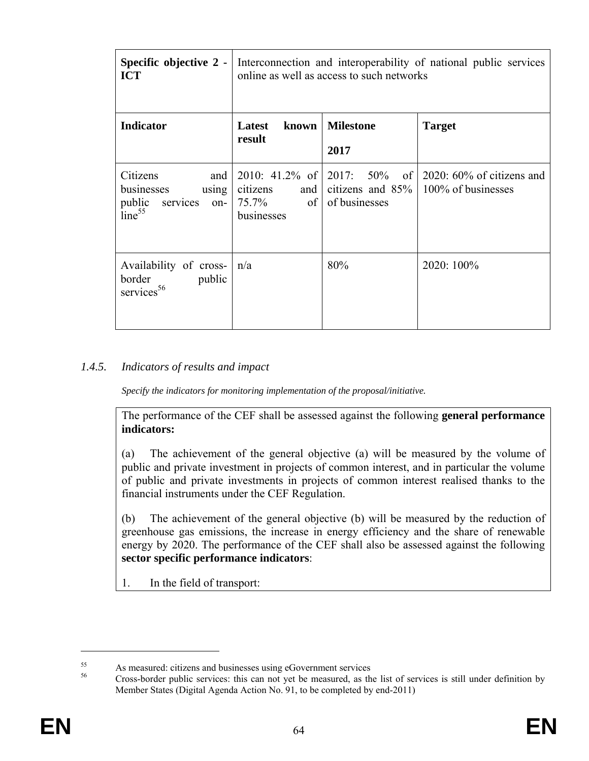| Specific objective 2 -<br><b>ICT</b>                                                   | Interconnection and interoperability of national public services<br>online as well as access to such networks |                                                   |                                                   |
|----------------------------------------------------------------------------------------|---------------------------------------------------------------------------------------------------------------|---------------------------------------------------|---------------------------------------------------|
| <b>Indicator</b>                                                                       | Latest<br>known<br>result                                                                                     | <b>Milestone</b><br>2017                          | <b>Target</b>                                     |
| Citizens<br>and<br>businesses<br>using<br>public services<br>on-<br>line <sup>55</sup> | 2010: 41.2% of $\vert$ 2017: 50%<br>citizens<br>and  <br>$75.7\%$ of<br>businesses                            | $\circ$ of<br>citizens and $85%$<br>of businesses | $2020:60\%$ of citizens and<br>100% of businesses |
| Availability of cross-<br>border<br>public<br>services <sup>56</sup>                   | n/a                                                                                                           | 80%                                               | 2020: 100%                                        |

# *1.4.5. Indicators of results and impact*

*Specify the indicators for monitoring implementation of the proposal/initiative.* 

The performance of the CEF shall be assessed against the following **general performance indicators:** 

(a) The achievement of the general objective (a) will be measured by the volume of public and private investment in projects of common interest, and in particular the volume of public and private investments in projects of common interest realised thanks to the financial instruments under the CEF Regulation.

(b) The achievement of the general objective (b) will be measured by the reduction of greenhouse gas emissions, the increase in energy efficiency and the share of renewable energy by 2020. The performance of the CEF shall also be assessed against the following **sector specific performance indicators**:

1. In the field of transport:

 $55$  As measured: citizens and businesses using eGovernment services  $56$  Cross harden outlie services this served with harden measured as the

<sup>56</sup> Cross-border public services: this can not yet be measured, as the list of services is still under definition by Member States (Digital Agenda Action No. 91, to be completed by end-2011)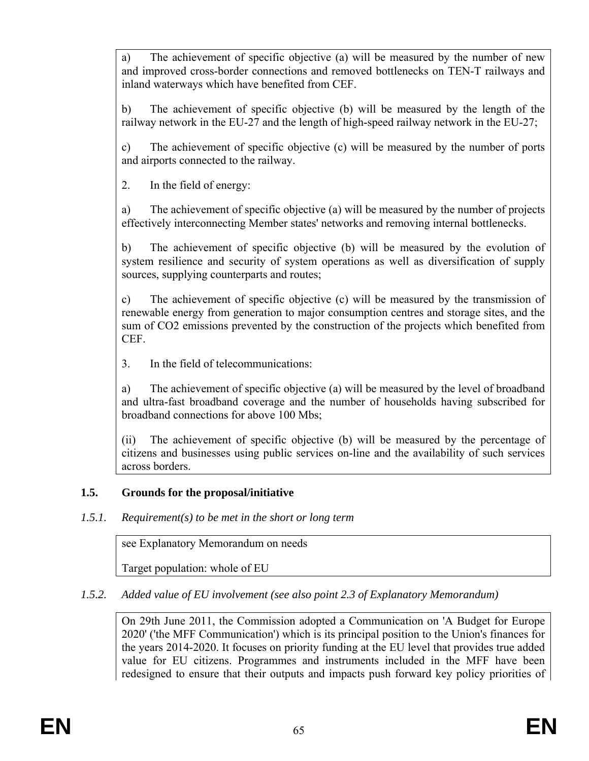a) The achievement of specific objective (a) will be measured by the number of new and improved cross-border connections and removed bottlenecks on TEN-T railways and inland waterways which have benefited from CEF.

b) The achievement of specific objective (b) will be measured by the length of the railway network in the EU-27 and the length of high-speed railway network in the EU-27;

c) The achievement of specific objective (c) will be measured by the number of ports and airports connected to the railway.

2. In the field of energy:

a) The achievement of specific objective (a) will be measured by the number of projects effectively interconnecting Member states' networks and removing internal bottlenecks.

b) The achievement of specific objective (b) will be measured by the evolution of system resilience and security of system operations as well as diversification of supply sources, supplying counterparts and routes;

c) The achievement of specific objective (c) will be measured by the transmission of renewable energy from generation to major consumption centres and storage sites, and the sum of CO2 emissions prevented by the construction of the projects which benefited from CEF.

3. In the field of telecommunications:

a) The achievement of specific objective (a) will be measured by the level of broadband and ultra-fast broadband coverage and the number of households having subscribed for broadband connections for above 100 Mbs;

(ii) The achievement of specific objective (b) will be measured by the percentage of citizens and businesses using public services on-line and the availability of such services across borders.

# **1.5. Grounds for the proposal/initiative**

# *1.5.1. Requirement(s) to be met in the short or long term*

see Explanatory Memorandum on needs

Target population: whole of EU

# *1.5.2. Added value of EU involvement (see also point 2.3 of Explanatory Memorandum)*

On 29th June 2011, the Commission adopted a Communication on 'A Budget for Europe 2020' ('the MFF Communication') which is its principal position to the Union's finances for the years 2014-2020. It focuses on priority funding at the EU level that provides true added value for EU citizens. Programmes and instruments included in the MFF have been redesigned to ensure that their outputs and impacts push forward key policy priorities of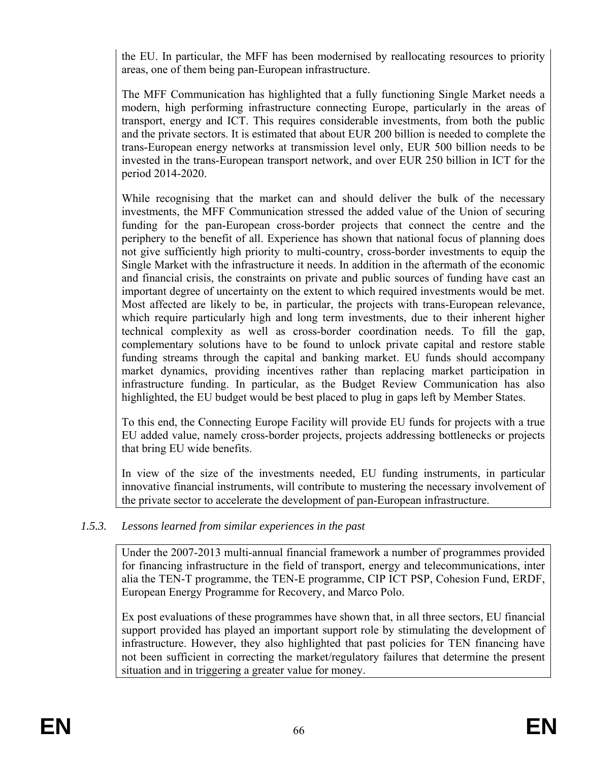the EU. In particular, the MFF has been modernised by reallocating resources to priority areas, one of them being pan-European infrastructure.

The MFF Communication has highlighted that a fully functioning Single Market needs a modern, high performing infrastructure connecting Europe, particularly in the areas of transport, energy and ICT. This requires considerable investments, from both the public and the private sectors. It is estimated that about EUR 200 billion is needed to complete the trans-European energy networks at transmission level only, EUR 500 billion needs to be invested in the trans-European transport network, and over EUR 250 billion in ICT for the period 2014-2020.

While recognising that the market can and should deliver the bulk of the necessary investments, the MFF Communication stressed the added value of the Union of securing funding for the pan-European cross-border projects that connect the centre and the periphery to the benefit of all. Experience has shown that national focus of planning does not give sufficiently high priority to multi-country, cross-border investments to equip the Single Market with the infrastructure it needs. In addition in the aftermath of the economic and financial crisis, the constraints on private and public sources of funding have cast an important degree of uncertainty on the extent to which required investments would be met. Most affected are likely to be, in particular, the projects with trans-European relevance, which require particularly high and long term investments, due to their inherent higher technical complexity as well as cross-border coordination needs. To fill the gap, complementary solutions have to be found to unlock private capital and restore stable funding streams through the capital and banking market. EU funds should accompany market dynamics, providing incentives rather than replacing market participation in infrastructure funding. In particular, as the Budget Review Communication has also highlighted, the EU budget would be best placed to plug in gaps left by Member States.

To this end, the Connecting Europe Facility will provide EU funds for projects with a true EU added value, namely cross-border projects, projects addressing bottlenecks or projects that bring EU wide benefits.

In view of the size of the investments needed, EU funding instruments, in particular innovative financial instruments, will contribute to mustering the necessary involvement of the private sector to accelerate the development of pan-European infrastructure.

# *1.5.3. Lessons learned from similar experiences in the past*

Under the 2007-2013 multi-annual financial framework a number of programmes provided for financing infrastructure in the field of transport, energy and telecommunications, inter alia the TEN-T programme, the TEN-E programme, CIP ICT PSP, Cohesion Fund, ERDF, European Energy Programme for Recovery, and Marco Polo.

Ex post evaluations of these programmes have shown that, in all three sectors, EU financial support provided has played an important support role by stimulating the development of infrastructure. However, they also highlighted that past policies for TEN financing have not been sufficient in correcting the market/regulatory failures that determine the present situation and in triggering a greater value for money.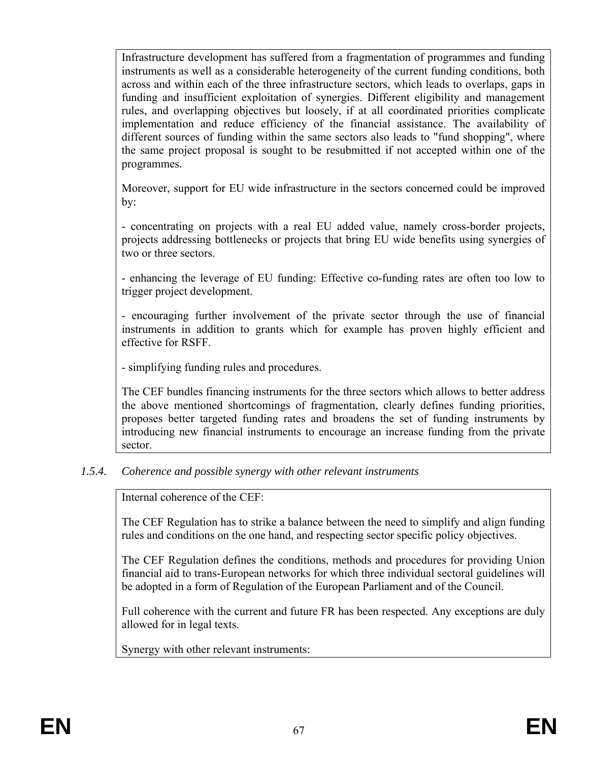Infrastructure development has suffered from a fragmentation of programmes and funding instruments as well as a considerable heterogeneity of the current funding conditions, both across and within each of the three infrastructure sectors, which leads to overlaps, gaps in funding and insufficient exploitation of synergies. Different eligibility and management rules, and overlapping objectives but loosely, if at all coordinated priorities complicate implementation and reduce efficiency of the financial assistance. The availability of different sources of funding within the same sectors also leads to "fund shopping", where the same project proposal is sought to be resubmitted if not accepted within one of the programmes.

Moreover, support for EU wide infrastructure in the sectors concerned could be improved by:

- concentrating on projects with a real EU added value, namely cross-border projects, projects addressing bottlenecks or projects that bring EU wide benefits using synergies of two or three sectors.

- enhancing the leverage of EU funding: Effective co-funding rates are often too low to trigger project development.

- encouraging further involvement of the private sector through the use of financial instruments in addition to grants which for example has proven highly efficient and effective for RSFF.

- simplifying funding rules and procedures.

The CEF bundles financing instruments for the three sectors which allows to better address the above mentioned shortcomings of fragmentation, clearly defines funding priorities, proposes better targeted funding rates and broadens the set of funding instruments by introducing new financial instruments to encourage an increase funding from the private sector.

# *1.5.4. Coherence and possible synergy with other relevant instruments*

Internal coherence of the CEF:

The CEF Regulation has to strike a balance between the need to simplify and align funding rules and conditions on the one hand, and respecting sector specific policy objectives.

The CEF Regulation defines the conditions, methods and procedures for providing Union financial aid to trans-European networks for which three individual sectoral guidelines will be adopted in a form of Regulation of the European Parliament and of the Council.

Full coherence with the current and future FR has been respected. Any exceptions are duly allowed for in legal texts.

Synergy with other relevant instruments: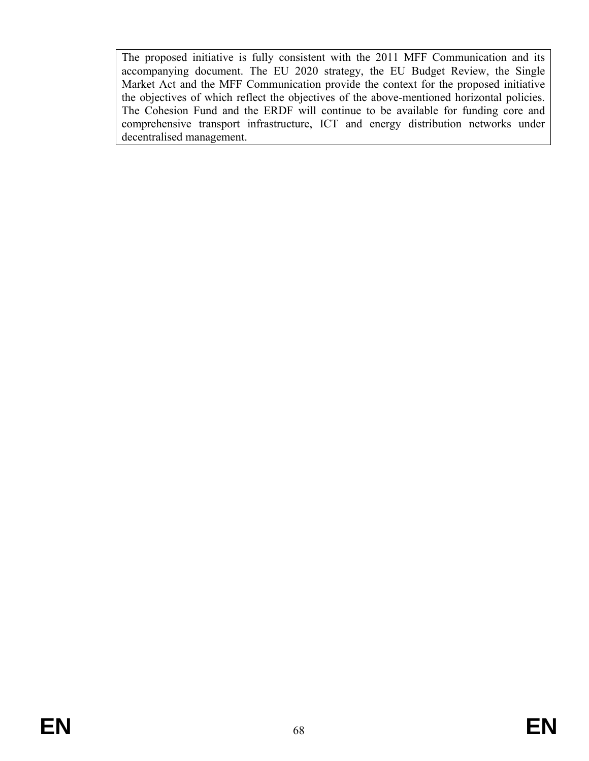The proposed initiative is fully consistent with the 2011 MFF Communication and its accompanying document. The EU 2020 strategy, the EU Budget Review, the Single Market Act and the MFF Communication provide the context for the proposed initiative the objectives of which reflect the objectives of the above-mentioned horizontal policies. The Cohesion Fund and the ERDF will continue to be available for funding core and comprehensive transport infrastructure, ICT and energy distribution networks under decentralised management.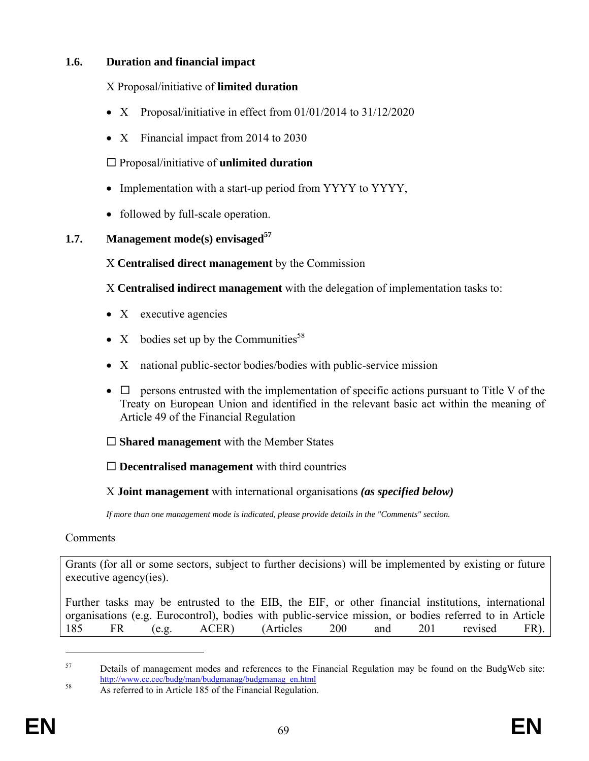## **1.6. Duration and financial impact**

## X Proposal/initiative of **limited duration**

- X Proposal/initiative in effect from 01/01/2014 to 31/12/2020
- X Financial impact from 2014 to 2030

# Proposal/initiative of **unlimited duration**

- Implementation with a start-up period from YYYY to YYYY,
- followed by full-scale operation.

# **1.7. Management mode(s) envisaged**<sup>57</sup>

# X **Centralised direct management** by the Commission

X **Centralised indirect management** with the delegation of implementation tasks to:

- X executive agencies
- X bodies set up by the Communities<sup>58</sup>
- X national public-sector bodies/bodies with public-service mission
- $\Box$  persons entrusted with the implementation of specific actions pursuant to Title V of the Treaty on European Union and identified in the relevant basic act within the meaning of Article 49 of the Financial Regulation

**Shared management** with the Member States

**Decentralised management** with third countries

X **Joint management** with international organisations *(as specified below)* 

*If more than one management mode is indicated, please provide details in the "Comments" section.* 

#### **Comments**

Grants (for all or some sectors, subject to further decisions) will be implemented by existing or future executive agency(ies).

Further tasks may be entrusted to the EIB, the EIF, or other financial institutions, international organisations (e.g. Eurocontrol), bodies with public-service mission, or bodies referred to in Article 185 FR (e.g. ACER) (Articles 200 and 201 revised FR).

<sup>57</sup> Details of management modes and references to the Financial Regulation may be found on the BudgWeb site:<br>http://www.cc.cec/budg/man/budgmanag/budgmanag en.html

 $\overline{\mathbf{A}}_s$  referred to in Article 185 of the Financial Regulation.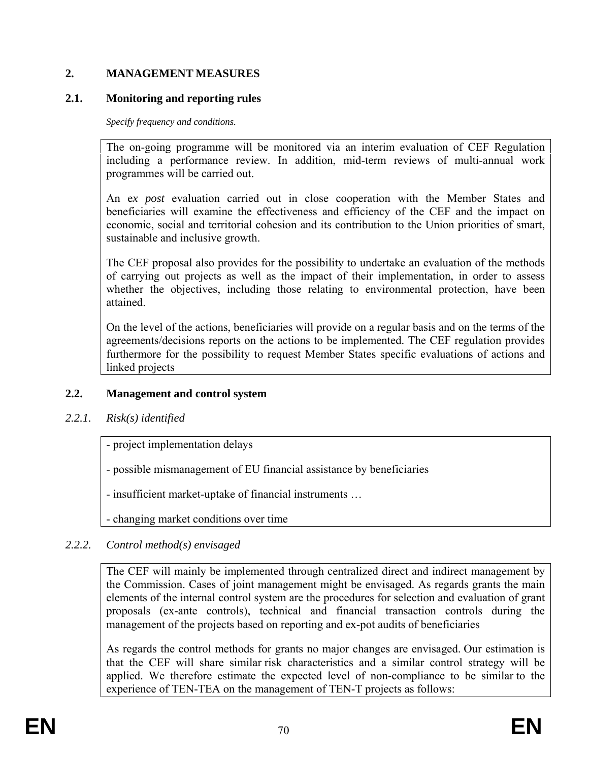# **2. MANAGEMENT MEASURES**

## **2.1. Monitoring and reporting rules**

*Specify frequency and conditions.* 

The on-going programme will be monitored via an interim evaluation of CEF Regulation including a performance review. In addition, mid-term reviews of multi-annual work programmes will be carried out.

An e*x post* evaluation carried out in close cooperation with the Member States and beneficiaries will examine the effectiveness and efficiency of the CEF and the impact on economic, social and territorial cohesion and its contribution to the Union priorities of smart, sustainable and inclusive growth.

The CEF proposal also provides for the possibility to undertake an evaluation of the methods of carrying out projects as well as the impact of their implementation, in order to assess whether the objectives, including those relating to environmental protection, have been attained.

On the level of the actions, beneficiaries will provide on a regular basis and on the terms of the agreements/decisions reports on the actions to be implemented. The CEF regulation provides furthermore for the possibility to request Member States specific evaluations of actions and linked projects

# **2.2. Management and control system**

# *2.2.1. Risk(s) identified*

- project implementation delays

- possible mismanagement of EU financial assistance by beneficiaries

- insufficient market-uptake of financial instruments …

- changing market conditions over time

# *2.2.2. Control method(s) envisaged*

The CEF will mainly be implemented through centralized direct and indirect management by the Commission. Cases of joint management might be envisaged. As regards grants the main elements of the internal control system are the procedures for selection and evaluation of grant proposals (ex-ante controls), technical and financial transaction controls during the management of the projects based on reporting and ex-pot audits of beneficiaries

As regards the control methods for grants no major changes are envisaged. Our estimation is that the CEF will share similar risk characteristics and a similar control strategy will be applied. We therefore estimate the expected level of non-compliance to be similar to the experience of TEN-TEA on the management of TEN-T projects as follows: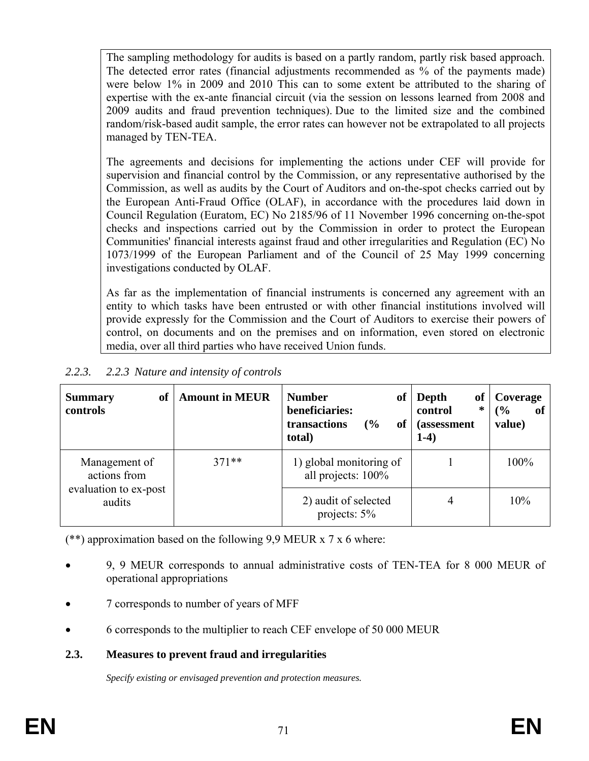The sampling methodology for audits is based on a partly random, partly risk based approach. The detected error rates (financial adjustments recommended as % of the payments made) were below 1% in 2009 and 2010 This can to some extent be attributed to the sharing of expertise with the ex-ante financial circuit (via the session on lessons learned from 2008 and 2009 audits and fraud prevention techniques). Due to the limited size and the combined random/risk-based audit sample, the error rates can however not be extrapolated to all projects managed by TEN-TEA.

The agreements and decisions for implementing the actions under CEF will provide for supervision and financial control by the Commission, or any representative authorised by the Commission, as well as audits by the Court of Auditors and on-the-spot checks carried out by the European Anti-Fraud Office (OLAF), in accordance with the procedures laid down in Council Regulation (Euratom, EC) No 2185/96 of 11 November 1996 concerning on-the-spot checks and inspections carried out by the Commission in order to protect the European Communities' financial interests against fraud and other irregularities and Regulation (EC) No 1073/1999 of the European Parliament and of the Council of 25 May 1999 concerning investigations conducted by OLAF.

As far as the implementation of financial instruments is concerned any agreement with an entity to which tasks have been entrusted or with other financial institutions involved will provide expressly for the Commission and the Court of Auditors to exercise their powers of control, on documents and on the premises and on information, even stored on electronic media, over all third parties who have received Union funds.

| of<br><b>Summary</b><br>controls | <b>Amount in MEUR</b> | <b>Number</b><br><sub>of</sub><br>beneficiaries:<br>$\frac{0}{0}$<br>of<br>transactions<br>total) | <sub>of</sub><br>Depth<br>∗<br>control<br>(assessment<br>$1-4)$ | Coverage<br>$\frac{9}{6}$<br><b>of</b><br>value) |
|----------------------------------|-----------------------|---------------------------------------------------------------------------------------------------|-----------------------------------------------------------------|--------------------------------------------------|
| Management of<br>actions from    | $371**$               | 1) global monitoring of<br>all projects: 100%                                                     |                                                                 | 100%                                             |
| evaluation to ex-post<br>audits  |                       | 2) audit of selected<br>projects: $5\%$                                                           | 4                                                               | 10%                                              |

# *2.2.3. 2.2.3 Nature and intensity of controls*

 $(**)$  approximation based on the following 9,9 MEUR x 7 x 6 where:

- 9, 9 MEUR corresponds to annual administrative costs of TEN-TEA for 8 000 MEUR of operational appropriations
- 7 corresponds to number of years of MFF
- 6 corresponds to the multiplier to reach CEF envelope of 50 000 MEUR

# **2.3. Measures to prevent fraud and irregularities**

*Specify existing or envisaged prevention and protection measures.*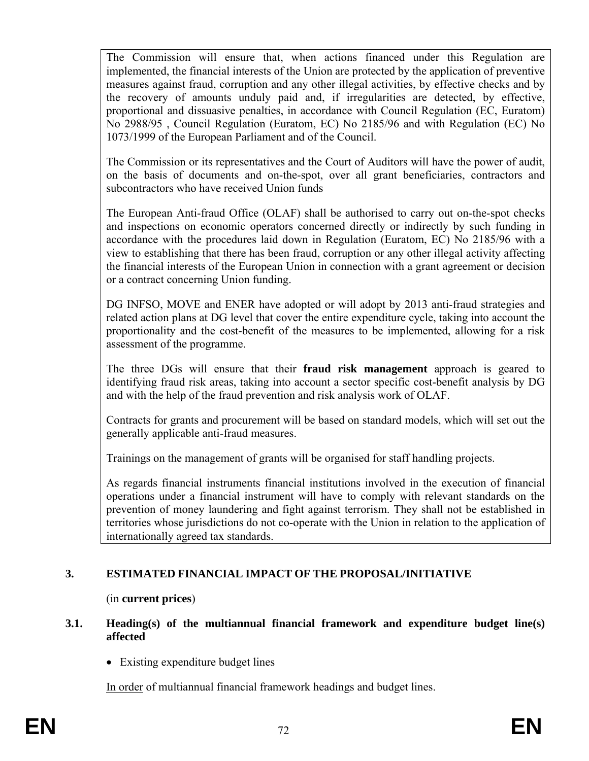The Commission will ensure that, when actions financed under this Regulation are implemented, the financial interests of the Union are protected by the application of preventive measures against fraud, corruption and any other illegal activities, by effective checks and by the recovery of amounts unduly paid and, if irregularities are detected, by effective, proportional and dissuasive penalties, in accordance with Council Regulation (EC, Euratom) No 2988/95 , Council Regulation (Euratom, EC) No 2185/96 and with Regulation (EC) No 1073/1999 of the European Parliament and of the Council.

The Commission or its representatives and the Court of Auditors will have the power of audit, on the basis of documents and on-the-spot, over all grant beneficiaries, contractors and subcontractors who have received Union funds

The European Anti-fraud Office (OLAF) shall be authorised to carry out on-the-spot checks and inspections on economic operators concerned directly or indirectly by such funding in accordance with the procedures laid down in Regulation (Euratom, EC) No 2185/96 with a view to establishing that there has been fraud, corruption or any other illegal activity affecting the financial interests of the European Union in connection with a grant agreement or decision or a contract concerning Union funding.

DG INFSO, MOVE and ENER have adopted or will adopt by 2013 anti-fraud strategies and related action plans at DG level that cover the entire expenditure cycle, taking into account the proportionality and the cost-benefit of the measures to be implemented, allowing for a risk assessment of the programme.

The three DGs will ensure that their **fraud risk management** approach is geared to identifying fraud risk areas, taking into account a sector specific cost-benefit analysis by DG and with the help of the fraud prevention and risk analysis work of OLAF.

Contracts for grants and procurement will be based on standard models, which will set out the generally applicable anti-fraud measures.

Trainings on the management of grants will be organised for staff handling projects.

As regards financial instruments financial institutions involved in the execution of financial operations under a financial instrument will have to comply with relevant standards on the prevention of money laundering and fight against terrorism. They shall not be established in territories whose jurisdictions do not co-operate with the Union in relation to the application of internationally agreed tax standards.

# **3. ESTIMATED FINANCIAL IMPACT OF THE PROPOSAL/INITIATIVE**

### (in **current prices**)

### **3.1. Heading(s) of the multiannual financial framework and expenditure budget line(s) affected**

• Existing expenditure budget lines

In order of multiannual financial framework headings and budget lines.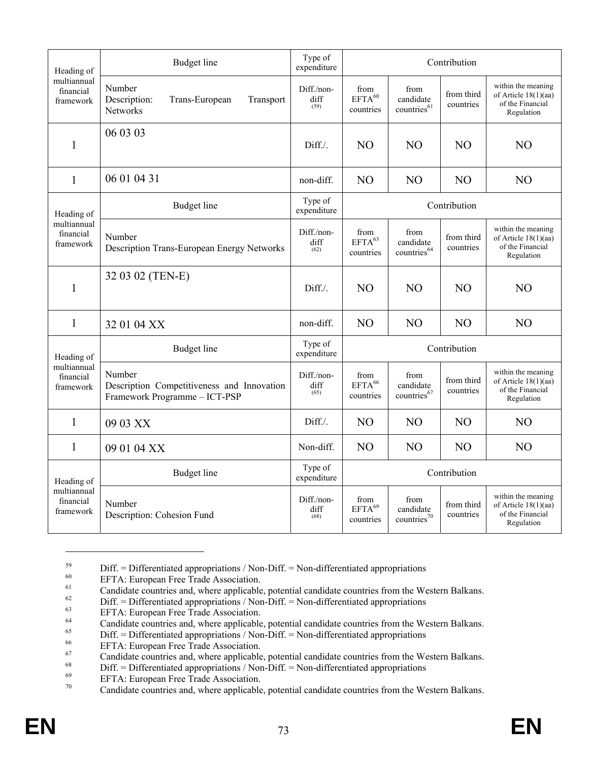| Heading of                            | <b>Budget</b> line                                                                    | Type of<br>expenditure     |                                         |                                              | Contribution            |                                                                                |  |  |
|---------------------------------------|---------------------------------------------------------------------------------------|----------------------------|-----------------------------------------|----------------------------------------------|-------------------------|--------------------------------------------------------------------------------|--|--|
| multiannual<br>financial<br>framework | Number<br>Description:<br>Trans-European<br>Transport<br><b>Networks</b>              | Diff./non-<br>diff<br>(59) | from<br>$EFTA^{60}$<br>countries        | from<br>candidate<br>countries <sup>61</sup> | from third<br>countries | within the meaning<br>of Article $18(1)(aa)$<br>of the Financial<br>Regulation |  |  |
| 1                                     | 06 03 03                                                                              | $Diff. /$ .                | N <sub>O</sub>                          | N <sub>O</sub>                               | N <sub>O</sub>          | N <sub>O</sub>                                                                 |  |  |
| $\mathbf{1}$                          | 06 01 04 31                                                                           | non-diff.                  | N <sub>O</sub>                          | N <sub>O</sub>                               | N <sub>O</sub>          | N <sub>O</sub>                                                                 |  |  |
| Heading of                            | <b>Budget</b> line                                                                    | Type of<br>expenditure     |                                         |                                              | Contribution            |                                                                                |  |  |
| multiannual<br>financial<br>framework | Number<br>Description Trans-European Energy Networks                                  | Diff./non-<br>diff<br>(62) | from<br>EFTA <sup>63</sup><br>countries | from<br>candidate<br>countries <sup>64</sup> | from third<br>countries | within the meaning<br>of Article $18(1)(aa)$<br>of the Financial<br>Regulation |  |  |
| $\mathbf{1}$                          | 32 03 02 (TEN-E)                                                                      | Diff/L                     | N <sub>O</sub>                          | NO <sub>1</sub>                              | N <sub>O</sub>          | N <sub>O</sub>                                                                 |  |  |
| 1                                     | 32 01 04 XX                                                                           | non-diff.                  | N <sub>O</sub>                          | N <sub>O</sub>                               | N <sub>O</sub>          | N <sub>O</sub>                                                                 |  |  |
| Heading of                            | <b>Budget</b> line                                                                    | Type of<br>expenditure     |                                         |                                              | Contribution            |                                                                                |  |  |
| multiannual<br>financial<br>framework | Number<br>Description Competitiveness and Innovation<br>Framework Programme - ICT-PSP | Diff./non-<br>diff<br>(65) | from<br>$EFTA^{66}$<br>countries        | from<br>candidate<br>countries <sup>67</sup> | from third<br>countries | within the meaning<br>of Article $18(1)(aa)$<br>of the Financial<br>Regulation |  |  |
| 1                                     | 09 03 XX                                                                              | Diff./.                    | N <sub>O</sub>                          | N <sub>O</sub>                               | N <sub>O</sub>          | N <sub>O</sub>                                                                 |  |  |
| 1                                     | 09 01 04 XX                                                                           | Non-diff.                  | N <sub>O</sub>                          | N <sub>O</sub>                               | N <sub>O</sub>          | N <sub>O</sub>                                                                 |  |  |
| Heading of                            | <b>Budget</b> line                                                                    | Type of<br>expenditure     |                                         |                                              | Contribution            |                                                                                |  |  |
| multiannual<br>financial<br>framework | Number<br>Description: Cohesion Fund                                                  | Diff./non-<br>diff<br>(68) | from<br>EFTA <sup>69</sup><br>countries | from<br>candidate<br>countries <sup>70</sup> | from third<br>countries | within the meaning<br>of Article 18(1)(aa)<br>of the Financial<br>Regulation   |  |  |

<sup>&</sup>lt;sup>59</sup> Diff. = Differentiated appropriations / Non-Diff. = Non-differentiated appropriations <br>
<sup>60</sup> EFTA: European Free Trade Association.<br>
<sup>61</sup> Condidate appropriation and where applicable natural condidate aputtion from t

 $\overline{a}$ 

Candidate countries and, where applicable, potential candidate countries from the Western Balkans.<br>
Diff. = Differentiated appropriations / Non-Diff. = Non-differentiated appropriations<br>
EFTA: European Free Trade Associat

Candidate countries and, where applicable, potential candidate countries from the Western Balkans.<br>
Diff. = Differentiated appropriations / Non-Diff. = Non-differentiated appropriations<br>
EFTA: European Free Trade Associat

Candidate countries and, where applicable, potential candidate countries from the Western Balkans.<br>  $\frac{68}{\text{Diff.}} = \text{Differentiated approximations / Non-Diff.} = \text{Non-differentiated approximations}$ <br>
EFTA: European Free Trade Association.<br>
Condidate countries and where applicable

Candidate countries and, where applicable, potential candidate countries from the Western Balkans.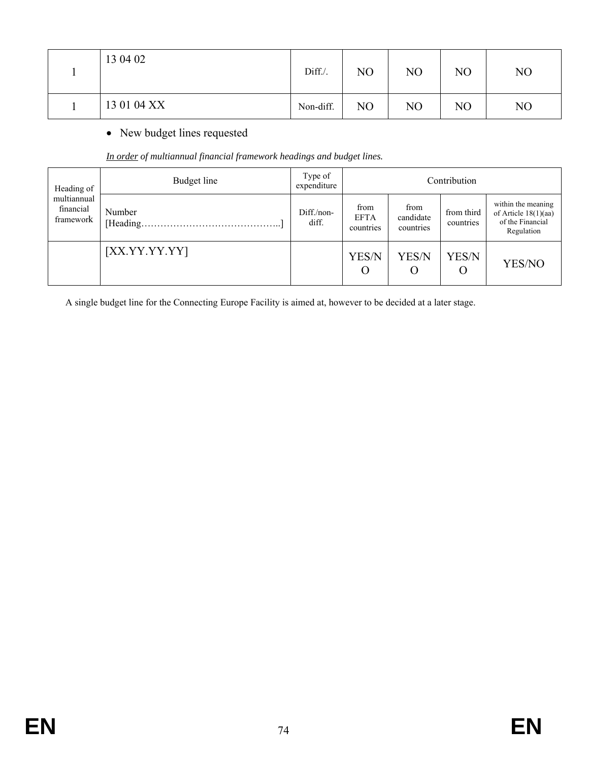| 13 04 02    | Diff./.   | N <sub>O</sub> | NO | NO | NO |
|-------------|-----------|----------------|----|----|----|
| 13 01 04 XX | Non-diff. | N <sub>O</sub> | NO | NO | NO |

### • New budget lines requested

*In order of multiannual financial framework headings and budget lines.* 

| Heading of                            | Budget line   | Type of<br>expenditure |                                  |                                | Contribution            |                                                                                |
|---------------------------------------|---------------|------------------------|----------------------------------|--------------------------------|-------------------------|--------------------------------------------------------------------------------|
| multiannual<br>financial<br>framework | Number        | Diff./non-<br>diff.    | from<br><b>EFTA</b><br>countries | from<br>candidate<br>countries | from third<br>countries | within the meaning<br>of Article $18(1)(aa)$<br>of the Financial<br>Regulation |
|                                       | [XX.YY.YY.YY] |                        | YES/N<br>O                       | YES/N<br>$\theta$              | YES/N<br>Ő              | YES/NO                                                                         |

A single budget line for the Connecting Europe Facility is aimed at, however to be decided at a later stage.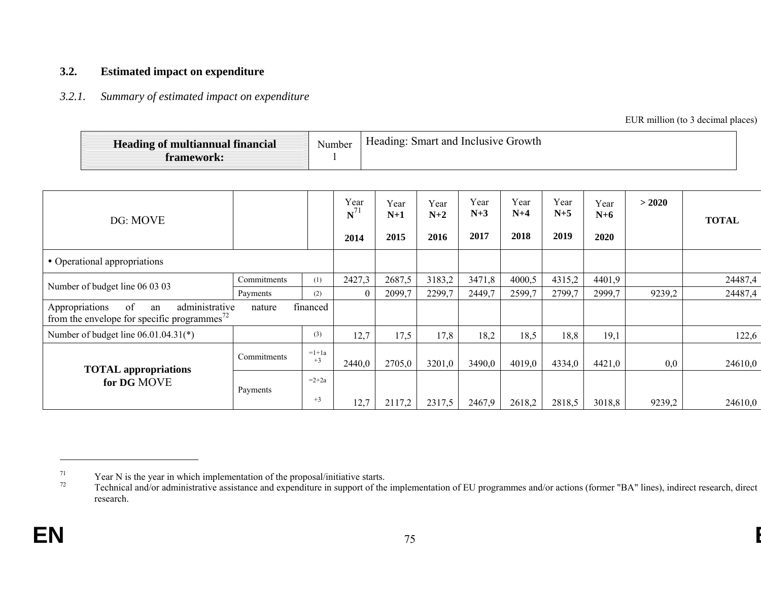#### **3.2.Estimated impact on expenditure**

#### *3.2.1.Summary of estimated impact on expenditure*

EUR million (to 3 decimal places)

| <b>Heading of multiannual financial</b><br>tramework: | Number | <sup>1</sup> Heading: Smart and Inclusive Growth |
|-------------------------------------------------------|--------|--------------------------------------------------|
|-------------------------------------------------------|--------|--------------------------------------------------|

| DG: MOVE                                                                                                |             |                 | Year<br>$N^{7}$<br>2014 | Year<br>$N+1$<br>2015 | Year<br>$N+2$<br>2016 | Year<br>$N+3$<br>2017 | Year<br>$N+4$<br>2018 | Year<br>$N+5$<br>2019 | Year<br>$N+6$<br>2020 | > 2020 | <b>TOTAL</b> |
|---------------------------------------------------------------------------------------------------------|-------------|-----------------|-------------------------|-----------------------|-----------------------|-----------------------|-----------------------|-----------------------|-----------------------|--------|--------------|
| • Operational appropriations                                                                            |             |                 |                         |                       |                       |                       |                       |                       |                       |        |              |
|                                                                                                         | Commitments | (1)             | 2427,3                  | 2687,5                | 3183,2                | 3471,8                | 4000,5                | 4315,2                | 4401,9                |        | 24487,4      |
| Number of budget line 06 03 03<br>Payments                                                              |             |                 |                         | 2099,7                | 2299,7                | 2449,7                | 2599,7                | 2799,7                | 2999.7                | 9239,2 | 24487,4      |
| Appropriations<br>of<br>administrative<br>an<br>from the envelope for specific programmes <sup>72</sup> | nature      | financed        |                         |                       |                       |                       |                       |                       |                       |        |              |
| Number of budget line $06.01.04.31(*)$                                                                  |             | (3)             | 12,7                    | 17,5                  | 17,8                  | 18,2                  | 18,5                  | 18,8                  | 19,1                  |        | 122,6        |
| <b>TOTAL</b> appropriations                                                                             | Commitments | $=1+1a$<br>$+3$ | 2440,0                  | 2705,0                | 3201,0                | 3490,0                | 4019,0                | 4334,0                | 4421,0                | 0,0    | 24610,0      |
| for DG MOVE                                                                                             | Payments    | $=2+2a$<br>$+3$ | 12,7                    | 2117,2                | 2317,5                | 2467,9                | 2618,2                | 2818,5                | 3018,8                | 9239,2 | 24610,0      |

 $\frac{71}{72}$  Year N is the year in which implementation of the proposal/initiative starts.

Technical and/or administrative assistance and expenditure in support of the implementation of EU programmes and/or actions (former "BA" lines), indirect research, direct research.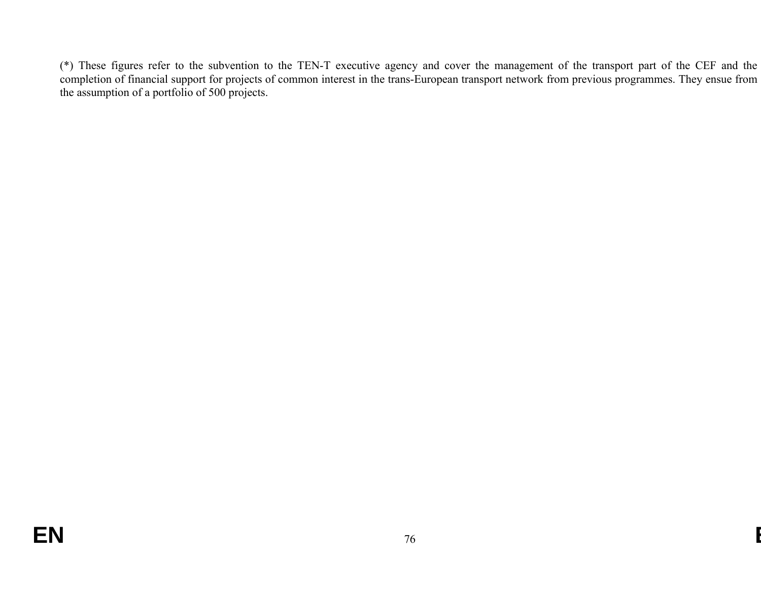(\*) These figures refer to the subvention to the TEN-T executive agency and cover the management of the transport part of the CEF and the completion of financial support for projects of common interest in the trans-European transport network from previous programmes. They ensue from the assumption of a portfolio of 500 projects.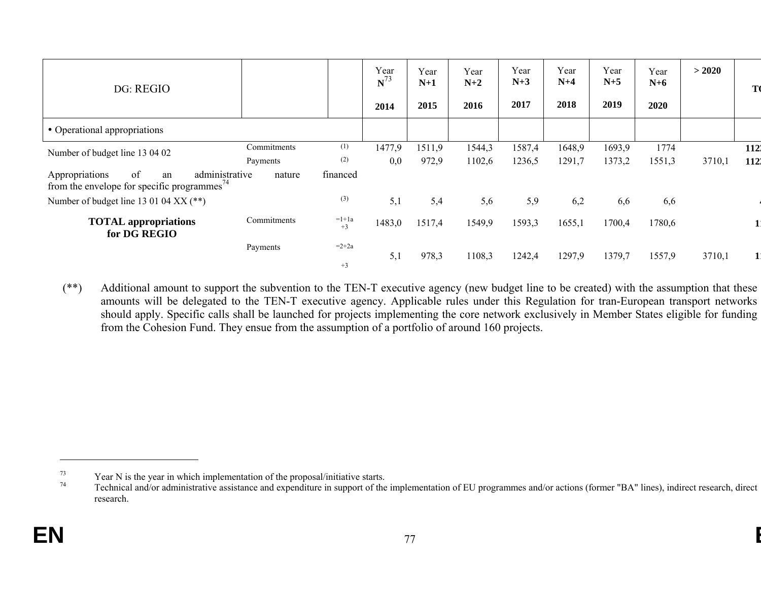| DG: REGIO                                                                                               |             |                 | Year<br>$N^{73}$ | Year<br>$N+1$ | Year<br>$N+2$ | Year<br>$N+3$ | Year<br>$N+4$ | Year<br>$N+5$ | Year<br>$N+6$ | > 2020 | T(  |
|---------------------------------------------------------------------------------------------------------|-------------|-----------------|------------------|---------------|---------------|---------------|---------------|---------------|---------------|--------|-----|
|                                                                                                         |             |                 | 2014             | 2015          | 2016          | 2017          | 2018          | 2019          | 2020          |        |     |
| • Operational appropriations                                                                            |             |                 |                  |               |               |               |               |               |               |        |     |
| Number of budget line 13 04 02                                                                          | Commitments | (1)             | 1477,9           | 1511,9        | 1544,3        | 1587,4        | 1648,9        | 1693,9        | 1774          |        | 112 |
|                                                                                                         | Payments    | (2)             | 0,0              | 972,9         | 1102,6        | 1236,5        | 1291,7        | 1373,2        | 1551,3        | 3710,1 | 112 |
| administrative<br>Appropriations<br>of<br>an<br>from the envelope for specific programmes <sup>74</sup> | nature      | financed        |                  |               |               |               |               |               |               |        |     |
| Number of budget line 13 01 04 XX $(**)$                                                                |             | (3)             | 5,1              | 5,4           | 5,6           | 5,9           | 6,2           | 6,6           | 6,6           |        |     |
| <b>TOTAL</b> appropriations<br>for DG REGIO                                                             | Commitments | $=1+1a$<br>$+3$ | 1483,0           | 1517,4        | 1549,9        | 1593,3        | 1655,1        | 1700,4        | 1780,6        |        |     |
|                                                                                                         | Payments    | $=2+2a$<br>$+3$ | 5,1              | 978,3         | 1108,3        | 1242,4        | 1297,9        | 1379,7        | 1557,9        | 3710,1 |     |

 (\*\*) Additional amount to support the subvention to the TEN-T executive agency (new budget line to be created) with the assumption that these amounts will be delegated to the TEN-T executive agency. Applicable rules under this Regulation for tran-European transport networks should apply. Specific calls shall be launched for projects implementing the core network exclusively in Member States eligible for funding from the Cohesion Fund. They ensue from the assumption of a portfolio of around 160 projects.

 $\frac{73}{74}$  Year N is the year in which implementation of the proposal/initiative starts.

Technical and/or administrative assistance and expenditure in support of the implementation of EU programmes and/or actions (former "BA" lines), indirect research, direct research.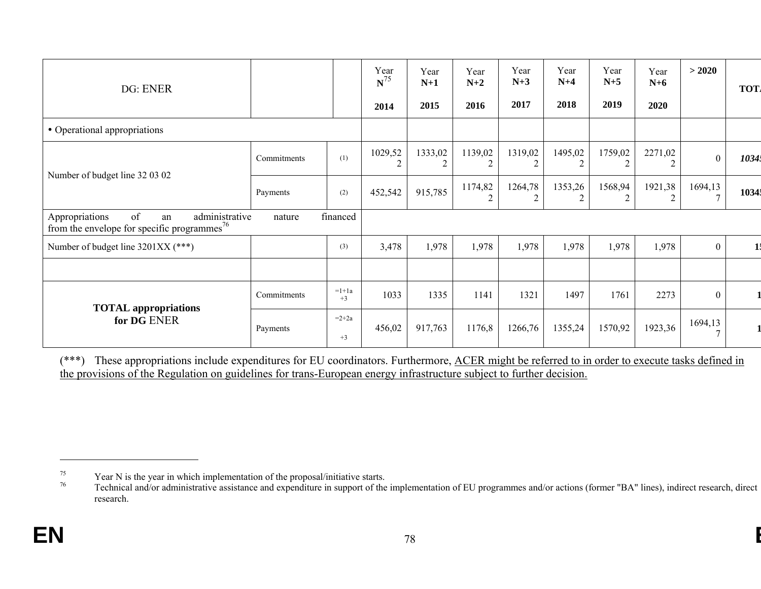| DG: ENER                                                                                          |             |                 | Year<br>$N^{75}$<br>2014  | Year<br>$N+1$<br>2015 | Year<br>$N+2$<br>2016     | Year<br>$N+3$<br>2017     | Year<br>$N+4$<br>2018 | Year<br>$N+5$<br>2019     | Year<br>$N+6$<br>2020    | > 2020                  | <b>TOT.</b> |
|---------------------------------------------------------------------------------------------------|-------------|-----------------|---------------------------|-----------------------|---------------------------|---------------------------|-----------------------|---------------------------|--------------------------|-------------------------|-------------|
| • Operational appropriations                                                                      |             |                 |                           |                       |                           |                           |                       |                           |                          |                         |             |
| Number of budget line 32 03 02                                                                    | Commitments | (1)             | 1029,52<br>$\overline{2}$ | 1333,02               | 1139,02<br>2              | 1319,02<br>$\overline{2}$ | 1495,02               | 1759,02<br>$\overline{2}$ | 2271,02                  | $\overline{0}$          | 1034:       |
|                                                                                                   | Payments    | (2)             | 452,542                   | 915,785               | 1174,82<br>$\overline{c}$ | 1264,78<br>2              | 1353,26<br>2          | 1568,94<br>$\overline{2}$ | 1921,38<br>$\mathcal{P}$ | 1694,13<br>$\mathbf{r}$ | 1034        |
| of<br>administrative<br>Appropriations<br>an<br>from the envelope for specific programmes $^{76}$ | nature      | financed        |                           |                       |                           |                           |                       |                           |                          |                         |             |
| Number of budget line 3201XX (***)                                                                |             | (3)             | 3,478                     | 1,978                 | 1,978                     | 1,978                     | 1,978                 | 1,978                     | 1,978                    | $\boldsymbol{0}$        |             |
|                                                                                                   |             |                 |                           |                       |                           |                           |                       |                           |                          |                         |             |
| <b>TOTAL</b> appropriations                                                                       | Commitments | $=1+1a$<br>$+3$ | 1033                      | 1335                  | 1141                      | 1321                      | 1497                  | 1761                      | 2273                     | $\boldsymbol{0}$        |             |
| for DG ENER                                                                                       | Payments    | $=2+2a$<br>$+3$ | 456,02                    | 917,763               | 1176,8                    | 1266,76                   | 1355,24               | 1570,92                   | 1923,36                  | 1694,13                 |             |

(\*\*\*) These appropriations include expenditures for EU coordinators. Furthermore, ACER might be referred to in order to execute tasks defined in the provisions of the Regulation on guidelines for trans-European energy infrastructure subject to further decision.

 $^{75}$  Year N is the year in which implementation of the proposal/initiative starts.<br>Technical and/or administrative assistance and expenditure in support of the

Technical and/or administrative assistance and expenditure in support of the implementation of EU programmes and/or actions (former "BA" lines), indirect research, direct research.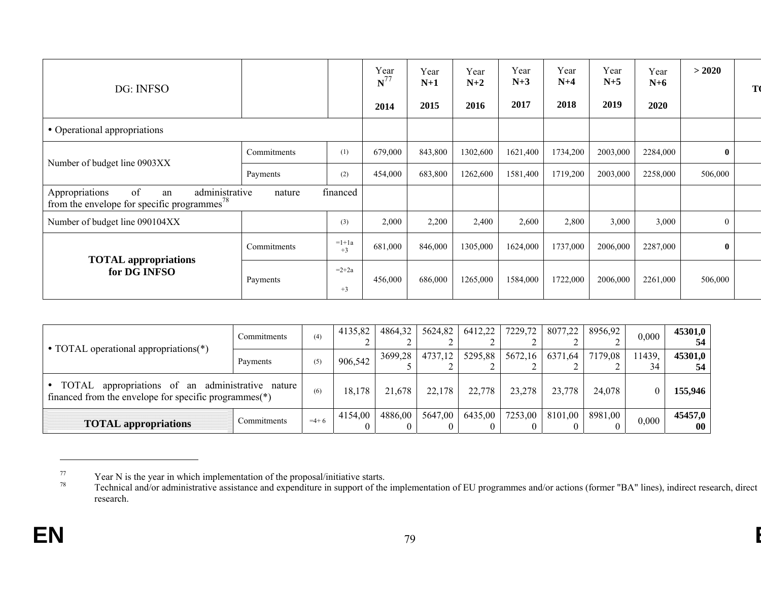| DG: INFSO                                                                                         |             |                 | Year<br>$N^{77}$<br>2014 | Year<br>$N+1$<br>2015 | Year<br>$N+2$<br>2016 | Year<br>$N+3$<br>2017 | Year<br>$N+4$<br>2018 | Year<br>$N+5$<br>2019 | Year<br>$N+6$<br>2020 | > 2020       | T( |
|---------------------------------------------------------------------------------------------------|-------------|-----------------|--------------------------|-----------------------|-----------------------|-----------------------|-----------------------|-----------------------|-----------------------|--------------|----|
| • Operational appropriations                                                                      |             |                 |                          |                       |                       |                       |                       |                       |                       |              |    |
| Number of budget line 0903XX                                                                      | Commitments | (1)             | 679,000                  | 843,800               | 1302,600              | 1621,400              | 1734,200              | 2003,000              | 2284,000              | $\mathbf{0}$ |    |
|                                                                                                   | Payments    | (2)             | 454,000                  | 683,800               | 1262,600              | 1581,400              | 1719,200              | 2003,000              | 2258,000              | 506,000      |    |
| of<br>Appropriations<br>administrative<br>an<br>from the envelope for specific programmes $^{78}$ | nature      | financed        |                          |                       |                       |                       |                       |                       |                       |              |    |
| Number of budget line 090104XX                                                                    |             | (3)             | 2,000                    | 2,200                 | 2,400                 | 2,600                 | 2,800                 | 3,000                 | 3,000                 | $\theta$     |    |
| <b>TOTAL</b> appropriations                                                                       | Commitments | $=1+1a$<br>$+3$ | 681,000                  | 846,000               | 1305,000              | 1624,000              | 1737,000              | 2006,000              | 2287,000              | $\mathbf{0}$ |    |
| for DG INFSO                                                                                      | Payments    | $=2+2a$<br>$+3$ | 456,000                  | 686,000               | 1265,000              | 1584,000              | 1722,000              | 2006,000              | 2261,000              | 506,000      |    |

| $\bullet$ TOTAL operational appropriations(*)                                                                   | Commitments | (4)    | 4135,82 | 4864,32 | 5624,82 | 6412,22 | 7229,72 | 8077,22 | 8956,92 | 0,000       | 45301,0<br>54        |
|-----------------------------------------------------------------------------------------------------------------|-------------|--------|---------|---------|---------|---------|---------|---------|---------|-------------|----------------------|
|                                                                                                                 | Payments    | (5)    | 906,542 | 3699,28 | 4737,12 | 5295,88 | 5672,16 | 6371,64 | 7179,08 | 1439,<br>34 | 45301,0<br>-54       |
| appropriations of an administrative nature<br>TOTAL<br>financed from the envelope for specific programmes $(*)$ |             | (6)    | 18,178  | 21,678  | 22,178  | 22,778  | 23,278  | 23,778  | 24,078  |             | 155,946              |
| <b>TOTAL appropriations</b>                                                                                     | Commitments | $=4+6$ | 4154,00 | 4886,00 | 5647,00 | 6435,00 | 7253,00 | 8101,00 | 8981,00 | 0,000       | 45457,0<br>$\bf{00}$ |

 $\frac{77}{78}$  Year N is the year in which implementation of the proposal/initiative starts.<br>Technical and/or administrative assistance and expenditure in support of the

Technical and/or administrative assistance and expenditure in support of the implementation of EU programmes and/or actions (former "BA" lines), indirect research, direct research.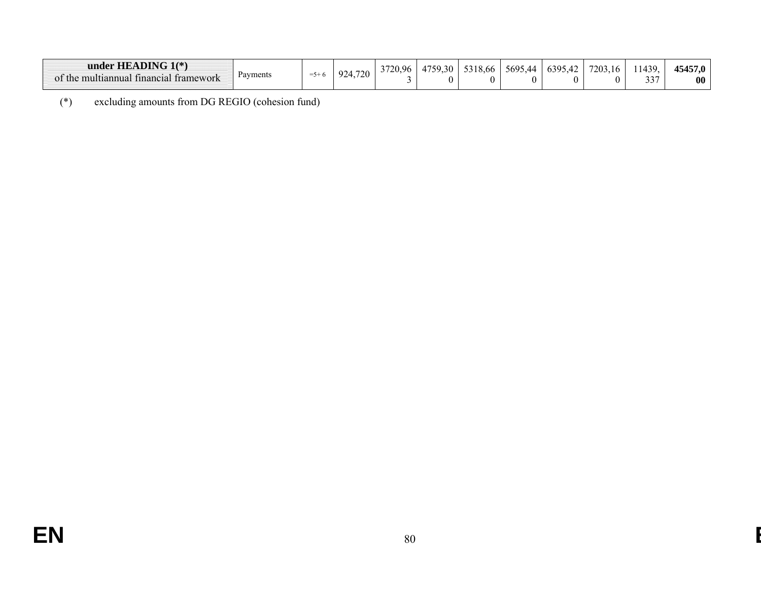| under HEADING $1(*)$                       | Payments |        | 700<br>ററ | 3720.96 | 4759.30 | 5318,66 | 5695,44 | 6395,42 | 7203,16 | 1439.                | 45457,0   |
|--------------------------------------------|----------|--------|-----------|---------|---------|---------|---------|---------|---------|----------------------|-----------|
| the<br>multiannual.<br>tinancial framework |          | $-5+6$ |           |         |         | v       |         |         |         | $\mathcal{L}$<br>331 | $\bf{00}$ |

(\*) excluding amounts from DG REGIO (cohesion fund)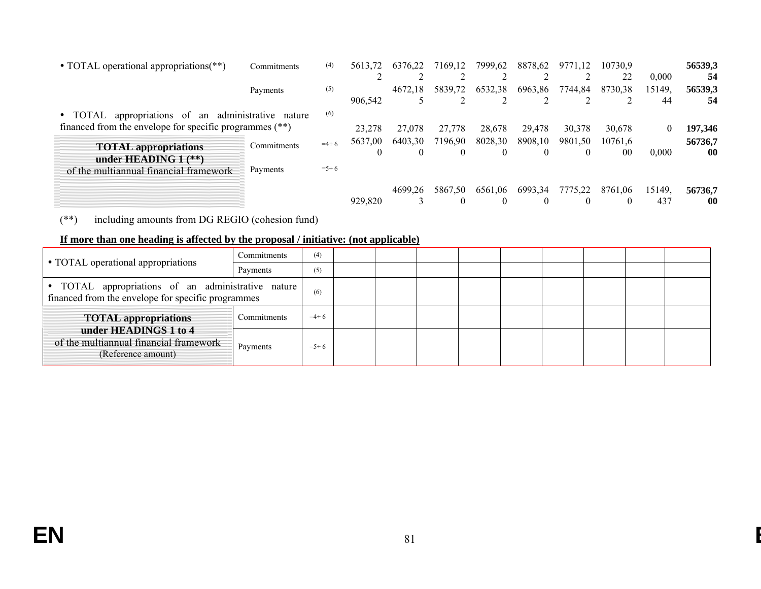| • TOTAL operational appropriations $(**)$                 | Commitments           | (4)     | 5613.72  | 6376,22 | 7169,12  | 7999,62 | 8878,62 | 9771,12  | 10730.9 |        | 56539,3 |
|-----------------------------------------------------------|-----------------------|---------|----------|---------|----------|---------|---------|----------|---------|--------|---------|
|                                                           |                       |         |          |         |          |         |         |          | 22      | 0.000  | 54      |
|                                                           | Payments              | (5)     |          | 4672,18 | 5839,72  | 6532,38 | 6963,86 | 7744,84  | 8730,38 | 15149. | 56539,3 |
|                                                           |                       |         | 906,542  |         |          |         |         |          |         | 44     | 54      |
| $\bullet$ TOTAL<br>appropriations of<br>an                | administrative nature | (6)     |          |         |          |         |         |          |         |        |         |
| financed from the envelope for specific programmes $(**)$ |                       |         | 23,278   | 27,078  | 27,778   | 28,678  | 29,478  | 30,378   | 30,678  |        | 197,346 |
|                                                           | Commitments           | $=4+6$  | 5637,00  | 6403,30 | 7196,90  | 8028,30 | 8908,10 | 9801.50  | 10761.6 |        | 56736,7 |
| <b>TOTAL</b> appropriations<br>under HEADING $1$ (**)     |                       |         | $\theta$ |         | $\theta$ |         |         | $\Omega$ | 00      | 0.000  | -00     |
| of the multiannual financial framework                    | Payments              | $=$ 5+6 |          |         |          |         |         |          |         |        |         |
|                                                           |                       |         |          | 4699.26 | 5867.50  | 6561,06 | 6993,34 | 7775,22  | 8761.06 | 15149. | 56736,7 |
|                                                           |                       |         | 929.820  |         |          |         |         |          | 0       | 437    | 00      |

# (\*\*) including amounts from DG REGIO (cohesion fund)

### **If more than one heading is affected by the proposal / initiative: (not applicable)**

|                                                                                                          | Commitments | (4)     |  |  |  |  |  |
|----------------------------------------------------------------------------------------------------------|-------------|---------|--|--|--|--|--|
| • TOTAL operational appropriations                                                                       | Payments    | (5)     |  |  |  |  |  |
| • TOTAL appropriations of an administrative nature<br>financed from the envelope for specific programmes |             | (6)     |  |  |  |  |  |
| <b>TOTAL appropriations</b>                                                                              | Commitments | $=4+6$  |  |  |  |  |  |
| under HEADINGS 1 to 4<br>of the multiannual financial framework<br>(Reference amount)                    | Payments    | $=$ 5+6 |  |  |  |  |  |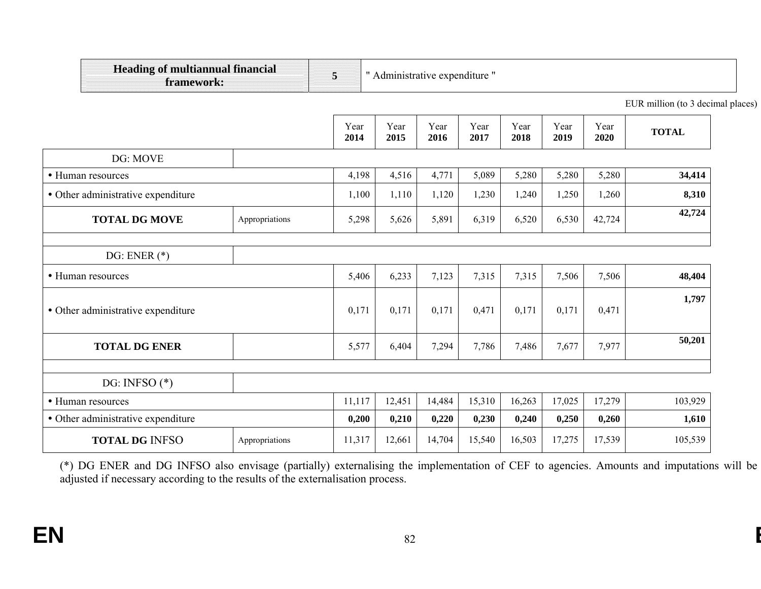|                                         | <b>Heading of multiannual financial</b><br>framework: |              |              | " Administrative expenditure " |              |              |              |              |                                   |
|-----------------------------------------|-------------------------------------------------------|--------------|--------------|--------------------------------|--------------|--------------|--------------|--------------|-----------------------------------|
|                                         |                                                       |              |              |                                |              |              |              |              | EUR million (to 3 decimal places) |
|                                         |                                                       | Year<br>2014 | Year<br>2015 | Year<br>2016                   | Year<br>2017 | Year<br>2018 | Year<br>2019 | Year<br>2020 | <b>TOTAL</b>                      |
| DG: MOVE                                |                                                       |              |              |                                |              |              |              |              |                                   |
| • Human resources                       |                                                       | 4,198        | 4,516        | 4,771                          | 5,089        | 5,280        | 5,280        | 5,280        | 34,414                            |
| • Other administrative expenditure      |                                                       | 1,100        | 1,110        | 1,120                          | 1,230        | 1,240        | 1,250        | 1,260        | 8,310                             |
| <b>TOTAL DG MOVE</b>                    | Appropriations                                        | 5,298        | 5,626        | 5,891                          | 6,319        | 6,520        | 6,530        | 42,724       | 42,724                            |
| DG: ENER $(*)$                          |                                                       |              |              |                                |              |              |              |              |                                   |
| • Human resources                       |                                                       | 5,406        | 6,233        | 7,123                          | 7,315        | 7,315        | 7,506        | 7,506        | 48,404                            |
| • Other administrative expenditure      |                                                       | 0,171        | 0,171        | 0,171                          | 0,471        | 0,171        | 0,171        | 0,471        | 1,797                             |
| <b>TOTAL DG ENER</b>                    |                                                       | 5,577        | 6,404        | 7,294                          | 7,786        | 7,486        | 7,677        | 7,977        | 50,201                            |
|                                         |                                                       |              |              |                                |              |              |              |              |                                   |
| DG: INFSO $(*)$                         |                                                       |              |              |                                |              |              |              |              |                                   |
| • Human resources                       |                                                       | 11,117       | 12,451       | 14,484                         | 15,310       | 16,263       | 17,025       | 17,279       | 103,929                           |
| • Other administrative expenditure      | 0,200                                                 | 0,210        | 0,220        | 0,230                          | 0,240        | 0,250        | 0,260        | 1,610        |                                   |
| <b>TOTAL DG INFSO</b><br>Appropriations |                                                       | 11,317       | 12,661       | 14,704                         | 15,540       | 16,503       | 17,275       | 17,539       | 105,539                           |

(\*) DG ENER and DG INFSO also envisage (partially) externalising the implementation of CEF to agencies. Amounts and imputations will be adjusted if necessary according to the results of the externalisation process.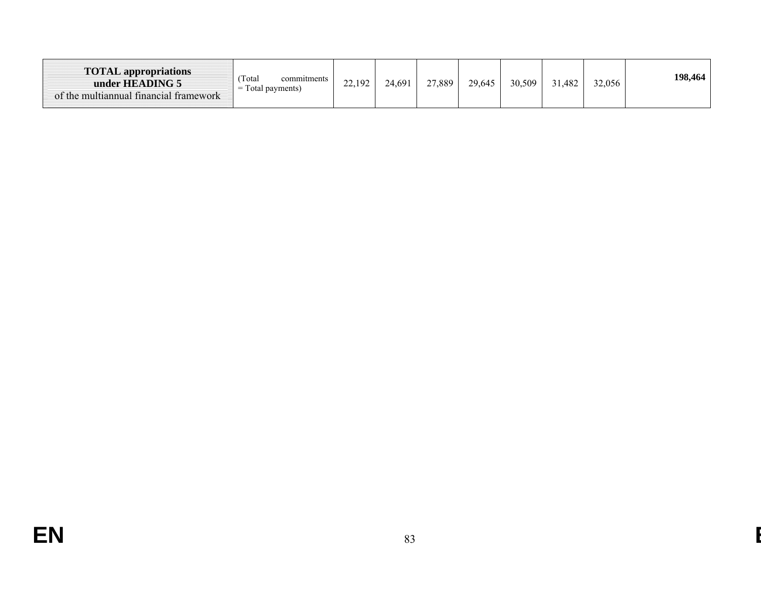| <b>TOTAL</b> appropriations<br>under HEADING 5<br>of the multiannual financial framework | Total<br>commitments<br>l'otal payments)<br>$=$ 1 | 22.192 | 24,691 | 27,889 | 29,645 | 30,509 | .482 | 32,056 | 198,464 |
|------------------------------------------------------------------------------------------|---------------------------------------------------|--------|--------|--------|--------|--------|------|--------|---------|
|------------------------------------------------------------------------------------------|---------------------------------------------------|--------|--------|--------|--------|--------|------|--------|---------|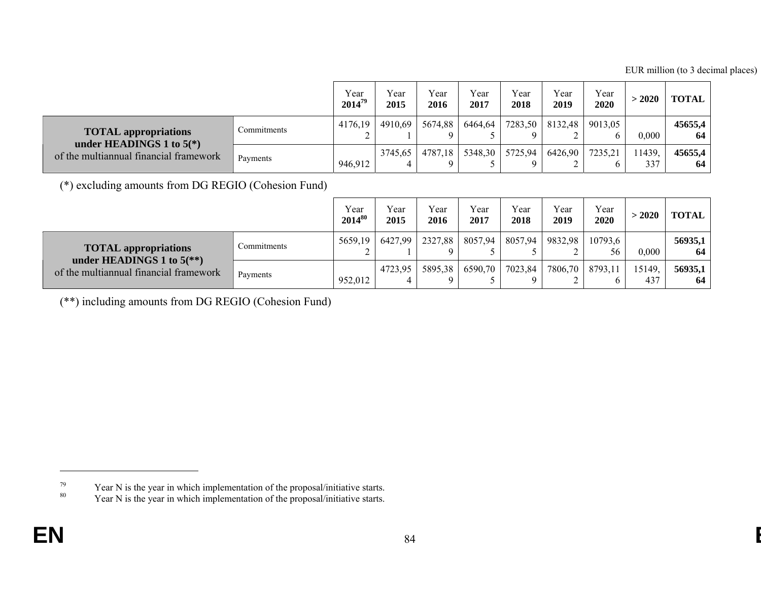EUR million (to 3 decimal places)

|                                                           |             | Year<br>$2014^{79}$ | Year<br>2015 | Year<br>2016 | Year<br>2017 | Year<br>2018      | Year<br>2019 | Year<br>2020 | > 2020       | <b>TOTAL</b>  |
|-----------------------------------------------------------|-------------|---------------------|--------------|--------------|--------------|-------------------|--------------|--------------|--------------|---------------|
| <b>TOTAL</b> appropriations<br>under HEADINGS 1 to $5(*)$ | Commitments | 4176.19             | 4910.69      | 5674,88      | 6464,64      | 7283,50           | 8132,48      | 9013.05      | 0.000        | 45655,4<br>64 |
| of the multiannual financial framework                    | Payments    | 946,912             | 3745.65      | 4787.18      |              | 5348,30   5725,94 | 6426,90      | 7235.2       | 1439.<br>337 | 45655.4<br>64 |

(\*) excluding amounts from DG REGIO (Cohesion Fund)

|                                                                                     |             | Year<br>$2014^{80}$ | Year<br>2015 | Year<br>2016                | Year<br>2017    | Year<br>2018 | Year<br>2019 | Year<br>2020    | > 2020        | <b>TOTAL</b>  |
|-------------------------------------------------------------------------------------|-------------|---------------------|--------------|-----------------------------|-----------------|--------------|--------------|-----------------|---------------|---------------|
| <b>TOTAL</b> appropriations                                                         | sommitments | 5659.19             |              | 6427,99   2327,88   8057,94 |                 | 8057,94      | 9832,98      | 10793.6<br>56   | 0.000         | 56935,1<br>64 |
| under HEADINGS 1 to $5$ <sup>(**)</sup> )<br>of the multiannual financial framework | Payments    | 952,012             | 4723,95      |                             | 5895,38 6590,70 | 7023,84      |              | 7806,70 8793,11 | 15149.<br>437 | 56935,1<br>64 |

(\*\*) including amounts from DG REGIO (Cohesion Fund)

 $^{79}$  Year N is the year in which implementation of the proposal/initiative starts.

 $80$  Year N is the year in which implementation of the proposal/initiative starts.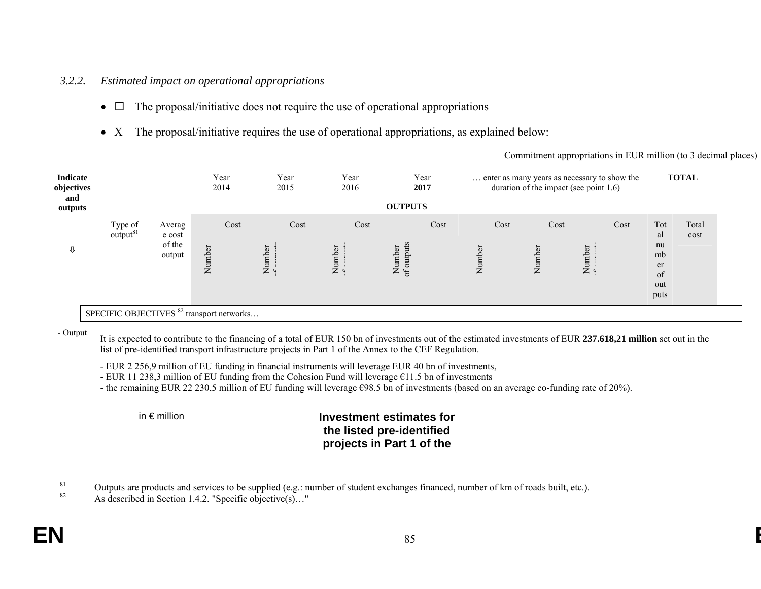#### *3.2.2.Estimated impact on operational appropriations*

- $\Box$  The proposal/initiative does not require the use of operational appropriations
- X The proposal/initiative requires the use of operational appropriations, as explained below:

Commitment appropriations in EUR million (to 3 decimal places)

| Indicate<br>objectives<br>and<br>outputs |                                                      |                  | Year<br>2014 |      | Year<br>2015 | Year<br>2016 | <b>OUTPUTS</b>                | Year<br>2017 | enter as many years as necessary to show the<br>duration of the impact (see point 1.6) |      |        |        |      |                                     | <b>TOTAL</b>  |
|------------------------------------------|------------------------------------------------------|------------------|--------------|------|--------------|--------------|-------------------------------|--------------|----------------------------------------------------------------------------------------|------|--------|--------|------|-------------------------------------|---------------|
|                                          | Type of $\text{output}^{81}$                         | Averag<br>e cost |              | Cost | Cost         | Cost         |                               | Cost         |                                                                                        | Cost | Cost   |        | Cost | Tot<br>al                           | Total<br>cost |
| ⇩                                        |                                                      | of the<br>output | Number       |      | Number       | Number       | utputs<br>Number<br>of outnut |              | Number                                                                                 |      | Number | Number |      | nu<br>mb<br>er<br>of<br>out<br>puts |               |
|                                          | SPECIFIC OBJECTIVES <sup>82</sup> transport networks |                  |              |      |              |              |                               |              |                                                                                        |      |        |        |      |                                     |               |

- Output It is expected to contribute to the financing of a total of EUR 150 bn of investments out of the estimated investments of EUR **237.618,21 million** set out in the list of pre-identified transport infrastructure projects in Part 1 of the Annex to the CEF Regulation.

- EUR 2 256,9 million of EU funding in financial instruments will leverage EUR 40 bn of investments,
- EUR 11 238,3 million of EU funding from the Cohesion Fund will leverage €11.5 bn of investments
- the remaining EUR 22 230,5 million of EU funding will leverage €98.5 bn of investments (based on an average co-funding rate of 20%).

### in € million **Investment estimates for the listed pre-identified projects in Part 1 of the**

<sup>&</sup>lt;sup>81</sup> Outputs are products and services to be supplied (e.g.: number of student exchanges financed, number of km of roads built, etc.).

As described in Section 1.4.2. "Specific objective(s)..."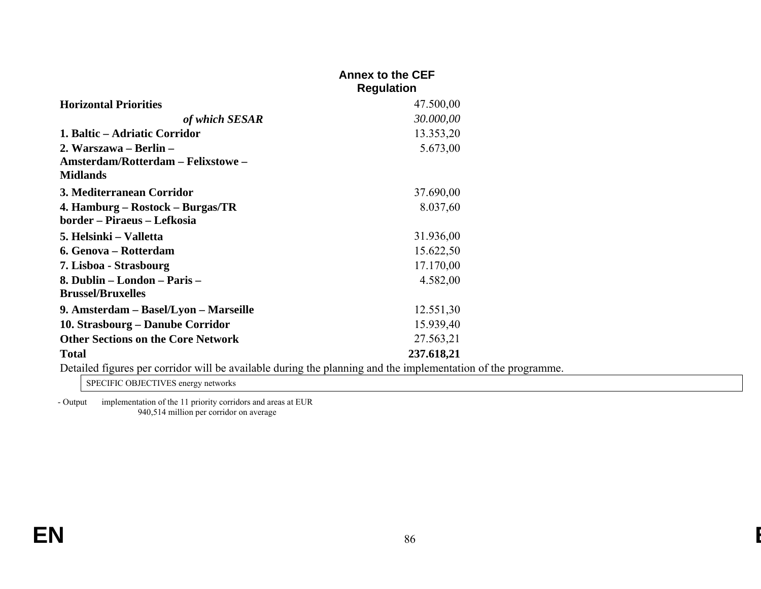|                                           | <b>Annex to the CEF</b><br><b>Regulation</b>                                                                 |
|-------------------------------------------|--------------------------------------------------------------------------------------------------------------|
|                                           |                                                                                                              |
| <b>Horizontal Priorities</b>              | 47.500,00                                                                                                    |
| of which SESAR                            | 30.000,00                                                                                                    |
| 1. Baltic – Adriatic Corridor             | 13.353,20                                                                                                    |
| 2. Warszawa – Berlin –                    | 5.673,00                                                                                                     |
| Amsterdam/Rotterdam - Felixstowe -        |                                                                                                              |
| <b>Midlands</b>                           |                                                                                                              |
| 3. Mediterranean Corridor                 | 37.690,00                                                                                                    |
| 4. Hamburg – Rostock – Burgas/TR          | 8.037,60                                                                                                     |
| border – Piraeus – Lefkosia               |                                                                                                              |
| 5. Helsinki – Valletta                    | 31.936,00                                                                                                    |
| 6. Genova – Rotterdam                     | 15.622,50                                                                                                    |
| 7. Lisboa - Strasbourg                    | 17.170,00                                                                                                    |
| 8. Dublin – London – Paris –              | 4.582,00                                                                                                     |
| <b>Brussel/Bruxelles</b>                  |                                                                                                              |
| 9. Amsterdam – Basel/Lyon – Marseille     | 12.551,30                                                                                                    |
| 10. Strasbourg – Danube Corridor          | 15.939,40                                                                                                    |
| <b>Other Sections on the Core Network</b> | 27.563,21                                                                                                    |
| <b>Total</b>                              | 237.618,21                                                                                                   |
|                                           | Detailed figures per corridor will be available during the planning and the implementation of the programme. |

SPECIFIC OBJECTIVES energy networks

- Output implementation of the 11 priority corridors and areas at EUR 940,514 million per corridor on average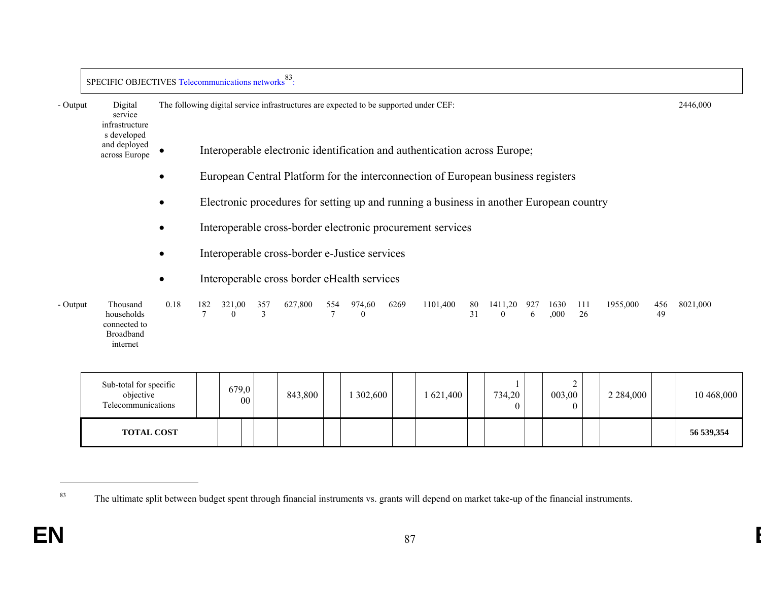|          | SPECIFIC OBJECTIVES Telecommunications networks <sup>8</sup>    |           |               |                         |                                                                                                                  | 83                                                                                    |                       |                    |      |                                                                                  |          |                     |          |              |           |          |           |            |
|----------|-----------------------------------------------------------------|-----------|---------------|-------------------------|------------------------------------------------------------------------------------------------------------------|---------------------------------------------------------------------------------------|-----------------------|--------------------|------|----------------------------------------------------------------------------------|----------|---------------------|----------|--------------|-----------|----------|-----------|------------|
| - Output | Digital<br>service<br>infrastructure                            |           |               |                         |                                                                                                                  | The following digital service infrastructures are expected to be supported under CEF: |                       |                    |      |                                                                                  |          |                     |          |              |           |          |           | 2446.000   |
|          | s developed<br>and deployed<br>across Europe                    | $\bullet$ |               |                         |                                                                                                                  |                                                                                       |                       |                    |      | Interoperable electronic identification and authentication across Europe;        |          |                     |          |              |           |          |           |            |
|          |                                                                 | $\bullet$ |               |                         |                                                                                                                  |                                                                                       |                       |                    |      | European Central Platform for the interconnection of European business registers |          |                     |          |              |           |          |           |            |
|          |                                                                 |           |               |                         | Electronic procedures for setting up and running a business in another European country                          |                                                                                       |                       |                    |      |                                                                                  |          |                     |          |              |           |          |           |            |
|          |                                                                 | $\bullet$ |               |                         |                                                                                                                  |                                                                                       |                       |                    |      | Interoperable cross-border electronic procurement services                       |          |                     |          |              |           |          |           |            |
|          |                                                                 | $\bullet$ |               |                         | Interoperable cross-border e-Justice services                                                                    |                                                                                       |                       |                    |      |                                                                                  |          |                     |          |              |           |          |           |            |
|          |                                                                 | $\bullet$ |               |                         |                                                                                                                  | Interoperable cross border eHealth services                                           |                       |                    |      |                                                                                  |          |                     |          |              |           |          |           |            |
| - Output | Thousand<br>households<br>connected to<br>Broadband<br>internet | 0.18      | 182<br>$\tau$ | 321,00<br>$\Omega$      | 357<br>$\mathbf{3}$                                                                                              | 627,800                                                                               | 554<br>$\overline{7}$ | 974,60<br>$\Omega$ | 6269 | 1101,400                                                                         | 80<br>31 | 1411,20<br>$\Omega$ | 927<br>6 | 1630<br>,000 | 111<br>26 | 1955,000 | 456<br>49 | 8021,000   |
|          | Sub-total for specific<br>objective<br>Telecommunications       |           |               | 679,0<br>0 <sub>0</sub> | 2<br>10 468,000<br>003,00<br>843,800<br>1 302,600<br>1 621,400<br>734,20<br>2 2 8 4 ,000<br>$\theta$<br>$\Omega$ |                                                                                       |                       |                    |      |                                                                                  |          |                     |          |              |           |          |           |            |
|          | <b>TOTAL COST</b>                                               |           |               |                         |                                                                                                                  |                                                                                       |                       |                    |      |                                                                                  |          |                     |          |              |           |          |           | 56 539,354 |

<sup>&</sup>lt;sup>83</sup> The ultimate split between budget spent through financial instruments vs. grants will depend on market take-up of the financial instruments.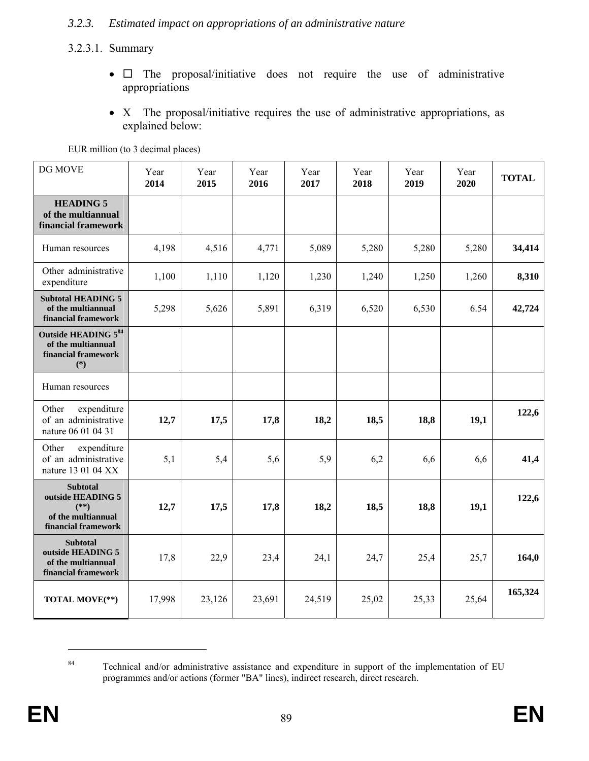### *3.2.3. Estimated impact on appropriations of an administrative nature*

#### 3.2.3.1. Summary

- $\Box$  The proposal/initiative does not require the use of administrative appropriations
- X The proposal/initiative requires the use of administrative appropriations, as explained below:

DG MOVE Year **2014** Year **2015** Year **2016** Year **2017** Year **2018** Year **2019** Year  $\begin{array}{|c|c|c|}\n\hline\n2020 & & TOTAL\n\end{array}$ **HEADING 5 of the multiannual financial framework**  Human resources 4,198 4,516 4,771 5,089 5,280 5,280 5,280 **34,414**  Other administrative expenditure 1,100 1,110 1,120 1,230 1,240 1,250 1,260 **8,310 Subtotal HEADING 5 of the multiannual financial framework**  5,298 5,626 5,891 6,319 6,520 6,530 6.54 **42,724 Outside HEADING 584 of the multiannual financial framework (\*)**  Human resources Other expenditure of an administrative nature 06 01 04 31 **12,7 17,5 17,8 18,2 18,5 18,8 19,1 122,6** Other expenditure of an administrative nature 13 01 04 XX  $5,1$   $5,4$   $5,6$   $5,9$   $6,2$   $6,6$   $6,6$   $41,4$ **Subtotal outside HEADING 5 (\*\*) of the multiannual financial framework 12,7 17,5 17,8 18,2 18,5 18,8 19,1 122,6 Subtotal outside HEADING 5 of the multiannual financial framework**  17,8 22,9 23,4 24,1 24,7 25,4 25,7 **164,0 TOTAL MOVE(\*\*)** 17,998 23,126 23,691 24,519 25,02 25,33 25,64 **165,324**

EUR million (to 3 decimal places)

<sup>&</sup>lt;sup>84</sup> Technical and/or administrative assistance and expenditure in support of the implementation of EU programmes and/or actions (former "BA" lines), indirect research, direct research.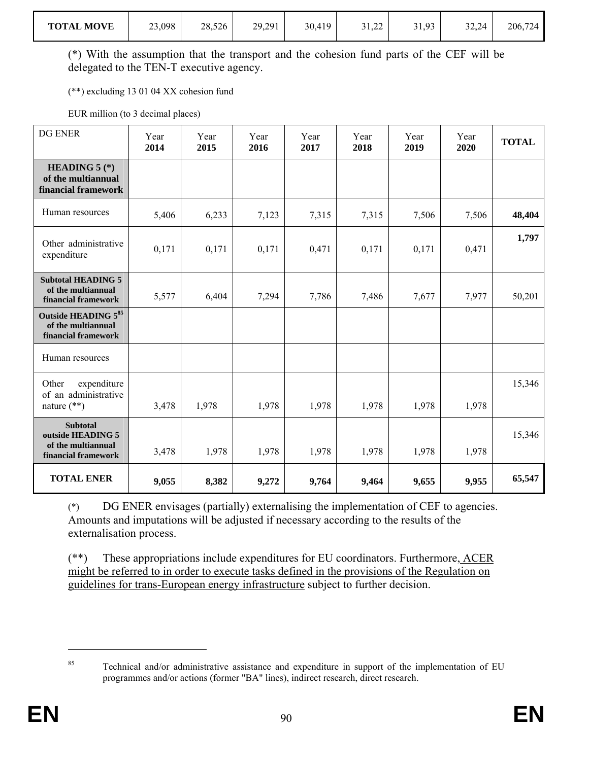(\*) With the assumption that the transport and the cohesion fund parts of the CEF will be delegated to the TEN-T executive agency.

(\*\*) excluding 13 01 04 XX cohesion fund

EUR million (to 3 decimal places)

| DG ENER                                                                           | Year<br>2014 | Year<br>2015 | Year<br>2016 | Year<br>2017 | Year<br>2018 | Year<br>2019 | Year<br>2020 | <b>TOTAL</b> |
|-----------------------------------------------------------------------------------|--------------|--------------|--------------|--------------|--------------|--------------|--------------|--------------|
| HEADING $5$ (*)<br>of the multiannual<br>financial framework                      |              |              |              |              |              |              |              |              |
| Human resources                                                                   | 5,406        | 6,233        | 7,123        | 7,315        | 7,315        | 7,506        | 7,506        | 48,404       |
| Other administrative<br>expenditure                                               | 0,171        | 0,171        | 0,171        | 0,471        | 0,171        | 0,171        | 0,471        | 1,797        |
| <b>Subtotal HEADING 5</b><br>of the multiannual<br>financial framework            | 5,577        | 6,404        | 7,294        | 7,786        | 7,486        | 7,677        | 7,977        | 50,201       |
| Outside HEADING 585<br>of the multiannual<br>financial framework                  |              |              |              |              |              |              |              |              |
| Human resources                                                                   |              |              |              |              |              |              |              |              |
| Other<br>expenditure<br>of an administrative<br>nature $(**)$                     | 3,478        | 1,978        | 1,978        | 1,978        | 1,978        | 1,978        | 1,978        | 15,346       |
| <b>Subtotal</b><br>outside HEADING 5<br>of the multiannual<br>financial framework | 3,478        | 1,978        | 1,978        | 1,978        | 1,978        | 1,978        | 1,978        | 15,346       |
| <b>TOTAL ENER</b>                                                                 | 9,055        | 8,382        | 9,272        | 9,764        | 9,464        | 9,655        | 9,955        | 65,547       |

(\*) DG ENER envisages (partially) externalising the implementation of CEF to agencies. Amounts and imputations will be adjusted if necessary according to the results of the externalisation process.

(\*\*) These appropriations include expenditures for EU coordinators. Furthermore, ACER might be referred to in order to execute tasks defined in the provisions of the Regulation on guidelines for trans-European energy infrastructure subject to further decision.

<sup>&</sup>lt;sup>85</sup> Technical and/or administrative assistance and expenditure in support of the implementation of EU programmes and/or actions (former "BA" lines), indirect research, direct research.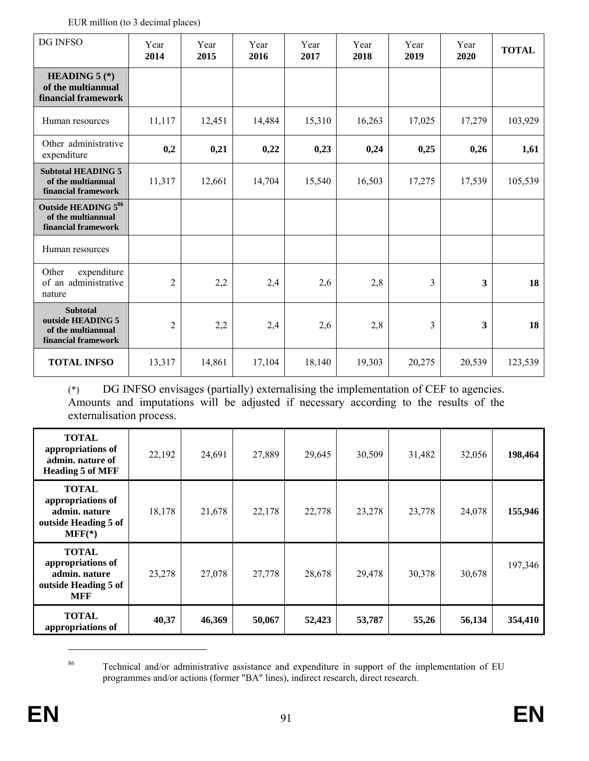EUR million (to 3 decimal places)

| DG INFSO                                                                          | Year<br>2014   | Year<br>2015 | Year<br>2016 | Year<br>2017 | Year<br>2018 | Year<br>2019   | Year<br>2020 | <b>TOTAL</b> |
|-----------------------------------------------------------------------------------|----------------|--------------|--------------|--------------|--------------|----------------|--------------|--------------|
| <b>HEADING 5</b> $(*)$<br>of the multiannual<br>financial framework               |                |              |              |              |              |                |              |              |
| Human resources                                                                   | 11,117         | 12,451       | 14,484       | 15,310       | 16,263       | 17,025         | 17,279       | 103,929      |
| Other administrative<br>expenditure                                               | 0,2            | 0,21         | 0,22         | 0,23         | 0,24         | 0,25           | 0,26         | 1,61         |
| <b>Subtotal HEADING 5</b><br>of the multiannual<br>financial framework            | 11,317         | 12,661       | 14,704       | 15,540       | 16,503       | 17,275         | 17,539       | 105,539      |
| Outside HEADING 586<br>of the multiannual<br>financial framework                  |                |              |              |              |              |                |              |              |
| Human resources                                                                   |                |              |              |              |              |                |              |              |
| expenditure<br>Other<br>of an administrative<br>nature                            | 2              | 2,2          | 2,4          | 2,6          | 2,8          | 3              | 3            | 18           |
| <b>Subtotal</b><br>outside HEADING 5<br>of the multiannual<br>financial framework | $\overline{c}$ | 2,2          | 2,4          | 2,6          | 2,8          | $\mathfrak{Z}$ | 3            | 18           |
| <b>TOTAL INFSO</b>                                                                | 13,317         | 14,861       | 17,104       | 18,140       | 19,303       | 20,275         | 20,539       | 123,539      |

(\*) DG INFSO envisages (partially) externalising the implementation of CEF to agencies. Amounts and imputations will be adjusted if necessary according to the results of the externalisation process.

| <b>TOTAL</b><br>appropriations of<br>admin. nature of<br><b>Heading 5 of MFF</b>         | 22,192 | 24,691 | 27,889 | 29,645 | 30,509 | 31,482 | 32,056 | 198,464 |
|------------------------------------------------------------------------------------------|--------|--------|--------|--------|--------|--------|--------|---------|
| <b>TOTAL</b><br>appropriations of<br>admin. nature<br>outside Heading 5 of<br>$MFF(*)$   | 18,178 | 21,678 | 22,178 | 22,778 | 23,278 | 23,778 | 24,078 | 155,946 |
| <b>TOTAL</b><br>appropriations of<br>admin. nature<br>outside Heading 5 of<br><b>MFF</b> | 23,278 | 27,078 | 27,778 | 28,678 | 29,478 | 30,378 | 30,678 | 197,346 |
| <b>TOTAL</b><br>appropriations of                                                        | 40,37  | 46,369 | 50,067 | 52,423 | 53,787 | 55,26  | 56,134 | 354,410 |

<sup>&</sup>lt;sup>86</sup> Technical and/or administrative assistance and expenditure in support of the implementation of EU programmes and/or actions (former "BA" lines), indirect research, direct research.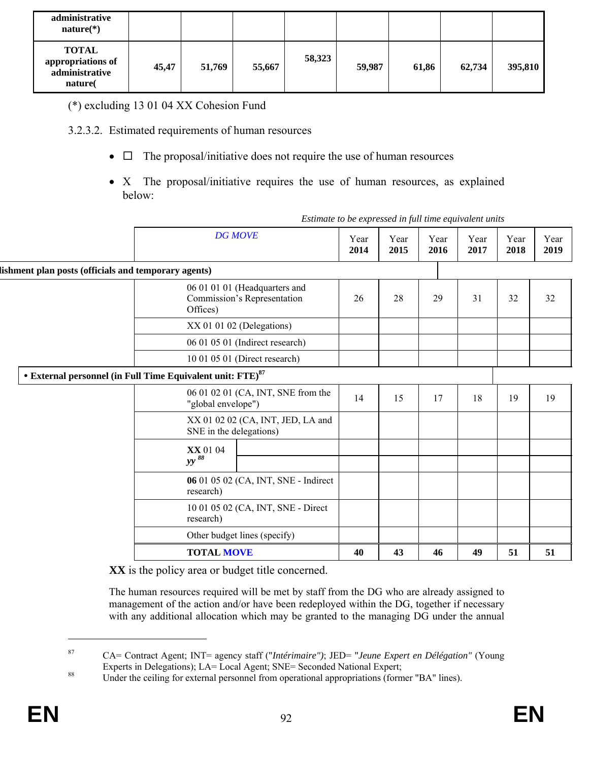| administrative<br>$nature(*)$                                  |       |        |        |        |        |       |        |         |
|----------------------------------------------------------------|-------|--------|--------|--------|--------|-------|--------|---------|
| <b>TOTAL</b><br>appropriations of<br>administrative<br>nature( | 45,47 | 51,769 | 55,667 | 58,323 | 59,987 | 61,86 | 62,734 | 395,810 |

(\*) excluding 13 01 04 XX Cohesion Fund

3.2.3.2. Estimated requirements of human resources

- $\Box$  The proposal/initiative does not require the use of human resources
- X The proposal/initiative requires the use of human resources, as explained below:

|                                                      |                                                                          | Esumate to be expressed in juil time equivatent units |              |              |              |              |              |
|------------------------------------------------------|--------------------------------------------------------------------------|-------------------------------------------------------|--------------|--------------|--------------|--------------|--------------|
|                                                      | <b>DG MOVE</b>                                                           | Year<br>2014                                          | Year<br>2015 | Year<br>2016 | Year<br>2017 | Year<br>2018 | Year<br>2019 |
| lishment plan posts (officials and temporary agents) |                                                                          |                                                       |              |              |              |              |              |
|                                                      | 06 01 01 01 (Headquarters and<br>Commission's Representation<br>Offices) | 26                                                    | 28           | 29           | 31           | 32           | 32           |
|                                                      | XX 01 01 02 (Delegations)                                                |                                                       |              |              |              |              |              |
|                                                      | 06 01 05 01 (Indirect research)                                          |                                                       |              |              |              |              |              |
|                                                      | 10 01 05 01 (Direct research)                                            |                                                       |              |              |              |              |              |
|                                                      | • External personnel (in Full Time Equivalent unit: FTE) <sup>87</sup>   |                                                       |              |              |              |              |              |
|                                                      | 06 01 02 01 (CA, INT, SNE from the<br>"global envelope")                 | 14                                                    | 15           | 17           | 18           | 19           | 19           |
|                                                      | XX 01 02 02 (CA, INT, JED, LA and<br>SNE in the delegations)             |                                                       |              |              |              |              |              |
|                                                      | XX 01 04<br>$yy$ <sup>88</sup>                                           |                                                       |              |              |              | 51           |              |
|                                                      | 06 01 05 02 (CA, INT, SNE - Indirect<br>research)                        |                                                       |              |              |              |              |              |
|                                                      | 10 01 05 02 (CA, INT, SNE - Direct<br>research)                          |                                                       |              |              |              |              |              |
|                                                      | Other budget lines (specify)                                             |                                                       |              |              |              |              |              |
|                                                      | <b>TOTAL MOVE</b>                                                        | 40                                                    | 43           | 46           | 49           |              | 51           |

*Estimate to be expressed in full time equivalent units* 

**XX** is the policy area or budget title concerned.

The human resources required will be met by staff from the DG who are already assigned to management of the action and/or have been redeployed within the DG, together if necessary with any additional allocation which may be granted to the managing DG under the annual

1

<sup>87</sup> CA= Contract Agent; INT= agency staff ("*Intérimaire")*; JED= "*Jeune Expert en Délégation"* (Young

<sup>&</sup>lt;sup>88</sup> Under the ceiling for external personnel from operational appropriations (former "BA" lines).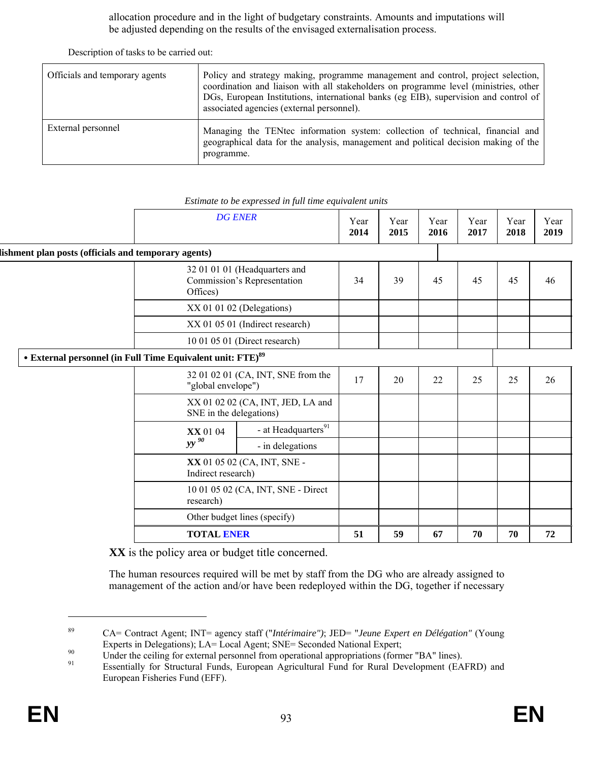allocation procedure and in the light of budgetary constraints. Amounts and imputations will be adjusted depending on the results of the envisaged externalisation process.

Description of tasks to be carried out:

| Officials and temporary agents | Policy and strategy making, programme management and control, project selection,<br>coordination and liaison with all stakeholders on programme level (ministries, other<br>DGs, European Institutions, international banks (eg EIB), supervision and control of<br>associated agencies (external personnel). |
|--------------------------------|---------------------------------------------------------------------------------------------------------------------------------------------------------------------------------------------------------------------------------------------------------------------------------------------------------------|
| External personnel             | Managing the TENtec information system: collection of technical, financial and<br>geographical data for the analysis, management and political decision making of the<br>programme.                                                                                                                           |

|                                                     | <b>DG ENER</b>                                                         |                                                              | Year<br>2014 | Year<br>2015 | Year<br>2016 | Year<br>2017 | Year<br>2018 | Year<br>2019 |
|-----------------------------------------------------|------------------------------------------------------------------------|--------------------------------------------------------------|--------------|--------------|--------------|--------------|--------------|--------------|
| ishment plan posts (officials and temporary agents) |                                                                        |                                                              |              |              |              |              |              |              |
|                                                     | Offices)                                                               | 32 01 01 01 (Headquarters and<br>Commission's Representation | 34           | 39           | 45           | 45           | 45           | 46           |
|                                                     |                                                                        | XX 01 01 02 (Delegations)                                    |              |              |              |              |              |              |
|                                                     |                                                                        | XX 01 05 01 (Indirect research)                              |              |              |              |              |              |              |
|                                                     |                                                                        | 10 01 05 01 (Direct research)                                |              |              |              |              |              |              |
|                                                     | • External personnel (in Full Time Equivalent unit: FTE) <sup>89</sup> |                                                              |              |              |              |              |              |              |
|                                                     |                                                                        | 32 01 02 01 (CA, INT, SNE from the<br>"global envelope")     |              |              |              | 25           | 25           | 26           |
|                                                     | SNE in the delegations)                                                | XX 01 02 02 (CA, INT, JED, LA and                            |              |              |              |              |              |              |
|                                                     | XX 01 04                                                               | - at Headquarters $91$                                       |              |              |              |              |              |              |
|                                                     | $yy^{90}$                                                              | - in delegations                                             |              |              |              |              |              |              |
|                                                     | Indirect research)                                                     | XX 01 05 02 (CA, INT, SNE -                                  |              |              |              |              |              |              |
|                                                     | research)                                                              | 10 01 05 02 (CA, INT, SNE - Direct                           |              |              |              |              |              |              |
|                                                     |                                                                        | Other budget lines (specify)                                 |              |              |              |              |              |              |
|                                                     | <b>TOTAL ENER</b>                                                      |                                                              | 51           | 59           | 67           | 70           | 70           | 72           |

*Estimate to be expressed in full time equivalent units* 

**XX** is the policy area or budget title concerned.

The human resources required will be met by staff from the DG who are already assigned to management of the action and/or have been redeployed within the DG, together if necessary

<sup>89</sup> CA= Contract Agent; INT= agency staff ("*Intérimaire")*; JED= "*Jeune Expert en Délégation"* (Young Experts in Delegations); LA= Local Agent; SNE= Seconded National Expert;<br>
Under the ceiling for external personnel from operational appropriations (former "BA" lines).<br>
Essentially for Structural Funds, European Agricultur

European Fisheries Fund (EFF).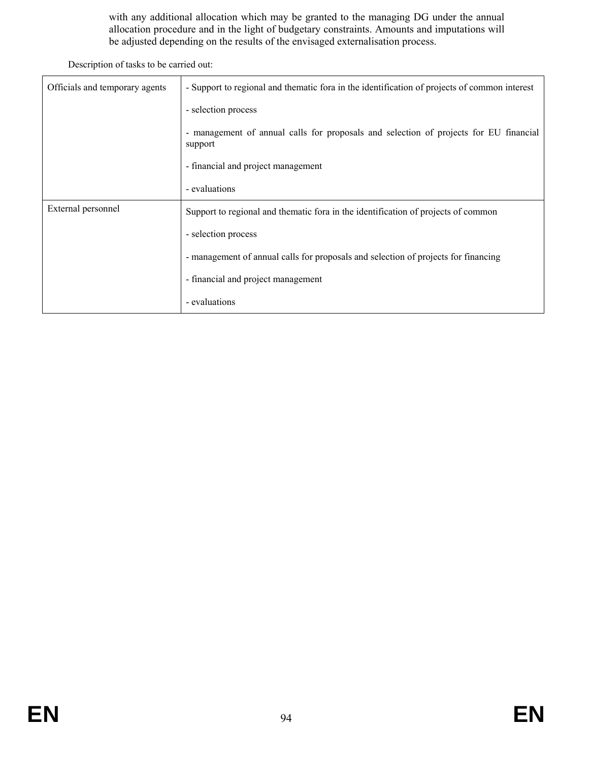with any additional allocation which may be granted to the managing DG under the annual allocation procedure and in the light of budgetary constraints. Amounts and imputations will be adjusted depending on the results of the envisaged externalisation process.

Description of tasks to be carried out:

| Officials and temporary agents | - Support to regional and thematic for a in the identification of projects of common interest    |
|--------------------------------|--------------------------------------------------------------------------------------------------|
|                                | - selection process                                                                              |
|                                | - management of annual calls for proposals and selection of projects for EU financial<br>support |
|                                | - financial and project management                                                               |
|                                | - evaluations                                                                                    |
| External personnel             | Support to regional and the matic for a in the identification of projects of common              |
|                                | - selection process                                                                              |
|                                | - management of annual calls for proposals and selection of projects for financing               |
|                                | - financial and project management                                                               |
|                                | - evaluations                                                                                    |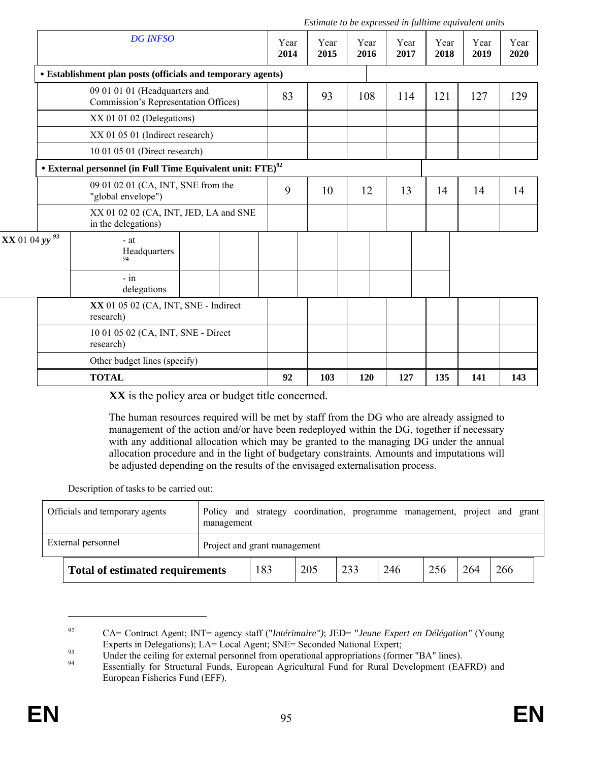|                             |                                                          | <b>DG INFSO</b>                                                        |  | Year<br>2014 | Year<br>2015 | Year<br>2016 | Year<br>2017 | Year<br>2018 | Year<br>2019 | Year<br>2020 |
|-----------------------------|----------------------------------------------------------|------------------------------------------------------------------------|--|--------------|--------------|--------------|--------------|--------------|--------------|--------------|
|                             |                                                          | • Establishment plan posts (officials and temporary agents)            |  |              |              |              |              |              |              |              |
|                             |                                                          | 09 01 01 01 (Headquarters and<br>Commission's Representation Offices)  |  | 83           | 93           | 108          | 114          | 121          | 127          | 129          |
|                             |                                                          | XX 01 01 02 (Delegations)                                              |  |              |              |              |              |              |              |              |
|                             |                                                          | XX 01 05 01 (Indirect research)                                        |  |              |              |              |              |              |              |              |
|                             |                                                          | 10 01 05 01 (Direct research)                                          |  |              |              |              |              |              |              |              |
|                             |                                                          | • External personnel (in Full Time Equivalent unit: FTE) <sup>92</sup> |  |              |              |              |              |              |              |              |
|                             | 09 01 02 01 (CA, INT, SNE from the<br>"global envelope") |                                                                        |  |              | 10           | 12           | 13           | 14           | 14           | 14           |
|                             |                                                          | XX 01 02 02 (CA, INT, JED, LA and SNE<br>in the delegations)           |  |              |              |              |              |              |              |              |
| $XX$ 01 04 yy <sup>93</sup> |                                                          | $-at$<br>Headquarters<br>94                                            |  |              |              |              |              |              |              |              |
|                             |                                                          | $-$ in<br>delegations                                                  |  |              |              |              |              |              |              |              |
|                             |                                                          | XX 01 05 02 (CA, INT, SNE - Indirect<br>research)                      |  |              |              |              |              |              |              |              |
|                             |                                                          | 10 01 05 02 (CA, INT, SNE - Direct<br>research)                        |  |              |              |              |              |              |              |              |
|                             |                                                          | Other budget lines (specify)                                           |  |              |              |              |              |              |              |              |
|                             |                                                          | <b>TOTAL</b>                                                           |  | 92           | 103          | 120          | 127          | 135          | 141          | 143          |

*Estimate to be expressed in fulltime equivalent units* 

**XX** is the policy area or budget title concerned.

The human resources required will be met by staff from the DG who are already assigned to management of the action and/or have been redeployed within the DG, together if necessary with any additional allocation which may be granted to the managing DG under the annual allocation procedure and in the light of budgetary constraints. Amounts and imputations will be adjusted depending on the results of the envisaged externalisation process.

Description of tasks to be carried out:

| Officials and temporary agents         | Policy and strategy coordination, programme management,<br>management |     |     |     |     |     | project and grant |     |  |
|----------------------------------------|-----------------------------------------------------------------------|-----|-----|-----|-----|-----|-------------------|-----|--|
| External personnel                     | Project and grant management                                          |     |     |     |     |     |                   |     |  |
| <b>Total of estimated requirements</b> |                                                                       | 183 | 205 | 233 | 246 | 256 | 264               | 266 |  |

<sup>92</sup> CA= Contract Agent; INT= agency staff ("*Intérimaire")*; JED= "*Jeune Expert en Délégation"* (Young

<sup>&</sup>lt;sup>93</sup><br>Under the ceiling for external personnel from operational appropriations (former "BA" lines).<br>Essentially for Structural Funds, European Agricultural Fund for Rural Development (EAFRD) and European Fisheries Fund (EFF).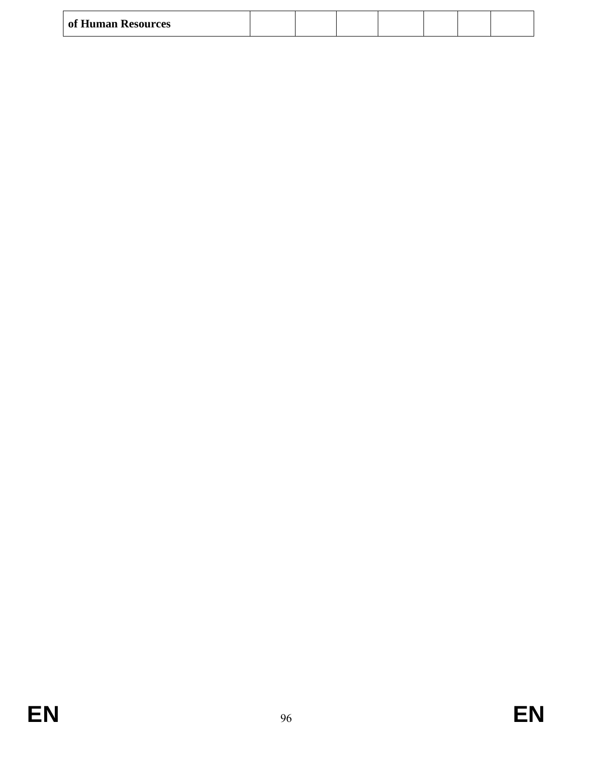| of Human Resources |  |  |  |  |
|--------------------|--|--|--|--|

 $\mathsf{l}$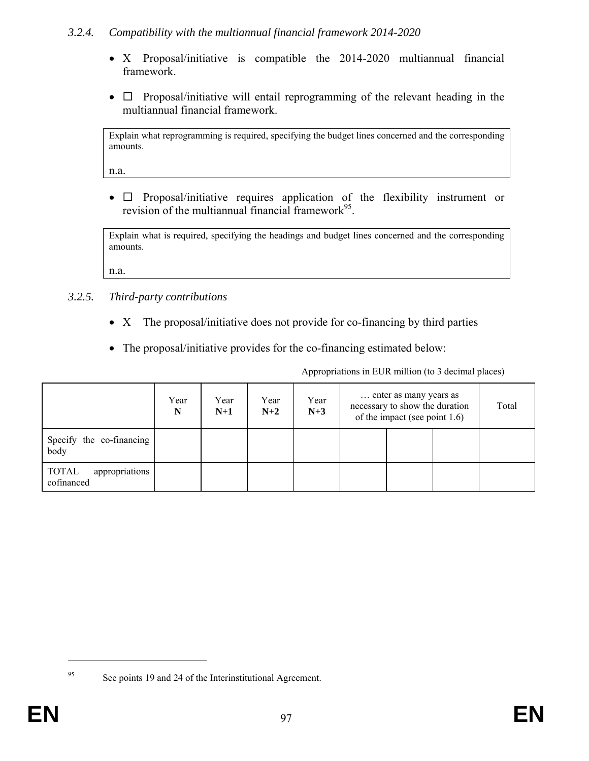### *3.2.4. Compatibility with the multiannual financial framework 2014-2020*

- X Proposal/initiative is compatible the 2014-2020 multiannual financial framework.
- $\Box$  Proposal/initiative will entail reprogramming of the relevant heading in the multiannual financial framework.

Explain what reprogramming is required, specifying the budget lines concerned and the corresponding amounts.

n.a.

•  $\Box$  Proposal/initiative requires application of the flexibility instrument or revision of the multiannual financial framework $^{95}$ .

Explain what is required, specifying the headings and budget lines concerned and the corresponding amounts.

n.a.

# *3.2.5. Third-party contributions*

- X The proposal/initiative does not provide for co-financing by third parties
- The proposal/initiative provides for the co-financing estimated below:

Appropriations in EUR million (to 3 decimal places)

|                                       | Year<br>N | Year<br>$N+1$ | Year<br>$N+2$ | Year<br>$N+3$ | enter as many years as<br>necessary to show the duration<br>of the impact (see point $1.6$ ) |  |  |  |  |
|---------------------------------------|-----------|---------------|---------------|---------------|----------------------------------------------------------------------------------------------|--|--|--|--|
| Specify the co-financing<br>body      |           |               |               |               |                                                                                              |  |  |  |  |
| appropriations<br>TOTAL<br>cofinanced |           |               |               |               |                                                                                              |  |  |  |  |

1

<sup>&</sup>lt;sup>95</sup> See points 19 and 24 of the Interinstitutional Agreement.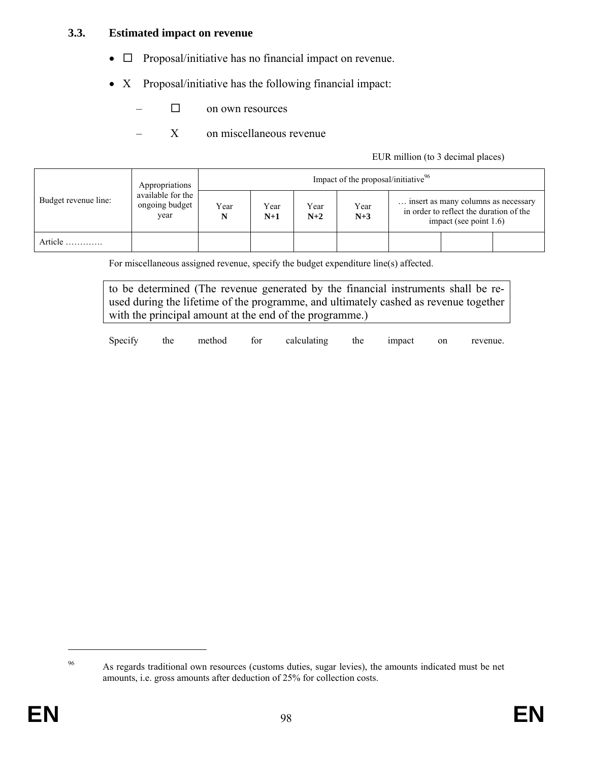#### **3.3. Estimated impact on revenue**

- $\Box$  Proposal/initiative has no financial impact on revenue.
- X Proposal/initiative has the following financial impact:
	- $\Box$  on own resources
	- X on miscellaneous revenue

EUR million (to 3 decimal places)

|                      | Appropriations                              | Impact of the proposal/initiative <sup>96</sup> |               |               |               |  |                                                                                                             |  |  |  |  |
|----------------------|---------------------------------------------|-------------------------------------------------|---------------|---------------|---------------|--|-------------------------------------------------------------------------------------------------------------|--|--|--|--|
| Budget revenue line: | available for the<br>ongoing budget<br>year | Year<br>N                                       | Year<br>$N+1$ | Year<br>$N+2$ | Year<br>$N+3$ |  | insert as many columns as necessary<br>in order to reflect the duration of the<br>impact (see point $1.6$ ) |  |  |  |  |
| Article              |                                             |                                                 |               |               |               |  |                                                                                                             |  |  |  |  |

For miscellaneous assigned revenue, specify the budget expenditure line(s) affected.

to be determined (The revenue generated by the financial instruments shall be reused during the lifetime of the programme, and ultimately cashed as revenue together with the principal amount at the end of the programme.)

Specify the method for calculating the impact on revenue.

<sup>&</sup>lt;sup>96</sup> As regards traditional own resources (customs duties, sugar levies), the amounts indicated must be net amounts, i.e. gross amounts after deduction of 25% for collection costs.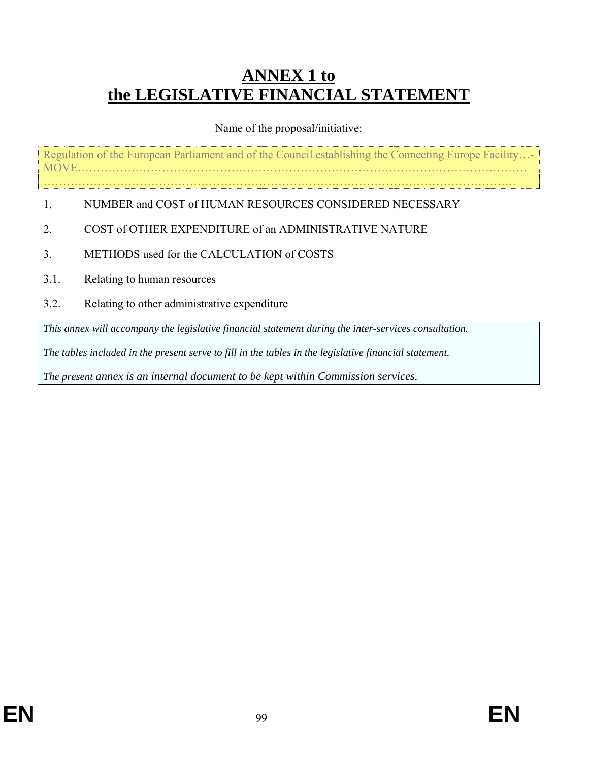# **ANNEX 1 to the LEGISLATIVE FINANCIAL STATEMENT**

#### Name of the proposal/initiative:

Regulation of the European Parliament and of the Council establishing the Connecting Europe Facility…- MOVE………………………………………………………………………………………………………

……………………………………………………………………………………………………………

- 1. NUMBER and COST of HUMAN RESOURCES CONSIDERED NECESSARY
- 2. COST of OTHER EXPENDITURE of an ADMINISTRATIVE NATURE
- 3. METHODS used for the CALCULATION of COSTS
- 3.1. Relating to human resources
- 3.2. Relating to other administrative expenditure

*This annex will accompany the legislative financial statement during the inter-services consultation.* 

*The tables included in the present serve to fill in the tables in the legislative financial statement.* 

*The present annex is an internal document to be kept within Commission services.*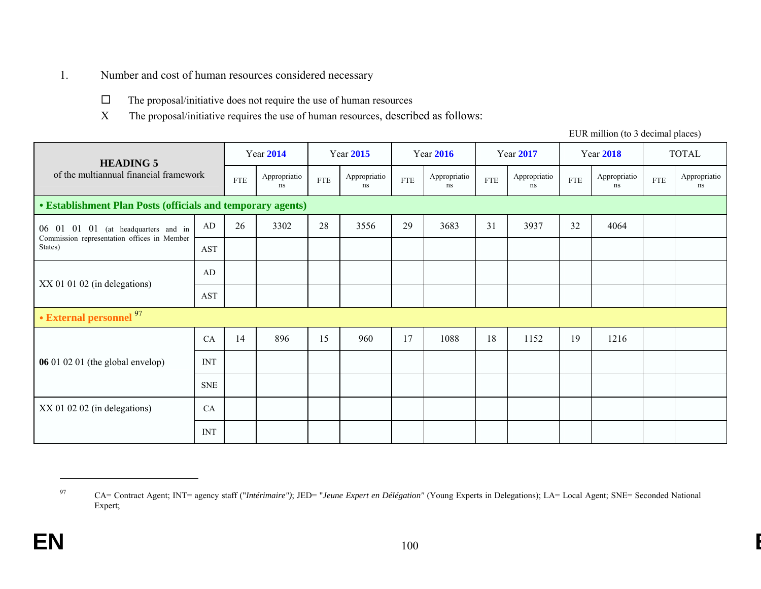- 1. Number and cost of human resources considered necessary
	- $\Box$ The proposal/initiative does not require the use of human resources
	- X The proposal/initiative requires the use of human resources, described as follows:

| <b>HEADING 5</b>                                            |                           |             | <b>Year 2014</b>   |             | Year 2015          |             | <b>Year 2016</b>   |             | Year 2017          | <b>Year 2018</b> |                    | <b>TOTAL</b> |                    |
|-------------------------------------------------------------|---------------------------|-------------|--------------------|-------------|--------------------|-------------|--------------------|-------------|--------------------|------------------|--------------------|--------------|--------------------|
| of the multiannual financial framework                      |                           | ${\rm FTE}$ | Appropriatio<br>ns | ${\rm FTE}$ | Appropriatio<br>ns | ${\rm FTE}$ | Appropriatio<br>ns | ${\rm FTE}$ | Appropriatio<br>ns | <b>FTE</b>       | Appropriatio<br>ns | <b>FTE</b>   | Appropriatio<br>ns |
| • Establishment Plan Posts (officials and temporary agents) |                           |             |                    |             |                    |             |                    |             |                    |                  |                    |              |                    |
| 06 01 01 01 (at headquarters and in                         | AD                        | 26          | 3302               | 28          | 3556               | 29          | 3683               | 31          | 3937               | 32               | 4064               |              |                    |
| Commission representation offices in Member<br>States)      | <b>AST</b>                |             |                    |             |                    |             |                    |             |                    |                  |                    |              |                    |
| $XX$ 01 01 02 (in delegations)                              | AD                        |             |                    |             |                    |             |                    |             |                    |                  |                    |              |                    |
|                                                             | AST                       |             |                    |             |                    |             |                    |             |                    |                  |                    |              |                    |
| • External personnel <sup>97</sup>                          |                           |             |                    |             |                    |             |                    |             |                    |                  |                    |              |                    |
|                                                             | CA                        | 14          | 896                | 15          | 960                | 17          | 1088               | 18          | 1152               | 19               | 1216               |              |                    |
| 06 01 02 01 (the global envelop)                            | $\ensuremath{\text{INT}}$ |             |                    |             |                    |             |                    |             |                    |                  |                    |              |                    |
|                                                             | <b>SNE</b>                |             |                    |             |                    |             |                    |             |                    |                  |                    |              |                    |
| XX 01 02 02 (in delegations)                                | CA                        |             |                    |             |                    |             |                    |             |                    |                  |                    |              |                    |
|                                                             | <b>INT</b>                |             |                    |             |                    |             |                    |             |                    |                  |                    |              |                    |

EUR million (to 3 decimal places)

<sup>97</sup> CA= Contract Agent; INT= agency staff ("*Intérimaire")*; JED= "*Jeune Expert en Délégation"* (Young Experts in Delegations); LA= Local Agent; SNE= Seconded National Expert;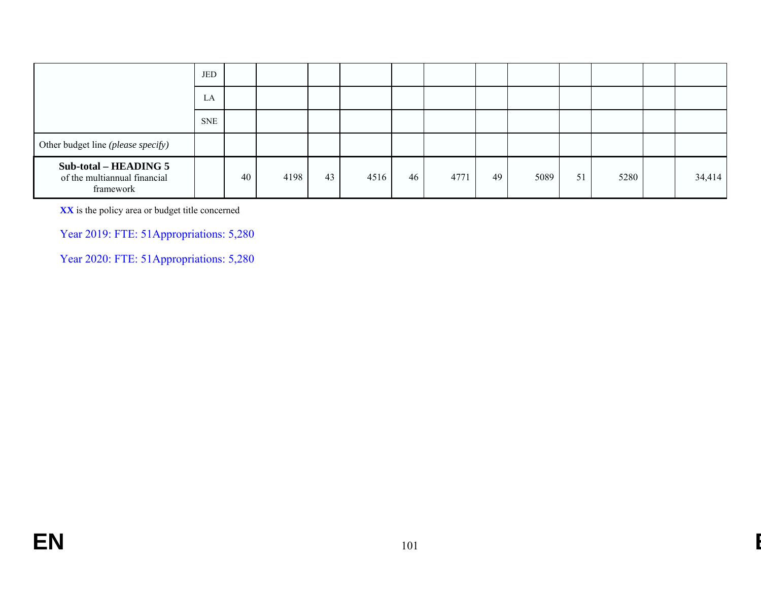|                                                                    | JED        |    |      |    |      |    |      |    |      |    |      |        |
|--------------------------------------------------------------------|------------|----|------|----|------|----|------|----|------|----|------|--------|
|                                                                    | LA         |    |      |    |      |    |      |    |      |    |      |        |
|                                                                    | <b>SNE</b> |    |      |    |      |    |      |    |      |    |      |        |
| Other budget line (please specify)                                 |            |    |      |    |      |    |      |    |      |    |      |        |
| Sub-total – HEADING 5<br>of the multiannual financial<br>framework |            | 40 | 4198 | 43 | 4516 | 46 | 4771 | 49 | 5089 | 51 | 5280 | 34,414 |

**XX** is the policy area or budget title concerned

Year 2019: FTE: 51Appropriations: 5,280

Year 2020: FTE: 51Appropriations: 5,280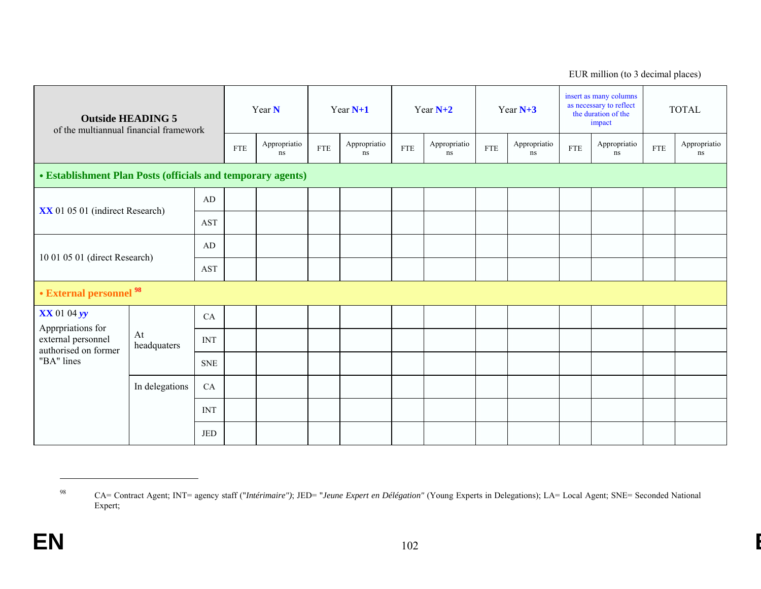| <b>Outside HEADING 5</b><br>of the multiannual financial framework |                   |                        | Year N     |                    | Year $N+1$ |                    | Year $N+2$ |                          | Year $N+3$ |                          | insert as many columns<br>as necessary to reflect<br>the duration of the<br>impact |                          | <b>TOTAL</b> |                    |
|--------------------------------------------------------------------|-------------------|------------------------|------------|--------------------|------------|--------------------|------------|--------------------------|------------|--------------------------|------------------------------------------------------------------------------------|--------------------------|--------------|--------------------|
|                                                                    |                   |                        | <b>FTE</b> | Appropriatio<br>ns | <b>FTE</b> | Appropriatio<br>ns | <b>FTE</b> | Appropriatio<br>$\rm ns$ | <b>FTE</b> | Appropriatio<br>$\rm ns$ | <b>FTE</b>                                                                         | Appropriatio<br>$\rm ns$ | <b>FTE</b>   | Appropriatio<br>ns |
| • Establishment Plan Posts (officials and temporary agents)        |                   |                        |            |                    |            |                    |            |                          |            |                          |                                                                                    |                          |              |                    |
|                                                                    |                   | $\mathbf{A}\mathbf{D}$ |            |                    |            |                    |            |                          |            |                          |                                                                                    |                          |              |                    |
| XX 01 05 01 (indirect Research)                                    |                   | <b>AST</b>             |            |                    |            |                    |            |                          |            |                          |                                                                                    |                          |              |                    |
| AD<br>10 01 05 01 (direct Research)<br>AST                         |                   |                        |            |                    |            |                    |            |                          |            |                          |                                                                                    |                          |              |                    |
|                                                                    |                   |                        |            |                    |            |                    |            |                          |            |                          |                                                                                    |                          |              |                    |
| • External personnel <sup>98</sup>                                 |                   |                        |            |                    |            |                    |            |                          |            |                          |                                                                                    |                          |              |                    |
| $\mathbf{XX}$ 01 04 $\mathbf{yy}$                                  |                   | ${\rm CA}$             |            |                    |            |                    |            |                          |            |                          |                                                                                    |                          |              |                    |
| Apprpriations for<br>external personnel<br>authorised on former    | At<br>headquaters | <b>INT</b>             |            |                    |            |                    |            |                          |            |                          |                                                                                    |                          |              |                    |
| "BA" lines                                                         |                   | <b>SNE</b>             |            |                    |            |                    |            |                          |            |                          |                                                                                    |                          |              |                    |
|                                                                    | In delegations    | CA                     |            |                    |            |                    |            |                          |            |                          |                                                                                    |                          |              |                    |
|                                                                    |                   | <b>INT</b>             |            |                    |            |                    |            |                          |            |                          |                                                                                    |                          |              |                    |
|                                                                    |                   | $_{\rm JED}$           |            |                    |            |                    |            |                          |            |                          |                                                                                    |                          |              |                    |

EUR million (to 3 decimal places)

<sup>98</sup> CA= Contract Agent; INT= agency staff ("*Intérimaire")*; JED= "*Jeune Expert en Délégation"* (Young Experts in Delegations); LA= Local Agent; SNE= Seconded National Expert;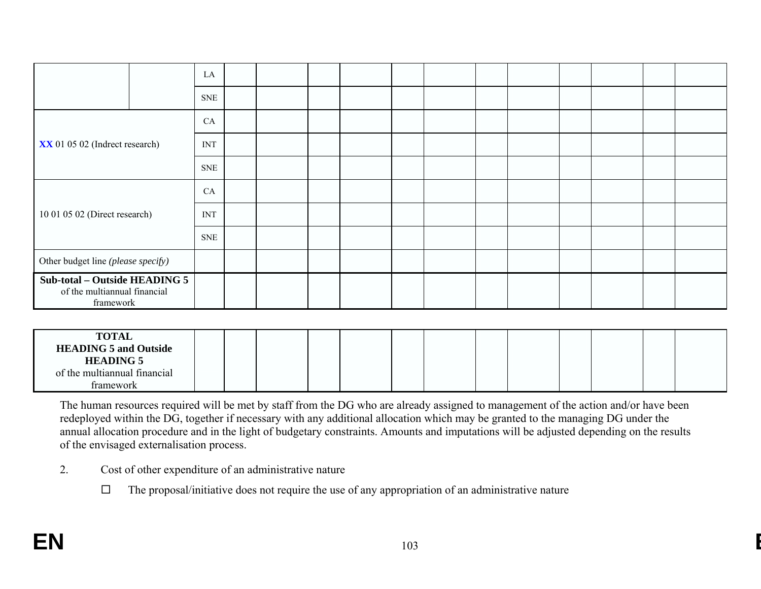|                                                                                   |  | LA         |  |  |  |  |  |  |
|-----------------------------------------------------------------------------------|--|------------|--|--|--|--|--|--|
|                                                                                   |  | <b>SNE</b> |  |  |  |  |  |  |
| XX 01 05 02 (Indrect research)                                                    |  | CA         |  |  |  |  |  |  |
|                                                                                   |  | <b>INT</b> |  |  |  |  |  |  |
|                                                                                   |  | <b>SNE</b> |  |  |  |  |  |  |
|                                                                                   |  | CA         |  |  |  |  |  |  |
| 10 01 05 02 (Direct research)                                                     |  | <b>INT</b> |  |  |  |  |  |  |
|                                                                                   |  | <b>SNE</b> |  |  |  |  |  |  |
| Other budget line (please specify)                                                |  |            |  |  |  |  |  |  |
| <b>Sub-total - Outside HEADING 5</b><br>of the multiannual financial<br>framework |  |            |  |  |  |  |  |  |

| <b>TOTAL</b>                 |  |  |  |  |  |  |  |
|------------------------------|--|--|--|--|--|--|--|
| <b>HEADING 5 and Outside</b> |  |  |  |  |  |  |  |
| <b>HEADING 5</b>             |  |  |  |  |  |  |  |
| of the multiannual financial |  |  |  |  |  |  |  |
| framework                    |  |  |  |  |  |  |  |

The human resources required will be met by staff from the DG who are already assigned to management of the action and/or have been redeployed within the DG, together if necessary with any additional allocation which may be granted to the managing DG under the annual allocation procedure and in the light of budgetary constraints. Amounts and imputations will be adjusted depending on the results of the envisaged externalisation process.

- 2. Cost of other expenditure of an administrative nature
	- $\Box$  The proposal/initiative does not require the use of any appropriation of an administrative nature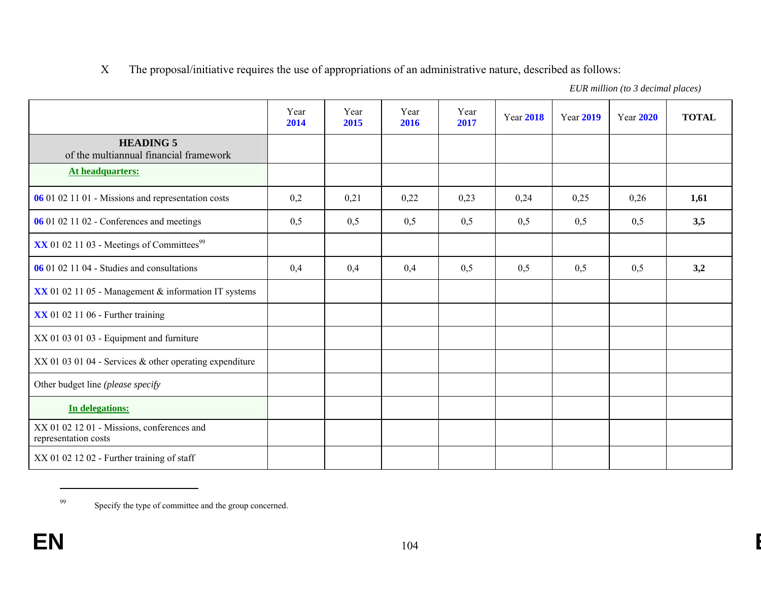X The proposal/initiative requires the use of appropriations of an administrative nature, described as follows:

*EUR million (to 3 decimal places)*

|                                                                    | Year<br>2014 | Year<br>2015 | Year<br>2016 | Year<br>2017 | <b>Year 2018</b> | <b>Year 2019</b> | <b>Year 2020</b> | <b>TOTAL</b> |
|--------------------------------------------------------------------|--------------|--------------|--------------|--------------|------------------|------------------|------------------|--------------|
| <b>HEADING 5</b><br>of the multiannual financial framework         |              |              |              |              |                  |                  |                  |              |
| At headquarters:                                                   |              |              |              |              |                  |                  |                  |              |
| 06 01 02 11 01 - Missions and representation costs                 | 0,2          | 0,21         | 0,22         | 0,23         | 0,24             | 0,25             | 0,26             | 1,61         |
| 06 01 02 11 02 - Conferences and meetings                          | 0,5          | 0,5          | 0,5          | 0,5          | 0,5              | 0,5              | 0,5              | 3,5          |
| XX 01 02 11 03 - Meetings of Committees <sup>99</sup>              |              |              |              |              |                  |                  |                  |              |
| 06 01 02 11 04 - Studies and consultations                         | 0,4          | 0,4          | 0,4          | 0,5          | 0,5              | 0,5              | 0,5              | 3,2          |
| XX 01 02 11 05 - Management & information IT systems               |              |              |              |              |                  |                  |                  |              |
| XX 01 02 11 06 - Further training                                  |              |              |              |              |                  |                  |                  |              |
| XX 01 03 01 03 - Equipment and furniture                           |              |              |              |              |                  |                  |                  |              |
| XX 01 03 01 04 - Services & other operating expenditure            |              |              |              |              |                  |                  |                  |              |
| Other budget line (please specify                                  |              |              |              |              |                  |                  |                  |              |
| In delegations:                                                    |              |              |              |              |                  |                  |                  |              |
| XX 01 02 12 01 - Missions, conferences and<br>representation costs |              |              |              |              |                  |                  |                  |              |
| XX 01 02 12 02 - Further training of staff                         |              |              |              |              |                  |                  |                  |              |

99Specify the type of committee and the group concerned.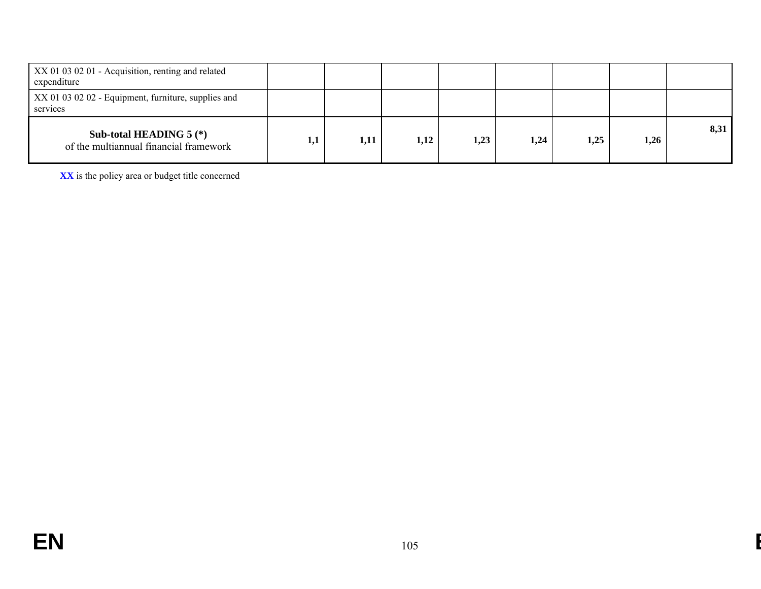| XX 01 03 02 01 - Acquisition, renting and related<br>expenditure    |     |      |      |      |      |      |      |      |
|---------------------------------------------------------------------|-----|------|------|------|------|------|------|------|
| XX 01 03 02 02 - Equipment, furniture, supplies and<br>services     |     |      |      |      |      |      |      |      |
| Sub-total HEADING $5$ (*)<br>of the multiannual financial framework | 1,1 | 1,11 | 1,12 | 1,23 | 1,24 | 1,25 | 1,26 | 8,31 |

**XX** is the policy area or budget title concerned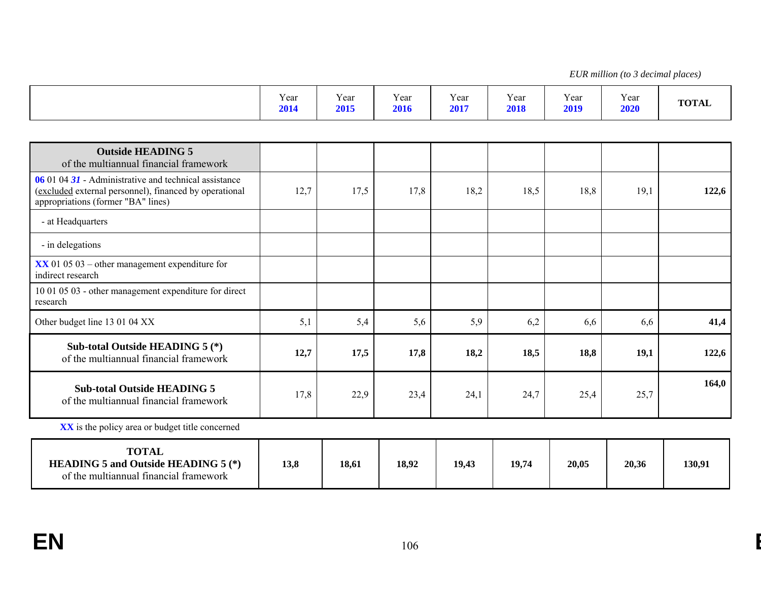Year **2014** Year **2015** Year **2016** Year **2017** Year **2018** Year **2019** Year **2020TOTAL** 

| <b>Outside HEADING 5</b><br>of the multiannual financial framework                                                                                    |      |       |       |       |       |       |       |        |
|-------------------------------------------------------------------------------------------------------------------------------------------------------|------|-------|-------|-------|-------|-------|-------|--------|
| 06 01 04 31 - Administrative and technical assistance<br>(excluded external personnel), financed by operational<br>appropriations (former "BA" lines) | 12,7 | 17,5  | 17,8  | 18,2  | 18,5  | 18,8  | 19,1  | 122,6  |
| - at Headquarters                                                                                                                                     |      |       |       |       |       |       |       |        |
| - in delegations                                                                                                                                      |      |       |       |       |       |       |       |        |
| $\overline{\text{XX}}$ 01 05 03 – other management expenditure for<br>indirect research                                                               |      |       |       |       |       |       |       |        |
| 10 01 05 03 - other management expenditure for direct<br>research                                                                                     |      |       |       |       |       |       |       |        |
| Other budget line 13 01 04 XX                                                                                                                         | 5,1  | 5,4   | 5,6   | 5,9   | 6,2   | 6,6   | 6,6   | 41,4   |
| Sub-total Outside HEADING 5 (*)<br>of the multiannual financial framework                                                                             | 12,7 | 17,5  | 17,8  | 18,2  | 18,5  | 18,8  | 19,1  | 122,6  |
| <b>Sub-total Outside HEADING 5</b><br>of the multiannual financial framework                                                                          | 17,8 | 22,9  | 23,4  | 24,1  | 24,7  | 25,4  | 25,7  | 164,0  |
| XX is the policy area or budget title concerned                                                                                                       |      |       |       |       |       |       |       |        |
| <b>TOTAL</b><br><b>HEADING 5 and Outside HEADING 5 (*)</b><br>of the multiannual financial framework                                                  | 13,8 | 18,61 | 18,92 | 19,43 | 19,74 | 20,05 | 20,36 | 130,91 |

*EUR million (to 3 decimal places)*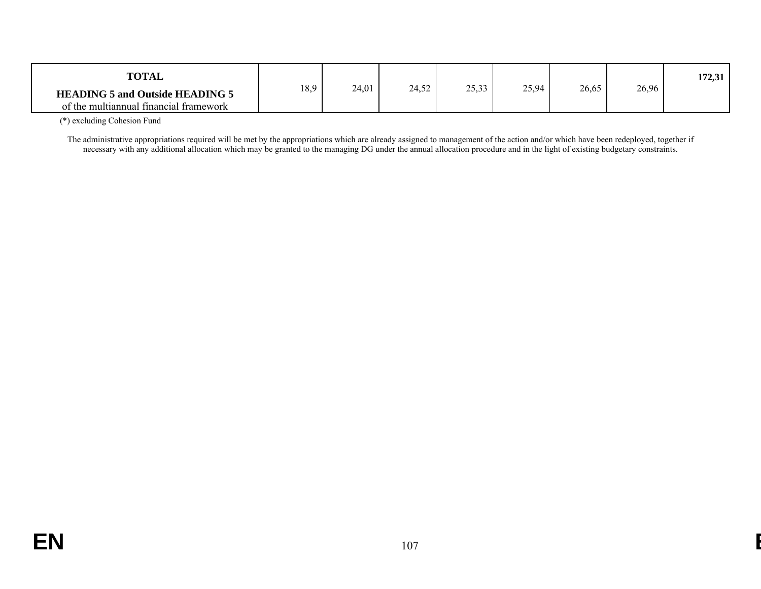| <b>TOTAL</b>                           |      |       |       |                   |       |       |       | 172,31 |
|----------------------------------------|------|-------|-------|-------------------|-------|-------|-------|--------|
| <b>HEADING 5 and Outside HEADING 5</b> | 18,9 | 24,01 | 24,52 | 25.33<br>ر د بر ۱ | 25,94 | 26,65 | 26,96 |        |
| of the multiannual financial framework |      |       |       |                   |       |       |       |        |

(\*) excluding Cohesion Fund

The administrative appropriations required will be met by the appropriations which are already assigned to management of the action and/or which have been redeployed, together if necessary with any additional allocation which may be granted to the managing DG under the annual allocation procedure and in the light of existing budgetary constraints.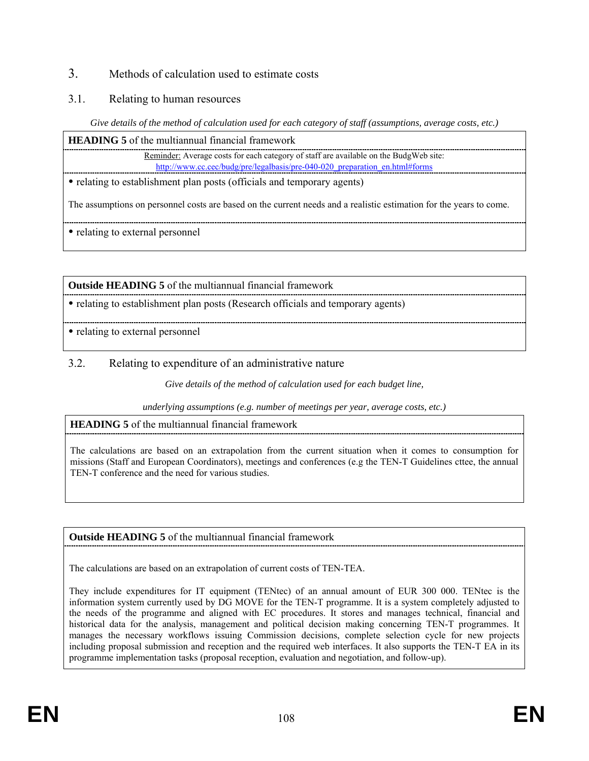# 3. Methods of calculation used to estimate costs

## 3.1. Relating to human resources

*Give details of the method of calculation used for each category of staff (assumptions, average costs, etc.)* 

**HEADING 5** of the multiannual financial framework

Reminder: Average costs for each category of staff are available on the BudgWeb site: [http://www.cc.cec/budg/pre/legalbasis/pre-040-020\\_preparation\\_en.html#forms](http://www.cc.cec/budg/pre/legalbasis/pre-040-020_preparation_en.html#forms)

• relating to establishment plan posts (officials and temporary agents)

The assumptions on personnel costs are based on the current needs and a realistic estimation for the years to come.

• relating to external personnel

**Outside HEADING 5** of the multiannual financial framework

• relating to establishment plan posts (Research officials and temporary agents)

• relating to external personnel

## 3.2. Relating to expenditure of an administrative nature

*Give details of the method of calculation used for each budget line,* 

*underlying assumptions (e.g. number of meetings per year, average costs, etc.)* 

**HEADING 5** of the multiannual financial framework

The calculations are based on an extrapolation from the current situation when it comes to consumption for missions (Staff and European Coordinators), meetings and conferences (e.g the TEN-T Guidelines cttee, the annual TEN-T conference and the need for various studies.

**Outside HEADING 5** of the multiannual financial framework

The calculations are based on an extrapolation of current costs of TEN-TEA.

They include expenditures for IT equipment (TENtec) of an annual amount of EUR 300 000. TENtec is the information system currently used by DG MOVE for the TEN-T programme. It is a system completely adjusted to the needs of the programme and aligned with EC procedures. It stores and manages technical, financial and historical data for the analysis, management and political decision making concerning TEN-T programmes. It manages the necessary workflows issuing Commission decisions, complete selection cycle for new projects including proposal submission and reception and the required web interfaces. It also supports the TEN-T EA in its programme implementation tasks (proposal reception, evaluation and negotiation, and follow-up).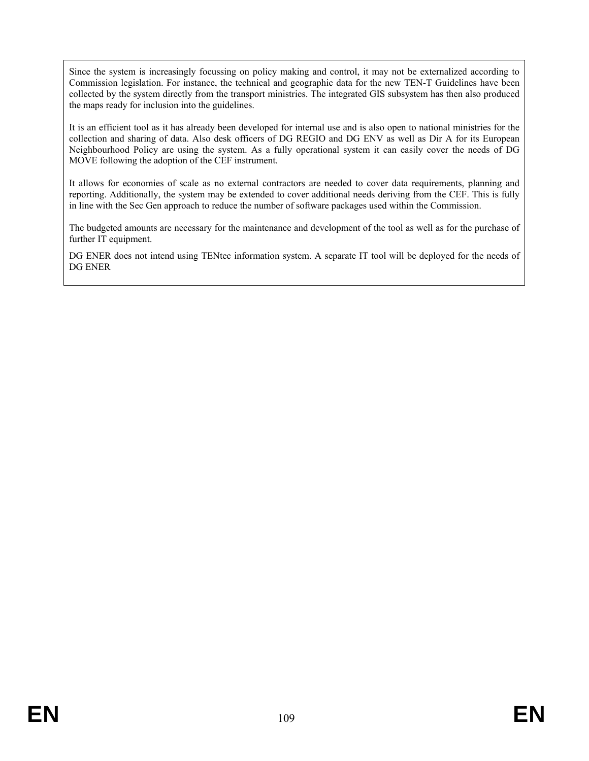Since the system is increasingly focussing on policy making and control, it may not be externalized according to Commission legislation. For instance, the technical and geographic data for the new TEN-T Guidelines have been collected by the system directly from the transport ministries. The integrated GIS subsystem has then also produced the maps ready for inclusion into the guidelines.

It is an efficient tool as it has already been developed for internal use and is also open to national ministries for the collection and sharing of data. Also desk officers of DG REGIO and DG ENV as well as Dir A for its European Neighbourhood Policy are using the system. As a fully operational system it can easily cover the needs of DG MOVE following the adoption of the CEF instrument.

It allows for economies of scale as no external contractors are needed to cover data requirements, planning and reporting. Additionally, the system may be extended to cover additional needs deriving from the CEF. This is fully in line with the Sec Gen approach to reduce the number of software packages used within the Commission.

The budgeted amounts are necessary for the maintenance and development of the tool as well as for the purchase of further IT equipment.

DG ENER does not intend using TENtec information system. A separate IT tool will be deployed for the needs of DG ENER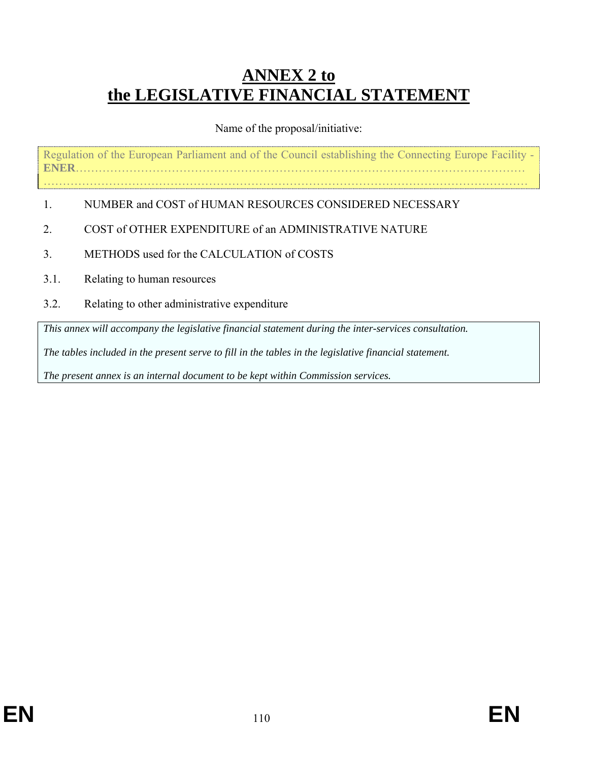# **ANNEX 2 to the LEGISLATIVE FINANCIAL STATEMENT**

## Name of the proposal/initiative:

Regulation of the European Parliament and of the Council establishing the Connecting Europe Facility - **ENER**………………………………………………………………………………………………………

………………………………………………………………………………………………………………

- 1. NUMBER and COST of HUMAN RESOURCES CONSIDERED NECESSARY
- 2. COST of OTHER EXPENDITURE of an ADMINISTRATIVE NATURE
- 3. METHODS used for the CALCULATION of COSTS
- 3.1. Relating to human resources
- 3.2. Relating to other administrative expenditure

*This annex will accompany the legislative financial statement during the inter-services consultation.* 

*The tables included in the present serve to fill in the tables in the legislative financial statement.* 

*The present annex is an internal document to be kept within Commission services.*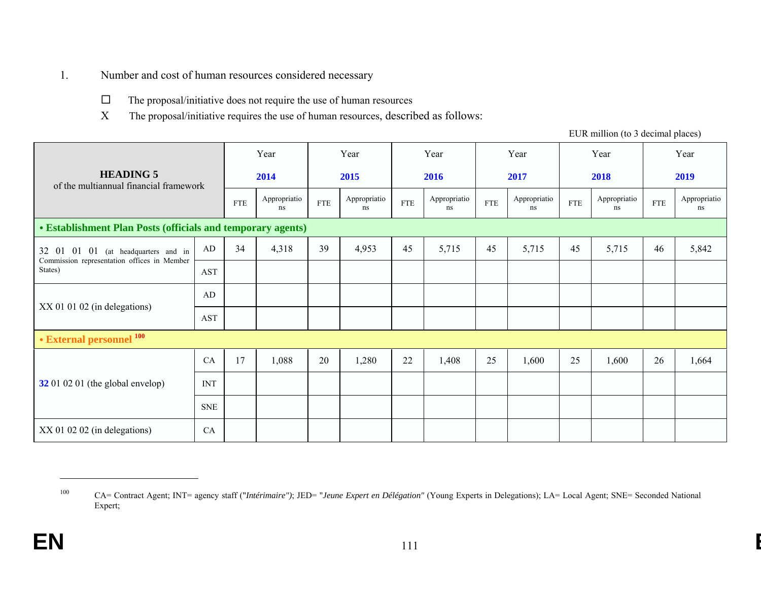- 1. Number and cost of human resources considered necessary
	- $\Box$ The proposal/initiative does not require the use of human resources
	- X The proposal/initiative requires the use of human resources, described as follows:

|                                                                                    |                      |            | Year               |             | Year               |             | Year               |             | Year               |            | Year               |             | Year               |
|------------------------------------------------------------------------------------|----------------------|------------|--------------------|-------------|--------------------|-------------|--------------------|-------------|--------------------|------------|--------------------|-------------|--------------------|
| <b>HEADING 5</b><br>of the multiannual financial framework                         |                      |            | 2014               |             | 2015               |             | 2016               |             | 2017               |            | 2018               |             | 2019               |
|                                                                                    |                      | <b>FTE</b> | Appropriatio<br>ns | ${\rm FTE}$ | Appropriatio<br>ns | ${\rm FTE}$ | Appropriatio<br>ns | ${\rm FTE}$ | Appropriatio<br>ns | <b>FTE</b> | Appropriatio<br>ns | ${\rm FTE}$ | Appropriatio<br>ns |
| • Establishment Plan Posts (officials and temporary agents)                        |                      |            |                    |             |                    |             |                    |             |                    |            |                    |             |                    |
| 32 01 01 01 (at headquarters and in<br>Commission representation offices in Member | AD                   | 34         | 4,318              | 39          | 4,953              | 45          | 5,715              | 45          | 5,715              | 45         | 5,715              | 46          | 5,842              |
| States)                                                                            | $\operatorname{AST}$ |            |                    |             |                    |             |                    |             |                    |            |                    |             |                    |
| $XX$ 01 01 02 (in delegations)                                                     | AD                   |            |                    |             |                    |             |                    |             |                    |            |                    |             |                    |
|                                                                                    | AST                  |            |                    |             |                    |             |                    |             |                    |            |                    |             |                    |
| • External personnel 100                                                           |                      |            |                    |             |                    |             |                    |             |                    |            |                    |             |                    |
|                                                                                    | CA                   | 17         | 1,088              | 20          | 1,280              | 22          | 1,408              | 25          | 1,600              | 25         | 1,600              | 26          | 1,664              |
| <b>32</b> 01 02 01 (the global envelop)                                            | <b>INT</b>           |            |                    |             |                    |             |                    |             |                    |            |                    |             |                    |
|                                                                                    | <b>SNE</b>           |            |                    |             |                    |             |                    |             |                    |            |                    |             |                    |
| $XX$ 01 02 02 (in delegations)                                                     | CA                   |            |                    |             |                    |             |                    |             |                    |            |                    |             |                    |

<sup>100</sup> CA= Contract Agent; INT= agency staff ("*Intérimaire")*; JED= "*Jeune Expert en Délégation"* (Young Experts in Delegations); LA= Local Agent; SNE= Seconded National Expert;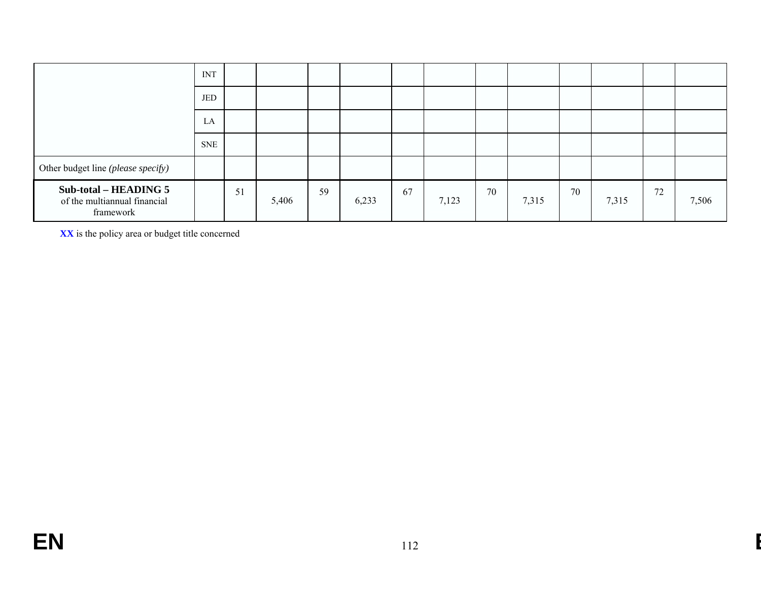|                                                                    | <b>INT</b> |    |       |    |       |    |       |    |       |    |       |    |       |
|--------------------------------------------------------------------|------------|----|-------|----|-------|----|-------|----|-------|----|-------|----|-------|
|                                                                    | JED        |    |       |    |       |    |       |    |       |    |       |    |       |
|                                                                    | LA         |    |       |    |       |    |       |    |       |    |       |    |       |
|                                                                    | <b>SNE</b> |    |       |    |       |    |       |    |       |    |       |    |       |
| Other budget line (please specify)                                 |            |    |       |    |       |    |       |    |       |    |       |    |       |
| Sub-total – HEADING 5<br>of the multiannual financial<br>framework |            | 51 | 5,406 | 59 | 6,233 | 67 | 7,123 | 70 | 7,315 | 70 | 7,315 | 72 | 7,506 |

**XX** is the policy area or budget title concerned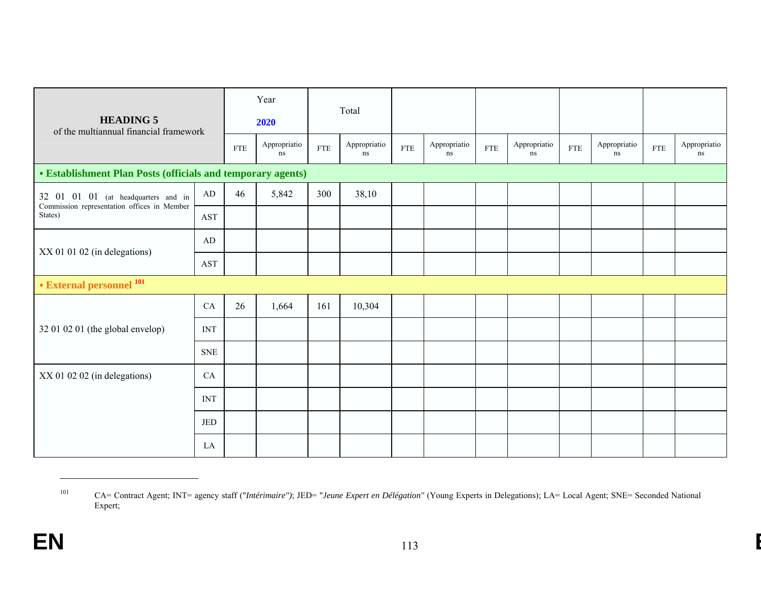| <b>HEADING 5</b><br>of the multiannual financial framework  |                           |            | Year<br>2020       |            | Total              |            |                          |            |                    |             |                    |            |                    |
|-------------------------------------------------------------|---------------------------|------------|--------------------|------------|--------------------|------------|--------------------------|------------|--------------------|-------------|--------------------|------------|--------------------|
|                                                             |                           | <b>FTE</b> | Appropriatio<br>ns | <b>FTE</b> | Appropriatio<br>ns | <b>FTE</b> | Appropriatio<br>$\rm ns$ | <b>FTE</b> | Appropriatio<br>ns | ${\rm FTE}$ | Appropriatio<br>ns | <b>FTE</b> | Appropriatio<br>ns |
| • Establishment Plan Posts (officials and temporary agents) |                           |            |                    |            |                    |            |                          |            |                    |             |                    |            |                    |
| 32 01 01 01 (at headquarters and in                         | AD                        | 46         | 5,842              | 300        | 38,10              |            |                          |            |                    |             |                    |            |                    |
| Commission representation offices in Member<br>States)      | AST                       |            |                    |            |                    |            |                          |            |                    |             |                    |            |                    |
|                                                             | AD                        |            |                    |            |                    |            |                          |            |                    |             |                    |            |                    |
| XX 01 01 02 (in delegations)                                | <b>AST</b>                |            |                    |            |                    |            |                          |            |                    |             |                    |            |                    |
| • External personnel 101                                    |                           |            |                    |            |                    |            |                          |            |                    |             |                    |            |                    |
|                                                             | CA                        | 26         | 1,664              | 161        | 10,304             |            |                          |            |                    |             |                    |            |                    |
| 32 01 02 01 (the global envelop)                            | $\ensuremath{\text{INT}}$ |            |                    |            |                    |            |                          |            |                    |             |                    |            |                    |
|                                                             | <b>SNE</b>                |            |                    |            |                    |            |                          |            |                    |             |                    |            |                    |
| XX 01 02 02 (in delegations)                                | CA                        |            |                    |            |                    |            |                          |            |                    |             |                    |            |                    |
|                                                             | $\ensuremath{\text{INT}}$ |            |                    |            |                    |            |                          |            |                    |             |                    |            |                    |
|                                                             | $_{\rm JED}$              |            |                    |            |                    |            |                          |            |                    |             |                    |            |                    |
|                                                             | LA                        |            |                    |            |                    |            |                          |            |                    |             |                    |            |                    |

<sup>101</sup> CA= Contract Agent; INT= agency staff ("*Intérimaire")*; JED= "*Jeune Expert en Délégation"* (Young Experts in Delegations); LA= Local Agent; SNE= Seconded National Expert;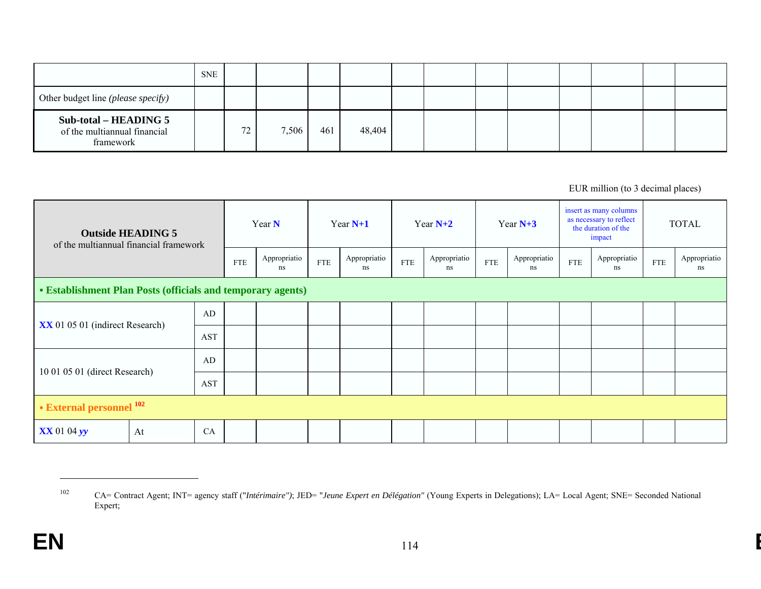|                                                                    | <b>SNE</b> |    |       |     |        |  |  |  |  |
|--------------------------------------------------------------------|------------|----|-------|-----|--------|--|--|--|--|
| Other budget line (please specify)                                 |            |    |       |     |        |  |  |  |  |
| Sub-total – HEADING 5<br>of the multiannual financial<br>framework |            | 72 | 7,506 | 461 | 48,404 |  |  |  |  |

| of the multiannual financial framework                      | <b>Outside HEADING 5</b> |            |            | Year N             |            | Year $N+1$         |             | Year $N+2$         |            | Year $N+3$         |             | insert as many columns<br>as necessary to reflect<br>the duration of the<br>impact |            | <b>TOTAL</b>       |
|-------------------------------------------------------------|--------------------------|------------|------------|--------------------|------------|--------------------|-------------|--------------------|------------|--------------------|-------------|------------------------------------------------------------------------------------|------------|--------------------|
|                                                             |                          |            | <b>FTE</b> | Appropriatio<br>ns | <b>FTE</b> | Appropriatio<br>ns | ${\rm FTE}$ | Appropriatio<br>ns | <b>FTE</b> | Appropriatio<br>ns | ${\rm FTE}$ | Appropriatio<br>ns                                                                 | <b>FTE</b> | Appropriatio<br>ns |
| • Establishment Plan Posts (officials and temporary agents) |                          |            |            |                    |            |                    |             |                    |            |                    |             |                                                                                    |            |                    |
| XX 01 05 01 (indirect Research)                             |                          | AD         |            |                    |            |                    |             |                    |            |                    |             |                                                                                    |            |                    |
|                                                             |                          | <b>AST</b> |            |                    |            |                    |             |                    |            |                    |             |                                                                                    |            |                    |
| 10 01 05 01 (direct Research)                               |                          | AD         |            |                    |            |                    |             |                    |            |                    |             |                                                                                    |            |                    |
|                                                             |                          | <b>AST</b> |            |                    |            |                    |             |                    |            |                    |             |                                                                                    |            |                    |
| • External personnel 102                                    |                          |            |            |                    |            |                    |             |                    |            |                    |             |                                                                                    |            |                    |
| $\mathbf{XX}$ 01 04 yy                                      | At                       | CA         |            |                    |            |                    |             |                    |            |                    |             |                                                                                    |            |                    |

<sup>102</sup> CA= Contract Agent; INT= agency staff ("*Intérimaire")*; JED= "*Jeune Expert en Délégation"* (Young Experts in Delegations); LA= Local Agent; SNE= Seconded National Expert;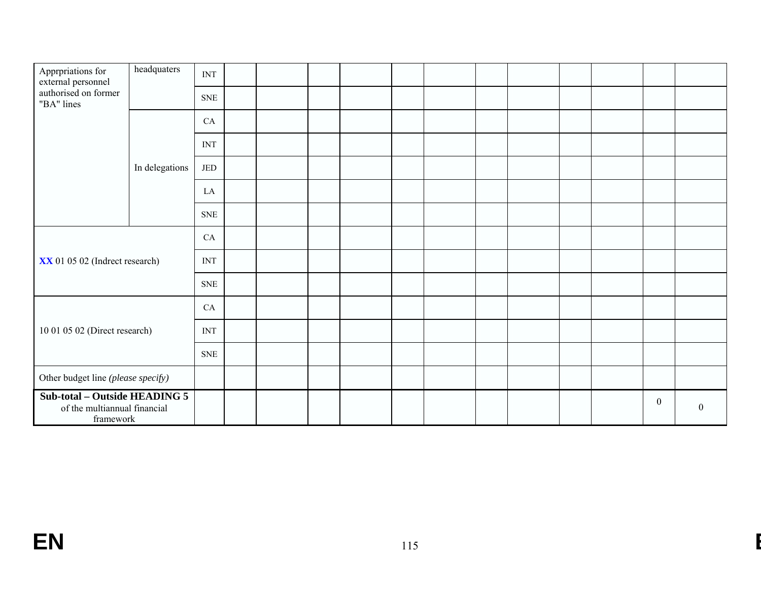| Apprpriations for<br>external personnel                                    | headquaters    | $\overline{\text{INT}}$   |  |  |  |  |  |                  |                  |
|----------------------------------------------------------------------------|----------------|---------------------------|--|--|--|--|--|------------------|------------------|
| authorised on former<br>"BA" lines                                         |                | <b>SNE</b>                |  |  |  |  |  |                  |                  |
|                                                                            |                | CA                        |  |  |  |  |  |                  |                  |
|                                                                            |                | $\ensuremath{\text{INT}}$ |  |  |  |  |  |                  |                  |
|                                                                            | In delegations | $_{\rm JED}$              |  |  |  |  |  |                  |                  |
|                                                                            |                | LA                        |  |  |  |  |  |                  |                  |
|                                                                            |                | ${\rm SNE}$               |  |  |  |  |  |                  |                  |
|                                                                            |                | CA                        |  |  |  |  |  |                  |                  |
| XX 01 05 02 (Indrect research)                                             |                | $\ensuremath{\text{INT}}$ |  |  |  |  |  |                  |                  |
|                                                                            |                | ${\rm SNE}$               |  |  |  |  |  |                  |                  |
|                                                                            |                | CA                        |  |  |  |  |  |                  |                  |
| 10 01 05 02 (Direct research)                                              |                | $\ensuremath{\text{INT}}$ |  |  |  |  |  |                  |                  |
|                                                                            |                | ${\rm SNE}$               |  |  |  |  |  |                  |                  |
| Other budget line (please specify)                                         |                |                           |  |  |  |  |  |                  |                  |
| Sub-total - Outside HEADING 5<br>of the multiannual financial<br>framework |                |                           |  |  |  |  |  | $\boldsymbol{0}$ | $\boldsymbol{0}$ |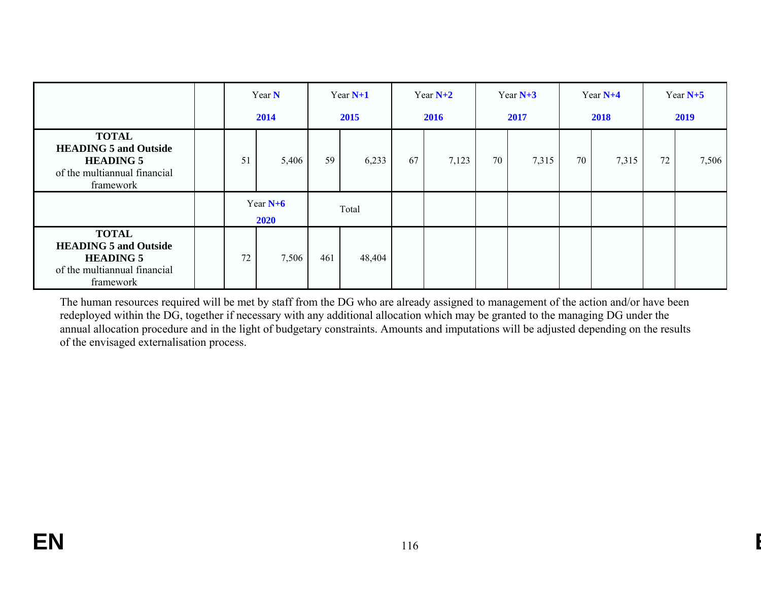|                                                                                                               |    | Year N<br>2014            |     | Year $N+1$ |    | Year $N+2$ |    | Year $N+3$ |    | Year $N+4$ |    | Year $N+5$ |
|---------------------------------------------------------------------------------------------------------------|----|---------------------------|-----|------------|----|------------|----|------------|----|------------|----|------------|
|                                                                                                               |    |                           |     | 2015       |    | 2016       |    | 2017       |    | 2018       |    | 2019       |
| <b>TOTAL</b><br><b>HEADING 5 and Outside</b><br><b>HEADING 5</b><br>of the multiannual financial<br>framework | 51 | 5,406                     | 59  | 6,233      | 67 | 7,123      | 70 | 7,315      | 70 | 7,315      | 72 | 7,506      |
|                                                                                                               |    | Year $N+6$<br><b>2020</b> |     | Total      |    |            |    |            |    |            |    |            |
| <b>TOTAL</b><br><b>HEADING 5 and Outside</b><br><b>HEADING 5</b><br>of the multiannual financial<br>framework | 72 | 7,506                     | 461 | 48,404     |    |            |    |            |    |            |    |            |

The human resources required will be met by staff from the DG who are already assigned to management of the action and/or have been redeployed within the DG, together if necessary with any additional allocation which may be granted to the managing DG under the annual allocation procedure and in the light of budgetary constraints. Amounts and imputations will be adjusted depending on the results of the envisaged externalisation process.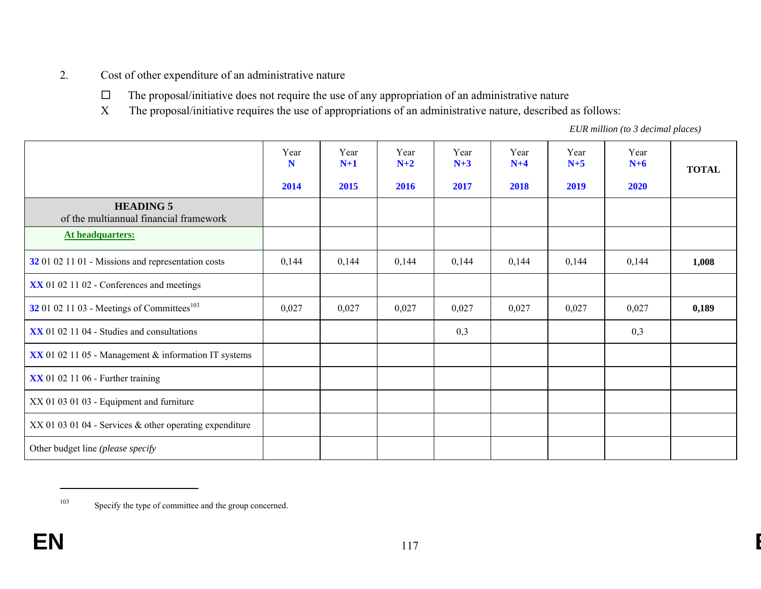- 2. Cost of other expenditure of an administrative nature
	- $\Box$  The proposal/initiative does not require the use of any appropriation of an administrative nature
	- X The proposal/initiative requires the use of appropriations of an administrative nature, described as follows:

|                                                                | Year<br>N<br>2014 | Year<br>$N+1$<br>2015 | Year<br>$N+2$<br>2016 | Year<br>$N+3$<br>2017 | Year<br>$N+4$<br>2018 | Year<br>$N+5$<br>2019 | Year<br>$N+6$<br>2020 | <b>TOTAL</b> |
|----------------------------------------------------------------|-------------------|-----------------------|-----------------------|-----------------------|-----------------------|-----------------------|-----------------------|--------------|
| <b>HEADING 5</b><br>of the multiannual financial framework     |                   |                       |                       |                       |                       |                       |                       |              |
| At headquarters:                                               |                   |                       |                       |                       |                       |                       |                       |              |
| 32 01 02 11 01 - Missions and representation costs             | 0,144             | 0,144                 | 0,144                 | 0,144                 | 0,144                 | 0,144                 | 0,144                 | 1,008        |
| XX 01 02 11 02 - Conferences and meetings                      |                   |                       |                       |                       |                       |                       |                       |              |
| 32 01 02 11 03 - Meetings of Committees <sup>103</sup>         | 0,027             | 0,027                 | 0,027                 | 0,027                 | 0,027                 | 0,027                 | 0,027                 | 0,189        |
| $\overline{\text{XX}}$ 01 02 11 04 - Studies and consultations |                   |                       |                       | 0,3                   |                       |                       | 0,3                   |              |
| XX 01 02 11 05 - Management & information IT systems           |                   |                       |                       |                       |                       |                       |                       |              |
| $\overline{\text{XX}}$ 01 02 11 06 - Further training          |                   |                       |                       |                       |                       |                       |                       |              |
| XX 01 03 01 03 - Equipment and furniture                       |                   |                       |                       |                       |                       |                       |                       |              |
| XX 01 03 01 04 - Services & other operating expenditure        |                   |                       |                       |                       |                       |                       |                       |              |
| Other budget line (please specify                              |                   |                       |                       |                       |                       |                       |                       |              |

<sup>103</sup>Specify the type of committee and the group concerned.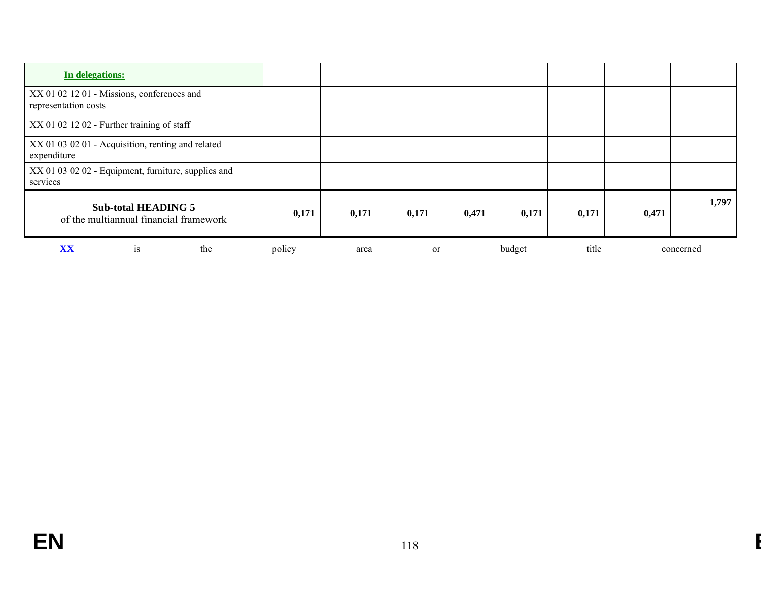| In delegations:                                                      |        |       |       |       |        |       |       |           |
|----------------------------------------------------------------------|--------|-------|-------|-------|--------|-------|-------|-----------|
| XX 01 02 12 01 - Missions, conferences and<br>representation costs   |        |       |       |       |        |       |       |           |
| XX 01 02 12 02 - Further training of staff                           |        |       |       |       |        |       |       |           |
| XX 01 03 02 01 - Acquisition, renting and related<br>expenditure     |        |       |       |       |        |       |       |           |
| XX 01 03 02 02 - Equipment, furniture, supplies and<br>services      |        |       |       |       |        |       |       |           |
| <b>Sub-total HEADING 5</b><br>of the multiannual financial framework | 0,171  | 0,171 | 0,171 | 0,471 | 0,171  | 0,171 | 0,471 | 1,797     |
| XX<br>the<br>1S                                                      | policy | area  |       | or    | budget | title |       | concerned |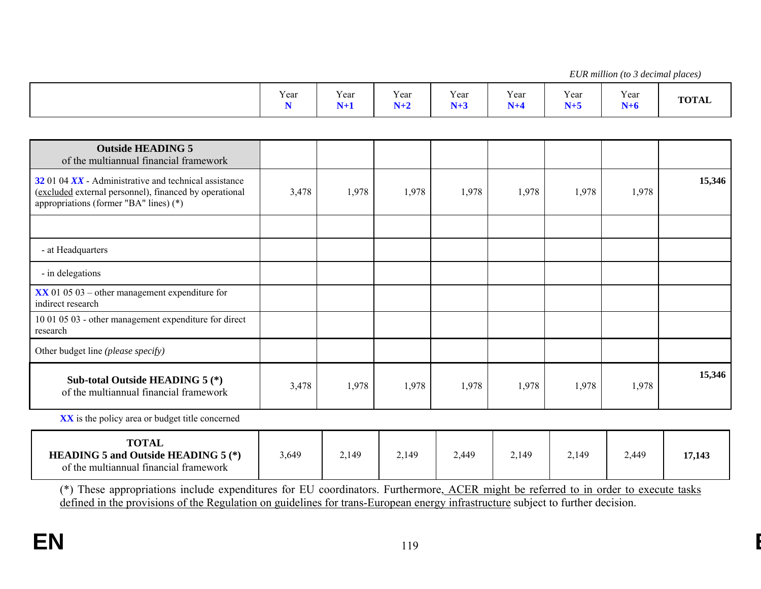|                                                                                                                                                           |                     |               |               |               |               |               | EUR million (to 3 decimal places) |              |
|-----------------------------------------------------------------------------------------------------------------------------------------------------------|---------------------|---------------|---------------|---------------|---------------|---------------|-----------------------------------|--------------|
|                                                                                                                                                           | Year<br>$\mathbf N$ | Year<br>$N+1$ | Year<br>$N+2$ | Year<br>$N+3$ | Year<br>$N+4$ | Year<br>$N+5$ | Year<br>$N+6$                     | <b>TOTAL</b> |
|                                                                                                                                                           |                     |               |               |               |               |               |                                   |              |
| <b>Outside HEADING 5</b><br>of the multiannual financial framework                                                                                        |                     |               |               |               |               |               |                                   |              |
| $320104$ XX - Administrative and technical assistance<br>(excluded external personnel), financed by operational<br>appropriations (former "BA" lines) (*) | 3,478               | 1,978         | 1,978         | 1,978         | 1,978         | 1,978         | 1,978                             | 15,346       |
|                                                                                                                                                           |                     |               |               |               |               |               |                                   |              |
| - at Headquarters                                                                                                                                         |                     |               |               |               |               |               |                                   |              |
| - in delegations                                                                                                                                          |                     |               |               |               |               |               |                                   |              |
| $\overline{\text{XX}}$ 01 05 03 – other management expenditure for<br>indirect research                                                                   |                     |               |               |               |               |               |                                   |              |
| 10 01 05 03 - other management expenditure for direct<br>research                                                                                         |                     |               |               |               |               |               |                                   |              |
| Other budget line (please specify)                                                                                                                        |                     |               |               |               |               |               |                                   |              |
| Sub-total Outside HEADING 5 (*)<br>of the multiannual financial framework                                                                                 | 3,478               | 1,978         | 1,978         | 1,978         | 1,978         | 1,978         | 1,978                             | 15,346       |
| XX is the policy area or budget title concerned                                                                                                           |                     |               |               |               |               |               |                                   |              |
| <b>TOTAL</b><br><b>HEADING 5 and Outside HEADING 5 (*)</b><br>of the multiannual financial framework                                                      | 3,649               | 2,149         | 2,149         | 2,449         | 2,149         | 2,149         | 2,449                             | 17,143       |
|                                                                                                                                                           |                     |               |               |               |               |               |                                   |              |

(\*) These appropriations include expenditures for EU coordinators. Furthermore, ACER might be referred to in order to execute tasks defined in the provisions of the Regulation on guidelines for trans-European energy infrastructure subject to further decision.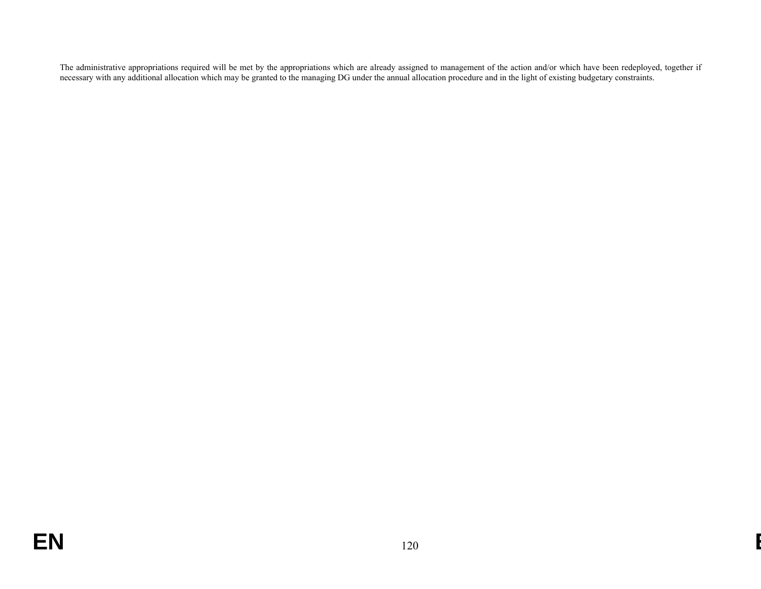The administrative appropriations required will be met by the appropriations which are already assigned to management of the action and/or which have been redeployed, together if necessary with any additional allocation which may be granted to the managing DG under the annual allocation procedure and in the light of existing budgetary constraints.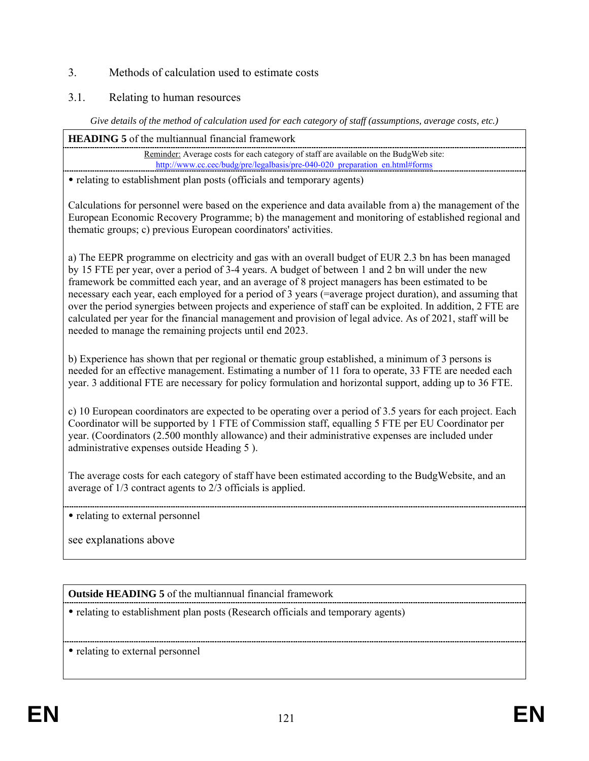## 3. Methods of calculation used to estimate costs

## 3.1. Relating to human resources

*Give details of the method of calculation used for each category of staff (assumptions, average costs, etc.)* 

**HEADING 5** of the multiannual financial framework Reminder: Average costs for each category of staff are available on the BudgWeb site: http://www.cc.cec/budg/pre/legalbasis/pre-040-020 preparation en.html#forms

• relating to establishment plan posts (officials and temporary agents)

Calculations for personnel were based on the experience and data available from a) the management of the European Economic Recovery Programme; b) the management and monitoring of established regional and thematic groups; c) previous European coordinators' activities.

a) The EEPR programme on electricity and gas with an overall budget of EUR 2.3 bn has been managed by 15 FTE per year, over a period of 3-4 years. A budget of between 1 and 2 bn will under the new framework be committed each year, and an average of 8 project managers has been estimated to be necessary each year, each employed for a period of 3 years (=average project duration), and assuming that over the period synergies between projects and experience of staff can be exploited. In addition, 2 FTE are calculated per year for the financial management and provision of legal advice. As of 2021, staff will be needed to manage the remaining projects until end 2023.

b) Experience has shown that per regional or thematic group established, a minimum of 3 persons is needed for an effective management. Estimating a number of 11 fora to operate, 33 FTE are needed each year. 3 additional FTE are necessary for policy formulation and horizontal support, adding up to 36 FTE.

c) 10 European coordinators are expected to be operating over a period of 3.5 years for each project. Each Coordinator will be supported by 1 FTE of Commission staff, equalling 5 FTE per EU Coordinator per year. (Coordinators (2.500 monthly allowance) and their administrative expenses are included under administrative expenses outside Heading 5 ).

The average costs for each category of staff have been estimated according to the BudgWebsite, and an average of 1/3 contract agents to 2/3 officials is applied.

• relating to external personnel

see explanations above

**Outside HEADING 5** of the multiannual financial framework

• relating to establishment plan posts (Research officials and temporary agents)

• relating to external personnel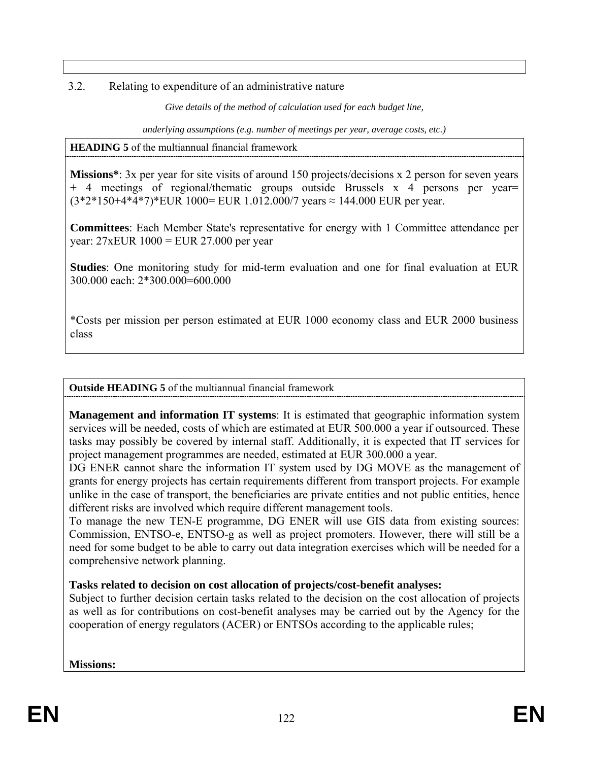# 3.2. Relating to expenditure of an administrative nature

*Give details of the method of calculation used for each budget line,* 

*underlying assumptions (e.g. number of meetings per year, average costs, etc.)* 

**HEADING 5** of the multiannual financial framework

**Missions\***: 3x per year for site visits of around 150 projects/decisions x 2 person for seven years + 4 meetings of regional/thematic groups outside Brussels x 4 persons per year=  $(3*2*150+4*4*7)*EUR 1000= EUR 1.012.000/7 years \approx 144.000 EUR per year.$ 

**Committees**: Each Member State's representative for energy with 1 Committee attendance per year: 27xEUR 1000 = EUR 27.000 per year

**Studies**: One monitoring study for mid-term evaluation and one for final evaluation at EUR 300.000 each: 2\*300.000=600.000

\*Costs per mission per person estimated at EUR 1000 economy class and EUR 2000 business class

**Outside HEADING 5** of the multiannual financial framework

**Management and information IT systems**: It is estimated that geographic information system services will be needed, costs of which are estimated at EUR 500.000 a year if outsourced. These tasks may possibly be covered by internal staff. Additionally, it is expected that IT services for project management programmes are needed, estimated at EUR 300.000 a year.

DG ENER cannot share the information IT system used by DG MOVE as the management of grants for energy projects has certain requirements different from transport projects. For example unlike in the case of transport, the beneficiaries are private entities and not public entities, hence different risks are involved which require different management tools.

To manage the new TEN-E programme, DG ENER will use GIS data from existing sources: Commission, ENTSO-e, ENTSO-g as well as project promoters. However, there will still be a need for some budget to be able to carry out data integration exercises which will be needed for a comprehensive network planning.

# **Tasks related to decision on cost allocation of projects/cost-benefit analyses:**

Subject to further decision certain tasks related to the decision on the cost allocation of projects as well as for contributions on cost-benefit analyses may be carried out by the Agency for the cooperation of energy regulators (ACER) or ENTSOs according to the applicable rules;

**Missions:**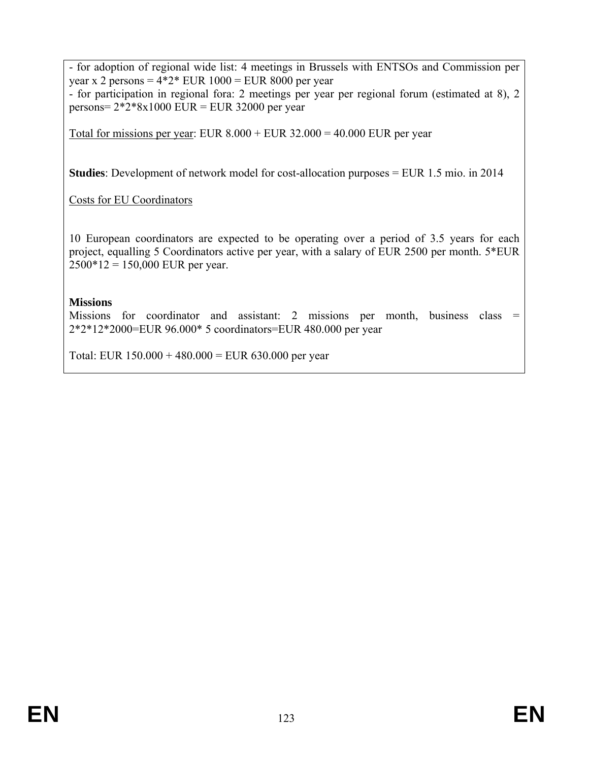- for adoption of regional wide list: 4 meetings in Brussels with ENTSOs and Commission per year x 2 persons =  $4*2*$  EUR 1000 = EUR 8000 per year - for participation in regional fora: 2 meetings per year per regional forum (estimated at 8), 2 persons=  $2*2*8x1000$  EUR = EUR 32000 per year

Total for missions per year: EUR  $8.000 + EUR$  32.000 = 40.000 EUR per year

**Studies**: Development of network model for cost-allocation purposes = EUR 1.5 mio. in 2014

Costs for EU Coordinators

10 European coordinators are expected to be operating over a period of 3.5 years for each project, equalling 5 Coordinators active per year, with a salary of EUR 2500 per month. 5\*EUR  $2500*12 = 150,000$  EUR per year.

#### **Missions**

Missions for coordinator and assistant: 2 missions per month, business class = 2\*2\*12\*2000=EUR 96.000\* 5 coordinators=EUR 480.000 per year

Total: EUR  $150.000 + 480.000 =$  EUR 630.000 per year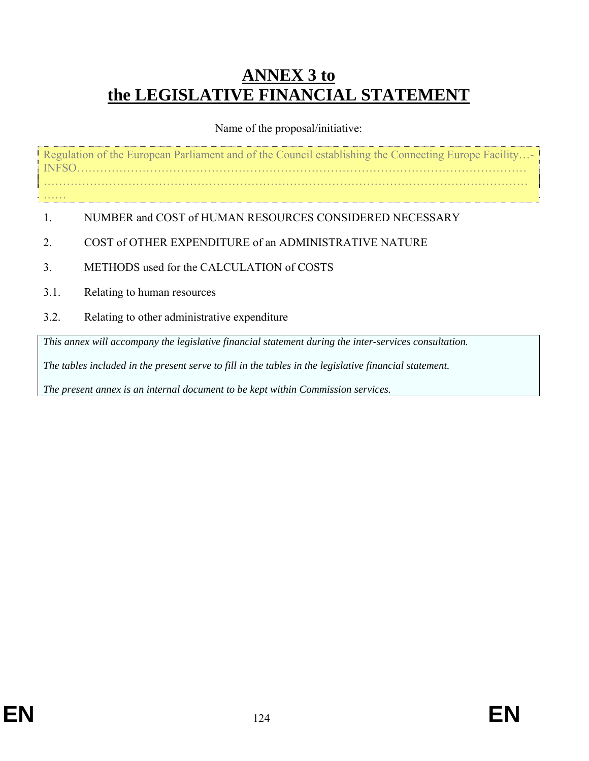# **ANNEX 3 to the LEGISLATIVE FINANCIAL STATEMENT**

## Name of the proposal/initiative:

Regulation of the European Parliament and of the Council establishing the Connecting Europe Facility…-  $INFSO$ ……………………………………………………………………………………………………………… ……

- 1. NUMBER and COST of HUMAN RESOURCES CONSIDERED NECESSARY
- 2. COST of OTHER EXPENDITURE of an ADMINISTRATIVE NATURE
- 3. METHODS used for the CALCULATION of COSTS
- 3.1. Relating to human resources
- 3.2. Relating to other administrative expenditure

*This annex will accompany the legislative financial statement during the inter-services consultation.* 

*The tables included in the present serve to fill in the tables in the legislative financial statement.* 

*The present annex is an internal document to be kept within Commission services.*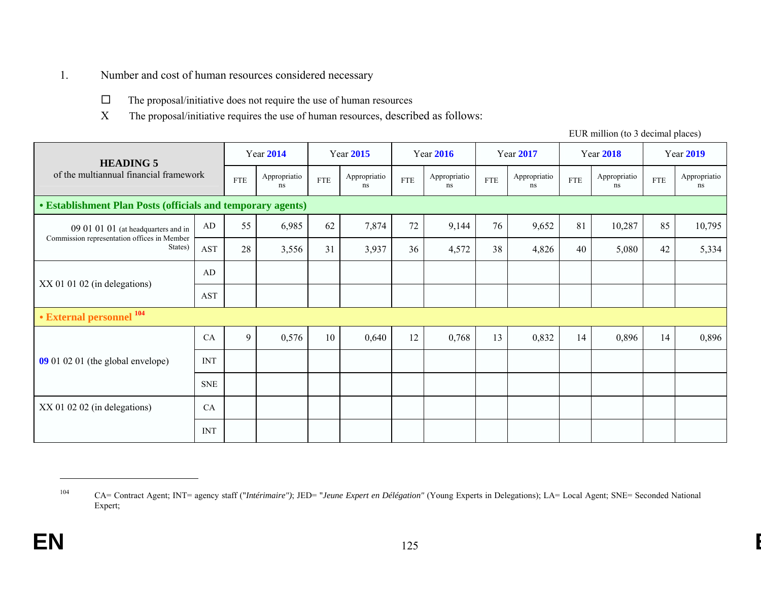- 1. Number and cost of human resources considered necessary
	- $\Box$ The proposal/initiative does not require the use of human resources
	- X The proposal/initiative requires the use of human resources, described as follows:

| <b>HEADING 5</b>                                            |                           |             | <b>Year 2014</b>   |            | Year 2015          |             | <b>Year 2016</b>   |            | Year 2017          |            | <b>Year 2018</b>   |            | <b>Year 2019</b>   |
|-------------------------------------------------------------|---------------------------|-------------|--------------------|------------|--------------------|-------------|--------------------|------------|--------------------|------------|--------------------|------------|--------------------|
| of the multiannual financial framework                      |                           | ${\rm FTE}$ | Appropriatio<br>ns | <b>FTE</b> | Appropriatio<br>ns | ${\rm FTE}$ | Appropriatio<br>ns | <b>FTE</b> | Appropriatio<br>ns | <b>FTE</b> | Appropriatio<br>ns | <b>FTE</b> | Appropriatio<br>ns |
| • Establishment Plan Posts (officials and temporary agents) |                           |             |                    |            |                    |             |                    |            |                    |            |                    |            |                    |
| 09 01 01 01 (at headquarters and in                         | AD                        | 55          | 6,985              | 62         | 7,874              | 72          | 9,144              | 76         | 9,652              | 81         | 10,287             | 85         | 10,795             |
| Commission representation offices in Member<br>States)      | <b>AST</b>                | 28          | 3,556              | 31         | 3,937              | 36          | 4,572              | 38         | 4,826              | 40         | 5,080              | 42         | 5,334              |
|                                                             | AD                        |             |                    |            |                    |             |                    |            |                    |            |                    |            |                    |
| $XX$ 01 01 02 (in delegations)                              | <b>AST</b>                |             |                    |            |                    |             |                    |            |                    |            |                    |            |                    |
| • External personnel <sup>104</sup>                         |                           |             |                    |            |                    |             |                    |            |                    |            |                    |            |                    |
|                                                             | CA                        | 9           | 0,576              | 10         | 0,640              | 12          | 0,768              | 13         | 0,832              | 14         | 0,896              | 14         | 0,896              |
| 09 01 02 01 (the global envelope)                           | <b>INT</b>                |             |                    |            |                    |             |                    |            |                    |            |                    |            |                    |
|                                                             | <b>SNE</b>                |             |                    |            |                    |             |                    |            |                    |            |                    |            |                    |
| $XX$ 01 02 02 (in delegations)                              | CA                        |             |                    |            |                    |             |                    |            |                    |            |                    |            |                    |
|                                                             | $\ensuremath{\text{INT}}$ |             |                    |            |                    |             |                    |            |                    |            |                    |            |                    |

EUR million (to 3 decimal places)

<sup>104</sup> CA= Contract Agent; INT= agency staff ("*Intérimaire")*; JED= "*Jeune Expert en Délégation"* (Young Experts in Delegations); LA= Local Agent; SNE= Seconded National Expert;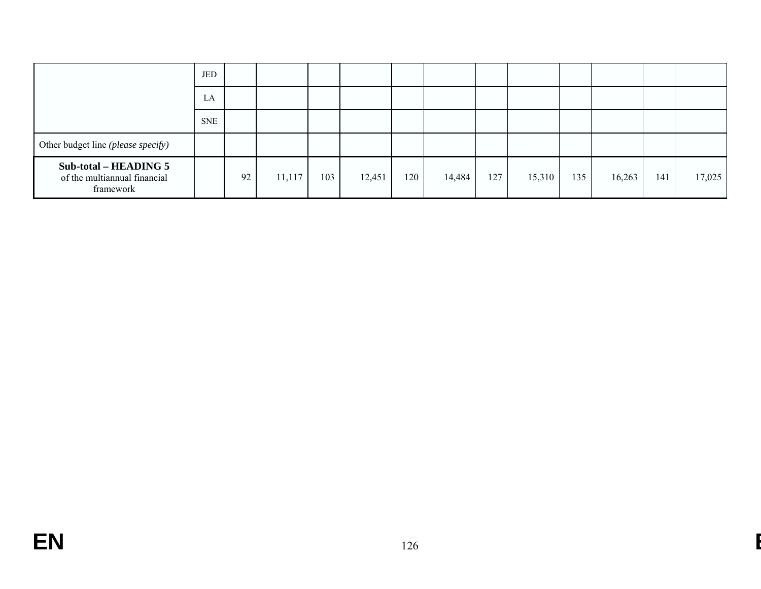|                                                                    | JED        |    |        |     |        |     |        |     |        |     |        |     |        |
|--------------------------------------------------------------------|------------|----|--------|-----|--------|-----|--------|-----|--------|-----|--------|-----|--------|
|                                                                    | LA         |    |        |     |        |     |        |     |        |     |        |     |        |
|                                                                    | <b>SNE</b> |    |        |     |        |     |        |     |        |     |        |     |        |
| Other budget line (please specify)                                 |            |    |        |     |        |     |        |     |        |     |        |     |        |
| Sub-total – HEADING 5<br>of the multiannual financial<br>framework |            | 92 | 11,117 | 103 | 12,451 | 120 | 14,484 | 127 | 15,310 | 135 | 16,263 | 141 | 17,025 |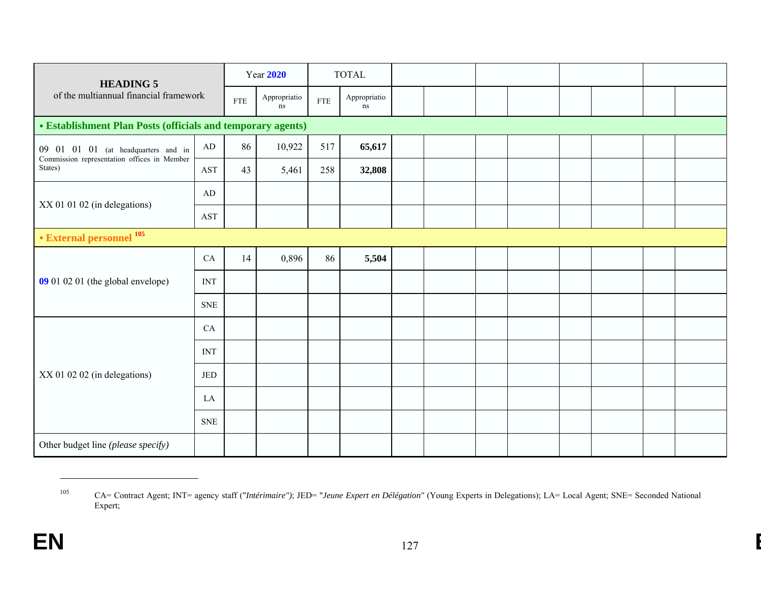| <b>HEADING 5</b>                                                                |            |            | <b>Year 2020</b>   |            | <b>TOTAL</b>             |  |  |  |  |
|---------------------------------------------------------------------------------|------------|------------|--------------------|------------|--------------------------|--|--|--|--|
| of the multiannual financial framework                                          |            | <b>FTE</b> | Appropriatio<br>ns | <b>FTE</b> | Appropriatio<br>$\rm ns$ |  |  |  |  |
| • Establishment Plan Posts (officials and temporary agents)                     |            |            |                    |            |                          |  |  |  |  |
| 09 01 01 01 (at headquarters and in Commission representation offices in Member | AD         | 86         | 10,922             | 517        | 65,617                   |  |  |  |  |
| States)                                                                         | AST        | 43         | 5,461              | 258        | 32,808                   |  |  |  |  |
| XX 01 01 02 (in delegations)                                                    | AD         |            |                    |            |                          |  |  |  |  |
|                                                                                 | <b>AST</b> |            |                    |            |                          |  |  |  |  |
| • External personnel 105                                                        |            |            |                    |            |                          |  |  |  |  |
|                                                                                 | ${\rm CA}$ | 14         | 0,896              | 86         | 5,504                    |  |  |  |  |
| 09 01 02 01 (the global envelope)                                               | <b>INT</b> |            |                    |            |                          |  |  |  |  |
|                                                                                 | <b>SNE</b> |            |                    |            |                          |  |  |  |  |
|                                                                                 | CA         |            |                    |            |                          |  |  |  |  |
|                                                                                 | <b>INT</b> |            |                    |            |                          |  |  |  |  |
| XX 01 02 02 (in delegations)                                                    | JED        |            |                    |            |                          |  |  |  |  |
|                                                                                 | LA         |            |                    |            |                          |  |  |  |  |
|                                                                                 | <b>SNE</b> |            |                    |            |                          |  |  |  |  |
| Other budget line (please specify)                                              |            |            |                    |            |                          |  |  |  |  |

<sup>105</sup> CA= Contract Agent; INT= agency staff ("*Intérimaire")*; JED= "*Jeune Expert en Délégation"* (Young Experts in Delegations); LA= Local Agent; SNE= Seconded National Expert;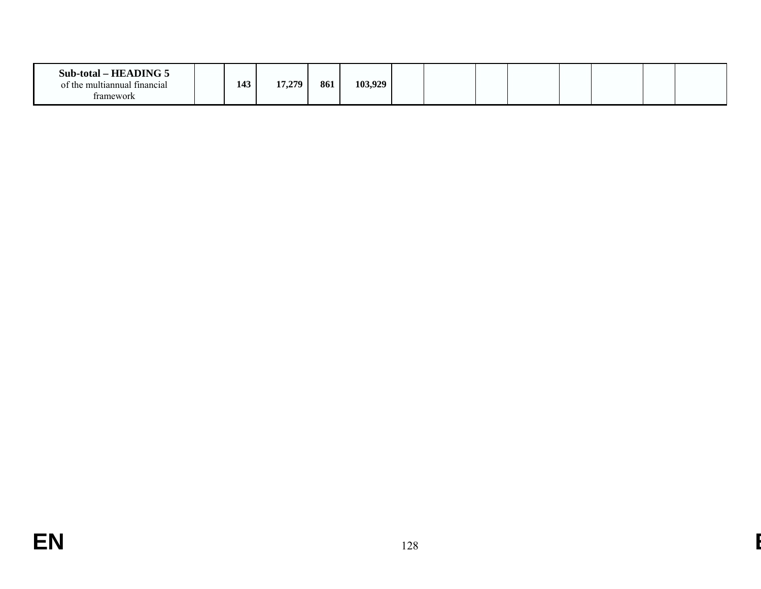| Sub-total – HEADING 5<br>e multiannual financial<br>-the | 143 | 17 270<br>11.4 | 861 | 103,929 |  |  |  |  |
|----------------------------------------------------------|-----|----------------|-----|---------|--|--|--|--|
| tramework                                                |     |                |     |         |  |  |  |  |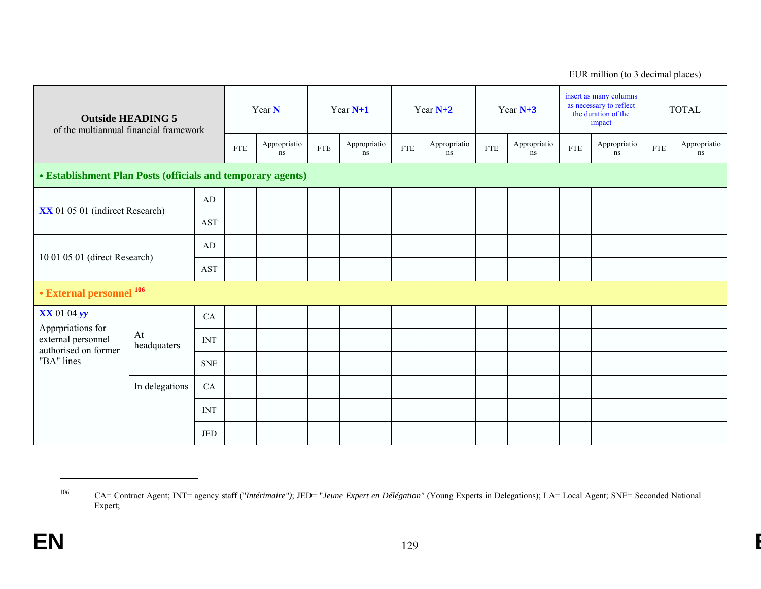| <b>Outside HEADING 5</b><br>of the multiannual financial framework |                   |                        | Year N     |                    | Year $N+1$ |                    | Year $N+2$ |                          | Year $N+3$ |                          | insert as many columns<br>as necessary to reflect<br>the duration of the<br>impact |                          | <b>TOTAL</b> |                    |
|--------------------------------------------------------------------|-------------------|------------------------|------------|--------------------|------------|--------------------|------------|--------------------------|------------|--------------------------|------------------------------------------------------------------------------------|--------------------------|--------------|--------------------|
|                                                                    |                   |                        | <b>FTE</b> | Appropriatio<br>ns | <b>FTE</b> | Appropriatio<br>ns | <b>FTE</b> | Appropriatio<br>$\rm ns$ | <b>FTE</b> | Appropriatio<br>$\rm ns$ | <b>FTE</b>                                                                         | Appropriatio<br>$\rm ns$ | <b>FTE</b>   | Appropriatio<br>ns |
| • Establishment Plan Posts (officials and temporary agents)        |                   |                        |            |                    |            |                    |            |                          |            |                          |                                                                                    |                          |              |                    |
|                                                                    |                   | $\mathbf{A}\mathbf{D}$ |            |                    |            |                    |            |                          |            |                          |                                                                                    |                          |              |                    |
| XX 01 05 01 (indirect Research)                                    |                   | AST                    |            |                    |            |                    |            |                          |            |                          |                                                                                    |                          |              |                    |
|                                                                    |                   | AD                     |            |                    |            |                    |            |                          |            |                          |                                                                                    |                          |              |                    |
| 10 01 05 01 (direct Research)                                      |                   | AST                    |            |                    |            |                    |            |                          |            |                          |                                                                                    |                          |              |                    |
| • External personnel 106                                           |                   |                        |            |                    |            |                    |            |                          |            |                          |                                                                                    |                          |              |                    |
| $\mathbf{XX}$ 01 04 $\mathbf{yy}$                                  |                   | ${\rm CA}$             |            |                    |            |                    |            |                          |            |                          |                                                                                    |                          |              |                    |
| Apprpriations for<br>external personnel<br>authorised on former    | At<br>headquaters | <b>INT</b>             |            |                    |            |                    |            |                          |            |                          |                                                                                    |                          |              |                    |
| "BA" lines                                                         |                   | <b>SNE</b>             |            |                    |            |                    |            |                          |            |                          |                                                                                    |                          |              |                    |
| In delegations                                                     |                   | CA                     |            |                    |            |                    |            |                          |            |                          |                                                                                    |                          |              |                    |
|                                                                    |                   | <b>INT</b>             |            |                    |            |                    |            |                          |            |                          |                                                                                    |                          |              |                    |
|                                                                    |                   | $_{\rm JED}$           |            |                    |            |                    |            |                          |            |                          |                                                                                    |                          |              |                    |

EUR million (to 3 decimal places)

<sup>106</sup> CA= Contract Agent; INT= agency staff ("*Intérimaire")*; JED= "*Jeune Expert en Délégation"* (Young Experts in Delegations); LA= Local Agent; SNE= Seconded National Expert;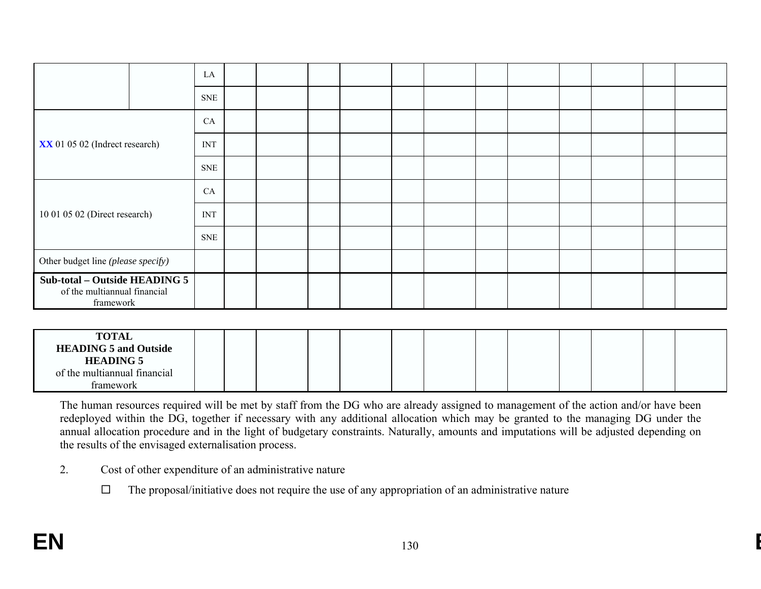|                                                                            |            | LA                        |  |  |  |  |  |  |
|----------------------------------------------------------------------------|------------|---------------------------|--|--|--|--|--|--|
|                                                                            |            | <b>SNE</b>                |  |  |  |  |  |  |
|                                                                            |            | CA                        |  |  |  |  |  |  |
| XX 01 05 02 (Indrect research)                                             |            | <b>INT</b>                |  |  |  |  |  |  |
|                                                                            | <b>SNE</b> |                           |  |  |  |  |  |  |
|                                                                            |            | CA                        |  |  |  |  |  |  |
| 10 01 05 02 (Direct research)                                              |            | $\ensuremath{\text{INT}}$ |  |  |  |  |  |  |
|                                                                            |            | <b>SNE</b>                |  |  |  |  |  |  |
| Other budget line (please specify)                                         |            |                           |  |  |  |  |  |  |
| Sub-total - Outside HEADING 5<br>of the multiannual financial<br>framework |            |                           |  |  |  |  |  |  |

| <b>TOTAL</b>                                     |  |  |  |  |  |  |  |
|--------------------------------------------------|--|--|--|--|--|--|--|
| <b>HEADING 5 and Outside</b><br><b>HEADING 5</b> |  |  |  |  |  |  |  |
| of the multiannual financial                     |  |  |  |  |  |  |  |
| framework                                        |  |  |  |  |  |  |  |

The human resources required will be met by staff from the DG who are already assigned to management of the action and/or have been redeployed within the DG, together if necessary with any additional allocation which may be granted to the managing DG under the annual allocation procedure and in the light of budgetary constraints. Naturally, amounts and imputations will be adjusted depending on the results of the envisaged externalisation process.

- 2. Cost of other expenditure of an administrative nature
	- $\Box$  The proposal/initiative does not require the use of any appropriation of an administrative nature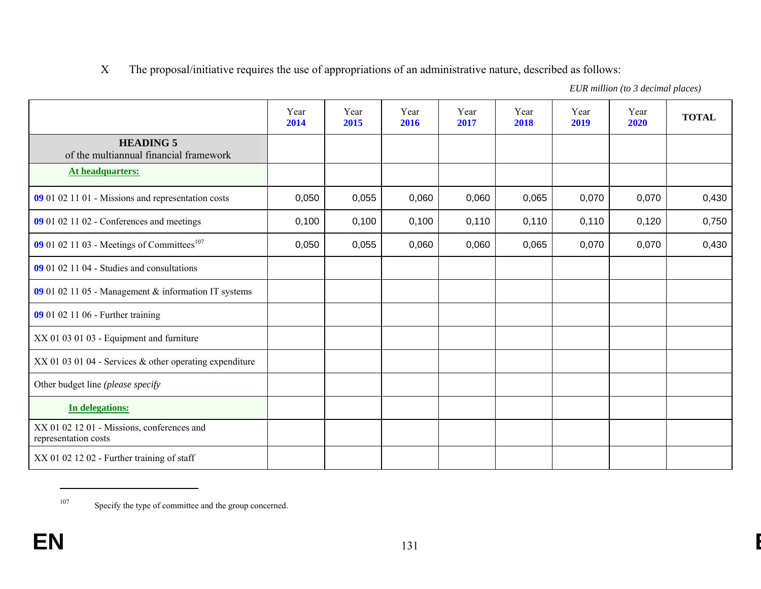X The proposal/initiative requires the use of appropriations of an administrative nature, described as follows:

|                                                                    | Year<br>2014 | Year<br>2015 | Year<br>2016 | Year<br>2017 | Year<br>2018 | Year<br>2019 | Year<br>2020 | <b>TOTAL</b> |
|--------------------------------------------------------------------|--------------|--------------|--------------|--------------|--------------|--------------|--------------|--------------|
| <b>HEADING 5</b><br>of the multiannual financial framework         |              |              |              |              |              |              |              |              |
| At headquarters:                                                   |              |              |              |              |              |              |              |              |
| 09 01 02 11 01 - Missions and representation costs                 | 0,050        | 0,055        | 0,060        | 0,060        | 0,065        | 0,070        | 0,070        | 0,430        |
| 09 01 02 11 02 - Conferences and meetings                          | 0,100        | 0,100        | 0,100        | 0,110        | 0,110        | 0,110        | 0,120        | 0,750        |
| 09 01 02 11 03 - Meetings of Committees <sup>107</sup>             | 0,050        | 0,055        | 0,060        | 0,060        | 0,065        | 0,070        | 0,070        | 0,430        |
| 09 01 02 11 04 - Studies and consultations                         |              |              |              |              |              |              |              |              |
| 09 01 02 11 05 - Management & information IT systems               |              |              |              |              |              |              |              |              |
| 09 01 02 11 06 - Further training                                  |              |              |              |              |              |              |              |              |
| XX 01 03 01 03 - Equipment and furniture                           |              |              |              |              |              |              |              |              |
| XX 01 03 01 04 - Services & other operating expenditure            |              |              |              |              |              |              |              |              |
| Other budget line (please specify                                  |              |              |              |              |              |              |              |              |
| In delegations:                                                    |              |              |              |              |              |              |              |              |
| XX 01 02 12 01 - Missions, conferences and<br>representation costs |              |              |              |              |              |              |              |              |
| XX 01 02 12 02 - Further training of staff                         |              |              |              |              |              |              |              |              |

<sup>107</sup>Specify the type of committee and the group concerned.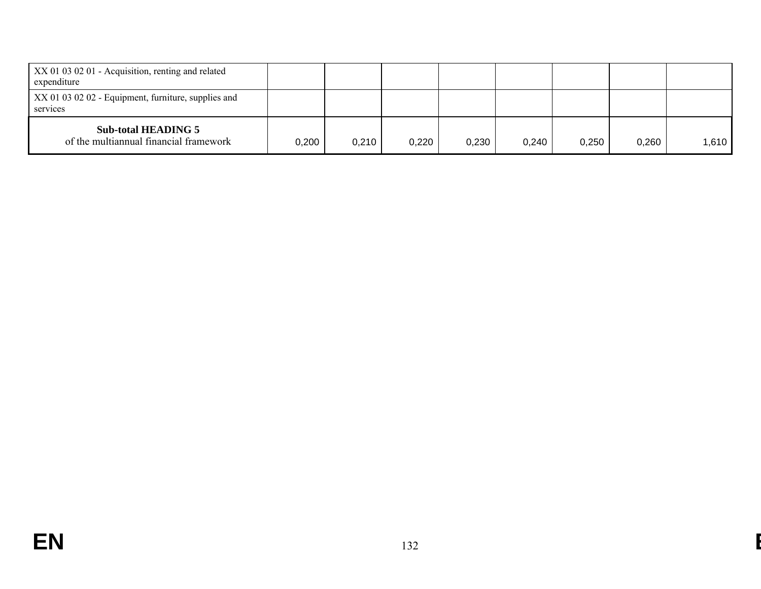| XX 01 03 02 01 - Acquisition, renting and related<br>expenditure     |       |       |       |       |       |       |       |          |
|----------------------------------------------------------------------|-------|-------|-------|-------|-------|-------|-------|----------|
| XX 01 03 02 02 - Equipment, furniture, supplies and<br>services      |       |       |       |       |       |       |       |          |
| <b>Sub-total HEADING 5</b><br>of the multiannual financial framework | 0,200 | 0.210 | 0,220 | 0,230 | 0,240 | 0,250 | 0,260 | l .610 l |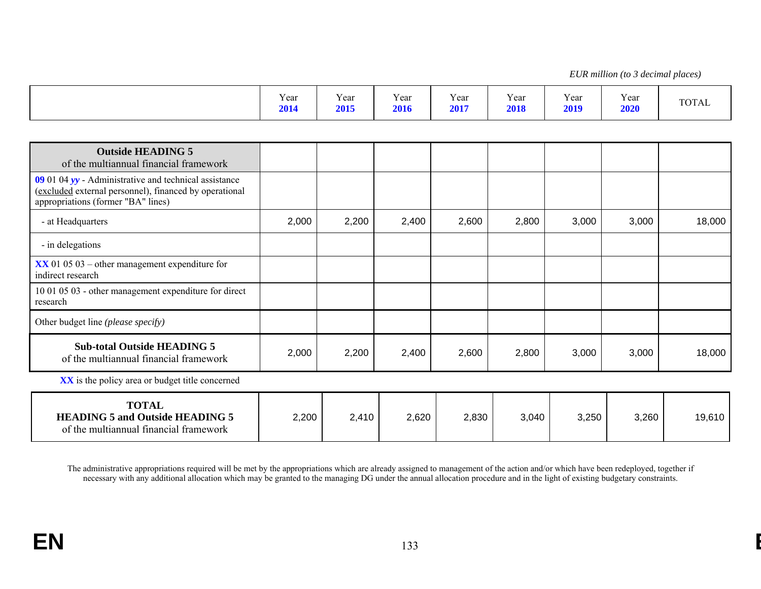Year **2014** Year **2015** Year **2016** Year **2017** Year **2018** Year **2019** Year **2020**TOTAL

| <b>Outside HEADING 5</b><br>of the multiannual financial framework                                                                                    |       |       |       |       |       |       |       |        |
|-------------------------------------------------------------------------------------------------------------------------------------------------------|-------|-------|-------|-------|-------|-------|-------|--------|
| 09 01 04 yy - Administrative and technical assistance<br>(excluded external personnel), financed by operational<br>appropriations (former "BA" lines) |       |       |       |       |       |       |       |        |
| - at Headquarters                                                                                                                                     | 2,000 | 2,200 | 2,400 | 2,600 | 2,800 | 3,000 | 3,000 | 18,000 |
| - in delegations                                                                                                                                      |       |       |       |       |       |       |       |        |
| $\overline{\text{XX}}$ 01 05 03 – other management expenditure for<br>indirect research                                                               |       |       |       |       |       |       |       |        |
| 10 01 05 03 - other management expenditure for direct<br>research                                                                                     |       |       |       |       |       |       |       |        |
| Other budget line (please specify)                                                                                                                    |       |       |       |       |       |       |       |        |
| <b>Sub-total Outside HEADING 5</b><br>of the multiannual financial framework                                                                          | 2,000 | 2,200 | 2,400 | 2,600 | 2,800 | 3,000 | 3,000 | 18,000 |
| XX is the policy area or budget title concerned                                                                                                       |       |       |       |       |       |       |       |        |
| <b>TOTAL</b><br><b>HEADING 5 and Outside HEADING 5</b>                                                                                                | 2,200 | 2,410 | 2,620 | 2,830 | 3,040 | 3,250 | 3,260 | 19,610 |

The administrative appropriations required will be met by the appropriations which are already assigned to management of the action and/or which have been redeployed, together if necessary with any additional allocation which may be granted to the managing DG under the annual allocation procedure and in the light of existing budgetary constraints.

of the multiannual financial framework